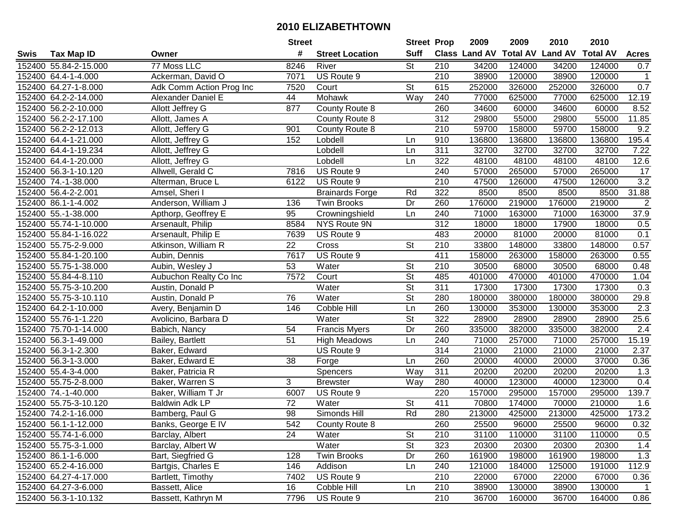|      |                       |                          | <b>Street</b>   |                        | <b>Street Prop</b>       |                  | 2009                 | 2009   | 2010                    | 2010            |                  |
|------|-----------------------|--------------------------|-----------------|------------------------|--------------------------|------------------|----------------------|--------|-------------------------|-----------------|------------------|
| Swis | <b>Tax Map ID</b>     | Owner                    | #               | <b>Street Location</b> | <b>Suff</b>              |                  | <b>Class Land AV</b> |        | <b>Total AV Land AV</b> | <b>Total AV</b> | <b>Acres</b>     |
|      | 152400 55.84-2-15.000 | 77 Moss LLC              | 8246            | River                  | $\overline{\mathsf{St}}$ | 210              | 34200                | 124000 | 34200                   | 124000          | 0.7              |
|      | 152400 64.4-1-4.000   | Ackerman, David O        | 7071            | US Route 9             |                          | 210              | 38900                | 120000 | 38900                   | 120000          | $\mathbf{1}$     |
|      | 152400 64.27-1-8.000  | Adk Comm Action Prog Inc | 7520            | Court                  | <b>St</b>                | 615              | 252000               | 326000 | 252000                  | 326000          | 0.7              |
|      | 152400 64.2-2-14.000  | Alexander Daniel E       | 44              | Mohawk                 | Way                      | 240              | 77000                | 625000 | 77000                   | 625000          | 12.19            |
|      | 152400 56.2-2-10.000  | Allott Jeffrey G         | 877             | County Route 8         |                          | 260              | 34600                | 60000  | 34600                   | 60000           | 8.52             |
|      | 152400 56.2-2-17.100  | Allott, James A          |                 | County Route 8         |                          | 312              | 29800                | 55000  | 29800                   | 55000           | 11.85            |
|      | 152400 56.2-2-12.013  | Allott, Jeffery G        | 901             | County Route 8         |                          | 210              | 59700                | 158000 | 59700                   | 158000          | 9.2              |
|      | 152400 64.4-1-21.000  | Allott, Jeffrey G        | 152             | Lobdell                | Ln                       | 910              | 136800               | 136800 | 136800                  | 136800          | 195.4            |
|      | 152400 64.4-1-19.234  | Allott, Jeffrey G        |                 | Lobdell                | Ln                       | 311              | 32700                | 32700  | 32700                   | 32700           | 7.22             |
|      | 152400 64.4-1-20.000  | Allott, Jeffrey G        |                 | Lobdell                | Ln                       | 322              | 48100                | 48100  | 48100                   | 48100           | 12.6             |
|      | 152400 56.3-1-10.120  | Allwell, Gerald C        | 7816            | US Route 9             |                          | 240              | 57000                | 265000 | 57000                   | 265000          | 17               |
|      | 152400 74.-1-38.000   | Alterman, Bruce L        | 6122            | US Route 9             |                          | 210              | 47500                | 126000 | 47500                   | 126000          | 3.2              |
|      | 152400 56.4-2-2.001   | Amsel, Sheri I           |                 | <b>Brainards Forge</b> | Rd                       | 322              | 8500                 | 8500   | 8500                    | 8500            | 31.88            |
|      | 152400 86.1-1-4.002   | Anderson, William J      | 136             | <b>Twin Brooks</b>     | Dr                       | 260              | 176000               | 219000 | 176000                  | 219000          | $\overline{2}$   |
|      | 152400 55.-1-38.000   | Apthorp, Geoffrey E      | 95              | Crowningshield         | Ln                       | 240              | 71000                | 163000 | 71000                   | 163000          | 37.9             |
|      | 152400 55.74-1-10.000 | Arsenault, Philip        | 8584            | NYS Route 9N           |                          | 312              | 18000                | 18000  | 17900                   | 18000           | 0.5              |
|      | 152400 55.84-1-16.022 | Arsenault, Philip E      | 7639            | US Route 9             |                          | 483              | 20000                | 81000  | 20000                   | 81000           | 0.1              |
|      | 152400 55.75-2-9.000  | Atkinson, William R      | $\overline{22}$ | Cross                  | $\overline{\mathsf{St}}$ | 210              | 33800                | 148000 | 33800                   | 148000          | 0.57             |
|      | 152400 55.84-1-20.100 | Aubin, Dennis            | 7617            | US Route 9             |                          | 411              | 158000               | 263000 | 158000                  | 263000          | 0.55             |
|      | 152400 55.75-1-38.000 | Aubin, Wesley J          | 53              | Water                  | <b>St</b>                | 210              | 30500                | 68000  | 30500                   | 68000           | 0.48             |
|      | 152400 55.84-4-8.110  | Aubuchon Realty Co Inc   | 7572            | Court                  | <b>St</b>                | 485              | 401000               | 470000 | 401000                  | 470000          | 1.04             |
|      | 152400 55.75-3-10.200 | Austin, Donald P         |                 | Water                  | $\overline{\mathsf{St}}$ | 311              | 17300                | 17300  | 17300                   | 17300           | 0.3              |
|      | 152400 55.75-3-10.110 | Austin, Donald P         | 76              | Water                  | <b>St</b>                | 280              | 180000               | 380000 | 180000                  | 380000          | 29.8             |
|      | 152400 64.2-1-10.000  | Avery, Benjamin D        | 146             | Cobble Hill            | Ln                       | 260              | 130000               | 353000 | 130000                  | 353000          | 2.3              |
|      | 152400 55.76-1-1.220  | Avolicino, Barbara D     |                 | Water                  | St                       | 322              | 28900                | 28900  | 28900                   | 28900           | 25.6             |
|      | 152400 75.70-1-14.000 | Babich, Nancy            | 54              | <b>Francis Myers</b>   | Dr                       | 260              | 335000               | 382000 | 335000                  | 382000          | $\overline{2.4}$ |
|      | 152400 56.3-1-49.000  | Bailey, Bartlett         | 51              | <b>High Meadows</b>    | Ln                       | 240              | 71000                | 257000 | 71000                   | 257000          | 15.19            |
|      | 152400 56.3-1-2.300   | Baker, Edward            |                 | US Route 9             |                          | 314              | 21000                | 21000  | 21000                   | 21000           | 2.37             |
|      | 152400 56.3-1-3.000   | Baker, Edward E          | 38              | Forge                  | Ln                       | 260              | 20000                | 40000  | 20000                   | 37000           | 0.36             |
|      | 152400 55.4-3-4.000   | Baker, Patricia R        |                 | Spencers               | Way                      | 311              | 20200                | 20200  | 20200                   | 20200           | 1.3              |
|      | 152400 55.75-2-8.000  | Baker, Warren S          | 3               | <b>Brewster</b>        | Way                      | 280              | 40000                | 123000 | 40000                   | 123000          | 0.4              |
|      | 152400 74.-1-40.000   | Baker, William T Jr      | 6007            | US Route 9             |                          | 220              | 157000               | 295000 | 157000                  | 295000          | 139.7            |
|      | 152400 55.75-3-10.120 | <b>Baldwin Adk LP</b>    | 72              | Water                  | <b>St</b>                | 411              | 70800                | 174000 | 70000                   | 210000          | 1.6              |
|      | 152400 74.2-1-16.000  | Bamberg, Paul G          | 98              | Simonds Hill           | Rd                       | 280              | 213000               | 425000 | 213000                  | 425000          | 173.2            |
|      | 152400 56.1-1-12.000  | Banks, George E IV       | 542             | County Route 8         |                          | 260              | 25500                | 96000  | 25500                   | 96000           | 0.32             |
|      | 152400 55.74-1-6.000  | Barclay, Albert          | 24              | Water                  | <b>St</b>                | 210              | 31100                | 110000 | 31100                   | 110000          | 0.5              |
|      | 152400 55.75-3-1.000  | Barclay, Albert W        |                 | Water                  | <b>St</b>                | 323              | 20300                | 20300  | 20300                   | 20300           | 1.4              |
|      | 152400 86.1-1-6.000   | Bart, Siegfried G        | 128             | <b>Twin Brooks</b>     | Dr                       | 260              | 161900               | 198000 | 161900                  | 198000          | 1.3              |
|      | 152400 65.2-4-16.000  | Bartgis, Charles E       | 146             | Addison                | Ln                       | 240              | 121000               | 184000 | 125000                  | 191000          | 112.9            |
|      | 152400 64.27-4-17.000 | Bartlett, Timothy        | 7402            | US Route 9             |                          | 210              | 22000                | 67000  | 22000                   | 67000           | 0.36             |
|      | 152400 64.27-3-6.000  | Bassett, Alice           | 16              | Cobble Hill            | Ln                       | 210              | 38900                | 130000 | 38900                   | 130000          | 1                |
|      | 152400 56.3-1-10.132  | Bassett, Kathryn M       | 7796            | US Route 9             |                          | $\overline{210}$ | 36700                | 160000 | 36700                   | 164000          | 0.86             |
|      |                       |                          |                 |                        |                          |                  |                      |        |                         |                 |                  |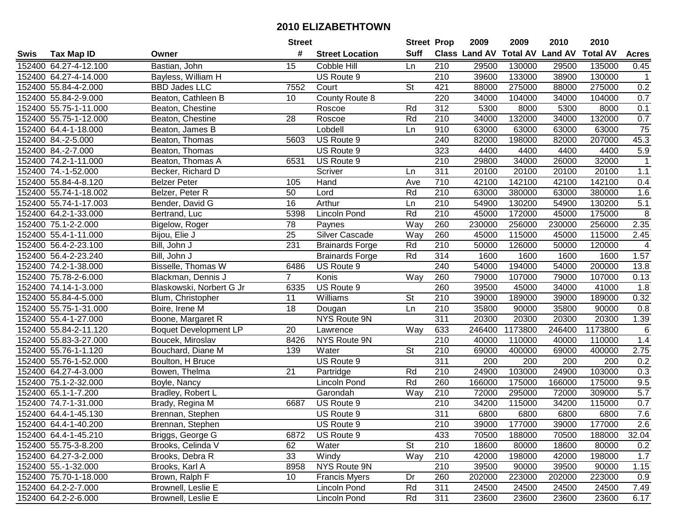|      |                       |                              | <b>Street</b>   |                        | <b>Street Prop</b> |                  | 2009                 | 2009    | 2010                    | 2010            |                 |
|------|-----------------------|------------------------------|-----------------|------------------------|--------------------|------------------|----------------------|---------|-------------------------|-----------------|-----------------|
| Swis | <b>Tax Map ID</b>     | Owner                        | #               | <b>Street Location</b> | <b>Suff</b>        |                  | <b>Class Land AV</b> |         | <b>Total AV Land AV</b> | <b>Total AV</b> | <b>Acres</b>    |
|      | 152400 64.27-4-12.100 | Bastian, John                | 15              | Cobble Hill            | Ln                 | 210              | 29500                | 130000  | 29500                   | 135000          | 0.45            |
|      | 152400 64.27-4-14.000 | Bayless, William H           |                 | US Route 9             |                    | 210              | 39600                | 133000  | 38900                   | 130000          | $\mathbf{1}$    |
|      | 152400 55.84-4-2.000  | <b>BBD Jades LLC</b>         | 7552            | Court                  | <b>St</b>          | 421              | 88000                | 275000  | 88000                   | 275000          | 0.2             |
|      | 152400 55.84-2-9.000  | Beaton, Cathleen B           | 10 <sup>1</sup> | <b>County Route 8</b>  |                    | 220              | 34000                | 104000  | 34000                   | 104000          | 0.7             |
|      | 152400 55.75-1-11.000 | Beaton, Chestine             |                 | Roscoe                 | Rd                 | 312              | 5300                 | 8000    | 5300                    | 8000            | 0.1             |
|      | 152400 55.75-1-12.000 | Beaton, Chestine             | 28              | Roscoe                 | Rd                 | 210              | 34000                | 132000  | 34000                   | 132000          | 0.7             |
|      | 152400 64.4-1-18.000  | Beaton, James B              |                 | Lobdell                | Ln                 | 910              | 63000                | 63000   | 63000                   | 63000           | $\overline{75}$ |
|      | 152400 84.-2-5.000    | Beaton, Thomas               | 5603            | US Route 9             |                    | $\overline{240}$ | 82000                | 198000  | 82000                   | 207000          | 45.3            |
|      | 152400 84.-2-7.000    | Beaton, Thomas               |                 | US Route 9             |                    | 323              | 4400                 | 4400    | 4400                    | 4400            | 5.9             |
|      | 152400 74.2-1-11.000  | Beaton, Thomas A             | 6531            | US Route 9             |                    | 210              | 29800                | 34000   | 26000                   | 32000           |                 |
|      | 152400 74.-1-52.000   | Becker, Richard D            |                 | Scriver                | Ln                 | 311              | 20100                | 20100   | 20100                   | 20100           | 1.1             |
|      | 152400 55.84-4-8.120  | <b>Belzer Peter</b>          | 105             | Hand                   | Ave                | 710              | 42100                | 142100  | 42100                   | 142100          | 0.4             |
|      | 152400 55.74-1-18.002 | Belzer, Peter R              | 50              | Lord                   | Rd                 | 210              | 63000                | 380000  | 63000                   | 380000          | 1.6             |
|      | 152400 55.74-1-17.003 | Bender, David G              | 16              | Arthur                 | Ln                 | 210              | 54900                | 130200  | 54900                   | 130200          | 5.1             |
|      | 152400 64.2-1-33.000  | Bertrand, Luc                | 5398            | <b>Lincoln Pond</b>    | Rd                 | 210              | 45000                | 172000  | 45000                   | 175000          | 8               |
|      | 152400 75.1-2-2.000   | Bigelow, Roger               | 78              | Paynes                 | Way                | 260              | 230000               | 256000  | 230000                  | 256000          | 2.35            |
|      | 152400 55.4-1-11.000  | Bijou, Elie J                | $\overline{25}$ | Silver Cascade         | Way                | 260              | 45000                | 115000  | 45000                   | 115000          | 2.45            |
|      | 152400 56.4-2-23.100  | Bill, John J                 | 231             | <b>Brainards Forge</b> | Rd                 | 210              | 50000                | 126000  | 50000                   | 120000          | 4               |
|      | 152400 56.4-2-23.240  | Bill, John J                 |                 | <b>Brainards Forge</b> | Rd                 | 314              | 1600                 | 1600    | 1600                    | 1600            | 1.57            |
|      | 152400 74.2-1-38.000  | Bisselle, Thomas W           | 6486            | US Route 9             |                    | 240              | 54000                | 194000  | 54000                   | 200000          | 13.8            |
|      | 152400 75.78-2-6.000  | Blackman, Dennis J           | $\overline{7}$  | Konis                  | Way                | 260              | 79000                | 107000  | 79000                   | 107000          | 0.13            |
|      | 152400 74.14-1-3.000  | Blaskowski, Norbert G Jr     | 6335            | US Route 9             |                    | 260              | 39500                | 45000   | 34000                   | 41000           | 1.8             |
|      | 152400 55.84-4-5.000  | Blum, Christopher            | 11              | Williams               | <b>St</b>          | 210              | 39000                | 189000  | 39000                   | 189000          | 0.32            |
|      | 152400 55.75-1-31.000 | Boire, Irene M               | 18              | Dougan                 | Ln                 | 210              | 35800                | 90000   | 35800                   | 90000           | 0.8             |
|      | 152400 55.4-1-27.000  | Boone, Margaret R            |                 | NYS Route 9N           |                    | $\overline{311}$ | 20300                | 20300   | 20300                   | 20300           | 1.39            |
|      | 152400 55.84-2-11.120 | <b>Boquet Development LP</b> | 20              | Lawrence               | Way                | 633              | 246400               | 1173800 | 246400                  | 1173800         | 6               |
|      | 152400 55.83-3-27.000 | Boucek, Miroslav             | 8426            | NYS Route 9N           |                    | 210              | 40000                | 110000  | 40000                   | 110000          | 1.4             |
|      | 152400 55.76-1-1.120  | Bouchard, Diane M            | 139             | Water                  | <b>St</b>          | 210              | 69000                | 400000  | 69000                   | 400000          | 2.75            |
|      | 152400 55.76-1-52.000 | Boulton, H Bruce             |                 | US Route 9             |                    | $\overline{311}$ | 200                  | 200     | 200                     | 200             | 0.2             |
|      | 152400 64.27-4-3.000  | Bowen, Thelma                | $\overline{21}$ | Partridge              | Rd                 | $\overline{210}$ | 24900                | 103000  | 24900                   | 103000          | 0.3             |
|      | 152400 75.1-2-32.000  | Boyle, Nancy                 |                 | Lincoln Pond           | Rd                 | 260              | 166000               | 175000  | 166000                  | 175000          | 9.5             |
|      | 152400 65.1-1-7.200   | Bradley, Robert L            |                 | Garondah               | Way                | 210              | 72000                | 295000  | 72000                   | 309000          | 5.7             |
|      | 152400 74.7-1-31.000  | Brady, Regina M              | 6687            | US Route 9             |                    | $\overline{210}$ | 34200                | 115000  | 34200                   | 115000          | 0.7             |
|      | 152400 64.4-1-45.130  | Brennan, Stephen             |                 | US Route 9             |                    | $\overline{311}$ | 6800                 | 6800    | 6800                    | 6800            | 7.6             |
|      | 152400 64.4-1-40.200  | Brennan, Stephen             |                 | US Route 9             |                    | 210              | 39000                | 177000  | 39000                   | 177000          | 2.6             |
|      | 152400 64.4-1-45.210  | Briggs, George G             | 6872            | US Route 9             |                    | 433              | 70500                | 188000  | 70500                   | 188000          | 32.04           |
|      | 152400 55.75-3-8.200  | Brooks, Celinda V            | 62              | Water                  | <b>St</b>          | 210              | 18600                | 80000   | 18600                   | 80000           | 0.2             |
|      | 152400 64.27-3-2.000  | Brooks, Debra R              | 33              | Windy                  | Way                | 210              | 42000                | 198000  | 42000                   | 198000          | 1.7             |
|      | 152400 55.-1-32.000   | Brooks, Karl A               | 8958            | NYS Route 9N           |                    | 210              | 39500                | 90000   | 39500                   | 90000           | 1.15            |
|      | 152400 75.70-1-18.000 | Brown, Ralph F               | 10              | <b>Francis Myers</b>   | Dr                 | 260              | 202000               | 223000  | 202000                  | 223000          | 0.9             |
|      | 152400 64.2-2-7.000   | Brownell, Leslie E           |                 | Lincoln Pond           | Rd                 | 311              | 24500                | 24500   | 24500                   | 24500           | 7.49            |
|      | 152400 64.2-2-6.000   | Brownell, Leslie E           |                 | Lincoln Pond           | Rd                 | 311              | 23600                | 23600   | 23600                   | 23600           | 6.17            |
|      |                       |                              |                 |                        |                    |                  |                      |         |                         |                 |                 |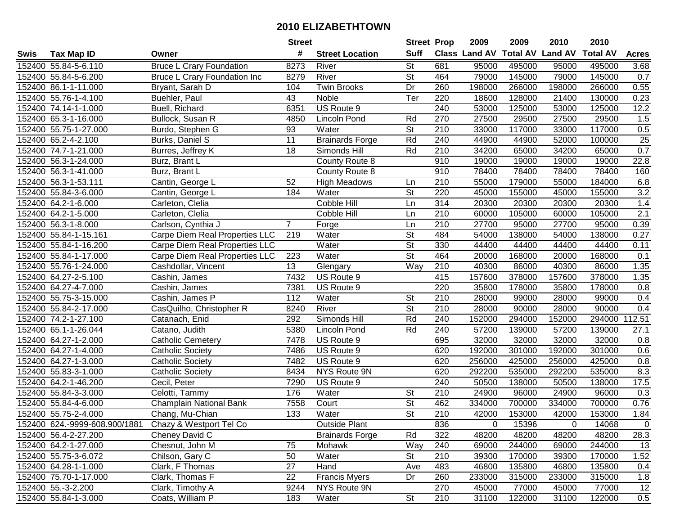|      |                               |                                     | <b>Street</b>    |                        | <b>Street Prop</b>       |                  | 2009          | 2009   | 2010                    | 2010            |                  |
|------|-------------------------------|-------------------------------------|------------------|------------------------|--------------------------|------------------|---------------|--------|-------------------------|-----------------|------------------|
| Swis | <b>Tax Map ID</b>             | Owner                               | #                | <b>Street Location</b> | <b>Suff</b>              |                  | Class Land AV |        | <b>Total AV Land AV</b> | <b>Total AV</b> | <b>Acres</b>     |
|      | 152400 55.84-5-6.110          | <b>Bruce L Crary Foundation</b>     | 8273             | River                  | <b>St</b>                | 681              | 95000         | 495000 | 95000                   | 495000          | 3.68             |
|      | 152400 55.84-5-6.200          | <b>Bruce L Crary Foundation Inc</b> | 8279             | River                  | St                       | 464              | 79000         | 145000 | 79000                   | 145000          | 0.7              |
|      | 152400 86.1-1-11.000          | Bryant, Sarah D                     | 104              | <b>Twin Brooks</b>     | Dr                       | 260              | 198000        | 266000 | 198000                  | 266000          | 0.55             |
|      | 152400 55.76-1-4.100          | Buehler, Paul                       | 43               | Noble                  | Ter                      | 220              | 18600         | 128000 | 21400                   | 130000          | 0.23             |
|      | 152400 74.14-1-1.000          | Buell, Richard                      | 6351             | US Route 9             |                          | 240              | 53000         | 125000 | 53000                   | 125000          | 12.2             |
|      | 152400 65.3-1-16.000          | Bullock, Susan R                    | 4850             | Lincoln Pond           | Rd                       | 270              | 27500         | 29500  | 27500                   | 29500           | 1.5              |
|      | 152400 55.75-1-27.000         | Burdo, Stephen G                    | 93               | Water                  | <b>St</b>                | 210              | 33000         | 117000 | 33000                   | 117000          | 0.5              |
|      | 152400 65.2-4-2.100           | <b>Burks, Daniel S</b>              | $\overline{11}$  | <b>Brainards Forge</b> | Rd                       | 240              | 44900         | 44900  | 52000                   | 100000          | 25               |
|      | 152400 74.7-1-21.000          | Burres, Jeffrey K                   | $\overline{18}$  | Simonds Hill           | Rd                       | $\overline{210}$ | 34200         | 65000  | 34200                   | 65000           | 0.7              |
|      | 152400 56.3-1-24.000          | Burz, Brant L                       |                  | County Route 8         |                          | 910              | 19000         | 19000  | 19000                   | 19000           | 22.8             |
|      | 152400 56.3-1-41.000          | Burz, Brant L                       |                  | County Route 8         |                          | 910              | 78400         | 78400  | 78400                   | 78400           | 160              |
|      | 152400 56.3-1-53.111          | Cantin, George L                    | 52               | <b>High Meadows</b>    | Ln                       | 210              | 55000         | 179000 | 55000                   | 184000          | 6.8              |
|      | 152400 55.84-3-6.000          | Cantin, George L                    | 184              | Water                  | $\overline{\mathsf{St}}$ | 220              | 45000         | 155000 | 45000                   | 155000          | $\overline{3.2}$ |
|      | 152400 64.2-1-6.000           | Carleton, Clelia                    |                  | Cobble Hill            | Ln                       | 314              | 20300         | 20300  | 20300                   | 20300           | 1.4              |
|      | 152400 64.2-1-5.000           | Carleton, Clelia                    |                  | Cobble Hill            | Ln                       | 210              | 60000         | 105000 | 60000                   | 105000          | $\overline{2.1}$ |
|      | 152400 56.3-1-8.000           | Carlson, Cynthia J                  | $\overline{7}$   | Forge                  | Ln                       | 210              | 27700         | 95000  | 27700                   | 95000           | 0.39             |
|      | 152400 55.84-1-15.161         | Carpe Diem Real Properties LLC      | 219              | Water                  | $\overline{\mathsf{St}}$ | 484              | 54000         | 138000 | 54000                   | 138000          | 0.27             |
|      | 152400 55.84-1-16.200         | Carpe Diem Real Properties LLC      |                  | Water                  | $\overline{\mathsf{St}}$ | 330              | 44400         | 44400  | 44400                   | 44400           | 0.11             |
|      | 152400 55.84-1-17.000         | Carpe Diem Real Properties LLC      | 223              | Water                  | $\overline{\mathsf{St}}$ | 464              | 20000         | 168000 | 20000                   | 168000          | 0.1              |
|      | 152400 55.76-1-24.000         | Cashdollar, Vincent                 | 13               | Glengary               | Way                      | 210              | 40300         | 86000  | 40300                   | 86000           | 1.35             |
|      | 152400 64.27-2-5.100          | Cashin, James                       | 7432             | US Route 9             |                          | 415              | 157600        | 378000 | 157600                  | 378000          | 1.35             |
|      | 152400 64.27-4-7.000          | Cashin, James                       | 7381             | US Route 9             |                          | 220              | 35800         | 178000 | 35800                   | 178000          | 0.8              |
|      | 152400 55.75-3-15.000         | Cashin, James P                     | 112              | Water                  | <b>St</b>                | 210              | 28000         | 99000  | 28000                   | 99000           | 0.4              |
|      | 152400 55.84-2-17.000         | CasQuilho, Christopher R            | 8240             | River                  | St                       | 210              | 28000         | 90000  | 28000                   | 90000           | 0.4              |
|      | 152400 74.2-1-27.100          | Catanach, Enid                      | 292              | Simonds Hill           | Rd                       | 240              | 152000        | 294000 | 152000                  | 294000          | 112.51           |
|      | 152400 65.1-1-26.044          | Catano, Judith                      | 5380             | <b>Lincoln Pond</b>    | Rd                       | 240              | 57200         | 139000 | 57200                   | 139000          | 27.1             |
|      | 152400 64.27-1-2.000          | <b>Catholic Cemetery</b>            | 7478             | US Route 9             |                          | 695              | 32000         | 32000  | 32000                   | 32000           | 0.8              |
|      | 152400 64.27-1-4.000          | <b>Catholic Society</b>             | 7486             | US Route 9             |                          | 620              | 192000        | 301000 | 192000                  | 301000          | 0.6              |
|      | 152400 64.27-1-3.000          | <b>Catholic Society</b>             | 7482             | US Route 9             |                          | 620              | 256000        | 425000 | 256000                  | 425000          | 0.8              |
|      | 152400 55.83-3-1.000          | <b>Catholic Society</b>             | 8434             | <b>NYS Route 9N</b>    |                          | 620              | 292200        | 535000 | 292200                  | 535000          | 8.3              |
|      | 152400 64.2-1-46.200          | Cecil, Peter                        | 7290             | US Route 9             |                          | 240              | 50500         | 138000 | 50500                   | 138000          | 17.5             |
|      | 152400 55.84-3-3.000          | Celotti, Tammy                      | 176              | Water                  | <b>St</b>                | 210              | 24900         | 96000  | 24900                   | 96000           | 0.3              |
|      | 152400 55.84-4-6.000          | Champlain National Bank             | 7558             | Court                  | $\overline{\mathsf{St}}$ | 462              | 334000        | 700000 | 334000                  | 700000          | 0.76             |
|      | 152400 55.75-2-4.000          | Chang, Mu-Chian                     | $\overline{133}$ | Water                  | $\overline{\mathsf{St}}$ | 210              | 42000         | 153000 | 42000                   | 153000          | 1.84             |
|      | 152400 624.-9999-608.900/1881 | Chazy & Westport Tel Co             |                  | <b>Outside Plant</b>   |                          | 836              | 0             | 15396  | 0                       | 14068           | $\mathbf 0$      |
|      | 152400 56.4-2-27.200          | Cheney David C                      |                  | <b>Brainards Forge</b> | Rd                       | 322              | 48200         | 48200  | 48200                   | 48200           | 28.3             |
|      | 152400 64.2-1-27.000          | Chesnut, John M                     | 75               | Mohawk                 | Way                      | 240              | 69000         | 244000 | 69000                   | 244000          | 13               |
|      | 152400 55.75-3-6.072          | Chilson, Gary C                     | 50               | Water                  | <b>St</b>                | 210              | 39300         | 170000 | 39300                   | 170000          | 1.52             |
|      | 152400 64.28-1-1.000          | Clark, F Thomas                     | 27               | Hand                   | Ave                      | 483              | 46800         | 135800 | 46800                   | 135800          | 0.4              |
|      | 152400 75.70-1-17.000         | Clark, Thomas F                     | 22               | <b>Francis Myers</b>   | Dr                       | 260              | 233000        | 315000 | 233000                  | 315000          | 1.8              |
|      | 152400 55.-3-2.200            | Clark, Timothy A                    | 9244             | NYS Route 9N           |                          | 270              | 45000         | 77000  | 45000                   | 77000           | 12               |
|      | 152400 55.84-1-3.000          | Coats, William P                    | 183              | Water                  | <b>St</b>                | 210              | 31100         | 122000 | 31100                   | 122000          | 0.5              |
|      |                               |                                     |                  |                        |                          |                  |               |        |                         |                 |                  |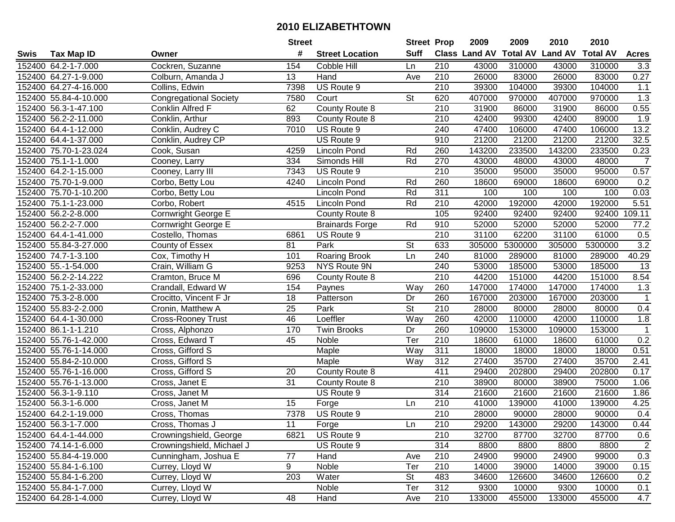|      |                       |                               | <b>Street</b>   |                        | <b>Street Prop</b> |                  | 2009                 | 2009    | 2010                    | 2010            |                |
|------|-----------------------|-------------------------------|-----------------|------------------------|--------------------|------------------|----------------------|---------|-------------------------|-----------------|----------------|
| Swis | <b>Tax Map ID</b>     | Owner                         | #               | <b>Street Location</b> | <b>Suff</b>        |                  | <b>Class Land AV</b> |         | <b>Total AV Land AV</b> | <b>Total AV</b> | <b>Acres</b>   |
|      | 152400 64.2-1-7.000   | Cockren, Suzanne              | 154             | Cobble Hill            | Ln                 | 210              | 43000                | 310000  | 43000                   | 310000          | 3.3            |
|      | 152400 64.27-1-9.000  | Colburn, Amanda J             | 13              | Hand                   | Ave                | 210              | 26000                | 83000   | 26000                   | 83000           | 0.27           |
|      | 152400 64.27-4-16.000 | Collins, Edwin                | 7398            | US Route 9             |                    | 210              | 39300                | 104000  | 39300                   | 104000          | $1.1$          |
|      | 152400 55.84-4-10.000 | <b>Congregational Society</b> | 7580            | Court                  | <b>St</b>          | 620              | 407000               | 970000  | 407000                  | 970000          | 1.3            |
|      | 152400 56.3-1-47.100  | Conklin Alfred F              | 62              | <b>County Route 8</b>  |                    | 210              | 31900                | 86000   | 31900                   | 86000           | 0.55           |
|      | 152400 56.2-2-11.000  | Conklin, Arthur               | 893             | County Route 8         |                    | 210              | 42400                | 99300   | 42400                   | 89000           | 1.9            |
|      | 152400 64.4-1-12.000  | Conklin, Audrey C             | 7010            | US Route 9             |                    | 240              | 47400                | 106000  | 47400                   | 106000          | 13.2           |
|      | 152400 64.4-1-37.000  | Conklin, Audrey CP            |                 | US Route 9             |                    | 910              | 21200                | 21200   | 21200                   | 21200           | 32.5           |
|      | 152400 75.70-1-23.024 | Cook, Susan                   | 4259            | <b>Lincoln Pond</b>    | Rd                 | 260              | 143200               | 233500  | 143200                  | 233500          | 0.23           |
|      | 152400 75.1-1-1.000   | Cooney, Larry                 | 334             | Simonds Hill           | Rd                 | 270              | 43000                | 48000   | 43000                   | 48000           | $\overline{7}$ |
|      | 152400 64.2-1-15.000  | Cooney, Larry III             | 7343            | US Route 9             |                    | 210              | 35000                | 95000   | 35000                   | 95000           | 0.57           |
|      | 152400 75.70-1-9.000  | Corbo, Betty Lou              | 4240            | <b>Lincoln Pond</b>    | Rd                 | 260              | 18600                | 69000   | 18600                   | 69000           | 0.2            |
|      | 152400 75.70-1-10.200 | Corbo, Betty Lou              |                 | Lincoln Pond           | Rd                 | 311              | 100                  | 100     | 100                     | 100             | 0.03           |
|      | 152400 75.1-1-23.000  | Corbo, Robert                 | 4515            | Lincoln Pond           | Rd                 | 210              | 42000                | 192000  | 42000                   | 192000          | 5.51           |
|      | 152400 56.2-2-8.000   | Cornwright George E           |                 | County Route 8         |                    | 105              | 92400                | 92400   | 92400                   | 92400           | 109.11         |
|      | 152400 56.2-2-7.000   | Cornwright George E           |                 | <b>Brainards Forge</b> | Rd                 | 910              | 52000                | 52000   | 52000                   | 52000           | 77.2           |
|      | 152400 64.4-1-41.000  | Costello, Thomas              | 6861            | US Route 9             |                    | 210              | 31100                | 62200   | 31100                   | 61000           | 0.5            |
|      | 152400 55.84-3-27.000 | County of Essex               | 81              | Park                   | <b>St</b>          | 633              | 305000               | 5300000 | 305000                  | 5300000         | 3.2            |
|      | 152400 74.7-1-3.100   | Cox, Timothy H                | 101             | <b>Roaring Brook</b>   | Ln                 | 240              | 81000                | 289000  | 81000                   | 289000          | 40.29          |
|      | 152400 55.-1-54.000   | Crain, William G              | 9253            | NYS Route 9N           |                    | 240              | 53000                | 185000  | 53000                   | 185000          | 13             |
|      | 152400 56.2-2-14.222  | Cramton, Bruce M              | 696             | County Route 8         |                    | 210              | 44200                | 151000  | 44200                   | 151000          | 8.54           |
|      | 152400 75.1-2-33.000  | Crandall, Edward W            | 154             | Paynes                 | Way                | 260              | 147000               | 174000  | 147000                  | 174000          | 1.3            |
|      | 152400 75.3-2-8.000   | Crocitto, Vincent F Jr        | 18              | Patterson              | Dr                 | 260              | 167000               | 203000  | 167000                  | 203000          | $\mathbf{1}$   |
|      | 152400 55.83-2-2.000  | Cronin, Matthew A             | 25              | Park                   | <b>St</b>          | 210              | 28000                | 80000   | 28000                   | 80000           | 0.4            |
|      | 152400 64.4-1-30.000  | <b>Cross-Rooney Trust</b>     | 46              | Loeffler               | Way                | 260              | 42000                | 110000  | 42000                   | 110000          | 1.8            |
|      | 152400 86.1-1-1.210   | Cross, Alphonzo               | 170             | <b>Twin Brooks</b>     | Dr                 | 260              | 109000               | 153000  | 109000                  | 153000          | $\overline{1}$ |
|      | 152400 55.76-1-42.000 | Cross, Edward T               | 45              | Noble                  | Ter                | 210              | 18600                | 61000   | 18600                   | 61000           | 0.2            |
|      | 152400 55.76-1-14.000 | Cross, Gifford S              |                 | Maple                  | Way                | 311              | 18000                | 18000   | 18000                   | 18000           | 0.51           |
|      | 152400 55.84-2-10.000 | Cross, Gifford S              |                 | Maple                  | Way                | 312              | 27400                | 35700   | 27400                   | 35700           | 2.41           |
|      | 152400 55.76-1-16.000 | Cross, Gifford S              | 20              | County Route 8         |                    | 411              | 29400                | 202800  | 29400                   | 202800          | 0.17           |
|      | 152400 55.76-1-13.000 | Cross, Janet E                | $\overline{31}$ | County Route 8         |                    | $\overline{210}$ | 38900                | 80000   | 38900                   | 75000           | 1.06           |
|      | 152400 56.3-1-9.110   | Cross, Janet M                |                 | US Route 9             |                    | 314              | 21600                | 21600   | 21600                   | 21600           | 1.86           |
|      | 152400 56.3-1-6.000   | Cross, Janet M                | 15              | Forge                  | Ln                 | $\overline{210}$ | 41000                | 139000  | 41000                   | 139000          | 4.25           |
|      | 152400 64.2-1-19.000  | Cross, Thomas                 | 7378            | US Route 9             |                    | $\overline{210}$ | 28000                | 90000   | 28000                   | 90000           | 0.4            |
|      | 152400 56.3-1-7.000   | Cross, Thomas J               | 11              | Forge                  | Ln                 | 210              | 29200                | 143000  | 29200                   | 143000          | 0.44           |
|      | 152400 64.4-1-44.000  | Crowningshield, George        | 6821            | US Route 9             |                    | 210              | 32700                | 87700   | 32700                   | 87700           | 0.6            |
|      | 152400 74.14-1-6.000  | Crowningshield, Michael J     |                 | US Route 9             |                    | 314              | 8800                 | 8800    | 8800                    | 8800            | $\overline{c}$ |
|      | 152400 55.84-4-19.000 | Cunningham, Joshua E          | 77              | Hand                   | Ave                | 210              | 24900                | 99000   | 24900                   | 99000           | 0.3            |
|      | 152400 55.84-1-6.100  | Currey, Lloyd W               | 9               | Noble                  | Ter                | 210              | 14000                | 39000   | 14000                   | 39000           | 0.15           |
|      | 152400 55.84-1-6.200  | Currey, Lloyd W               | 203             | Water                  | <b>St</b>          | 483              | 34600                | 126600  | 34600                   | 126600          | 0.2            |
|      | 152400 55.84-1-7.000  | Currey, Lloyd W               |                 | Noble                  | Ter                | 312              | 9300                 | 10000   | 9300                    | 10000           | 0.1            |
|      | 152400 64.28-1-4.000  | Currey, Lloyd W               | 48              | Hand                   | Ave                | 210              | 133000               | 455000  | 133000                  | 455000          | 4.7            |
|      |                       |                               |                 |                        |                    |                  |                      |         |                         |                 |                |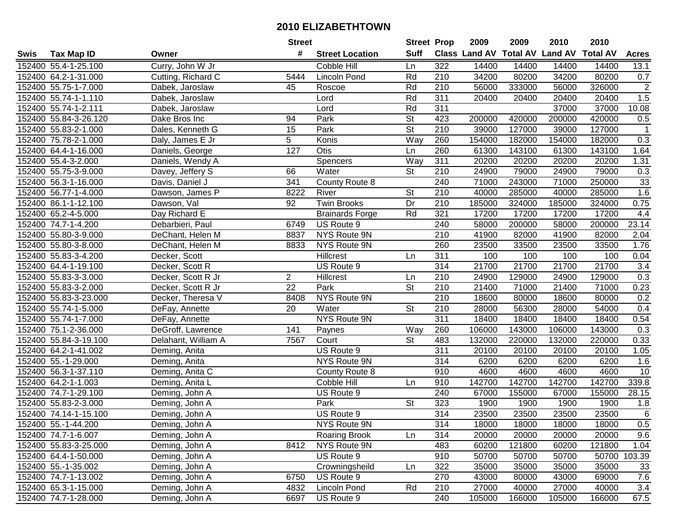|      |                       |                     | <b>Street</b>  |                        | <b>Street Prop</b>       |                  | 2009                           | 2009   | 2010   | 2010            |                |
|------|-----------------------|---------------------|----------------|------------------------|--------------------------|------------------|--------------------------------|--------|--------|-----------------|----------------|
| Swis | <b>Tax Map ID</b>     | Owner               | #              | <b>Street Location</b> | <b>Suff</b>              |                  | Class Land AV Total AV Land AV |        |        | <b>Total AV</b> | <b>Acres</b>   |
|      | 152400 55.4-1-25.100  | Curry, John W Jr    |                | Cobble Hill            | Ln                       | 322              | 14400                          | 14400  | 14400  | 14400           | 13.1           |
|      | 152400 64.2-1-31.000  | Cutting, Richard C  | 5444           | Lincoln Pond           | Rd                       | 210              | 34200                          | 80200  | 34200  | 80200           | 0.7            |
|      | 152400 55.75-1-7.000  | Dabek, Jaroslaw     | 45             | Roscoe                 | Rd                       | 210              | 56000                          | 333000 | 56000  | 326000          | $\overline{2}$ |
|      | 152400 55.74-1-1.110  | Dabek, Jaroslaw     |                | Lord                   | Rd                       | 311              | 20400                          | 20400  | 20400  | 20400           | 1.5            |
|      | 152400 55.74-1-2.111  | Dabek, Jaroslaw     |                | Lord                   | Rd                       | 311              |                                |        | 37000  | 37000           | 10.08          |
|      | 152400 55.84-3-26.120 | Dake Bros Inc       | 94             | Park                   | $\overline{\mathsf{St}}$ | 423              | 200000                         | 420000 | 200000 | 420000          | 0.5            |
|      | 152400 55.83-2-1.000  | Dales, Kenneth G    | 15             | Park                   | <b>St</b>                | 210              | 39000                          | 127000 | 39000  | 127000          | -1             |
|      | 152400 75.78-2-1.000  | Daly, James E Jr    | 5              | Konis                  | Way                      | 260              | 154000                         | 182000 | 154000 | 182000          | 0.3            |
|      | 152400 64.4-1-16.000  | Daniels, George     | 127            | Otis                   | Ln                       | 260              | 61300                          | 143100 | 61300  | 143100          | 1.64           |
|      | 152400 55.4-3-2.000   | Daniels, Wendy A    |                | Spencers               | Way                      | 311              | 20200                          | 20200  | 20200  | 20200           | 1.31           |
|      | 152400 55.75-3-9.000  | Davey, Jeffery S    | 66             | Water                  | <b>St</b>                | 210              | 24900                          | 79000  | 24900  | 79000           | 0.3            |
|      | 152400 56.3-1-16.000  | Davis, Daniel J     | 341            | County Route 8         |                          | 240              | 71000                          | 243000 | 71000  | 250000          | 33             |
|      | 152400 56.77-1-4.000  | Dawson, James P     | 8222           | River                  | <b>St</b>                | 210              | 40000                          | 285000 | 40000  | 285000          | 1.6            |
|      | 152400 86.1-1-12.100  | Dawson, Val         | 92             | <b>Twin Brooks</b>     | Dr                       | 210              | 185000                         | 324000 | 185000 | 324000          | 0.75           |
|      | 152400 65.2-4-5.000   | Day Richard E       |                | <b>Brainards Forge</b> | Rd                       | 321              | 17200                          | 17200  | 17200  | 17200           | 4.4            |
|      | 152400 74.7-1-4.200   | Debarbieri, Paul    | 6749           | US Route 9             |                          | 240              | 58000                          | 200000 | 58000  | 200000          | 23.14          |
|      | 152400 55.80-3-9.000  | DeChant, Helen M    | 8837           | NYS Route 9N           |                          | 210              | 41900                          | 82000  | 41900  | 82000           | 2.04           |
|      | 152400 55.80-3-8.000  | DeChant, Helen M    | 8833           | NYS Route 9N           |                          | 260              | 23500                          | 33500  | 23500  | 33500           | 1.76           |
|      | 152400 55.83-3-4.200  | Decker, Scott       |                | Hillcrest              | Ln                       | 311              | 100                            | 100    | 100    | 100             | 0.04           |
|      | 152400 64.4-1-19.100  | Decker, Scott R     |                | US Route 9             |                          | 314              | 21700                          | 21700  | 21700  | 21700           | 3.4            |
|      | 152400 55.83-3-3.000  | Decker, Scott R Jr  | $\overline{2}$ | Hillcrest              | Ln                       | 210              | 24900                          | 129000 | 24900  | 129000          | 0.3            |
|      | 152400 55.83-3-2.000  | Decker, Scott R Jr  | 22             | Park                   | <b>St</b>                | 210              | 21400                          | 71000  | 21400  | 71000           | 0.23           |
|      | 152400 55.83-3-23.000 | Decker, Theresa V   | 8408           | NYS Route 9N           |                          | 210              | 18600                          | 80000  | 18600  | 80000           | 0.2            |
|      | 152400 55.74-1-5.000  | DeFay, Annette      | 20             | Water                  | <b>St</b>                | 210              | 28000                          | 56300  | 28000  | 54000           | 0.4            |
|      | 152400 55.74-1-7.000  | DeFay, Annette      |                | NYS Route 9N           |                          | 311              | 18400                          | 18400  | 18400  | 18400           | 0.54           |
|      | 152400 75.1-2-36.000  | DeGroff, Lawrence   | 141            | Paynes                 | Way                      | 260              | 106000                         | 143000 | 106000 | 143000          | 0.3            |
|      | 152400 55.84-3-19.100 | Delahant, William A | 7567           | Court                  | $\overline{\mathsf{St}}$ | 483              | 132000                         | 220000 | 132000 | 220000          | 0.33           |
|      | 152400 64.2-1-41.002  | Deming, Anita       |                | US Route 9             |                          | 311              | 20100                          | 20100  | 20100  | 20100           | 1.05           |
|      | 152400 55.-1-29.000   | Deming, Anita       |                | NYS Route 9N           |                          | 314              | 6200                           | 6200   | 6200   | 6200            | 1.6            |
|      | 152400 56.3-1-37.110  | Deming, Anita C     |                | County Route 8         |                          | 910              | 4600                           | 4600   | 4600   | 4600            | 10             |
|      | 152400 64.2-1-1.003   | Deming, Anita L     |                | Cobble Hill            | Ln                       | 910              | 142700                         | 142700 | 142700 | 142700          | 339.8          |
|      | 152400 74.7-1-29.100  | Deming, John A      |                | US Route 9             |                          | 240              | 67000                          | 155000 | 67000  | 155000          | 28.15          |
|      | 152400 55.83-2-3.000  | Deming, John A      |                | Park                   | $\overline{\mathsf{St}}$ | 323              | 1900                           | 1900   | 1900   | 1900            | 1.8            |
|      | 152400 74.14-1-15.100 | Deming, John A      |                | US Route 9             |                          | $\overline{314}$ | 23500                          | 23500  | 23500  | 23500           | $\overline{6}$ |
|      | 152400 55.-1-44.200   | Deming, John A      |                | NYS Route 9N           |                          | 314              | 18000                          | 18000  | 18000  | 18000           | 0.5            |
|      | 152400 74.7-1-6.007   | Deming, John A      |                | <b>Roaring Brook</b>   | Ln                       | 314              | 20000                          | 20000  | 20000  | 20000           | 9.6            |
|      | 152400 55.83-3-25.000 | Deming, John A      | 8412           | NYS Route 9N           |                          | 483              | 60200                          | 121800 | 60200  | 121800          | 1.04           |
|      | 152400 64.4-1-50.000  | Deming, John A      |                | US Route 9             |                          | 910              | 50700                          | 50700  | 50700  |                 | 50700 103.39   |
|      | 152400 55.-1-35.002   | Deming, John A      |                | Crowningsheild         | Ln                       | 322              | 35000                          | 35000  | 35000  | 35000           | 33             |
|      | 152400 74.7-1-13.002  | Deming, John A      | 6750           | US Route 9             |                          | 270              | 43000                          | 80000  | 43000  | 69000           | $7.6\,$        |
|      | 152400 65.3-1-15.000  | Deming, John A      | 4832           | Lincoln Pond           | Rd                       | 210              | 27000                          | 40000  | 27000  | 40000           | 3.4            |
|      | 152400 74.7-1-28.000  | Deming, John A      | 6697           | US Route 9             |                          | 240              | 105000                         | 166000 | 105000 | 166000          | 67.5           |
|      |                       |                     |                |                        |                          |                  |                                |        |        |                 |                |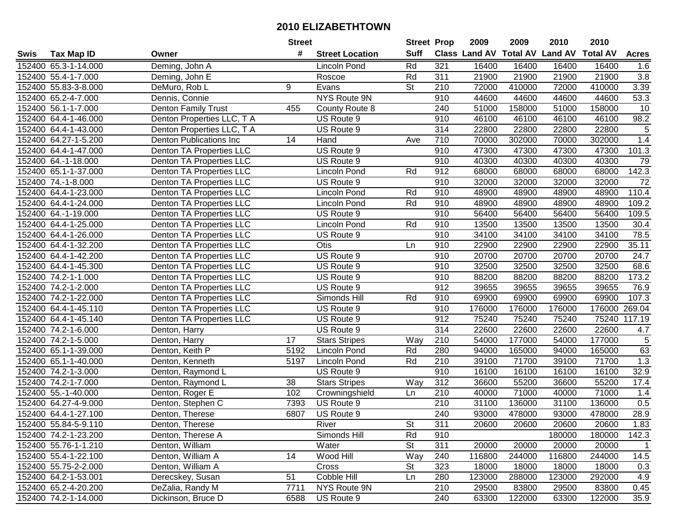|      |                      |                                 | <b>Street</b> |                        | <b>Street Prop</b> |                  | 2009                 | 2009   | 2010                    | 2010            |              |
|------|----------------------|---------------------------------|---------------|------------------------|--------------------|------------------|----------------------|--------|-------------------------|-----------------|--------------|
| Swis | Tax Map ID           | Owner                           | #             | <b>Street Location</b> | <b>Suff</b>        |                  | <b>Class Land AV</b> |        | <b>Total AV Land AV</b> | <b>Total AV</b> | <b>Acres</b> |
|      | 152400 65.3-1-14.000 | Deming, John A                  |               | <b>Lincoln Pond</b>    | Rd                 | 321              | 16400                | 16400  | 16400                   | 16400           | 1.6          |
|      | 152400 55.4-1-7.000  | Deming, John E                  |               | Roscoe                 | Rd                 | 311              | 21900                | 21900  | 21900                   | 21900           | 3.8          |
|      | 152400 55.83-3-8.000 | DeMuro, Rob L                   | 9             | Evans                  | <b>St</b>          | 210              | 72000                | 410000 | 72000                   | 410000          | 3.39         |
|      | 152400 65.2-4-7.000  | Dennis, Connie                  |               | NYS Route 9N           |                    | 910              | 44600                | 44600  | 44600                   | 44600           | 53.3         |
|      | 152400 56.1-1-7.000  | Denton Family Trust             | 455           | County Route 8         |                    | 240              | 51000                | 158000 | 51000                   | 158000          | 10           |
|      | 152400 64.4-1-46.000 | Denton Properties LLC, T A      |               | US Route 9             |                    | 910              | 46100                | 46100  | 46100                   | 46100           | 98.2         |
|      | 152400 64.4-1-43.000 | Denton Properties LLC, T A      |               | US Route 9             |                    | 314              | 22800                | 22800  | 22800                   | 22800           | $\sqrt{5}$   |
|      | 152400 64.27-1-5.200 | <b>Denton Publications Inc</b>  | 14            | Hand                   | Ave                | $\overline{710}$ | 70000                | 302000 | 70000                   | 302000          | 1.4          |
|      | 152400 64.4-1-47.000 | <b>Denton TA Properties LLC</b> |               | US Route 9             |                    | 910              | 47300                | 47300  | 47300                   | 47300           | 101.3        |
|      | 152400 64.-1-18.000  | Denton TA Properties LLC        |               | US Route 9             |                    | 910              | 40300                | 40300  | 40300                   | 40300           | 79           |
|      | 152400 65.1-1-37.000 | Denton TA Properties LLC        |               | Lincoln Pond           | Rd                 | 912              | 68000                | 68000  | 68000                   | 68000           | 142.3        |
|      | 152400 74.-1-8.000   | Denton TA Properties LLC        |               | US Route 9             |                    | 910              | 32000                | 32000  | 32000                   | 32000           | 72           |
|      | 152400 64.4-1-23.000 | Denton TA Properties LLC        |               | Lincoln Pond           | Rd                 | 910              | 48900                | 48900  | 48900                   | 48900           | 110.4        |
|      | 152400 64.4-1-24.000 | Denton TA Properties LLC        |               | Lincoln Pond           | Rd                 | 910              | 48900                | 48900  | 48900                   | 48900           | 109.2        |
|      | 152400 64.-1-19.000  | Denton TA Properties LLC        |               | US Route 9             |                    | 910              | 56400                | 56400  | 56400                   | 56400           | 109.5        |
|      | 152400 64.4-1-25.000 | Denton TA Properties LLC        |               | <b>Lincoln Pond</b>    | Rd                 | 910              | 13500                | 13500  | 13500                   | 13500           | 30.4         |
|      | 152400 64.4-1-26.000 | Denton TA Properties LLC        |               | US Route 9             |                    | 910              | 34100                | 34100  | 34100                   | 34100           | 78.5         |
|      | 152400 64.4-1-32.200 | Denton TA Properties LLC        |               | Otis                   | Ln                 | 910              | 22900                | 22900  | 22900                   | 22900           | 35.11        |
|      | 152400 64.4-1-42.200 | Denton TA Properties LLC        |               | US Route 9             |                    | 910              | 20700                | 20700  | 20700                   | 20700           | 24.7         |
|      | 152400 64.4-1-45.300 | Denton TA Properties LLC        |               | US Route 9             |                    | 910              | 32500                | 32500  | 32500                   | 32500           | 68.6         |
|      | 152400 74.2-1-1.000  | <b>Denton TA Properties LLC</b> |               | US Route 9             |                    | 910              | 88200                | 88200  | 88200                   | 88200           | 173.2        |
|      | 152400 74.2-1-2.000  | Denton TA Properties LLC        |               | US Route 9             |                    | 912              | 39655                | 39655  | 39655                   | 39655           | 76.9         |
|      | 152400 74.2-1-22.000 | Denton TA Properties LLC        |               | Simonds Hill           | Rd                 | 910              | 69900                | 69900  | 69900                   | 69900           | 107.3        |
|      | 152400 64.4-1-45.110 | Denton TA Properties LLC        |               | US Route 9             |                    | 910              | 176000               | 176000 | 176000                  | 176000          | 269.04       |
|      | 152400 64.4-1-45.140 | Denton TA Properties LLC        |               | US Route 9             |                    | 912              | 75240                | 75240  | 75240                   | 75240           | 117.19       |
|      | 152400 74.2-1-6.000  | Denton, Harry                   |               | US Route 9             |                    | 314              | 22600                | 22600  | 22600                   | 22600           | 4.7          |
|      | 152400 74.2-1-5.000  | Denton, Harry                   | 17            | <b>Stars Stripes</b>   | Way                | 210              | 54000                | 177000 | 54000                   | 177000          | 5            |
|      | 152400 65.1-1-39.000 | Denton, Keith P                 | 5192          | <b>Lincoln Pond</b>    | Rd                 | 280              | 94000                | 165000 | 94000                   | 165000          | 63           |
|      | 152400 65.1-1-40.000 | Denton, Kenneth                 | 5197          | <b>Lincoln Pond</b>    | Rd                 | 210              | 39100                | 71700  | 39100                   | 71700           | 1.3          |
|      | 152400 74.2-1-3.000  | Denton, Raymond L               |               | US Route 9             |                    | 910              | 16100                | 16100  | 16100                   | 16100           | 32.9         |
|      | 152400 74.2-1-7.000  | Denton, Raymond L               | 38            | <b>Stars Stripes</b>   | Way                | 312              | 36600                | 55200  | 36600                   | 55200           | 17.4         |
|      | 152400 55.-1-40.000  | Denton, Roger E                 | 102           | Crowningshield         | Ln                 | 210              | 40000                | 71000  | 40000                   | 71000           | 1.4          |
|      | 152400 64.27-4-9.000 | Denton, Stephen C               | 7393          | US Route 9             |                    | $\overline{210}$ | 31100                | 136000 | 31100                   | 136000          | 0.5          |
|      | 152400 64.4-1-27.100 | Denton, Therese                 | 6807          | US Route 9             |                    | 240              | 93000                | 478000 | 93000                   | 478000          | 28.9         |
|      | 152400 55.84-5-9.110 | Denton, Therese                 |               | River                  | St                 | 311              | 20600                | 20600  | 20600                   | 20600           | 1.83         |
|      | 152400 74.2-1-23.200 | Denton, Therese A               |               | Simonds Hill           | Rd                 | 910              |                      |        | 180000                  | 180000          | 142.3        |
|      | 152400 55.76-1-1.210 | Denton, William                 |               | Water                  | <b>St</b>          | 311              | 20000                | 20000  | 20000                   | 20000           | $\mathbf{1}$ |
|      | 152400 55.4-1-22.100 | Denton, William A               | 14            | Wood Hill              | Way                | 240              | 116800               | 244000 | 116800                  | 244000          | 14.5         |
|      | 152400 55.75-2-2.000 | Denton, William A               |               | Cross                  | St                 | 323              | 18000                | 18000  | 18000                   | 18000           | 0.3          |
|      | 152400 64.2-1-53.001 | Derecskey, Susan                | 51            | Cobble Hill            | Ln                 | 280              | 123000               | 288000 | 123000                  | 292000          | 4.9          |
|      | 152400 65.2-4-20.200 | DeZalia, Randy M                | 7711          | NYS Route 9N           |                    | 210              | 29500                | 83800  | 29500                   | 83800           | 0.45         |
|      | 152400 74.2-1-14.000 | Dickinson, Bruce D              | 6588          | US Route 9             |                    | 240              | 63300                | 122000 | 63300                   | 122000          | 35.9         |
|      |                      |                                 |               |                        |                    |                  |                      |        |                         |                 |              |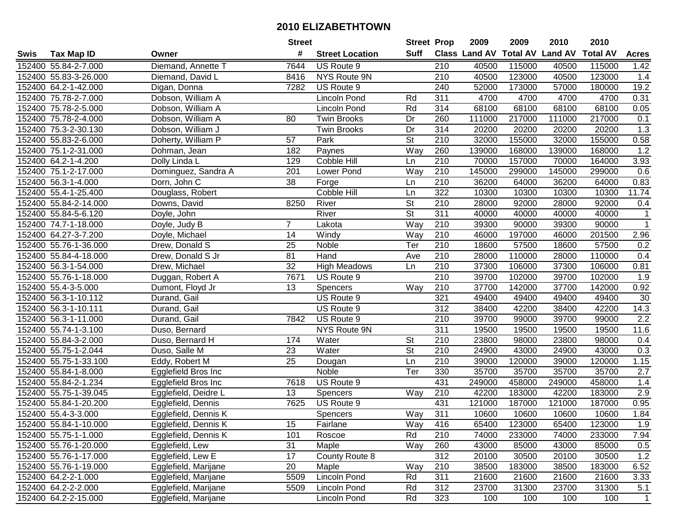| #<br>Suff<br><b>Class Land AV</b><br><b>Total AV Land AV</b><br><b>Total AV</b><br><b>Tax Map ID</b><br><b>Street Location</b><br><b>Acres</b><br>Swis<br>Owner<br>Diemand, Annette T<br>152400 55.84-2-7.000<br>7644<br>US Route 9<br>210<br>40500<br>115000<br>40500<br>115000<br>1.42<br>40500<br>152400 55.83-3-26.000<br>NYS Route 9N<br>210<br>123000<br>40500<br>123000<br>1.4<br>Diemand, David L<br>8416<br>152400 64.2-1-42.000<br>US Route 9<br>240<br>52000<br>173000<br>57000<br>180000<br>19.2<br>Digan, Donna<br>7282<br>Dobson, William A<br>311<br>4700<br>4700<br>4700<br>0.31<br>152400 75.78-2-7.000<br>Lincoln Pond<br>Rd<br>4700<br>152400 75.78-2-5.000<br>Dobson, William A<br>Lincoln Pond<br>Rd<br>314<br>68100<br>68100<br>68100<br>68100<br>0.05<br>152400 75.78-2-4.000<br>Dobson, William A<br>80<br>Dr<br>260<br>111000<br>217000<br>111000<br>217000<br>0.1<br><b>Twin Brooks</b><br>152400 75.3-2-30.130<br>Dobson, William J<br>314<br>20200<br>20200<br>1.3<br><b>Twin Brooks</b><br>Dr<br>20200<br>20200<br>Doherty, William P<br>$\overline{57}$<br>$\overline{\mathsf{St}}$<br>$\overline{210}$<br>32000<br>155000<br>32000<br>155000<br>0.58<br>152400 55.83-2-6.000<br>Park<br>260<br>1.2<br>152400 75.1-2-31.000<br>182<br>Way<br>139000<br>168000<br>139000<br>168000<br>Dohman, Jean<br>Paynes<br>210<br>70000<br>152400 64.2-1-4.200<br>Dolly Linda L<br>129<br>Cobble Hill<br>157000<br>70000<br>3.93<br>Ln<br>164000<br>145000<br>152400 75.1-2-17.000<br>Dominguez, Sandra A<br>201<br>Lower Pond<br>Way<br>210<br>145000<br>299000<br>299000<br>0.6<br>152400 56.3-1-4.000<br>Dorn, John C<br>38<br>210<br>36200<br>64000<br>36200<br>64000<br>0.83<br>Ln<br>Forge<br><b>Cobble Hill</b><br>322<br>10300<br>10300<br>10300<br>152400 55.4-1-25.400<br>Ln<br>10300<br>11.74<br>Douglass, Robert<br><b>St</b><br>152400 55.84-2-14.000<br>Downs, David<br>8250<br>River<br>210<br>28000<br>92000<br>28000<br>92000<br>0.4<br>$\overline{\mathsf{St}}$<br>311<br>152400 55.84-5-6.120<br>River<br>40000<br>40000<br>40000<br>40000<br>Doyle, John<br>1<br>Way<br>210<br>39300<br>39300<br>90000<br>152400 74.7-1-18.000<br>Doyle, Judy B<br>7<br>90000<br>1<br>Lakota<br>14<br>152400 64.27-3-7.200<br>Windy<br>Way<br>210<br>46000<br>197000<br>46000<br>201500<br>2.96<br>Doyle, Michael<br>152400 55.76-1-36.000<br>25<br>Ter<br>210<br>18600<br>57500<br>18600<br>57500<br>0.2<br>Drew, Donald S<br>Noble<br>81<br>152400 55.84-4-18.000<br>Drew, Donald S Jr<br>Hand<br>210<br>28000<br>110000<br>28000<br>110000<br>0.4<br>Ave<br>32<br>152400 56.3-1-54.000<br>210<br>37300<br>106000<br>37300<br>106000<br>0.81<br>Drew, Michael<br><b>High Meadows</b><br>Ln<br>152400 55.76-1-18.000<br>7671<br>210<br>39700<br>102000<br>39700<br>102000<br>1.9<br>Duggan, Robert A<br>US Route 9<br>37700<br>0.92<br>152400 55.4-3-5.000<br>13<br>Way<br>210<br>142000<br>37700<br>142000<br>Dumont, Floyd Jr<br>Spencers<br>321<br>152400 56.3-1-10.112<br>US Route 9<br>49400<br>49400<br>49400<br>49400<br>30<br>Durand, Gail<br>152400 56.3-1-10.111<br>Durand, Gail<br>US Route 9<br>312<br>38400<br>42200<br>38400<br>42200<br>14.3<br>Durand, Gail<br>7842<br>US Route 9<br>210<br>39700<br>39700<br>99000<br>2.2<br>152400 56.3-1-11.000<br>99000<br>NYS Route 9N<br>311<br>19500<br>11.6<br>152400 55.74-1-3.100<br>19500<br>19500<br>19500<br>Duso, Bernard<br><b>St</b><br>210<br>23800<br>152400 55.84-3-2.000<br>174<br>Water<br>23800<br>98000<br>98000<br>Duso, Bernard H<br>0.4<br><b>St</b><br>152400 55.75-1-2.044<br>Duso, Salle M<br>23<br>Water<br>210<br>24900<br>43000<br>24900<br>43000<br>0.3<br>152400 55.75-1-33.100<br>25<br>Ln<br>210<br>39000<br>120000<br>1.15<br>Eddy, Robert M<br>39000<br>120000<br>Dougan<br>330<br>35700<br>35700<br>35700<br>152400 55.84-1-8.000<br>Noble<br>Ter<br>35700<br>2.7<br>Egglefield Bros Inc<br>152400 55.84-2-1.234<br>431<br>458000<br>249000<br>458000<br>1.4<br>Egglefield Bros Inc<br>7618<br>US Route 9<br>249000<br>152400 55.75-1-39.045<br><b>Way</b><br>42200<br>183000<br>42200<br>2.9<br>Egglefield, Deidre L<br>13<br>Spencers<br>210<br>183000<br>7625<br>152400 55.84-1-20.200<br>US Route 9<br>431<br>121000<br>187000<br>121000<br>187000<br>0.95<br>Egglefield, Dennis<br>152400 55.4-3-3.000<br><b>Spencers</b><br>Way<br>311<br>10600<br>10600<br>10600<br>10600<br>1.84<br>Egglefield, Dennis K<br>152400 55.84-1-10.000<br>Egglefield, Dennis K<br>15<br>Fairlane<br>Way<br>416<br>65400<br>123000<br>65400<br>123000<br>1.9<br>152400 55.75-1-1.000<br>Egglefield, Dennis K<br>101<br>Rd<br>210<br>74000<br>233000<br>74000<br>233000<br>7.94<br>Roscoe<br>152400 55.76-1-20.000<br>31<br>Egglefield, Lew<br>Maple<br>Way<br>260<br>43000<br>85000<br>43000<br>85000<br>0.5<br>312<br>1.2<br>152400 55.76-1-17.000<br>17<br>County Route 8<br>20100<br>30500<br>30500<br>Egglefield, Lew E<br>20100<br>6.52<br>152400 55.76-1-19.000<br>Egglefield, Marijane<br>20<br>Maple<br>Way<br>210<br>38500<br>183000<br>38500<br>183000<br>Lincoln Pond<br>311<br>21600<br>152400 64.2-2-1.000<br>Egglefield, Marijane<br>5509<br>Rd<br>21600<br>21600<br>21600<br>3.33<br>312<br>152400 64.2-2-2.000<br>Egglefield, Marijane<br>5509<br><b>Lincoln Pond</b><br>Rd<br>23700<br>31300<br>23700<br>31300<br>5.1<br>152400 64.2-2-15.000<br>Rd<br>323<br>100<br>100<br>100<br>100<br>$\overline{1}$ |  |                      | <b>Street</b> |              | <b>Street Prop</b> | 2009 | 2009 | 2010 | 2010 |  |
|---------------------------------------------------------------------------------------------------------------------------------------------------------------------------------------------------------------------------------------------------------------------------------------------------------------------------------------------------------------------------------------------------------------------------------------------------------------------------------------------------------------------------------------------------------------------------------------------------------------------------------------------------------------------------------------------------------------------------------------------------------------------------------------------------------------------------------------------------------------------------------------------------------------------------------------------------------------------------------------------------------------------------------------------------------------------------------------------------------------------------------------------------------------------------------------------------------------------------------------------------------------------------------------------------------------------------------------------------------------------------------------------------------------------------------------------------------------------------------------------------------------------------------------------------------------------------------------------------------------------------------------------------------------------------------------------------------------------------------------------------------------------------------------------------------------------------------------------------------------------------------------------------------------------------------------------------------------------------------------------------------------------------------------------------------------------------------------------------------------------------------------------------------------------------------------------------------------------------------------------------------------------------------------------------------------------------------------------------------------------------------------------------------------------------------------------------------------------------------------------------------------------------------------------------------------------------------------------------------------------------------------------------------------------------------------------------------------------------------------------------------------------------------------------------------------------------------------------------------------------------------------------------------------------------------------------------------------------------------------------------------------------------------------------------------------------------------------------------------------------------------------------------------------------------------------------------------------------------------------------------------------------------------------------------------------------------------------------------------------------------------------------------------------------------------------------------------------------------------------------------------------------------------------------------------------------------------------------------------------------------------------------------------------------------------------------------------------------------------------------------------------------------------------------------------------------------------------------------------------------------------------------------------------------------------------------------------------------------------------------------------------------------------------------------------------------------------------------------------------------------------------------------------------------------------------------------------------------------------------------------------------------------------------------------------------------------------------------------------------------------------------------------------------------------------------------------------------------------------------------------------------------------------------------------------------------------------------------------------------------------------------------------------------------------------------------------------------------------------------------------------------------------------------------------------------------------------------------------------------------------------------------------------------------------------------------------------------------------------------------------------------------------------------------------------------------------------------------------------------------------------------------------------------------------------------------------------------------------------------------------------------------------------------------------------------------------------------------------------------------------------------------------------------------------|--|----------------------|---------------|--------------|--------------------|------|------|------|------|--|
|                                                                                                                                                                                                                                                                                                                                                                                                                                                                                                                                                                                                                                                                                                                                                                                                                                                                                                                                                                                                                                                                                                                                                                                                                                                                                                                                                                                                                                                                                                                                                                                                                                                                                                                                                                                                                                                                                                                                                                                                                                                                                                                                                                                                                                                                                                                                                                                                                                                                                                                                                                                                                                                                                                                                                                                                                                                                                                                                                                                                                                                                                                                                                                                                                                                                                                                                                                                                                                                                                                                                                                                                                                                                                                                                                                                                                                                                                                                                                                                                                                                                                                                                                                                                                                                                                                                                                                                                                                                                                                                                                                                                                                                                                                                                                                                                                                                                                                                                                                                                                                                                                                                                                                                                                                                                                                                                                                                                                           |  |                      |               |              |                    |      |      |      |      |  |
|                                                                                                                                                                                                                                                                                                                                                                                                                                                                                                                                                                                                                                                                                                                                                                                                                                                                                                                                                                                                                                                                                                                                                                                                                                                                                                                                                                                                                                                                                                                                                                                                                                                                                                                                                                                                                                                                                                                                                                                                                                                                                                                                                                                                                                                                                                                                                                                                                                                                                                                                                                                                                                                                                                                                                                                                                                                                                                                                                                                                                                                                                                                                                                                                                                                                                                                                                                                                                                                                                                                                                                                                                                                                                                                                                                                                                                                                                                                                                                                                                                                                                                                                                                                                                                                                                                                                                                                                                                                                                                                                                                                                                                                                                                                                                                                                                                                                                                                                                                                                                                                                                                                                                                                                                                                                                                                                                                                                                           |  |                      |               |              |                    |      |      |      |      |  |
|                                                                                                                                                                                                                                                                                                                                                                                                                                                                                                                                                                                                                                                                                                                                                                                                                                                                                                                                                                                                                                                                                                                                                                                                                                                                                                                                                                                                                                                                                                                                                                                                                                                                                                                                                                                                                                                                                                                                                                                                                                                                                                                                                                                                                                                                                                                                                                                                                                                                                                                                                                                                                                                                                                                                                                                                                                                                                                                                                                                                                                                                                                                                                                                                                                                                                                                                                                                                                                                                                                                                                                                                                                                                                                                                                                                                                                                                                                                                                                                                                                                                                                                                                                                                                                                                                                                                                                                                                                                                                                                                                                                                                                                                                                                                                                                                                                                                                                                                                                                                                                                                                                                                                                                                                                                                                                                                                                                                                           |  |                      |               |              |                    |      |      |      |      |  |
|                                                                                                                                                                                                                                                                                                                                                                                                                                                                                                                                                                                                                                                                                                                                                                                                                                                                                                                                                                                                                                                                                                                                                                                                                                                                                                                                                                                                                                                                                                                                                                                                                                                                                                                                                                                                                                                                                                                                                                                                                                                                                                                                                                                                                                                                                                                                                                                                                                                                                                                                                                                                                                                                                                                                                                                                                                                                                                                                                                                                                                                                                                                                                                                                                                                                                                                                                                                                                                                                                                                                                                                                                                                                                                                                                                                                                                                                                                                                                                                                                                                                                                                                                                                                                                                                                                                                                                                                                                                                                                                                                                                                                                                                                                                                                                                                                                                                                                                                                                                                                                                                                                                                                                                                                                                                                                                                                                                                                           |  |                      |               |              |                    |      |      |      |      |  |
|                                                                                                                                                                                                                                                                                                                                                                                                                                                                                                                                                                                                                                                                                                                                                                                                                                                                                                                                                                                                                                                                                                                                                                                                                                                                                                                                                                                                                                                                                                                                                                                                                                                                                                                                                                                                                                                                                                                                                                                                                                                                                                                                                                                                                                                                                                                                                                                                                                                                                                                                                                                                                                                                                                                                                                                                                                                                                                                                                                                                                                                                                                                                                                                                                                                                                                                                                                                                                                                                                                                                                                                                                                                                                                                                                                                                                                                                                                                                                                                                                                                                                                                                                                                                                                                                                                                                                                                                                                                                                                                                                                                                                                                                                                                                                                                                                                                                                                                                                                                                                                                                                                                                                                                                                                                                                                                                                                                                                           |  |                      |               |              |                    |      |      |      |      |  |
|                                                                                                                                                                                                                                                                                                                                                                                                                                                                                                                                                                                                                                                                                                                                                                                                                                                                                                                                                                                                                                                                                                                                                                                                                                                                                                                                                                                                                                                                                                                                                                                                                                                                                                                                                                                                                                                                                                                                                                                                                                                                                                                                                                                                                                                                                                                                                                                                                                                                                                                                                                                                                                                                                                                                                                                                                                                                                                                                                                                                                                                                                                                                                                                                                                                                                                                                                                                                                                                                                                                                                                                                                                                                                                                                                                                                                                                                                                                                                                                                                                                                                                                                                                                                                                                                                                                                                                                                                                                                                                                                                                                                                                                                                                                                                                                                                                                                                                                                                                                                                                                                                                                                                                                                                                                                                                                                                                                                                           |  |                      |               |              |                    |      |      |      |      |  |
|                                                                                                                                                                                                                                                                                                                                                                                                                                                                                                                                                                                                                                                                                                                                                                                                                                                                                                                                                                                                                                                                                                                                                                                                                                                                                                                                                                                                                                                                                                                                                                                                                                                                                                                                                                                                                                                                                                                                                                                                                                                                                                                                                                                                                                                                                                                                                                                                                                                                                                                                                                                                                                                                                                                                                                                                                                                                                                                                                                                                                                                                                                                                                                                                                                                                                                                                                                                                                                                                                                                                                                                                                                                                                                                                                                                                                                                                                                                                                                                                                                                                                                                                                                                                                                                                                                                                                                                                                                                                                                                                                                                                                                                                                                                                                                                                                                                                                                                                                                                                                                                                                                                                                                                                                                                                                                                                                                                                                           |  |                      |               |              |                    |      |      |      |      |  |
|                                                                                                                                                                                                                                                                                                                                                                                                                                                                                                                                                                                                                                                                                                                                                                                                                                                                                                                                                                                                                                                                                                                                                                                                                                                                                                                                                                                                                                                                                                                                                                                                                                                                                                                                                                                                                                                                                                                                                                                                                                                                                                                                                                                                                                                                                                                                                                                                                                                                                                                                                                                                                                                                                                                                                                                                                                                                                                                                                                                                                                                                                                                                                                                                                                                                                                                                                                                                                                                                                                                                                                                                                                                                                                                                                                                                                                                                                                                                                                                                                                                                                                                                                                                                                                                                                                                                                                                                                                                                                                                                                                                                                                                                                                                                                                                                                                                                                                                                                                                                                                                                                                                                                                                                                                                                                                                                                                                                                           |  |                      |               |              |                    |      |      |      |      |  |
|                                                                                                                                                                                                                                                                                                                                                                                                                                                                                                                                                                                                                                                                                                                                                                                                                                                                                                                                                                                                                                                                                                                                                                                                                                                                                                                                                                                                                                                                                                                                                                                                                                                                                                                                                                                                                                                                                                                                                                                                                                                                                                                                                                                                                                                                                                                                                                                                                                                                                                                                                                                                                                                                                                                                                                                                                                                                                                                                                                                                                                                                                                                                                                                                                                                                                                                                                                                                                                                                                                                                                                                                                                                                                                                                                                                                                                                                                                                                                                                                                                                                                                                                                                                                                                                                                                                                                                                                                                                                                                                                                                                                                                                                                                                                                                                                                                                                                                                                                                                                                                                                                                                                                                                                                                                                                                                                                                                                                           |  |                      |               |              |                    |      |      |      |      |  |
|                                                                                                                                                                                                                                                                                                                                                                                                                                                                                                                                                                                                                                                                                                                                                                                                                                                                                                                                                                                                                                                                                                                                                                                                                                                                                                                                                                                                                                                                                                                                                                                                                                                                                                                                                                                                                                                                                                                                                                                                                                                                                                                                                                                                                                                                                                                                                                                                                                                                                                                                                                                                                                                                                                                                                                                                                                                                                                                                                                                                                                                                                                                                                                                                                                                                                                                                                                                                                                                                                                                                                                                                                                                                                                                                                                                                                                                                                                                                                                                                                                                                                                                                                                                                                                                                                                                                                                                                                                                                                                                                                                                                                                                                                                                                                                                                                                                                                                                                                                                                                                                                                                                                                                                                                                                                                                                                                                                                                           |  |                      |               |              |                    |      |      |      |      |  |
|                                                                                                                                                                                                                                                                                                                                                                                                                                                                                                                                                                                                                                                                                                                                                                                                                                                                                                                                                                                                                                                                                                                                                                                                                                                                                                                                                                                                                                                                                                                                                                                                                                                                                                                                                                                                                                                                                                                                                                                                                                                                                                                                                                                                                                                                                                                                                                                                                                                                                                                                                                                                                                                                                                                                                                                                                                                                                                                                                                                                                                                                                                                                                                                                                                                                                                                                                                                                                                                                                                                                                                                                                                                                                                                                                                                                                                                                                                                                                                                                                                                                                                                                                                                                                                                                                                                                                                                                                                                                                                                                                                                                                                                                                                                                                                                                                                                                                                                                                                                                                                                                                                                                                                                                                                                                                                                                                                                                                           |  |                      |               |              |                    |      |      |      |      |  |
|                                                                                                                                                                                                                                                                                                                                                                                                                                                                                                                                                                                                                                                                                                                                                                                                                                                                                                                                                                                                                                                                                                                                                                                                                                                                                                                                                                                                                                                                                                                                                                                                                                                                                                                                                                                                                                                                                                                                                                                                                                                                                                                                                                                                                                                                                                                                                                                                                                                                                                                                                                                                                                                                                                                                                                                                                                                                                                                                                                                                                                                                                                                                                                                                                                                                                                                                                                                                                                                                                                                                                                                                                                                                                                                                                                                                                                                                                                                                                                                                                                                                                                                                                                                                                                                                                                                                                                                                                                                                                                                                                                                                                                                                                                                                                                                                                                                                                                                                                                                                                                                                                                                                                                                                                                                                                                                                                                                                                           |  |                      |               |              |                    |      |      |      |      |  |
|                                                                                                                                                                                                                                                                                                                                                                                                                                                                                                                                                                                                                                                                                                                                                                                                                                                                                                                                                                                                                                                                                                                                                                                                                                                                                                                                                                                                                                                                                                                                                                                                                                                                                                                                                                                                                                                                                                                                                                                                                                                                                                                                                                                                                                                                                                                                                                                                                                                                                                                                                                                                                                                                                                                                                                                                                                                                                                                                                                                                                                                                                                                                                                                                                                                                                                                                                                                                                                                                                                                                                                                                                                                                                                                                                                                                                                                                                                                                                                                                                                                                                                                                                                                                                                                                                                                                                                                                                                                                                                                                                                                                                                                                                                                                                                                                                                                                                                                                                                                                                                                                                                                                                                                                                                                                                                                                                                                                                           |  |                      |               |              |                    |      |      |      |      |  |
|                                                                                                                                                                                                                                                                                                                                                                                                                                                                                                                                                                                                                                                                                                                                                                                                                                                                                                                                                                                                                                                                                                                                                                                                                                                                                                                                                                                                                                                                                                                                                                                                                                                                                                                                                                                                                                                                                                                                                                                                                                                                                                                                                                                                                                                                                                                                                                                                                                                                                                                                                                                                                                                                                                                                                                                                                                                                                                                                                                                                                                                                                                                                                                                                                                                                                                                                                                                                                                                                                                                                                                                                                                                                                                                                                                                                                                                                                                                                                                                                                                                                                                                                                                                                                                                                                                                                                                                                                                                                                                                                                                                                                                                                                                                                                                                                                                                                                                                                                                                                                                                                                                                                                                                                                                                                                                                                                                                                                           |  |                      |               |              |                    |      |      |      |      |  |
|                                                                                                                                                                                                                                                                                                                                                                                                                                                                                                                                                                                                                                                                                                                                                                                                                                                                                                                                                                                                                                                                                                                                                                                                                                                                                                                                                                                                                                                                                                                                                                                                                                                                                                                                                                                                                                                                                                                                                                                                                                                                                                                                                                                                                                                                                                                                                                                                                                                                                                                                                                                                                                                                                                                                                                                                                                                                                                                                                                                                                                                                                                                                                                                                                                                                                                                                                                                                                                                                                                                                                                                                                                                                                                                                                                                                                                                                                                                                                                                                                                                                                                                                                                                                                                                                                                                                                                                                                                                                                                                                                                                                                                                                                                                                                                                                                                                                                                                                                                                                                                                                                                                                                                                                                                                                                                                                                                                                                           |  |                      |               |              |                    |      |      |      |      |  |
|                                                                                                                                                                                                                                                                                                                                                                                                                                                                                                                                                                                                                                                                                                                                                                                                                                                                                                                                                                                                                                                                                                                                                                                                                                                                                                                                                                                                                                                                                                                                                                                                                                                                                                                                                                                                                                                                                                                                                                                                                                                                                                                                                                                                                                                                                                                                                                                                                                                                                                                                                                                                                                                                                                                                                                                                                                                                                                                                                                                                                                                                                                                                                                                                                                                                                                                                                                                                                                                                                                                                                                                                                                                                                                                                                                                                                                                                                                                                                                                                                                                                                                                                                                                                                                                                                                                                                                                                                                                                                                                                                                                                                                                                                                                                                                                                                                                                                                                                                                                                                                                                                                                                                                                                                                                                                                                                                                                                                           |  |                      |               |              |                    |      |      |      |      |  |
|                                                                                                                                                                                                                                                                                                                                                                                                                                                                                                                                                                                                                                                                                                                                                                                                                                                                                                                                                                                                                                                                                                                                                                                                                                                                                                                                                                                                                                                                                                                                                                                                                                                                                                                                                                                                                                                                                                                                                                                                                                                                                                                                                                                                                                                                                                                                                                                                                                                                                                                                                                                                                                                                                                                                                                                                                                                                                                                                                                                                                                                                                                                                                                                                                                                                                                                                                                                                                                                                                                                                                                                                                                                                                                                                                                                                                                                                                                                                                                                                                                                                                                                                                                                                                                                                                                                                                                                                                                                                                                                                                                                                                                                                                                                                                                                                                                                                                                                                                                                                                                                                                                                                                                                                                                                                                                                                                                                                                           |  |                      |               |              |                    |      |      |      |      |  |
|                                                                                                                                                                                                                                                                                                                                                                                                                                                                                                                                                                                                                                                                                                                                                                                                                                                                                                                                                                                                                                                                                                                                                                                                                                                                                                                                                                                                                                                                                                                                                                                                                                                                                                                                                                                                                                                                                                                                                                                                                                                                                                                                                                                                                                                                                                                                                                                                                                                                                                                                                                                                                                                                                                                                                                                                                                                                                                                                                                                                                                                                                                                                                                                                                                                                                                                                                                                                                                                                                                                                                                                                                                                                                                                                                                                                                                                                                                                                                                                                                                                                                                                                                                                                                                                                                                                                                                                                                                                                                                                                                                                                                                                                                                                                                                                                                                                                                                                                                                                                                                                                                                                                                                                                                                                                                                                                                                                                                           |  |                      |               |              |                    |      |      |      |      |  |
|                                                                                                                                                                                                                                                                                                                                                                                                                                                                                                                                                                                                                                                                                                                                                                                                                                                                                                                                                                                                                                                                                                                                                                                                                                                                                                                                                                                                                                                                                                                                                                                                                                                                                                                                                                                                                                                                                                                                                                                                                                                                                                                                                                                                                                                                                                                                                                                                                                                                                                                                                                                                                                                                                                                                                                                                                                                                                                                                                                                                                                                                                                                                                                                                                                                                                                                                                                                                                                                                                                                                                                                                                                                                                                                                                                                                                                                                                                                                                                                                                                                                                                                                                                                                                                                                                                                                                                                                                                                                                                                                                                                                                                                                                                                                                                                                                                                                                                                                                                                                                                                                                                                                                                                                                                                                                                                                                                                                                           |  |                      |               |              |                    |      |      |      |      |  |
|                                                                                                                                                                                                                                                                                                                                                                                                                                                                                                                                                                                                                                                                                                                                                                                                                                                                                                                                                                                                                                                                                                                                                                                                                                                                                                                                                                                                                                                                                                                                                                                                                                                                                                                                                                                                                                                                                                                                                                                                                                                                                                                                                                                                                                                                                                                                                                                                                                                                                                                                                                                                                                                                                                                                                                                                                                                                                                                                                                                                                                                                                                                                                                                                                                                                                                                                                                                                                                                                                                                                                                                                                                                                                                                                                                                                                                                                                                                                                                                                                                                                                                                                                                                                                                                                                                                                                                                                                                                                                                                                                                                                                                                                                                                                                                                                                                                                                                                                                                                                                                                                                                                                                                                                                                                                                                                                                                                                                           |  |                      |               |              |                    |      |      |      |      |  |
|                                                                                                                                                                                                                                                                                                                                                                                                                                                                                                                                                                                                                                                                                                                                                                                                                                                                                                                                                                                                                                                                                                                                                                                                                                                                                                                                                                                                                                                                                                                                                                                                                                                                                                                                                                                                                                                                                                                                                                                                                                                                                                                                                                                                                                                                                                                                                                                                                                                                                                                                                                                                                                                                                                                                                                                                                                                                                                                                                                                                                                                                                                                                                                                                                                                                                                                                                                                                                                                                                                                                                                                                                                                                                                                                                                                                                                                                                                                                                                                                                                                                                                                                                                                                                                                                                                                                                                                                                                                                                                                                                                                                                                                                                                                                                                                                                                                                                                                                                                                                                                                                                                                                                                                                                                                                                                                                                                                                                           |  |                      |               |              |                    |      |      |      |      |  |
|                                                                                                                                                                                                                                                                                                                                                                                                                                                                                                                                                                                                                                                                                                                                                                                                                                                                                                                                                                                                                                                                                                                                                                                                                                                                                                                                                                                                                                                                                                                                                                                                                                                                                                                                                                                                                                                                                                                                                                                                                                                                                                                                                                                                                                                                                                                                                                                                                                                                                                                                                                                                                                                                                                                                                                                                                                                                                                                                                                                                                                                                                                                                                                                                                                                                                                                                                                                                                                                                                                                                                                                                                                                                                                                                                                                                                                                                                                                                                                                                                                                                                                                                                                                                                                                                                                                                                                                                                                                                                                                                                                                                                                                                                                                                                                                                                                                                                                                                                                                                                                                                                                                                                                                                                                                                                                                                                                                                                           |  |                      |               |              |                    |      |      |      |      |  |
|                                                                                                                                                                                                                                                                                                                                                                                                                                                                                                                                                                                                                                                                                                                                                                                                                                                                                                                                                                                                                                                                                                                                                                                                                                                                                                                                                                                                                                                                                                                                                                                                                                                                                                                                                                                                                                                                                                                                                                                                                                                                                                                                                                                                                                                                                                                                                                                                                                                                                                                                                                                                                                                                                                                                                                                                                                                                                                                                                                                                                                                                                                                                                                                                                                                                                                                                                                                                                                                                                                                                                                                                                                                                                                                                                                                                                                                                                                                                                                                                                                                                                                                                                                                                                                                                                                                                                                                                                                                                                                                                                                                                                                                                                                                                                                                                                                                                                                                                                                                                                                                                                                                                                                                                                                                                                                                                                                                                                           |  |                      |               |              |                    |      |      |      |      |  |
|                                                                                                                                                                                                                                                                                                                                                                                                                                                                                                                                                                                                                                                                                                                                                                                                                                                                                                                                                                                                                                                                                                                                                                                                                                                                                                                                                                                                                                                                                                                                                                                                                                                                                                                                                                                                                                                                                                                                                                                                                                                                                                                                                                                                                                                                                                                                                                                                                                                                                                                                                                                                                                                                                                                                                                                                                                                                                                                                                                                                                                                                                                                                                                                                                                                                                                                                                                                                                                                                                                                                                                                                                                                                                                                                                                                                                                                                                                                                                                                                                                                                                                                                                                                                                                                                                                                                                                                                                                                                                                                                                                                                                                                                                                                                                                                                                                                                                                                                                                                                                                                                                                                                                                                                                                                                                                                                                                                                                           |  |                      |               |              |                    |      |      |      |      |  |
|                                                                                                                                                                                                                                                                                                                                                                                                                                                                                                                                                                                                                                                                                                                                                                                                                                                                                                                                                                                                                                                                                                                                                                                                                                                                                                                                                                                                                                                                                                                                                                                                                                                                                                                                                                                                                                                                                                                                                                                                                                                                                                                                                                                                                                                                                                                                                                                                                                                                                                                                                                                                                                                                                                                                                                                                                                                                                                                                                                                                                                                                                                                                                                                                                                                                                                                                                                                                                                                                                                                                                                                                                                                                                                                                                                                                                                                                                                                                                                                                                                                                                                                                                                                                                                                                                                                                                                                                                                                                                                                                                                                                                                                                                                                                                                                                                                                                                                                                                                                                                                                                                                                                                                                                                                                                                                                                                                                                                           |  |                      |               |              |                    |      |      |      |      |  |
|                                                                                                                                                                                                                                                                                                                                                                                                                                                                                                                                                                                                                                                                                                                                                                                                                                                                                                                                                                                                                                                                                                                                                                                                                                                                                                                                                                                                                                                                                                                                                                                                                                                                                                                                                                                                                                                                                                                                                                                                                                                                                                                                                                                                                                                                                                                                                                                                                                                                                                                                                                                                                                                                                                                                                                                                                                                                                                                                                                                                                                                                                                                                                                                                                                                                                                                                                                                                                                                                                                                                                                                                                                                                                                                                                                                                                                                                                                                                                                                                                                                                                                                                                                                                                                                                                                                                                                                                                                                                                                                                                                                                                                                                                                                                                                                                                                                                                                                                                                                                                                                                                                                                                                                                                                                                                                                                                                                                                           |  |                      |               |              |                    |      |      |      |      |  |
|                                                                                                                                                                                                                                                                                                                                                                                                                                                                                                                                                                                                                                                                                                                                                                                                                                                                                                                                                                                                                                                                                                                                                                                                                                                                                                                                                                                                                                                                                                                                                                                                                                                                                                                                                                                                                                                                                                                                                                                                                                                                                                                                                                                                                                                                                                                                                                                                                                                                                                                                                                                                                                                                                                                                                                                                                                                                                                                                                                                                                                                                                                                                                                                                                                                                                                                                                                                                                                                                                                                                                                                                                                                                                                                                                                                                                                                                                                                                                                                                                                                                                                                                                                                                                                                                                                                                                                                                                                                                                                                                                                                                                                                                                                                                                                                                                                                                                                                                                                                                                                                                                                                                                                                                                                                                                                                                                                                                                           |  |                      |               |              |                    |      |      |      |      |  |
|                                                                                                                                                                                                                                                                                                                                                                                                                                                                                                                                                                                                                                                                                                                                                                                                                                                                                                                                                                                                                                                                                                                                                                                                                                                                                                                                                                                                                                                                                                                                                                                                                                                                                                                                                                                                                                                                                                                                                                                                                                                                                                                                                                                                                                                                                                                                                                                                                                                                                                                                                                                                                                                                                                                                                                                                                                                                                                                                                                                                                                                                                                                                                                                                                                                                                                                                                                                                                                                                                                                                                                                                                                                                                                                                                                                                                                                                                                                                                                                                                                                                                                                                                                                                                                                                                                                                                                                                                                                                                                                                                                                                                                                                                                                                                                                                                                                                                                                                                                                                                                                                                                                                                                                                                                                                                                                                                                                                                           |  |                      |               |              |                    |      |      |      |      |  |
|                                                                                                                                                                                                                                                                                                                                                                                                                                                                                                                                                                                                                                                                                                                                                                                                                                                                                                                                                                                                                                                                                                                                                                                                                                                                                                                                                                                                                                                                                                                                                                                                                                                                                                                                                                                                                                                                                                                                                                                                                                                                                                                                                                                                                                                                                                                                                                                                                                                                                                                                                                                                                                                                                                                                                                                                                                                                                                                                                                                                                                                                                                                                                                                                                                                                                                                                                                                                                                                                                                                                                                                                                                                                                                                                                                                                                                                                                                                                                                                                                                                                                                                                                                                                                                                                                                                                                                                                                                                                                                                                                                                                                                                                                                                                                                                                                                                                                                                                                                                                                                                                                                                                                                                                                                                                                                                                                                                                                           |  |                      |               |              |                    |      |      |      |      |  |
|                                                                                                                                                                                                                                                                                                                                                                                                                                                                                                                                                                                                                                                                                                                                                                                                                                                                                                                                                                                                                                                                                                                                                                                                                                                                                                                                                                                                                                                                                                                                                                                                                                                                                                                                                                                                                                                                                                                                                                                                                                                                                                                                                                                                                                                                                                                                                                                                                                                                                                                                                                                                                                                                                                                                                                                                                                                                                                                                                                                                                                                                                                                                                                                                                                                                                                                                                                                                                                                                                                                                                                                                                                                                                                                                                                                                                                                                                                                                                                                                                                                                                                                                                                                                                                                                                                                                                                                                                                                                                                                                                                                                                                                                                                                                                                                                                                                                                                                                                                                                                                                                                                                                                                                                                                                                                                                                                                                                                           |  |                      |               |              |                    |      |      |      |      |  |
|                                                                                                                                                                                                                                                                                                                                                                                                                                                                                                                                                                                                                                                                                                                                                                                                                                                                                                                                                                                                                                                                                                                                                                                                                                                                                                                                                                                                                                                                                                                                                                                                                                                                                                                                                                                                                                                                                                                                                                                                                                                                                                                                                                                                                                                                                                                                                                                                                                                                                                                                                                                                                                                                                                                                                                                                                                                                                                                                                                                                                                                                                                                                                                                                                                                                                                                                                                                                                                                                                                                                                                                                                                                                                                                                                                                                                                                                                                                                                                                                                                                                                                                                                                                                                                                                                                                                                                                                                                                                                                                                                                                                                                                                                                                                                                                                                                                                                                                                                                                                                                                                                                                                                                                                                                                                                                                                                                                                                           |  |                      |               |              |                    |      |      |      |      |  |
|                                                                                                                                                                                                                                                                                                                                                                                                                                                                                                                                                                                                                                                                                                                                                                                                                                                                                                                                                                                                                                                                                                                                                                                                                                                                                                                                                                                                                                                                                                                                                                                                                                                                                                                                                                                                                                                                                                                                                                                                                                                                                                                                                                                                                                                                                                                                                                                                                                                                                                                                                                                                                                                                                                                                                                                                                                                                                                                                                                                                                                                                                                                                                                                                                                                                                                                                                                                                                                                                                                                                                                                                                                                                                                                                                                                                                                                                                                                                                                                                                                                                                                                                                                                                                                                                                                                                                                                                                                                                                                                                                                                                                                                                                                                                                                                                                                                                                                                                                                                                                                                                                                                                                                                                                                                                                                                                                                                                                           |  |                      |               |              |                    |      |      |      |      |  |
|                                                                                                                                                                                                                                                                                                                                                                                                                                                                                                                                                                                                                                                                                                                                                                                                                                                                                                                                                                                                                                                                                                                                                                                                                                                                                                                                                                                                                                                                                                                                                                                                                                                                                                                                                                                                                                                                                                                                                                                                                                                                                                                                                                                                                                                                                                                                                                                                                                                                                                                                                                                                                                                                                                                                                                                                                                                                                                                                                                                                                                                                                                                                                                                                                                                                                                                                                                                                                                                                                                                                                                                                                                                                                                                                                                                                                                                                                                                                                                                                                                                                                                                                                                                                                                                                                                                                                                                                                                                                                                                                                                                                                                                                                                                                                                                                                                                                                                                                                                                                                                                                                                                                                                                                                                                                                                                                                                                                                           |  |                      |               |              |                    |      |      |      |      |  |
|                                                                                                                                                                                                                                                                                                                                                                                                                                                                                                                                                                                                                                                                                                                                                                                                                                                                                                                                                                                                                                                                                                                                                                                                                                                                                                                                                                                                                                                                                                                                                                                                                                                                                                                                                                                                                                                                                                                                                                                                                                                                                                                                                                                                                                                                                                                                                                                                                                                                                                                                                                                                                                                                                                                                                                                                                                                                                                                                                                                                                                                                                                                                                                                                                                                                                                                                                                                                                                                                                                                                                                                                                                                                                                                                                                                                                                                                                                                                                                                                                                                                                                                                                                                                                                                                                                                                                                                                                                                                                                                                                                                                                                                                                                                                                                                                                                                                                                                                                                                                                                                                                                                                                                                                                                                                                                                                                                                                                           |  |                      |               |              |                    |      |      |      |      |  |
|                                                                                                                                                                                                                                                                                                                                                                                                                                                                                                                                                                                                                                                                                                                                                                                                                                                                                                                                                                                                                                                                                                                                                                                                                                                                                                                                                                                                                                                                                                                                                                                                                                                                                                                                                                                                                                                                                                                                                                                                                                                                                                                                                                                                                                                                                                                                                                                                                                                                                                                                                                                                                                                                                                                                                                                                                                                                                                                                                                                                                                                                                                                                                                                                                                                                                                                                                                                                                                                                                                                                                                                                                                                                                                                                                                                                                                                                                                                                                                                                                                                                                                                                                                                                                                                                                                                                                                                                                                                                                                                                                                                                                                                                                                                                                                                                                                                                                                                                                                                                                                                                                                                                                                                                                                                                                                                                                                                                                           |  |                      |               |              |                    |      |      |      |      |  |
|                                                                                                                                                                                                                                                                                                                                                                                                                                                                                                                                                                                                                                                                                                                                                                                                                                                                                                                                                                                                                                                                                                                                                                                                                                                                                                                                                                                                                                                                                                                                                                                                                                                                                                                                                                                                                                                                                                                                                                                                                                                                                                                                                                                                                                                                                                                                                                                                                                                                                                                                                                                                                                                                                                                                                                                                                                                                                                                                                                                                                                                                                                                                                                                                                                                                                                                                                                                                                                                                                                                                                                                                                                                                                                                                                                                                                                                                                                                                                                                                                                                                                                                                                                                                                                                                                                                                                                                                                                                                                                                                                                                                                                                                                                                                                                                                                                                                                                                                                                                                                                                                                                                                                                                                                                                                                                                                                                                                                           |  |                      |               |              |                    |      |      |      |      |  |
|                                                                                                                                                                                                                                                                                                                                                                                                                                                                                                                                                                                                                                                                                                                                                                                                                                                                                                                                                                                                                                                                                                                                                                                                                                                                                                                                                                                                                                                                                                                                                                                                                                                                                                                                                                                                                                                                                                                                                                                                                                                                                                                                                                                                                                                                                                                                                                                                                                                                                                                                                                                                                                                                                                                                                                                                                                                                                                                                                                                                                                                                                                                                                                                                                                                                                                                                                                                                                                                                                                                                                                                                                                                                                                                                                                                                                                                                                                                                                                                                                                                                                                                                                                                                                                                                                                                                                                                                                                                                                                                                                                                                                                                                                                                                                                                                                                                                                                                                                                                                                                                                                                                                                                                                                                                                                                                                                                                                                           |  |                      |               |              |                    |      |      |      |      |  |
|                                                                                                                                                                                                                                                                                                                                                                                                                                                                                                                                                                                                                                                                                                                                                                                                                                                                                                                                                                                                                                                                                                                                                                                                                                                                                                                                                                                                                                                                                                                                                                                                                                                                                                                                                                                                                                                                                                                                                                                                                                                                                                                                                                                                                                                                                                                                                                                                                                                                                                                                                                                                                                                                                                                                                                                                                                                                                                                                                                                                                                                                                                                                                                                                                                                                                                                                                                                                                                                                                                                                                                                                                                                                                                                                                                                                                                                                                                                                                                                                                                                                                                                                                                                                                                                                                                                                                                                                                                                                                                                                                                                                                                                                                                                                                                                                                                                                                                                                                                                                                                                                                                                                                                                                                                                                                                                                                                                                                           |  |                      |               |              |                    |      |      |      |      |  |
|                                                                                                                                                                                                                                                                                                                                                                                                                                                                                                                                                                                                                                                                                                                                                                                                                                                                                                                                                                                                                                                                                                                                                                                                                                                                                                                                                                                                                                                                                                                                                                                                                                                                                                                                                                                                                                                                                                                                                                                                                                                                                                                                                                                                                                                                                                                                                                                                                                                                                                                                                                                                                                                                                                                                                                                                                                                                                                                                                                                                                                                                                                                                                                                                                                                                                                                                                                                                                                                                                                                                                                                                                                                                                                                                                                                                                                                                                                                                                                                                                                                                                                                                                                                                                                                                                                                                                                                                                                                                                                                                                                                                                                                                                                                                                                                                                                                                                                                                                                                                                                                                                                                                                                                                                                                                                                                                                                                                                           |  |                      |               |              |                    |      |      |      |      |  |
|                                                                                                                                                                                                                                                                                                                                                                                                                                                                                                                                                                                                                                                                                                                                                                                                                                                                                                                                                                                                                                                                                                                                                                                                                                                                                                                                                                                                                                                                                                                                                                                                                                                                                                                                                                                                                                                                                                                                                                                                                                                                                                                                                                                                                                                                                                                                                                                                                                                                                                                                                                                                                                                                                                                                                                                                                                                                                                                                                                                                                                                                                                                                                                                                                                                                                                                                                                                                                                                                                                                                                                                                                                                                                                                                                                                                                                                                                                                                                                                                                                                                                                                                                                                                                                                                                                                                                                                                                                                                                                                                                                                                                                                                                                                                                                                                                                                                                                                                                                                                                                                                                                                                                                                                                                                                                                                                                                                                                           |  |                      |               |              |                    |      |      |      |      |  |
|                                                                                                                                                                                                                                                                                                                                                                                                                                                                                                                                                                                                                                                                                                                                                                                                                                                                                                                                                                                                                                                                                                                                                                                                                                                                                                                                                                                                                                                                                                                                                                                                                                                                                                                                                                                                                                                                                                                                                                                                                                                                                                                                                                                                                                                                                                                                                                                                                                                                                                                                                                                                                                                                                                                                                                                                                                                                                                                                                                                                                                                                                                                                                                                                                                                                                                                                                                                                                                                                                                                                                                                                                                                                                                                                                                                                                                                                                                                                                                                                                                                                                                                                                                                                                                                                                                                                                                                                                                                                                                                                                                                                                                                                                                                                                                                                                                                                                                                                                                                                                                                                                                                                                                                                                                                                                                                                                                                                                           |  |                      |               |              |                    |      |      |      |      |  |
|                                                                                                                                                                                                                                                                                                                                                                                                                                                                                                                                                                                                                                                                                                                                                                                                                                                                                                                                                                                                                                                                                                                                                                                                                                                                                                                                                                                                                                                                                                                                                                                                                                                                                                                                                                                                                                                                                                                                                                                                                                                                                                                                                                                                                                                                                                                                                                                                                                                                                                                                                                                                                                                                                                                                                                                                                                                                                                                                                                                                                                                                                                                                                                                                                                                                                                                                                                                                                                                                                                                                                                                                                                                                                                                                                                                                                                                                                                                                                                                                                                                                                                                                                                                                                                                                                                                                                                                                                                                                                                                                                                                                                                                                                                                                                                                                                                                                                                                                                                                                                                                                                                                                                                                                                                                                                                                                                                                                                           |  |                      |               |              |                    |      |      |      |      |  |
|                                                                                                                                                                                                                                                                                                                                                                                                                                                                                                                                                                                                                                                                                                                                                                                                                                                                                                                                                                                                                                                                                                                                                                                                                                                                                                                                                                                                                                                                                                                                                                                                                                                                                                                                                                                                                                                                                                                                                                                                                                                                                                                                                                                                                                                                                                                                                                                                                                                                                                                                                                                                                                                                                                                                                                                                                                                                                                                                                                                                                                                                                                                                                                                                                                                                                                                                                                                                                                                                                                                                                                                                                                                                                                                                                                                                                                                                                                                                                                                                                                                                                                                                                                                                                                                                                                                                                                                                                                                                                                                                                                                                                                                                                                                                                                                                                                                                                                                                                                                                                                                                                                                                                                                                                                                                                                                                                                                                                           |  | Egglefield, Marijane |               | Lincoln Pond |                    |      |      |      |      |  |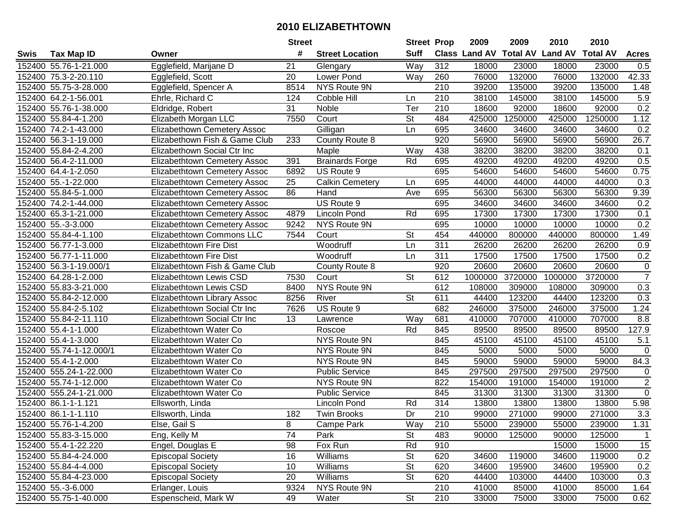| #<br><b>Suff</b><br><b>Land AV</b><br><b>Class Land AV</b><br><b>Total AV</b><br><b>Total AV</b><br><b>Tax Map ID</b><br><b>Street Location</b><br><b>Acres</b><br>Swis<br>Owner<br>Way<br>312<br>152400 55.76-1-21.000<br>Egglefield, Marijane D<br>21<br>18000<br>23000<br>18000<br>23000<br>Glengary<br>0.5<br>42.33<br>152400 75.3-2-20.110<br>20<br>Lower Pond<br>76000<br>132000<br>76000<br>132000<br>Egglefield, Scott<br>Way<br>260<br>152400 55.75-3-28.000<br>Egglefield, Spencer A<br>8514<br>NYS Route 9N<br>210<br>39200<br>135000<br>39200<br>135000<br>1.48<br>5.9<br>38100<br>145000<br>38100<br>152400 64.2-1-56.001<br>Ehrle, Richard C<br>124<br>Cobble Hill<br>210<br>145000<br>Ln.<br>0.2<br>152400 55.76-1-38.000<br>31<br>210<br>18600<br>92000<br>92000<br>Eldridge, Robert<br>Noble<br>Ter<br>18600<br>484<br>1.12<br>152400 55.84-4-1.200<br>Elizabeth Morgan LLC<br>7550<br><b>St</b><br>425000<br>1250000<br>425000<br>1250000<br>Court<br>0.2<br><b>Elizabethown Cemetery Assoc</b><br>695<br>34600<br>152400 74.2-1-43.000<br>Gilligan<br>Ln<br>34600<br>34600<br>34600<br>233<br>920<br>56900<br>26.7<br>152400 56.3-1-19.000<br>Elizabethown Fish & Game Club<br>County Route 8<br>56900<br>56900<br>56900<br>152400 55.84-2-4.200<br>Elizabethown Social Ctr Inc<br>438<br>38200<br>38200<br>38200<br>38200<br>0.1<br>Maple<br>Way<br>Rd<br>695<br>391<br><b>Brainards Forge</b><br>49200<br>49200<br>49200<br>0.5<br>152400 56.4-2-11.000<br>Elizabethtown Cemetery Assoc<br>49200<br>695<br>US Route 9<br>54600<br>54600<br>54600<br>54600<br>0.75<br>152400 64.4-1-2.050<br>Elizabethtown Cemetery Assoc<br>6892<br>152400 55.-1-22.000<br>25<br>Calkin Cemetery<br>695<br>44000<br>44000<br>44000<br>44000<br>0.3<br>Elizabethtown Cemetery Assoc<br>Ln<br>86<br>56300<br>56300<br>56300<br>9.39<br>152400 55.84-5-1.000<br>Hand<br>695<br>56300<br>Elizabethtown Cemetery Assoc<br>Ave<br>152400 74.2-1-44.000<br>US Route 9<br>695<br>34600<br>34600<br>34600<br>0.2<br>Elizabethtown Cemetery Assoc<br>34600<br>0.1<br>Lincoln Pond<br>Rd<br>695<br>17300<br>17300<br>17300<br>17300<br>152400 65.3-1-21.000<br><b>Elizabethtown Cemetery Assoc</b><br>4879<br>0.2<br>695<br>10000<br>10000<br>152400 55.-3-3.000<br>Elizabethtown Cemetery Assoc<br>9242<br>NYS Route 9N<br>10000<br>10000<br>St<br>454<br>1.49<br>152400 55.84-4-1.100<br>7544<br>440000<br>800000<br>440000<br>Elizabethtown Commons LLC<br>Court<br>800000<br>311<br>152400 56.77-1-3.000<br>Woodruff<br>Ln<br>26200<br>26200<br>0.9<br>Elizabethtown Fire Dist<br>26200<br>26200<br>0.2<br>152400 56.77-1-11.000<br>311<br>17500<br>17500<br>17500<br>17500<br>Elizabethtown Fire Dist<br>Woodruff<br>Ln<br>152400 56.3-1-19.000/1<br>Elizabethtown Fish & Game Club<br>920<br>20600<br>20600<br>20600<br>20600<br>$\pmb{0}$<br>County Route 8<br>$\overline{7}$<br>St<br>612<br>1000000<br>3720000<br>1000000<br>3720000<br>152400 64.28-1-2.000<br>Elizabethtown Lewis CSD<br>7530<br>Court<br>0.3<br>152400 55.83-3-21.000<br>NYS Route 9N<br>612<br>108000<br>309000<br>108000<br>Elizabethtown Lewis CSD<br>8400<br>309000<br><b>St</b><br>611<br>44400<br>0.3<br>152400 55.84-2-12.000<br>River<br>123200<br>44400<br>123200<br>Elizabethtown Library Assoc<br>8256<br>152400 55.84-2-5.102<br>Elizabethtown Social Ctr Inc<br>US Route 9<br>682<br>246000<br>375000<br>246000<br>375000<br>1.24<br>7626<br>13<br>681<br>410000<br>707000<br>8.8<br>152400 55.84-2-11.110<br>Elizabethtown Social Ctr Inc<br>Way<br>410000<br>707000<br>Lawrence<br>Rd<br>89500<br>127.9<br>Elizabethtown Water Co<br>845<br>89500<br>89500<br>89500<br>152400 55.4-1-1.000<br>Roscoe<br>45100<br>152400 55.4-1-3.000<br>NYS Route 9N<br>845<br>45100<br>45100<br>45100<br>5.1<br>Elizabethtown Water Co<br>152400 55.74-1-12.000/1<br>NYS Route 9N<br>845<br>5000<br>5000<br>5000<br>5000<br>0<br>Elizabethtown Water Co<br>152400 55.4-1-2.000<br>NYS Route 9N<br>845<br>59000<br>59000<br>59000<br>84.3<br>Elizabethtown Water Co<br>59000<br>152400 555.24-1-22.000<br>Public Service<br>845<br>297500<br>297500<br>297500<br>297500<br>$\mathbf 0$<br>Elizabethtown Water Co<br>$\overline{2}$<br>152400 55.74-1-12.000<br>822<br>Elizabethtown Water Co<br>NYS Route 9N<br>154000<br>191000<br>154000<br>191000<br>$\overline{0}$<br>152400 555.24-1-21.000<br>845<br>31300<br>31300<br>Elizabethtown Water Co<br><b>Public Service</b><br>31300<br>31300<br>314<br>13800<br>5.98<br>152400 86.1-1-1.121<br>Rd<br>13800<br>13800<br>13800<br>Ellsworth, Linda<br>Lincoln Pond<br>$\overline{Dr}$<br>3.3<br>152400 86.1-1-1.110<br>182<br>210<br>271000<br>271000<br>Ellsworth, Linda<br>Twin Brooks<br>99000<br>99000<br>152400 55.76-1-4.200<br>Else, Gail S<br>8<br>Campe Park<br>Way<br>210<br>55000<br>239000<br>55000<br>239000<br>1.31<br>74<br><b>St</b><br>152400 55.83-3-15.000<br>Eng, Kelly M<br>Park<br>483<br>90000<br>125000<br>90000<br>125000<br>$\mathbf{1}$<br>98<br>Fox Run<br>Rd<br>910<br>15000<br>15000<br>15<br>152400 55.4-1-22.220<br>Engel, Douglas E<br><b>St</b><br>0.2<br>152400 55.84-4-24.000<br>16<br>Williams<br>620<br>34600<br>119000<br>34600<br>119000<br><b>Episcopal Society</b><br>10<br>Williams<br><b>St</b><br>34600<br>195900<br>0.2<br>152400 55.84-4-4.000<br><b>Episcopal Society</b><br>620<br>34600<br>195900<br>20<br><b>St</b><br>620<br>44400<br>0.3<br>152400 55.84-4-23.000<br><b>Episcopal Society</b><br>Williams<br>103000<br>44400<br>103000<br>NYS Route 9N<br>210<br>152400 55.-3-6.000<br>Erlanger, Louis<br>9324<br>41000<br>85000<br>41000<br>85000<br>1.64<br>$\overline{\mathsf{St}}$<br>152400 55.75-1-40.000<br>Espenscheid, Mark W<br>210<br>49<br>33000<br>33000<br>75000<br>0.62<br>Water<br>75000 |  | <b>Street</b> | <b>Street Prop</b> | 2009 | 2009 | 2010 | 2010 |  |
|------------------------------------------------------------------------------------------------------------------------------------------------------------------------------------------------------------------------------------------------------------------------------------------------------------------------------------------------------------------------------------------------------------------------------------------------------------------------------------------------------------------------------------------------------------------------------------------------------------------------------------------------------------------------------------------------------------------------------------------------------------------------------------------------------------------------------------------------------------------------------------------------------------------------------------------------------------------------------------------------------------------------------------------------------------------------------------------------------------------------------------------------------------------------------------------------------------------------------------------------------------------------------------------------------------------------------------------------------------------------------------------------------------------------------------------------------------------------------------------------------------------------------------------------------------------------------------------------------------------------------------------------------------------------------------------------------------------------------------------------------------------------------------------------------------------------------------------------------------------------------------------------------------------------------------------------------------------------------------------------------------------------------------------------------------------------------------------------------------------------------------------------------------------------------------------------------------------------------------------------------------------------------------------------------------------------------------------------------------------------------------------------------------------------------------------------------------------------------------------------------------------------------------------------------------------------------------------------------------------------------------------------------------------------------------------------------------------------------------------------------------------------------------------------------------------------------------------------------------------------------------------------------------------------------------------------------------------------------------------------------------------------------------------------------------------------------------------------------------------------------------------------------------------------------------------------------------------------------------------------------------------------------------------------------------------------------------------------------------------------------------------------------------------------------------------------------------------------------------------------------------------------------------------------------------------------------------------------------------------------------------------------------------------------------------------------------------------------------------------------------------------------------------------------------------------------------------------------------------------------------------------------------------------------------------------------------------------------------------------------------------------------------------------------------------------------------------------------------------------------------------------------------------------------------------------------------------------------------------------------------------------------------------------------------------------------------------------------------------------------------------------------------------------------------------------------------------------------------------------------------------------------------------------------------------------------------------------------------------------------------------------------------------------------------------------------------------------------------------------------------------------------------------------------------------------------------------------------------------------------------------------------------------------------------------------------------------------------------------------------------------------------------------------------------------------------------------------------------------------------------------------------------------------------------------------------------------------------------------------------------------------------------------------------------------------------------------------------------------------------------------------------------------------------------------------------------------------------------------------------------------------------------------------------------------------------------------------------------------------------------------------------------------------------------------------------------------------------------------------------------------------------------------|--|---------------|--------------------|------|------|------|------|--|
|                                                                                                                                                                                                                                                                                                                                                                                                                                                                                                                                                                                                                                                                                                                                                                                                                                                                                                                                                                                                                                                                                                                                                                                                                                                                                                                                                                                                                                                                                                                                                                                                                                                                                                                                                                                                                                                                                                                                                                                                                                                                                                                                                                                                                                                                                                                                                                                                                                                                                                                                                                                                                                                                                                                                                                                                                                                                                                                                                                                                                                                                                                                                                                                                                                                                                                                                                                                                                                                                                                                                                                                                                                                                                                                                                                                                                                                                                                                                                                                                                                                                                                                                                                                                                                                                                                                                                                                                                                                                                                                                                                                                                                                                                                                                                                                                                                                                                                                                                                                                                                                                                                                                                                                                                                                                                                                                                                                                                                                                                                                                                                                                                                                                                                                                                                                    |  |               |                    |      |      |      |      |  |
|                                                                                                                                                                                                                                                                                                                                                                                                                                                                                                                                                                                                                                                                                                                                                                                                                                                                                                                                                                                                                                                                                                                                                                                                                                                                                                                                                                                                                                                                                                                                                                                                                                                                                                                                                                                                                                                                                                                                                                                                                                                                                                                                                                                                                                                                                                                                                                                                                                                                                                                                                                                                                                                                                                                                                                                                                                                                                                                                                                                                                                                                                                                                                                                                                                                                                                                                                                                                                                                                                                                                                                                                                                                                                                                                                                                                                                                                                                                                                                                                                                                                                                                                                                                                                                                                                                                                                                                                                                                                                                                                                                                                                                                                                                                                                                                                                                                                                                                                                                                                                                                                                                                                                                                                                                                                                                                                                                                                                                                                                                                                                                                                                                                                                                                                                                                    |  |               |                    |      |      |      |      |  |
|                                                                                                                                                                                                                                                                                                                                                                                                                                                                                                                                                                                                                                                                                                                                                                                                                                                                                                                                                                                                                                                                                                                                                                                                                                                                                                                                                                                                                                                                                                                                                                                                                                                                                                                                                                                                                                                                                                                                                                                                                                                                                                                                                                                                                                                                                                                                                                                                                                                                                                                                                                                                                                                                                                                                                                                                                                                                                                                                                                                                                                                                                                                                                                                                                                                                                                                                                                                                                                                                                                                                                                                                                                                                                                                                                                                                                                                                                                                                                                                                                                                                                                                                                                                                                                                                                                                                                                                                                                                                                                                                                                                                                                                                                                                                                                                                                                                                                                                                                                                                                                                                                                                                                                                                                                                                                                                                                                                                                                                                                                                                                                                                                                                                                                                                                                                    |  |               |                    |      |      |      |      |  |
|                                                                                                                                                                                                                                                                                                                                                                                                                                                                                                                                                                                                                                                                                                                                                                                                                                                                                                                                                                                                                                                                                                                                                                                                                                                                                                                                                                                                                                                                                                                                                                                                                                                                                                                                                                                                                                                                                                                                                                                                                                                                                                                                                                                                                                                                                                                                                                                                                                                                                                                                                                                                                                                                                                                                                                                                                                                                                                                                                                                                                                                                                                                                                                                                                                                                                                                                                                                                                                                                                                                                                                                                                                                                                                                                                                                                                                                                                                                                                                                                                                                                                                                                                                                                                                                                                                                                                                                                                                                                                                                                                                                                                                                                                                                                                                                                                                                                                                                                                                                                                                                                                                                                                                                                                                                                                                                                                                                                                                                                                                                                                                                                                                                                                                                                                                                    |  |               |                    |      |      |      |      |  |
|                                                                                                                                                                                                                                                                                                                                                                                                                                                                                                                                                                                                                                                                                                                                                                                                                                                                                                                                                                                                                                                                                                                                                                                                                                                                                                                                                                                                                                                                                                                                                                                                                                                                                                                                                                                                                                                                                                                                                                                                                                                                                                                                                                                                                                                                                                                                                                                                                                                                                                                                                                                                                                                                                                                                                                                                                                                                                                                                                                                                                                                                                                                                                                                                                                                                                                                                                                                                                                                                                                                                                                                                                                                                                                                                                                                                                                                                                                                                                                                                                                                                                                                                                                                                                                                                                                                                                                                                                                                                                                                                                                                                                                                                                                                                                                                                                                                                                                                                                                                                                                                                                                                                                                                                                                                                                                                                                                                                                                                                                                                                                                                                                                                                                                                                                                                    |  |               |                    |      |      |      |      |  |
|                                                                                                                                                                                                                                                                                                                                                                                                                                                                                                                                                                                                                                                                                                                                                                                                                                                                                                                                                                                                                                                                                                                                                                                                                                                                                                                                                                                                                                                                                                                                                                                                                                                                                                                                                                                                                                                                                                                                                                                                                                                                                                                                                                                                                                                                                                                                                                                                                                                                                                                                                                                                                                                                                                                                                                                                                                                                                                                                                                                                                                                                                                                                                                                                                                                                                                                                                                                                                                                                                                                                                                                                                                                                                                                                                                                                                                                                                                                                                                                                                                                                                                                                                                                                                                                                                                                                                                                                                                                                                                                                                                                                                                                                                                                                                                                                                                                                                                                                                                                                                                                                                                                                                                                                                                                                                                                                                                                                                                                                                                                                                                                                                                                                                                                                                                                    |  |               |                    |      |      |      |      |  |
|                                                                                                                                                                                                                                                                                                                                                                                                                                                                                                                                                                                                                                                                                                                                                                                                                                                                                                                                                                                                                                                                                                                                                                                                                                                                                                                                                                                                                                                                                                                                                                                                                                                                                                                                                                                                                                                                                                                                                                                                                                                                                                                                                                                                                                                                                                                                                                                                                                                                                                                                                                                                                                                                                                                                                                                                                                                                                                                                                                                                                                                                                                                                                                                                                                                                                                                                                                                                                                                                                                                                                                                                                                                                                                                                                                                                                                                                                                                                                                                                                                                                                                                                                                                                                                                                                                                                                                                                                                                                                                                                                                                                                                                                                                                                                                                                                                                                                                                                                                                                                                                                                                                                                                                                                                                                                                                                                                                                                                                                                                                                                                                                                                                                                                                                                                                    |  |               |                    |      |      |      |      |  |
|                                                                                                                                                                                                                                                                                                                                                                                                                                                                                                                                                                                                                                                                                                                                                                                                                                                                                                                                                                                                                                                                                                                                                                                                                                                                                                                                                                                                                                                                                                                                                                                                                                                                                                                                                                                                                                                                                                                                                                                                                                                                                                                                                                                                                                                                                                                                                                                                                                                                                                                                                                                                                                                                                                                                                                                                                                                                                                                                                                                                                                                                                                                                                                                                                                                                                                                                                                                                                                                                                                                                                                                                                                                                                                                                                                                                                                                                                                                                                                                                                                                                                                                                                                                                                                                                                                                                                                                                                                                                                                                                                                                                                                                                                                                                                                                                                                                                                                                                                                                                                                                                                                                                                                                                                                                                                                                                                                                                                                                                                                                                                                                                                                                                                                                                                                                    |  |               |                    |      |      |      |      |  |
|                                                                                                                                                                                                                                                                                                                                                                                                                                                                                                                                                                                                                                                                                                                                                                                                                                                                                                                                                                                                                                                                                                                                                                                                                                                                                                                                                                                                                                                                                                                                                                                                                                                                                                                                                                                                                                                                                                                                                                                                                                                                                                                                                                                                                                                                                                                                                                                                                                                                                                                                                                                                                                                                                                                                                                                                                                                                                                                                                                                                                                                                                                                                                                                                                                                                                                                                                                                                                                                                                                                                                                                                                                                                                                                                                                                                                                                                                                                                                                                                                                                                                                                                                                                                                                                                                                                                                                                                                                                                                                                                                                                                                                                                                                                                                                                                                                                                                                                                                                                                                                                                                                                                                                                                                                                                                                                                                                                                                                                                                                                                                                                                                                                                                                                                                                                    |  |               |                    |      |      |      |      |  |
|                                                                                                                                                                                                                                                                                                                                                                                                                                                                                                                                                                                                                                                                                                                                                                                                                                                                                                                                                                                                                                                                                                                                                                                                                                                                                                                                                                                                                                                                                                                                                                                                                                                                                                                                                                                                                                                                                                                                                                                                                                                                                                                                                                                                                                                                                                                                                                                                                                                                                                                                                                                                                                                                                                                                                                                                                                                                                                                                                                                                                                                                                                                                                                                                                                                                                                                                                                                                                                                                                                                                                                                                                                                                                                                                                                                                                                                                                                                                                                                                                                                                                                                                                                                                                                                                                                                                                                                                                                                                                                                                                                                                                                                                                                                                                                                                                                                                                                                                                                                                                                                                                                                                                                                                                                                                                                                                                                                                                                                                                                                                                                                                                                                                                                                                                                                    |  |               |                    |      |      |      |      |  |
|                                                                                                                                                                                                                                                                                                                                                                                                                                                                                                                                                                                                                                                                                                                                                                                                                                                                                                                                                                                                                                                                                                                                                                                                                                                                                                                                                                                                                                                                                                                                                                                                                                                                                                                                                                                                                                                                                                                                                                                                                                                                                                                                                                                                                                                                                                                                                                                                                                                                                                                                                                                                                                                                                                                                                                                                                                                                                                                                                                                                                                                                                                                                                                                                                                                                                                                                                                                                                                                                                                                                                                                                                                                                                                                                                                                                                                                                                                                                                                                                                                                                                                                                                                                                                                                                                                                                                                                                                                                                                                                                                                                                                                                                                                                                                                                                                                                                                                                                                                                                                                                                                                                                                                                                                                                                                                                                                                                                                                                                                                                                                                                                                                                                                                                                                                                    |  |               |                    |      |      |      |      |  |
|                                                                                                                                                                                                                                                                                                                                                                                                                                                                                                                                                                                                                                                                                                                                                                                                                                                                                                                                                                                                                                                                                                                                                                                                                                                                                                                                                                                                                                                                                                                                                                                                                                                                                                                                                                                                                                                                                                                                                                                                                                                                                                                                                                                                                                                                                                                                                                                                                                                                                                                                                                                                                                                                                                                                                                                                                                                                                                                                                                                                                                                                                                                                                                                                                                                                                                                                                                                                                                                                                                                                                                                                                                                                                                                                                                                                                                                                                                                                                                                                                                                                                                                                                                                                                                                                                                                                                                                                                                                                                                                                                                                                                                                                                                                                                                                                                                                                                                                                                                                                                                                                                                                                                                                                                                                                                                                                                                                                                                                                                                                                                                                                                                                                                                                                                                                    |  |               |                    |      |      |      |      |  |
|                                                                                                                                                                                                                                                                                                                                                                                                                                                                                                                                                                                                                                                                                                                                                                                                                                                                                                                                                                                                                                                                                                                                                                                                                                                                                                                                                                                                                                                                                                                                                                                                                                                                                                                                                                                                                                                                                                                                                                                                                                                                                                                                                                                                                                                                                                                                                                                                                                                                                                                                                                                                                                                                                                                                                                                                                                                                                                                                                                                                                                                                                                                                                                                                                                                                                                                                                                                                                                                                                                                                                                                                                                                                                                                                                                                                                                                                                                                                                                                                                                                                                                                                                                                                                                                                                                                                                                                                                                                                                                                                                                                                                                                                                                                                                                                                                                                                                                                                                                                                                                                                                                                                                                                                                                                                                                                                                                                                                                                                                                                                                                                                                                                                                                                                                                                    |  |               |                    |      |      |      |      |  |
|                                                                                                                                                                                                                                                                                                                                                                                                                                                                                                                                                                                                                                                                                                                                                                                                                                                                                                                                                                                                                                                                                                                                                                                                                                                                                                                                                                                                                                                                                                                                                                                                                                                                                                                                                                                                                                                                                                                                                                                                                                                                                                                                                                                                                                                                                                                                                                                                                                                                                                                                                                                                                                                                                                                                                                                                                                                                                                                                                                                                                                                                                                                                                                                                                                                                                                                                                                                                                                                                                                                                                                                                                                                                                                                                                                                                                                                                                                                                                                                                                                                                                                                                                                                                                                                                                                                                                                                                                                                                                                                                                                                                                                                                                                                                                                                                                                                                                                                                                                                                                                                                                                                                                                                                                                                                                                                                                                                                                                                                                                                                                                                                                                                                                                                                                                                    |  |               |                    |      |      |      |      |  |
|                                                                                                                                                                                                                                                                                                                                                                                                                                                                                                                                                                                                                                                                                                                                                                                                                                                                                                                                                                                                                                                                                                                                                                                                                                                                                                                                                                                                                                                                                                                                                                                                                                                                                                                                                                                                                                                                                                                                                                                                                                                                                                                                                                                                                                                                                                                                                                                                                                                                                                                                                                                                                                                                                                                                                                                                                                                                                                                                                                                                                                                                                                                                                                                                                                                                                                                                                                                                                                                                                                                                                                                                                                                                                                                                                                                                                                                                                                                                                                                                                                                                                                                                                                                                                                                                                                                                                                                                                                                                                                                                                                                                                                                                                                                                                                                                                                                                                                                                                                                                                                                                                                                                                                                                                                                                                                                                                                                                                                                                                                                                                                                                                                                                                                                                                                                    |  |               |                    |      |      |      |      |  |
|                                                                                                                                                                                                                                                                                                                                                                                                                                                                                                                                                                                                                                                                                                                                                                                                                                                                                                                                                                                                                                                                                                                                                                                                                                                                                                                                                                                                                                                                                                                                                                                                                                                                                                                                                                                                                                                                                                                                                                                                                                                                                                                                                                                                                                                                                                                                                                                                                                                                                                                                                                                                                                                                                                                                                                                                                                                                                                                                                                                                                                                                                                                                                                                                                                                                                                                                                                                                                                                                                                                                                                                                                                                                                                                                                                                                                                                                                                                                                                                                                                                                                                                                                                                                                                                                                                                                                                                                                                                                                                                                                                                                                                                                                                                                                                                                                                                                                                                                                                                                                                                                                                                                                                                                                                                                                                                                                                                                                                                                                                                                                                                                                                                                                                                                                                                    |  |               |                    |      |      |      |      |  |
|                                                                                                                                                                                                                                                                                                                                                                                                                                                                                                                                                                                                                                                                                                                                                                                                                                                                                                                                                                                                                                                                                                                                                                                                                                                                                                                                                                                                                                                                                                                                                                                                                                                                                                                                                                                                                                                                                                                                                                                                                                                                                                                                                                                                                                                                                                                                                                                                                                                                                                                                                                                                                                                                                                                                                                                                                                                                                                                                                                                                                                                                                                                                                                                                                                                                                                                                                                                                                                                                                                                                                                                                                                                                                                                                                                                                                                                                                                                                                                                                                                                                                                                                                                                                                                                                                                                                                                                                                                                                                                                                                                                                                                                                                                                                                                                                                                                                                                                                                                                                                                                                                                                                                                                                                                                                                                                                                                                                                                                                                                                                                                                                                                                                                                                                                                                    |  |               |                    |      |      |      |      |  |
|                                                                                                                                                                                                                                                                                                                                                                                                                                                                                                                                                                                                                                                                                                                                                                                                                                                                                                                                                                                                                                                                                                                                                                                                                                                                                                                                                                                                                                                                                                                                                                                                                                                                                                                                                                                                                                                                                                                                                                                                                                                                                                                                                                                                                                                                                                                                                                                                                                                                                                                                                                                                                                                                                                                                                                                                                                                                                                                                                                                                                                                                                                                                                                                                                                                                                                                                                                                                                                                                                                                                                                                                                                                                                                                                                                                                                                                                                                                                                                                                                                                                                                                                                                                                                                                                                                                                                                                                                                                                                                                                                                                                                                                                                                                                                                                                                                                                                                                                                                                                                                                                                                                                                                                                                                                                                                                                                                                                                                                                                                                                                                                                                                                                                                                                                                                    |  |               |                    |      |      |      |      |  |
|                                                                                                                                                                                                                                                                                                                                                                                                                                                                                                                                                                                                                                                                                                                                                                                                                                                                                                                                                                                                                                                                                                                                                                                                                                                                                                                                                                                                                                                                                                                                                                                                                                                                                                                                                                                                                                                                                                                                                                                                                                                                                                                                                                                                                                                                                                                                                                                                                                                                                                                                                                                                                                                                                                                                                                                                                                                                                                                                                                                                                                                                                                                                                                                                                                                                                                                                                                                                                                                                                                                                                                                                                                                                                                                                                                                                                                                                                                                                                                                                                                                                                                                                                                                                                                                                                                                                                                                                                                                                                                                                                                                                                                                                                                                                                                                                                                                                                                                                                                                                                                                                                                                                                                                                                                                                                                                                                                                                                                                                                                                                                                                                                                                                                                                                                                                    |  |               |                    |      |      |      |      |  |
|                                                                                                                                                                                                                                                                                                                                                                                                                                                                                                                                                                                                                                                                                                                                                                                                                                                                                                                                                                                                                                                                                                                                                                                                                                                                                                                                                                                                                                                                                                                                                                                                                                                                                                                                                                                                                                                                                                                                                                                                                                                                                                                                                                                                                                                                                                                                                                                                                                                                                                                                                                                                                                                                                                                                                                                                                                                                                                                                                                                                                                                                                                                                                                                                                                                                                                                                                                                                                                                                                                                                                                                                                                                                                                                                                                                                                                                                                                                                                                                                                                                                                                                                                                                                                                                                                                                                                                                                                                                                                                                                                                                                                                                                                                                                                                                                                                                                                                                                                                                                                                                                                                                                                                                                                                                                                                                                                                                                                                                                                                                                                                                                                                                                                                                                                                                    |  |               |                    |      |      |      |      |  |
|                                                                                                                                                                                                                                                                                                                                                                                                                                                                                                                                                                                                                                                                                                                                                                                                                                                                                                                                                                                                                                                                                                                                                                                                                                                                                                                                                                                                                                                                                                                                                                                                                                                                                                                                                                                                                                                                                                                                                                                                                                                                                                                                                                                                                                                                                                                                                                                                                                                                                                                                                                                                                                                                                                                                                                                                                                                                                                                                                                                                                                                                                                                                                                                                                                                                                                                                                                                                                                                                                                                                                                                                                                                                                                                                                                                                                                                                                                                                                                                                                                                                                                                                                                                                                                                                                                                                                                                                                                                                                                                                                                                                                                                                                                                                                                                                                                                                                                                                                                                                                                                                                                                                                                                                                                                                                                                                                                                                                                                                                                                                                                                                                                                                                                                                                                                    |  |               |                    |      |      |      |      |  |
|                                                                                                                                                                                                                                                                                                                                                                                                                                                                                                                                                                                                                                                                                                                                                                                                                                                                                                                                                                                                                                                                                                                                                                                                                                                                                                                                                                                                                                                                                                                                                                                                                                                                                                                                                                                                                                                                                                                                                                                                                                                                                                                                                                                                                                                                                                                                                                                                                                                                                                                                                                                                                                                                                                                                                                                                                                                                                                                                                                                                                                                                                                                                                                                                                                                                                                                                                                                                                                                                                                                                                                                                                                                                                                                                                                                                                                                                                                                                                                                                                                                                                                                                                                                                                                                                                                                                                                                                                                                                                                                                                                                                                                                                                                                                                                                                                                                                                                                                                                                                                                                                                                                                                                                                                                                                                                                                                                                                                                                                                                                                                                                                                                                                                                                                                                                    |  |               |                    |      |      |      |      |  |
|                                                                                                                                                                                                                                                                                                                                                                                                                                                                                                                                                                                                                                                                                                                                                                                                                                                                                                                                                                                                                                                                                                                                                                                                                                                                                                                                                                                                                                                                                                                                                                                                                                                                                                                                                                                                                                                                                                                                                                                                                                                                                                                                                                                                                                                                                                                                                                                                                                                                                                                                                                                                                                                                                                                                                                                                                                                                                                                                                                                                                                                                                                                                                                                                                                                                                                                                                                                                                                                                                                                                                                                                                                                                                                                                                                                                                                                                                                                                                                                                                                                                                                                                                                                                                                                                                                                                                                                                                                                                                                                                                                                                                                                                                                                                                                                                                                                                                                                                                                                                                                                                                                                                                                                                                                                                                                                                                                                                                                                                                                                                                                                                                                                                                                                                                                                    |  |               |                    |      |      |      |      |  |
|                                                                                                                                                                                                                                                                                                                                                                                                                                                                                                                                                                                                                                                                                                                                                                                                                                                                                                                                                                                                                                                                                                                                                                                                                                                                                                                                                                                                                                                                                                                                                                                                                                                                                                                                                                                                                                                                                                                                                                                                                                                                                                                                                                                                                                                                                                                                                                                                                                                                                                                                                                                                                                                                                                                                                                                                                                                                                                                                                                                                                                                                                                                                                                                                                                                                                                                                                                                                                                                                                                                                                                                                                                                                                                                                                                                                                                                                                                                                                                                                                                                                                                                                                                                                                                                                                                                                                                                                                                                                                                                                                                                                                                                                                                                                                                                                                                                                                                                                                                                                                                                                                                                                                                                                                                                                                                                                                                                                                                                                                                                                                                                                                                                                                                                                                                                    |  |               |                    |      |      |      |      |  |
|                                                                                                                                                                                                                                                                                                                                                                                                                                                                                                                                                                                                                                                                                                                                                                                                                                                                                                                                                                                                                                                                                                                                                                                                                                                                                                                                                                                                                                                                                                                                                                                                                                                                                                                                                                                                                                                                                                                                                                                                                                                                                                                                                                                                                                                                                                                                                                                                                                                                                                                                                                                                                                                                                                                                                                                                                                                                                                                                                                                                                                                                                                                                                                                                                                                                                                                                                                                                                                                                                                                                                                                                                                                                                                                                                                                                                                                                                                                                                                                                                                                                                                                                                                                                                                                                                                                                                                                                                                                                                                                                                                                                                                                                                                                                                                                                                                                                                                                                                                                                                                                                                                                                                                                                                                                                                                                                                                                                                                                                                                                                                                                                                                                                                                                                                                                    |  |               |                    |      |      |      |      |  |
|                                                                                                                                                                                                                                                                                                                                                                                                                                                                                                                                                                                                                                                                                                                                                                                                                                                                                                                                                                                                                                                                                                                                                                                                                                                                                                                                                                                                                                                                                                                                                                                                                                                                                                                                                                                                                                                                                                                                                                                                                                                                                                                                                                                                                                                                                                                                                                                                                                                                                                                                                                                                                                                                                                                                                                                                                                                                                                                                                                                                                                                                                                                                                                                                                                                                                                                                                                                                                                                                                                                                                                                                                                                                                                                                                                                                                                                                                                                                                                                                                                                                                                                                                                                                                                                                                                                                                                                                                                                                                                                                                                                                                                                                                                                                                                                                                                                                                                                                                                                                                                                                                                                                                                                                                                                                                                                                                                                                                                                                                                                                                                                                                                                                                                                                                                                    |  |               |                    |      |      |      |      |  |
|                                                                                                                                                                                                                                                                                                                                                                                                                                                                                                                                                                                                                                                                                                                                                                                                                                                                                                                                                                                                                                                                                                                                                                                                                                                                                                                                                                                                                                                                                                                                                                                                                                                                                                                                                                                                                                                                                                                                                                                                                                                                                                                                                                                                                                                                                                                                                                                                                                                                                                                                                                                                                                                                                                                                                                                                                                                                                                                                                                                                                                                                                                                                                                                                                                                                                                                                                                                                                                                                                                                                                                                                                                                                                                                                                                                                                                                                                                                                                                                                                                                                                                                                                                                                                                                                                                                                                                                                                                                                                                                                                                                                                                                                                                                                                                                                                                                                                                                                                                                                                                                                                                                                                                                                                                                                                                                                                                                                                                                                                                                                                                                                                                                                                                                                                                                    |  |               |                    |      |      |      |      |  |
|                                                                                                                                                                                                                                                                                                                                                                                                                                                                                                                                                                                                                                                                                                                                                                                                                                                                                                                                                                                                                                                                                                                                                                                                                                                                                                                                                                                                                                                                                                                                                                                                                                                                                                                                                                                                                                                                                                                                                                                                                                                                                                                                                                                                                                                                                                                                                                                                                                                                                                                                                                                                                                                                                                                                                                                                                                                                                                                                                                                                                                                                                                                                                                                                                                                                                                                                                                                                                                                                                                                                                                                                                                                                                                                                                                                                                                                                                                                                                                                                                                                                                                                                                                                                                                                                                                                                                                                                                                                                                                                                                                                                                                                                                                                                                                                                                                                                                                                                                                                                                                                                                                                                                                                                                                                                                                                                                                                                                                                                                                                                                                                                                                                                                                                                                                                    |  |               |                    |      |      |      |      |  |
|                                                                                                                                                                                                                                                                                                                                                                                                                                                                                                                                                                                                                                                                                                                                                                                                                                                                                                                                                                                                                                                                                                                                                                                                                                                                                                                                                                                                                                                                                                                                                                                                                                                                                                                                                                                                                                                                                                                                                                                                                                                                                                                                                                                                                                                                                                                                                                                                                                                                                                                                                                                                                                                                                                                                                                                                                                                                                                                                                                                                                                                                                                                                                                                                                                                                                                                                                                                                                                                                                                                                                                                                                                                                                                                                                                                                                                                                                                                                                                                                                                                                                                                                                                                                                                                                                                                                                                                                                                                                                                                                                                                                                                                                                                                                                                                                                                                                                                                                                                                                                                                                                                                                                                                                                                                                                                                                                                                                                                                                                                                                                                                                                                                                                                                                                                                    |  |               |                    |      |      |      |      |  |
|                                                                                                                                                                                                                                                                                                                                                                                                                                                                                                                                                                                                                                                                                                                                                                                                                                                                                                                                                                                                                                                                                                                                                                                                                                                                                                                                                                                                                                                                                                                                                                                                                                                                                                                                                                                                                                                                                                                                                                                                                                                                                                                                                                                                                                                                                                                                                                                                                                                                                                                                                                                                                                                                                                                                                                                                                                                                                                                                                                                                                                                                                                                                                                                                                                                                                                                                                                                                                                                                                                                                                                                                                                                                                                                                                                                                                                                                                                                                                                                                                                                                                                                                                                                                                                                                                                                                                                                                                                                                                                                                                                                                                                                                                                                                                                                                                                                                                                                                                                                                                                                                                                                                                                                                                                                                                                                                                                                                                                                                                                                                                                                                                                                                                                                                                                                    |  |               |                    |      |      |      |      |  |
|                                                                                                                                                                                                                                                                                                                                                                                                                                                                                                                                                                                                                                                                                                                                                                                                                                                                                                                                                                                                                                                                                                                                                                                                                                                                                                                                                                                                                                                                                                                                                                                                                                                                                                                                                                                                                                                                                                                                                                                                                                                                                                                                                                                                                                                                                                                                                                                                                                                                                                                                                                                                                                                                                                                                                                                                                                                                                                                                                                                                                                                                                                                                                                                                                                                                                                                                                                                                                                                                                                                                                                                                                                                                                                                                                                                                                                                                                                                                                                                                                                                                                                                                                                                                                                                                                                                                                                                                                                                                                                                                                                                                                                                                                                                                                                                                                                                                                                                                                                                                                                                                                                                                                                                                                                                                                                                                                                                                                                                                                                                                                                                                                                                                                                                                                                                    |  |               |                    |      |      |      |      |  |
|                                                                                                                                                                                                                                                                                                                                                                                                                                                                                                                                                                                                                                                                                                                                                                                                                                                                                                                                                                                                                                                                                                                                                                                                                                                                                                                                                                                                                                                                                                                                                                                                                                                                                                                                                                                                                                                                                                                                                                                                                                                                                                                                                                                                                                                                                                                                                                                                                                                                                                                                                                                                                                                                                                                                                                                                                                                                                                                                                                                                                                                                                                                                                                                                                                                                                                                                                                                                                                                                                                                                                                                                                                                                                                                                                                                                                                                                                                                                                                                                                                                                                                                                                                                                                                                                                                                                                                                                                                                                                                                                                                                                                                                                                                                                                                                                                                                                                                                                                                                                                                                                                                                                                                                                                                                                                                                                                                                                                                                                                                                                                                                                                                                                                                                                                                                    |  |               |                    |      |      |      |      |  |
|                                                                                                                                                                                                                                                                                                                                                                                                                                                                                                                                                                                                                                                                                                                                                                                                                                                                                                                                                                                                                                                                                                                                                                                                                                                                                                                                                                                                                                                                                                                                                                                                                                                                                                                                                                                                                                                                                                                                                                                                                                                                                                                                                                                                                                                                                                                                                                                                                                                                                                                                                                                                                                                                                                                                                                                                                                                                                                                                                                                                                                                                                                                                                                                                                                                                                                                                                                                                                                                                                                                                                                                                                                                                                                                                                                                                                                                                                                                                                                                                                                                                                                                                                                                                                                                                                                                                                                                                                                                                                                                                                                                                                                                                                                                                                                                                                                                                                                                                                                                                                                                                                                                                                                                                                                                                                                                                                                                                                                                                                                                                                                                                                                                                                                                                                                                    |  |               |                    |      |      |      |      |  |
|                                                                                                                                                                                                                                                                                                                                                                                                                                                                                                                                                                                                                                                                                                                                                                                                                                                                                                                                                                                                                                                                                                                                                                                                                                                                                                                                                                                                                                                                                                                                                                                                                                                                                                                                                                                                                                                                                                                                                                                                                                                                                                                                                                                                                                                                                                                                                                                                                                                                                                                                                                                                                                                                                                                                                                                                                                                                                                                                                                                                                                                                                                                                                                                                                                                                                                                                                                                                                                                                                                                                                                                                                                                                                                                                                                                                                                                                                                                                                                                                                                                                                                                                                                                                                                                                                                                                                                                                                                                                                                                                                                                                                                                                                                                                                                                                                                                                                                                                                                                                                                                                                                                                                                                                                                                                                                                                                                                                                                                                                                                                                                                                                                                                                                                                                                                    |  |               |                    |      |      |      |      |  |
|                                                                                                                                                                                                                                                                                                                                                                                                                                                                                                                                                                                                                                                                                                                                                                                                                                                                                                                                                                                                                                                                                                                                                                                                                                                                                                                                                                                                                                                                                                                                                                                                                                                                                                                                                                                                                                                                                                                                                                                                                                                                                                                                                                                                                                                                                                                                                                                                                                                                                                                                                                                                                                                                                                                                                                                                                                                                                                                                                                                                                                                                                                                                                                                                                                                                                                                                                                                                                                                                                                                                                                                                                                                                                                                                                                                                                                                                                                                                                                                                                                                                                                                                                                                                                                                                                                                                                                                                                                                                                                                                                                                                                                                                                                                                                                                                                                                                                                                                                                                                                                                                                                                                                                                                                                                                                                                                                                                                                                                                                                                                                                                                                                                                                                                                                                                    |  |               |                    |      |      |      |      |  |
|                                                                                                                                                                                                                                                                                                                                                                                                                                                                                                                                                                                                                                                                                                                                                                                                                                                                                                                                                                                                                                                                                                                                                                                                                                                                                                                                                                                                                                                                                                                                                                                                                                                                                                                                                                                                                                                                                                                                                                                                                                                                                                                                                                                                                                                                                                                                                                                                                                                                                                                                                                                                                                                                                                                                                                                                                                                                                                                                                                                                                                                                                                                                                                                                                                                                                                                                                                                                                                                                                                                                                                                                                                                                                                                                                                                                                                                                                                                                                                                                                                                                                                                                                                                                                                                                                                                                                                                                                                                                                                                                                                                                                                                                                                                                                                                                                                                                                                                                                                                                                                                                                                                                                                                                                                                                                                                                                                                                                                                                                                                                                                                                                                                                                                                                                                                    |  |               |                    |      |      |      |      |  |
|                                                                                                                                                                                                                                                                                                                                                                                                                                                                                                                                                                                                                                                                                                                                                                                                                                                                                                                                                                                                                                                                                                                                                                                                                                                                                                                                                                                                                                                                                                                                                                                                                                                                                                                                                                                                                                                                                                                                                                                                                                                                                                                                                                                                                                                                                                                                                                                                                                                                                                                                                                                                                                                                                                                                                                                                                                                                                                                                                                                                                                                                                                                                                                                                                                                                                                                                                                                                                                                                                                                                                                                                                                                                                                                                                                                                                                                                                                                                                                                                                                                                                                                                                                                                                                                                                                                                                                                                                                                                                                                                                                                                                                                                                                                                                                                                                                                                                                                                                                                                                                                                                                                                                                                                                                                                                                                                                                                                                                                                                                                                                                                                                                                                                                                                                                                    |  |               |                    |      |      |      |      |  |
|                                                                                                                                                                                                                                                                                                                                                                                                                                                                                                                                                                                                                                                                                                                                                                                                                                                                                                                                                                                                                                                                                                                                                                                                                                                                                                                                                                                                                                                                                                                                                                                                                                                                                                                                                                                                                                                                                                                                                                                                                                                                                                                                                                                                                                                                                                                                                                                                                                                                                                                                                                                                                                                                                                                                                                                                                                                                                                                                                                                                                                                                                                                                                                                                                                                                                                                                                                                                                                                                                                                                                                                                                                                                                                                                                                                                                                                                                                                                                                                                                                                                                                                                                                                                                                                                                                                                                                                                                                                                                                                                                                                                                                                                                                                                                                                                                                                                                                                                                                                                                                                                                                                                                                                                                                                                                                                                                                                                                                                                                                                                                                                                                                                                                                                                                                                    |  |               |                    |      |      |      |      |  |
|                                                                                                                                                                                                                                                                                                                                                                                                                                                                                                                                                                                                                                                                                                                                                                                                                                                                                                                                                                                                                                                                                                                                                                                                                                                                                                                                                                                                                                                                                                                                                                                                                                                                                                                                                                                                                                                                                                                                                                                                                                                                                                                                                                                                                                                                                                                                                                                                                                                                                                                                                                                                                                                                                                                                                                                                                                                                                                                                                                                                                                                                                                                                                                                                                                                                                                                                                                                                                                                                                                                                                                                                                                                                                                                                                                                                                                                                                                                                                                                                                                                                                                                                                                                                                                                                                                                                                                                                                                                                                                                                                                                                                                                                                                                                                                                                                                                                                                                                                                                                                                                                                                                                                                                                                                                                                                                                                                                                                                                                                                                                                                                                                                                                                                                                                                                    |  |               |                    |      |      |      |      |  |
|                                                                                                                                                                                                                                                                                                                                                                                                                                                                                                                                                                                                                                                                                                                                                                                                                                                                                                                                                                                                                                                                                                                                                                                                                                                                                                                                                                                                                                                                                                                                                                                                                                                                                                                                                                                                                                                                                                                                                                                                                                                                                                                                                                                                                                                                                                                                                                                                                                                                                                                                                                                                                                                                                                                                                                                                                                                                                                                                                                                                                                                                                                                                                                                                                                                                                                                                                                                                                                                                                                                                                                                                                                                                                                                                                                                                                                                                                                                                                                                                                                                                                                                                                                                                                                                                                                                                                                                                                                                                                                                                                                                                                                                                                                                                                                                                                                                                                                                                                                                                                                                                                                                                                                                                                                                                                                                                                                                                                                                                                                                                                                                                                                                                                                                                                                                    |  |               |                    |      |      |      |      |  |
|                                                                                                                                                                                                                                                                                                                                                                                                                                                                                                                                                                                                                                                                                                                                                                                                                                                                                                                                                                                                                                                                                                                                                                                                                                                                                                                                                                                                                                                                                                                                                                                                                                                                                                                                                                                                                                                                                                                                                                                                                                                                                                                                                                                                                                                                                                                                                                                                                                                                                                                                                                                                                                                                                                                                                                                                                                                                                                                                                                                                                                                                                                                                                                                                                                                                                                                                                                                                                                                                                                                                                                                                                                                                                                                                                                                                                                                                                                                                                                                                                                                                                                                                                                                                                                                                                                                                                                                                                                                                                                                                                                                                                                                                                                                                                                                                                                                                                                                                                                                                                                                                                                                                                                                                                                                                                                                                                                                                                                                                                                                                                                                                                                                                                                                                                                                    |  |               |                    |      |      |      |      |  |
|                                                                                                                                                                                                                                                                                                                                                                                                                                                                                                                                                                                                                                                                                                                                                                                                                                                                                                                                                                                                                                                                                                                                                                                                                                                                                                                                                                                                                                                                                                                                                                                                                                                                                                                                                                                                                                                                                                                                                                                                                                                                                                                                                                                                                                                                                                                                                                                                                                                                                                                                                                                                                                                                                                                                                                                                                                                                                                                                                                                                                                                                                                                                                                                                                                                                                                                                                                                                                                                                                                                                                                                                                                                                                                                                                                                                                                                                                                                                                                                                                                                                                                                                                                                                                                                                                                                                                                                                                                                                                                                                                                                                                                                                                                                                                                                                                                                                                                                                                                                                                                                                                                                                                                                                                                                                                                                                                                                                                                                                                                                                                                                                                                                                                                                                                                                    |  |               |                    |      |      |      |      |  |
|                                                                                                                                                                                                                                                                                                                                                                                                                                                                                                                                                                                                                                                                                                                                                                                                                                                                                                                                                                                                                                                                                                                                                                                                                                                                                                                                                                                                                                                                                                                                                                                                                                                                                                                                                                                                                                                                                                                                                                                                                                                                                                                                                                                                                                                                                                                                                                                                                                                                                                                                                                                                                                                                                                                                                                                                                                                                                                                                                                                                                                                                                                                                                                                                                                                                                                                                                                                                                                                                                                                                                                                                                                                                                                                                                                                                                                                                                                                                                                                                                                                                                                                                                                                                                                                                                                                                                                                                                                                                                                                                                                                                                                                                                                                                                                                                                                                                                                                                                                                                                                                                                                                                                                                                                                                                                                                                                                                                                                                                                                                                                                                                                                                                                                                                                                                    |  |               |                    |      |      |      |      |  |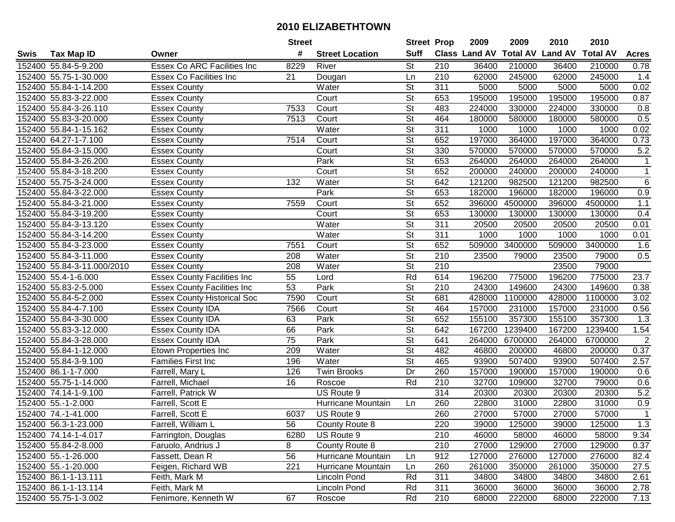|      |                            |                                    | <b>Street</b>   |                        | <b>Street Prop</b>       |                  | 2009                 | 2009            | 2010           | 2010            |                |
|------|----------------------------|------------------------------------|-----------------|------------------------|--------------------------|------------------|----------------------|-----------------|----------------|-----------------|----------------|
| Swis | <b>Tax Map ID</b>          | Owner                              | #               | <b>Street Location</b> | <b>Suff</b>              |                  | <b>Class Land AV</b> | <b>Total AV</b> | <b>Land AV</b> | <b>Total AV</b> | <b>Acres</b>   |
|      | 152400 55.84-5-9.200       | <b>Essex Co ARC Facilities Inc</b> | 8229            | River                  | <b>St</b>                | 210              | 36400                | 210000          | 36400          | 210000          | 0.78           |
|      | 152400 55.75-1-30.000      | <b>Essex Co Facilities Inc</b>     | 21              | Dougan                 | Ln                       | 210              | 62000                | 245000          | 62000          | 245000          | 1.4            |
|      | 152400 55.84-1-14.200      | <b>Essex County</b>                |                 | Water                  | St                       | 311              | 5000                 | 5000            | 5000           | 5000            | 0.02           |
|      | 152400 55.83-3-22.000      | <b>Essex County</b>                |                 | Court                  | $\overline{\mathsf{St}}$ | 653              | 195000               | 195000          | 195000         | 195000          | 0.87           |
|      | 152400 55.84-3-26.110      | <b>Essex County</b>                | 7533            | Court                  | <b>St</b>                | 483              | 224000               | 330000          | 224000         | 330000          | 0.8            |
|      | 152400 55.83-3-20.000      | <b>Essex County</b>                | 7513            | Court                  | $\overline{\mathsf{St}}$ | 464              | 180000               | 580000          | 180000         | 580000          | 0.5            |
|      | 152400 55.84-1-15.162      | <b>Essex County</b>                |                 | Water                  | <b>St</b>                | 311              | 1000                 | 1000            | 1000           | 1000            | 0.02           |
|      | 152400 64.27-1-7.100       | <b>Essex County</b>                | 7514            | Court                  | $\overline{\mathsf{St}}$ | 652              | 197000               | 364000          | 197000         | 364000          | 0.73           |
|      | 152400 55.84-3-15.000      | <b>Essex County</b>                |                 | Court                  | $\overline{\mathsf{St}}$ | 330              | 570000               | 570000          | 570000         | 570000          | 5.2            |
|      | 152400 55.84-3-26.200      | <b>Essex County</b>                |                 | Park                   | $\overline{\mathsf{St}}$ | 653              | 264000               | 264000          | 264000         | 264000          | 1              |
|      | 152400 55.84-3-18.200      | <b>Essex County</b>                |                 | Court                  | $\overline{\mathsf{St}}$ | 652              | 200000               | 240000          | 200000         | 240000          | 1              |
|      | 152400 55.75-3-24.000      | <b>Essex County</b>                | 132             | Water                  | <b>St</b>                | 642              | 121200               | 982500          | 121200         | 982500          | 6              |
|      | 152400 55.84-3-22.000      | <b>Essex County</b>                |                 | Park                   | $\overline{\mathsf{St}}$ | 653              | 182000               | 196000          | 182000         | 196000          | 0.9            |
|      | 152400 55.84-3-21.000      | <b>Essex County</b>                | 7559            | Court                  | $\overline{\mathsf{St}}$ | 652              | 396000               | 4500000         | 396000         | 4500000         | 1.1            |
|      | 152400 55.84-3-19.200      | <b>Essex County</b>                |                 | Court                  | $\overline{\mathsf{St}}$ | 653              | 130000               | 130000          | 130000         | 130000          | 0.4            |
|      | 152400 55.84-3-13.120      | <b>Essex County</b>                |                 | Water                  | $\overline{\mathsf{St}}$ | 311              | 20500                | 20500           | 20500          | 20500           | 0.01           |
|      | 152400 55.84-3-14.200      | <b>Essex County</b>                |                 | Water                  | $\overline{St}$          | 311              | 1000                 | 1000            | 1000           | 1000            | 0.01           |
|      | 152400 55.84-3-23.000      | <b>Essex County</b>                | 7551            | Court                  | $\overline{\mathsf{St}}$ | 652              | 509000               | 3400000         | 509000         | 3400000         | 1.6            |
|      | 152400 55.84-3-11.000      | <b>Essex County</b>                | 208             | Water                  | $\overline{\mathsf{St}}$ | 210              | 23500                | 79000           | 23500          | 79000           | 0.5            |
|      | 152400 55.84-3-11.000/2010 | Essex County                       | 208             | Water                  | <b>St</b>                | 210              |                      |                 | 23500          | 79000           |                |
|      | 152400 55.4-1-6.000        | <b>Essex County Facilities Inc</b> | 55              | Lord                   | Rd                       | 614              | 196200               | 775000          | 196200         | 775000          | 23.7           |
|      | 152400 55.83-2-5.000       | <b>Essex County Facilities Inc</b> | 53              | Park                   | <b>St</b>                | 210              | 24300                | 149600          | 24300          | 149600          | 0.38           |
|      | 152400 55.84-5-2.000       | <b>Essex County Historical Soc</b> | 7590            | Court                  | <b>St</b>                | 681              | 428000               | 1100000         | 428000         | 1100000         | 3.02           |
|      | 152400 55.84-4-7.100       | <b>Essex County IDA</b>            | 7566            | Court                  | <b>St</b>                | 464              | 157000               | 231000          | 157000         | 231000          | 0.56           |
|      | 152400 55.84-3-30.000      | <b>Essex County IDA</b>            | 63              | Park                   | $\overline{\mathsf{St}}$ | 652              | 155100               | 357300          | 155100         | 357300          | 1.3            |
|      | 152400 55.83-3-12.000      | <b>Essex County IDA</b>            | 66              | Park                   | $\overline{\mathsf{St}}$ | 642              | 167200               | 1239400         | 167200         | 1239400         | 1.54           |
|      | 152400 55.84-3-28.000      | <b>Essex County IDA</b>            | $\overline{75}$ | Park                   | $\overline{\mathsf{St}}$ | 641              | 264000               | 6700000         | 264000         | 6700000         | $\overline{c}$ |
|      | 152400 55.84-1-12.000      | <b>Etown Properties Inc</b>        | 209             | Water                  | <b>St</b>                | 482              | 46800                | 200000          | 46800          | 200000          | 0.37           |
|      | 152400 55.84-3-9.100       | Families First Inc                 | 196             | Water                  | $\overline{St}$          | 465              | 93900                | 507400          | 93900          | 507400          | 2.57           |
|      | 152400 86.1-1-7.000        | Farrell, Mary L                    | 126             | <b>Twin Brooks</b>     | $\overline{Dr}$          | 260              | 157000               | 190000          | 157000         | 190000          | 0.6            |
|      | 152400 55.75-1-14.000      | Farrell, Michael                   | 16              | Roscoe                 | Rd                       | $\overline{210}$ | 32700                | 109000          | 32700          | 79000           | 0.6            |
|      | 152400 74.14-1-9.100       | Farrell, Patrick W                 |                 | US Route 9             |                          | 314              | 20300                | 20300           | 20300          | 20300           | 5.2            |
|      | 152400 55.-1-2.000         | Farrell, Scott E                   |                 | Hurricane Mountain     | Ln.                      | 260              | 22800                | 31000           | 22800          | 31000           | 0.9            |
|      | 152400 74.-1-41.000        | Farrell, Scott E                   | 6037            | US Route 9             |                          | 260              | 27000                | 57000           | 27000          | 57000           | $\mathbf{1}$   |
|      | 152400 56.3-1-23.000       | Farrell, William L                 | 56              | County Route 8         |                          | 220              | 39000                | 125000          | 39000          | 125000          | 1.3            |
|      | 152400 74.14-1-4.017       | Farrington, Douglas                | 6280            | US Route 9             |                          | 210              | 46000                | 58000           | 46000          | 58000           | 9.34           |
|      | 152400 55.84-2-8.000       | Faruolo, Andrius J                 | 8               | County Route 8         |                          | 210              | 27000                | 129000          | 27000          | 129000          | 0.37           |
|      | 152400 55.-1-26.000        | Fassett, Dean R                    | 56              | Hurricane Mountain     | Ln                       | 912              | 127000               | 276000          | 127000         | 276000          | 82.4           |
|      | 152400 55.-1-20.000        | Feigen, Richard WB                 | 221             | Hurricane Mountain     | Ln                       | 260              | 261000               | 350000          | 261000         | 350000          | 27.5           |
|      | 152400 86.1-1-13.111       | Feith, Mark M                      |                 | Lincoln Pond           | Rd                       | 311              | 34800                | 34800           | 34800          | 34800           | 2.61           |
|      | 152400 86.1-1-13.114       | Feith, Mark M                      |                 | Lincoln Pond           | Rd                       | 311              | 36000                | 36000           | 36000          | 36000           | 2.78           |
|      | 152400 55.75-1-3.002       | Fenimore, Kenneth W                | 67              | Roscoe                 | Rd                       | 210              | 68000                | 222000          | 68000          | 222000          | 7.13           |
|      |                            |                                    |                 |                        |                          |                  |                      |                 |                |                 |                |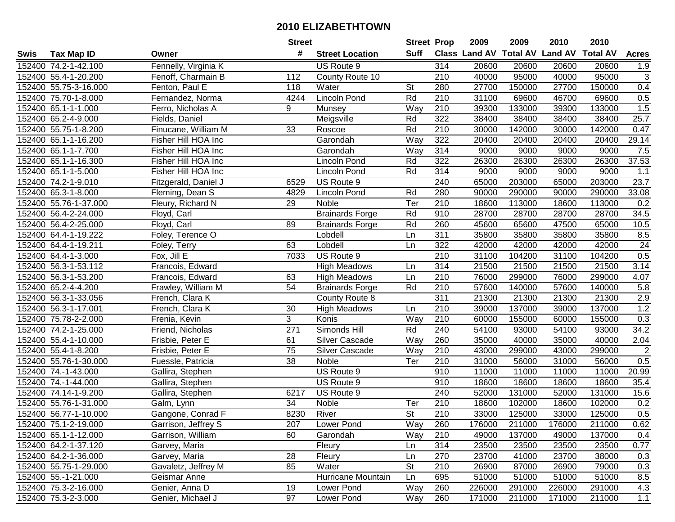|      |                       |                      | <b>Street</b>   |                        |                          | <b>Street Prop</b> | 2009   | 2009   | 2010                           | 2010            |                           |
|------|-----------------------|----------------------|-----------------|------------------------|--------------------------|--------------------|--------|--------|--------------------------------|-----------------|---------------------------|
| Swis | <b>Tax Map ID</b>     | Owner                | #               | <b>Street Location</b> | Suff                     |                    |        |        | Class Land AV Total AV Land AV | <b>Total AV</b> | <b>Acres</b>              |
|      | 152400 74.2-1-42.100  | Fennelly, Virginia K |                 | US Route 9             |                          | 314                | 20600  | 20600  | 20600                          | 20600           | 1.9                       |
|      | 152400 55.4-1-20.200  | Fenoff, Charmain B   | 112             | County Route 10        |                          | 210                | 40000  | 95000  | 40000                          | 95000           | $\ensuremath{\mathsf{3}}$ |
|      | 152400 55.75-3-16.000 | Fenton, Paul E       | 118             | Water                  | <b>St</b>                | 280                | 27700  | 150000 | 27700                          | 150000          | 0.4                       |
|      | 152400 75.70-1-8.000  | Fernandez, Norma     | 4244            | <b>Lincoln Pond</b>    | Rd                       | 210                | 31100  | 69600  | 46700                          | 69600           | 0.5                       |
|      | 152400 65.1-1-1.000   | Ferro, Nicholas A    | 9               | Munsey                 | Way                      | 210                | 39300  | 133000 | 39300                          | 133000          | 1.5                       |
|      | 152400 65.2-4-9.000   | Fields, Daniel       |                 | Meigsville             | Rd                       | 322                | 38400  | 38400  | 38400                          | 38400           | 25.7                      |
|      | 152400 55.75-1-8.200  | Finucane, William M  | 33              | Roscoe                 | Rd                       | 210                | 30000  | 142000 | 30000                          | 142000          | 0.47                      |
|      | 152400 65.1-1-16.200  | Fisher Hill HOA Inc  |                 | Garondah               | Way                      | 322                | 20400  | 20400  | 20400                          | 20400           | 29.14                     |
|      | 152400 65.1-1-7.700   | Fisher Hill HOA Inc  |                 | Garondah               | Way                      | 314                | 9000   | 9000   | 9000                           | 9000            | 7.5                       |
|      | 152400 65.1-1-16.300  | Fisher Hill HOA Inc  |                 | <b>Lincoln Pond</b>    | Rd                       | 322                | 26300  | 26300  | 26300                          | 26300           | 37.53                     |
|      | 152400 65.1-1-5.000   | Fisher Hill HOA Inc  |                 | <b>Lincoln Pond</b>    | Rd                       | 314                | 9000   | 9000   | 9000                           | 9000            | 1.1                       |
|      | 152400 74.2-1-9.010   | Fitzgerald, Daniel J | 6529            | US Route 9             |                          | 240                | 65000  | 203000 | 65000                          | 203000          | 23.7                      |
|      | 152400 65.3-1-8.000   | Fleming, Dean S      | 4829            | <b>Lincoln Pond</b>    | Rd                       | 280                | 90000  | 290000 | 90000                          | 290000          | 33.08                     |
|      | 152400 55.76-1-37.000 | Fleury, Richard N    | 29              | Noble                  | Ter                      | 210                | 18600  | 113000 | 18600                          | 113000          | 0.2                       |
|      | 152400 56.4-2-24.000  | Floyd, Carl          |                 | <b>Brainards Forge</b> | Rd                       | 910                | 28700  | 28700  | 28700                          | 28700           | 34.5                      |
|      | 152400 56.4-2-25.000  | Floyd, Carl          | 89              | <b>Brainards Forge</b> | Rd                       | 260                | 45600  | 65600  | 47500                          | 65000           | 10.5                      |
|      | 152400 64.4-1-19.222  | Foley, Terence O     |                 | Lobdell                | Ln                       | 311                | 35800  | 35800  | 35800                          | 35800           | 8.5                       |
|      | 152400 64.4-1-19.211  | Foley, Terry         | 63              | Lobdell                | Ln                       | 322                | 42000  | 42000  | 42000                          | 42000           | 24                        |
|      | 152400 64.4-1-3.000   | Fox, Jill E          | 7033            | US Route 9             |                          | 210                | 31100  | 104200 | 31100                          | 104200          | 0.5                       |
|      | 152400 56.3-1-53.112  | Francois, Edward     |                 | <b>High Meadows</b>    | Ln                       | 314                | 21500  | 21500  | 21500                          | 21500           | 3.14                      |
|      | 152400 56.3-1-53.200  | Francois, Edward     | 63              | <b>High Meadows</b>    | Ln                       | 210                | 76000  | 299000 | 76000                          | 299000          | 4.07                      |
|      | 152400 65.2-4-4.200   | Frawley, William M   | 54              | <b>Brainards Forge</b> | Rd                       | 210                | 57600  | 140000 | 57600                          | 140000          | 5.8                       |
|      | 152400 56.3-1-33.056  | French, Clara K      |                 | County Route 8         |                          | 311                | 21300  | 21300  | 21300                          | 21300           | 2.9                       |
|      | 152400 56.3-1-17.001  | French, Clara K      | 30              | <b>High Meadows</b>    | Ln                       | 210                | 39000  | 137000 | 39000                          | 137000          | 1.2                       |
|      | 152400 75.78-2-2.000  | Frenia, Kevin        | 3               | Konis                  | Way                      | 210                | 60000  | 155000 | 60000                          | 155000          | 0.3                       |
|      | 152400 74.2-1-25.000  | Friend, Nicholas     | 271             | Simonds Hill           | Rd                       | 240                | 54100  | 93000  | 54100                          | 93000           | 34.2                      |
|      | 152400 55.4-1-10.000  | Frisbie, Peter E     | 61              | Silver Cascade         | Way                      | 260                | 35000  | 40000  | 35000                          | 40000           | 2.04                      |
|      | 152400 55.4-1-8.200   | Frisbie, Peter E     | 75              | Silver Cascade         | Way                      | 210                | 43000  | 299000 | 43000                          | 299000          | $\overline{c}$            |
|      | 152400 55.76-1-30.000 | Fuessle, Patricia    | 38              | Noble                  | $\overline{T}$ er        | 210                | 31000  | 56000  | 31000                          | 56000           | 0.5                       |
|      | 152400 74.-1-43.000   | Gallira, Stephen     |                 | US Route 9             |                          | 910                | 11000  | 11000  | 11000                          | 11000           | 20.99                     |
|      | 152400 74.-1-44.000   | Gallira, Stephen     |                 | US Route 9             |                          | 910                | 18600  | 18600  | 18600                          | 18600           | 35.4                      |
|      | 152400 74.14-1-9.200  | Gallira, Stephen     | 6217            | US Route 9             |                          | 240                | 52000  | 131000 | 52000                          | 131000          | 15.6                      |
|      | 152400 55.76-1-31.000 | Galm, Lynn           | $\overline{34}$ | Noble                  | Ter                      | 210                | 18600  | 102000 | 18600                          | 102000          | 0.2                       |
|      | 152400 56.77-1-10.000 | Gangone, Conrad F    | 8230            | River                  | $\overline{\mathsf{St}}$ | 210                | 33000  | 125000 | 33000                          | 125000          | 0.5                       |
|      | 152400 75.1-2-19.000  | Garrison, Jeffrey S  | 207             | Lower Pond             | Way                      | 260                | 176000 | 211000 | 176000                         | 211000          | 0.62                      |
|      | 152400 65.1-1-12.000  | Garrison, William    | 60              | Garondah               | Way                      | 210                | 49000  | 137000 | 49000                          | 137000          | 0.4                       |
|      | 152400 64.2-1-37.120  | Garvey, Maria        |                 | Fleury                 | Ln                       | 314                | 23500  | 23500  | 23500                          | 23500           | 0.77                      |
|      | 152400 64.2-1-36.000  | Garvey, Maria        | 28              | Fleury                 | Ln                       | 270                | 23700  | 41000  | 23700                          | 38000           | 0.3                       |
|      | 152400 55.75-1-29.000 | Gavaletz, Jeffrey M  | 85              | Water                  | <b>St</b>                | 210                | 26900  | 87000  | 26900                          | 79000           | 0.3                       |
|      | 152400 55.-1-21.000   | Geismar Anne         |                 | Hurricane Mountain     | Ln                       | 695                | 51000  | 51000  | 51000                          | 51000           | 8.5                       |
|      | 152400 75.3-2-16.000  | Genier, Anna D       | 19              | Lower Pond             | Way                      | 260                | 226000 | 291000 | 226000                         | 291000          | 4.3                       |
|      | 152400 75.3-2-3.000   | Genier, Michael J    | 97              | Lower Pond             | Way                      | 260                | 171000 | 211000 | 171000                         | 211000          | 1.1                       |
|      |                       |                      |                 |                        |                          |                    |        |        |                                |                 |                           |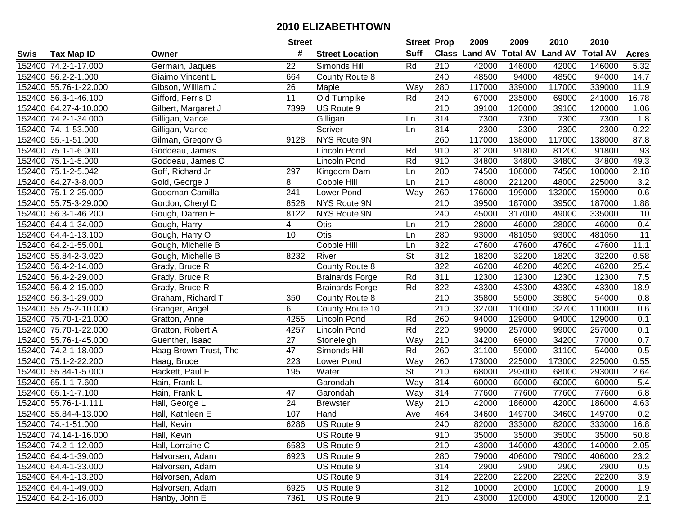|      |                       |                       | <b>Street</b>   |                        | <b>Street Prop</b>       |                  | 2009                 | 2009   | 2010                    | 2010            |                 |
|------|-----------------------|-----------------------|-----------------|------------------------|--------------------------|------------------|----------------------|--------|-------------------------|-----------------|-----------------|
| Swis | Tax Map ID            | Owner                 | #               | <b>Street Location</b> | <b>Suff</b>              |                  | <b>Class Land AV</b> |        | <b>Total AV Land AV</b> | <b>Total AV</b> | <b>Acres</b>    |
|      | 152400 74.2-1-17.000  | Germain, Jaques       | 22              | Simonds Hill           | Rd                       | 210              | 42000                | 146000 | 42000                   | 146000          | 5.32            |
|      | 152400 56.2-2-1.000   | Giaimo Vincent L      | 664             | County Route 8         |                          | 240              | 48500                | 94000  | 48500                   | 94000           | 14.7            |
|      | 152400 55.76-1-22.000 | Gibson, William J     | 26              | Maple                  | Way                      | 280              | 117000               | 339000 | 117000                  | 339000          | 11.9            |
|      | 152400 56.3-1-46.100  | Gifford, Ferris D     | 11              | Old Turnpike           | Rd                       | 240              | 67000                | 235000 | 69000                   | 241000          | 16.78           |
|      | 152400 64.27-4-10.000 | Gilbert, Margaret J   | 7399            | US Route 9             |                          | 210              | 39100                | 120000 | 39100                   | 120000          | 1.06            |
|      | 152400 74.2-1-34.000  | Gilligan, Vance       |                 | Gilligan               | Ln                       | 314              | 7300                 | 7300   | 7300                    | 7300            | 1.8             |
|      | 152400 74.-1-53.000   | Gilligan, Vance       |                 | Scriver                | Ln                       | 314              | 2300                 | 2300   | 2300                    | 2300            | 0.22            |
|      | 152400 55.-1-51.000   | Gilman, Gregory G     | 9128            | <b>NYS Route 9N</b>    |                          | 260              | 117000               | 138000 | 117000                  | 138000          | 87.8            |
|      | 152400 75.1-1-6.000   | Goddeau, James        |                 | <b>Lincoln Pond</b>    | Rd                       | 910              | 81200                | 91800  | 81200                   | 91800           | 93              |
|      | 152400 75.1-1-5.000   | Goddeau, James C      |                 | Lincoln Pond           | Rd                       | 910              | 34800                | 34800  | 34800                   | 34800           | 49.3            |
|      | 152400 75.1-2-5.042   | Goff, Richard Jr      | 297             | Kingdom Dam            | Ln                       | 280              | 74500                | 108000 | 74500                   | 108000          | 2.18            |
|      | 152400 64.27-3-8.000  | Gold, George J        | 8               | Cobble Hill            | Ln                       | 210              | 48000                | 221200 | 48000                   | 225000          | 3.2             |
|      | 152400 75.1-2-25.000  | Goodman Camilla       | 241             | Lower Pond             | Way                      | 260              | 176000               | 199000 | 132000                  | 159000          | 0.6             |
|      | 152400 55.75-3-29.000 | Gordon, Cheryl D      | 8528            | NYS Route 9N           |                          | 210              | 39500                | 187000 | 39500                   | 187000          | 1.88            |
|      | 152400 56.3-1-46.200  | Gough, Darren E       | 8122            | <b>NYS Route 9N</b>    |                          | 240              | 45000                | 317000 | 49000                   | 335000          | 10              |
|      | 152400 64.4-1-34.000  | Gough, Harry          | 4               | Otis                   | Ln                       | 210              | 28000                | 46000  | 28000                   | 46000           | 0.4             |
|      | 152400 64.4-1-13.100  | Gough, Harry O        | 10              | Otis                   | Ln                       | 280              | 93000                | 481050 | 93000                   | 481050          | $\overline{11}$ |
|      | 152400 64.2-1-55.001  | Gough, Michelle B     |                 | Cobble Hill            | Ln                       | 322              | 47600                | 47600  | 47600                   | 47600           | 11.1            |
|      | 152400 55.84-2-3.020  | Gough, Michelle B     | 8232            | River                  | <b>St</b>                | 312              | 18200                | 32200  | 18200                   | 32200           | 0.58            |
|      | 152400 56.4-2-14.000  | Grady, Bruce R        |                 | County Route 8         |                          | 322              | 46200                | 46200  | 46200                   | 46200           | 25.4            |
|      | 152400 56.4-2-29.000  | Grady, Bruce R        |                 | <b>Brainards Forge</b> | Rd                       | 311              | 12300                | 12300  | 12300                   | 12300           | 7.5             |
|      | 152400 56.4-2-15.000  | Grady, Bruce R        |                 | <b>Brainards Forge</b> | Rd                       | 322              | 43300                | 43300  | 43300                   | 43300           | 18.9            |
|      | 152400 56.3-1-29.000  | Graham, Richard T     | 350             | County Route 8         |                          | 210              | 35800                | 55000  | 35800                   | 54000           | 0.8             |
|      | 152400 55.75-2-10.000 | Granger, Angel        | 6               | County Route 10        |                          | 210              | 32700                | 110000 | 32700                   | 110000          | 0.6             |
|      | 152400 75.70-1-21.000 | Gratton, Anne         | 4255            | <b>Lincoln Pond</b>    | Rd                       | 260              | 94000                | 129000 | 94000                   | 129000          | 0.1             |
|      | 152400 75.70-1-22.000 | Gratton, Robert A     | 4257            | <b>Lincoln Pond</b>    | Rd                       | 220              | 99000                | 257000 | 99000                   | 257000          | 0.1             |
|      | 152400 55.76-1-45.000 | Guenther, Isaac       | 27              | Stoneleigh             | Way                      | 210              | 34200                | 69000  | 34200                   | 77000           | 0.7             |
|      | 152400 74.2-1-18.000  | Haag Brown Trust, The | 47              | Simonds Hill           | Rd                       | 260              | 31100                | 59000  | 31100                   | 54000           | 0.5             |
|      | 152400 75.1-2-22.200  | Haag, Bruce           | 223             | Lower Pond             | Way                      | 260              | 173000               | 225000 | 173000                  | 225000          | 0.55            |
|      | 152400 55.84-1-5.000  | Hackett, Paul F       | 195             | Water                  | $\overline{\mathsf{St}}$ | $\overline{210}$ | 68000                | 293000 | 68000                   | 293000          | 2.64            |
|      | 152400 65.1-1-7.600   | Hain, Frank L         |                 | Garondah               | Way                      | 314              | 60000                | 60000  | 60000                   | 60000           | 5.4             |
|      | 152400 65.1-1-7.100   | Hain, Frank L         | 47              | Garondah               | Way                      | 314              | 77600                | 77600  | 77600                   | 77600           | 6.8             |
|      | 152400 55.76-1-1.111  | Hall, George L        | $\overline{24}$ | <b>Brewster</b>        | Way                      | 210              | 42000                | 186000 | 42000                   | 186000          | 4.63            |
|      | 152400 55.84-4-13.000 | Hall, Kathleen E      | 107             | Hand                   | Ave                      | 464              | 34600                | 149700 | 34600                   | 149700          | 0.2             |
|      | 152400 74.-1-51.000   | Hall, Kevin           | 6286            | US Route 9             |                          | 240              | 82000                | 333000 | 82000                   | 333000          | 16.8            |
|      | 152400 74.14-1-16.000 | Hall, Kevin           |                 | US Route 9             |                          | 910              | 35000                | 35000  | 35000                   | 35000           | 50.8            |
|      | 152400 74.2-1-12.000  | Hall, Lorraine C      | 6583            | US Route 9             |                          | 210              | 43000                | 140000 | 43000                   | 140000          | 2.05            |
|      | 152400 64.4-1-39.000  | Halvorsen, Adam       | 6923            | US Route 9             |                          | 280              | 79000                | 406000 | 79000                   | 406000          | 23.2            |
|      | 152400 64.4-1-33.000  | Halvorsen, Adam       |                 | US Route 9             |                          | 314              | 2900                 | 2900   | 2900                    | 2900            | 0.5             |
|      | 152400 64.4-1-13.200  | Halvorsen, Adam       |                 | US Route 9             |                          | 314              | 22200                | 22200  | 22200                   | 22200           | 3.9             |
|      | 152400 64.4-1-49.000  | Halvorsen, Adam       | 6925            | US Route 9             |                          | 312              | 10000                | 20000  | 10000                   | 20000           | 1.9             |
|      | 152400 64.2-1-16.000  | Hanby, John E         | 7361            | US Route 9             |                          | 210              | 43000                | 120000 | 43000                   | 120000          | 2.1             |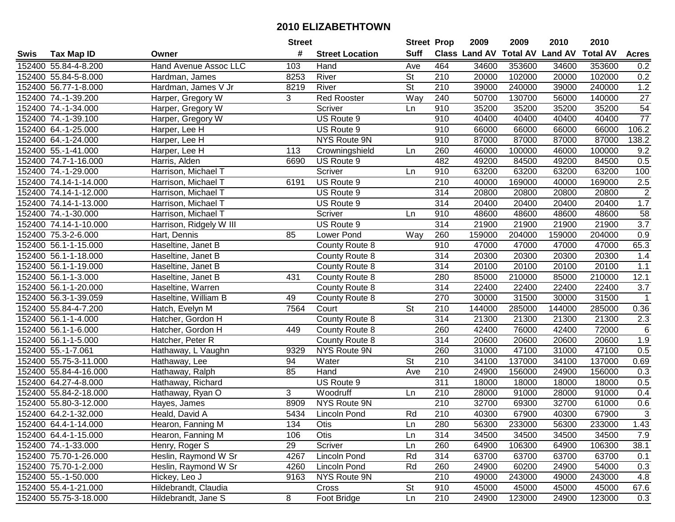| #<br><b>Suff</b><br><b>Total AV Land AV</b><br>Class Land AV<br><b>Total AV</b><br><b>Acres</b><br><b>Tax Map ID</b><br><b>Street Location</b><br>Swis<br>Owner<br>464<br>152400 55.84-4-8.200<br>Hand Avenue Assoc LLC<br>103<br>34600<br>353600<br>34600<br>353600<br>0.2<br>Hand<br>Ave<br><b>St</b><br>152400 55.84-5-8.000<br>8253<br>River<br>210<br>20000<br>102000<br>20000<br>102000<br>0.2<br>Hardman, James<br><b>St</b><br>$1.2\,$<br>152400 56.77-1-8.000<br>Hardman, James V Jr<br>River<br>210<br>39000<br>240000<br>39000<br>240000<br>8219<br>$\overline{27}$<br>3<br><b>Red Rooster</b><br>Way<br>240<br>50700<br>140000<br>152400 74.-1-39.200<br>Harper, Gregory W<br>130700<br>56000<br>54<br>152400 74.-1-34.000<br>Harper, Gregory W<br>910<br>35200<br>35200<br>35200<br>35200<br>Scriver<br>Ln<br>$\overline{77}$<br>152400 74.-1-39.100<br>Harper, Gregory W<br>US Route 9<br>910<br>40400<br>40400<br>40400<br>40400<br>US Route 9<br>66000<br>106.2<br>152400 64.-1-25.000<br>Harper, Lee H<br>910<br>66000<br>66000<br>66000<br>910<br>87000<br>138.2<br>152400 64.-1-24.000<br>Harper, Lee H<br>NYS Route 9N<br>87000<br>87000<br>87000<br>9.2<br>152400 55.-1-41.000<br>113<br>260<br>46000<br>100000<br>46000<br>100000<br>Harper, Lee H<br>Crowningshield<br>Ln<br>482<br>49200<br>0.5<br>84500<br>49200<br>84500<br>152400 74.7-1-16.000<br>Harris, Alden<br>6690<br>US Route 9<br>63200<br>152400 74.-1-29.000<br>Scriver<br>910<br>63200<br>63200<br>63200<br>100<br>Harrison, Michael T<br>Ln<br>152400 74.14-1-14.000<br>US Route 9<br>210<br>40000<br>169000<br>40000<br>169000<br>2.5<br>Harrison, Michael T<br>6191<br>$\overline{2}$<br>314<br>20800<br>20800<br>152400 74.14-1-12.000<br>US Route 9<br>20800<br>20800<br>Harrison, Michael T<br>314<br>1.7<br>152400 74.14-1-13.000<br>20400<br>20400<br>20400<br>20400<br>Harrison, Michael T<br>US Route 9<br>58<br>152400 74.-1-30.000<br>Scriver<br>910<br>48600<br>48600<br>48600<br>48600<br>Harrison, Michael T<br>Ln<br>3.7<br>314<br>21900<br>21900<br>21900<br>21900<br>152400 74.14-1-10.000<br>Harrison, Ridgely W III<br>US Route 9<br>0.9<br>152400 75.3-2-6.000<br>85<br>Way<br>260<br>159000<br>204000<br>159000<br>204000<br>Hart, Dennis<br>Lower Pond<br>910<br>47000<br>47000<br>47000<br>47000<br>65.3<br>152400 56.1-1-15.000<br>Haseltine, Janet B<br>County Route 8<br>152400 56.1-1-18.000<br>314<br>20300<br>20300<br>20300<br>20300<br>1.4<br>Haseltine, Janet B<br>County Route 8<br>152400 56.1-1-19.000<br>314<br>20100<br>20100<br>20100<br>20100<br>$1.1$<br>Haseltine, Janet B<br>County Route 8<br>152400 56.1-1-3.000<br>85000<br>210000<br>85000<br>210000<br>12.1<br>Haseltine, Janet B<br>431<br>280<br>County Route 8<br>3.7<br>152400 56.1-1-20.000<br>314<br>22400<br>22400<br>22400<br>Haseltine, Warren<br>County Route 8<br>22400<br>$\mathbf{1}$<br>152400 56.3-1-39.059<br>49<br>270<br>30000<br>31500<br>30000<br>31500<br>Haseltine, William B<br>County Route 8<br><b>St</b><br>152400 55.84-4-7.200<br>7564<br>Court<br>210<br>144000<br>285000<br>144000<br>285000<br>0.36<br>Hatch, Evelyn M<br>314<br>County Route 8<br>21300<br>21300<br>2.3<br>152400 56.1-1-4.000<br>21300<br>21300<br>Hatcher, Gordon H<br>$6\phantom{1}6$<br>42400<br>152400 56.1-1-6.000<br>449<br>260<br>76000<br>42400<br>72000<br>Hatcher, Gordon H<br>County Route 8<br>314<br>20600<br>1.9<br>152400 56.1-1-5.000<br>20600<br>20600<br>20600<br>Hatcher, Peter R<br>County Route 8<br>260<br>0.5<br>152400 55.-1-7.061<br>NYS Route 9N<br>31000<br>47100<br>31000<br>47100<br>Hathaway, L Vaughn<br>9329<br>$\overline{\mathsf{St}}$<br>210<br>34100<br>137000<br>34100<br>137000<br>0.69<br>152400 55.75-3-11.000<br>94<br>Water<br>Hathaway, Lee<br>$\overline{210}$<br>152400 55.84-4-16.000<br>85<br>24900<br>156000<br>24900<br>156000<br>0.3<br>Hathaway, Ralph<br>Hand<br>Ave<br>152400 64.27-4-8.000<br>$\overline{311}$<br>18000<br>0.5<br>US Route 9<br>18000<br>18000<br>18000<br>Hathaway, Richard<br>152400 55.84-2-18.000<br>3<br>210<br>91000<br>91000<br>0.4<br>Hathaway, Ryan O<br>Woodruff<br>28000<br>28000<br>Ln<br>$\overline{210}$<br>32700<br>152400 55.80-3-12.000<br>8909<br>NYS Route 9N<br>69300<br>32700<br>61000<br>0.6<br>Hayes, James<br>$\overline{3}$<br>Rd<br>152400 64.2-1-32.000<br>210<br>40300<br>67900<br>40300<br>67900<br>Heald, David A<br>5434<br>Lincoln Pond<br>1.43<br>152400 64.4-1-14.000<br>Hearon, Fanning M<br>134<br>Otis<br>Ln<br>280<br>56300<br>233000<br>56300<br>233000<br>Otis<br>314<br>7.9<br>152400 64.4-1-15.000<br>Hearon, Fanning M<br>106<br>Ln<br>34500<br>34500<br>34500<br>34500<br>Scriver<br>260<br>64900<br>106300<br>152400 74.-1-33.000<br>Henry, Roger S<br>29<br>Ln<br>106300<br>64900<br>38.1<br>Heslin, Raymond W Sr<br>Rd<br>314<br>152400 75.70-1-26.000<br>4267<br><b>Lincoln Pond</b><br>63700<br>63700<br>63700<br>63700<br>0.1<br>152400 75.70-1-2.000<br>Heslin, Raymond W Sr<br><b>Lincoln Pond</b><br>Rd<br>4260<br>260<br>24900<br>60200<br>24900<br>54000<br>0.3<br>152400 55.-1-50.000<br>Hickey, Leo J<br>NYS Route 9N<br>210<br>4.8<br>9163<br>49000<br>243000<br>49000<br>243000<br>152400 55.4-1-21.000<br><b>St</b><br>Hildebrandt, Claudia<br>Cross<br>910<br>45000<br>45000<br>45000<br>45000<br>67.6<br>8<br>152400 55.75-3-18.000<br>Hildebrandt, Jane S<br>210<br>Ln<br>24900<br>123000<br>24900<br>123000<br>0.3 |  | <b>Street</b> |             | <b>Street Prop</b> | 2009 | 2009 | 2010 | 2010 |  |
|-------------------------------------------------------------------------------------------------------------------------------------------------------------------------------------------------------------------------------------------------------------------------------------------------------------------------------------------------------------------------------------------------------------------------------------------------------------------------------------------------------------------------------------------------------------------------------------------------------------------------------------------------------------------------------------------------------------------------------------------------------------------------------------------------------------------------------------------------------------------------------------------------------------------------------------------------------------------------------------------------------------------------------------------------------------------------------------------------------------------------------------------------------------------------------------------------------------------------------------------------------------------------------------------------------------------------------------------------------------------------------------------------------------------------------------------------------------------------------------------------------------------------------------------------------------------------------------------------------------------------------------------------------------------------------------------------------------------------------------------------------------------------------------------------------------------------------------------------------------------------------------------------------------------------------------------------------------------------------------------------------------------------------------------------------------------------------------------------------------------------------------------------------------------------------------------------------------------------------------------------------------------------------------------------------------------------------------------------------------------------------------------------------------------------------------------------------------------------------------------------------------------------------------------------------------------------------------------------------------------------------------------------------------------------------------------------------------------------------------------------------------------------------------------------------------------------------------------------------------------------------------------------------------------------------------------------------------------------------------------------------------------------------------------------------------------------------------------------------------------------------------------------------------------------------------------------------------------------------------------------------------------------------------------------------------------------------------------------------------------------------------------------------------------------------------------------------------------------------------------------------------------------------------------------------------------------------------------------------------------------------------------------------------------------------------------------------------------------------------------------------------------------------------------------------------------------------------------------------------------------------------------------------------------------------------------------------------------------------------------------------------------------------------------------------------------------------------------------------------------------------------------------------------------------------------------------------------------------------------------------------------------------------------------------------------------------------------------------------------------------------------------------------------------------------------------------------------------------------------------------------------------------------------------------------------------------------------------------------------------------------------------------------------------------------------------------------------------------------------------------------------------------------------------------------------------------------------------------------------------------------------------------------------------------------------------------------------------------------------------------------------------------------------------------------------------------------------------------------------------------------------------------------------------------------------------------------------------------------------------------------------------------------------------------------------------------------------------------------------------------------------------------------------------------------------------------|--|---------------|-------------|--------------------|------|------|------|------|--|
|                                                                                                                                                                                                                                                                                                                                                                                                                                                                                                                                                                                                                                                                                                                                                                                                                                                                                                                                                                                                                                                                                                                                                                                                                                                                                                                                                                                                                                                                                                                                                                                                                                                                                                                                                                                                                                                                                                                                                                                                                                                                                                                                                                                                                                                                                                                                                                                                                                                                                                                                                                                                                                                                                                                                                                                                                                                                                                                                                                                                                                                                                                                                                                                                                                                                                                                                                                                                                                                                                                                                                                                                                                                                                                                                                                                                                                                                                                                                                                                                                                                                                                                                                                                                                                                                                                                                                                                                                                                                                                                                                                                                                                                                                                                                                                                                                                                                                                                                                                                                                                                                                                                                                                                                                                                                                                                                                                                                                                                 |  |               |             |                    |      |      |      |      |  |
|                                                                                                                                                                                                                                                                                                                                                                                                                                                                                                                                                                                                                                                                                                                                                                                                                                                                                                                                                                                                                                                                                                                                                                                                                                                                                                                                                                                                                                                                                                                                                                                                                                                                                                                                                                                                                                                                                                                                                                                                                                                                                                                                                                                                                                                                                                                                                                                                                                                                                                                                                                                                                                                                                                                                                                                                                                                                                                                                                                                                                                                                                                                                                                                                                                                                                                                                                                                                                                                                                                                                                                                                                                                                                                                                                                                                                                                                                                                                                                                                                                                                                                                                                                                                                                                                                                                                                                                                                                                                                                                                                                                                                                                                                                                                                                                                                                                                                                                                                                                                                                                                                                                                                                                                                                                                                                                                                                                                                                                 |  |               |             |                    |      |      |      |      |  |
|                                                                                                                                                                                                                                                                                                                                                                                                                                                                                                                                                                                                                                                                                                                                                                                                                                                                                                                                                                                                                                                                                                                                                                                                                                                                                                                                                                                                                                                                                                                                                                                                                                                                                                                                                                                                                                                                                                                                                                                                                                                                                                                                                                                                                                                                                                                                                                                                                                                                                                                                                                                                                                                                                                                                                                                                                                                                                                                                                                                                                                                                                                                                                                                                                                                                                                                                                                                                                                                                                                                                                                                                                                                                                                                                                                                                                                                                                                                                                                                                                                                                                                                                                                                                                                                                                                                                                                                                                                                                                                                                                                                                                                                                                                                                                                                                                                                                                                                                                                                                                                                                                                                                                                                                                                                                                                                                                                                                                                                 |  |               |             |                    |      |      |      |      |  |
|                                                                                                                                                                                                                                                                                                                                                                                                                                                                                                                                                                                                                                                                                                                                                                                                                                                                                                                                                                                                                                                                                                                                                                                                                                                                                                                                                                                                                                                                                                                                                                                                                                                                                                                                                                                                                                                                                                                                                                                                                                                                                                                                                                                                                                                                                                                                                                                                                                                                                                                                                                                                                                                                                                                                                                                                                                                                                                                                                                                                                                                                                                                                                                                                                                                                                                                                                                                                                                                                                                                                                                                                                                                                                                                                                                                                                                                                                                                                                                                                                                                                                                                                                                                                                                                                                                                                                                                                                                                                                                                                                                                                                                                                                                                                                                                                                                                                                                                                                                                                                                                                                                                                                                                                                                                                                                                                                                                                                                                 |  |               |             |                    |      |      |      |      |  |
|                                                                                                                                                                                                                                                                                                                                                                                                                                                                                                                                                                                                                                                                                                                                                                                                                                                                                                                                                                                                                                                                                                                                                                                                                                                                                                                                                                                                                                                                                                                                                                                                                                                                                                                                                                                                                                                                                                                                                                                                                                                                                                                                                                                                                                                                                                                                                                                                                                                                                                                                                                                                                                                                                                                                                                                                                                                                                                                                                                                                                                                                                                                                                                                                                                                                                                                                                                                                                                                                                                                                                                                                                                                                                                                                                                                                                                                                                                                                                                                                                                                                                                                                                                                                                                                                                                                                                                                                                                                                                                                                                                                                                                                                                                                                                                                                                                                                                                                                                                                                                                                                                                                                                                                                                                                                                                                                                                                                                                                 |  |               |             |                    |      |      |      |      |  |
|                                                                                                                                                                                                                                                                                                                                                                                                                                                                                                                                                                                                                                                                                                                                                                                                                                                                                                                                                                                                                                                                                                                                                                                                                                                                                                                                                                                                                                                                                                                                                                                                                                                                                                                                                                                                                                                                                                                                                                                                                                                                                                                                                                                                                                                                                                                                                                                                                                                                                                                                                                                                                                                                                                                                                                                                                                                                                                                                                                                                                                                                                                                                                                                                                                                                                                                                                                                                                                                                                                                                                                                                                                                                                                                                                                                                                                                                                                                                                                                                                                                                                                                                                                                                                                                                                                                                                                                                                                                                                                                                                                                                                                                                                                                                                                                                                                                                                                                                                                                                                                                                                                                                                                                                                                                                                                                                                                                                                                                 |  |               |             |                    |      |      |      |      |  |
|                                                                                                                                                                                                                                                                                                                                                                                                                                                                                                                                                                                                                                                                                                                                                                                                                                                                                                                                                                                                                                                                                                                                                                                                                                                                                                                                                                                                                                                                                                                                                                                                                                                                                                                                                                                                                                                                                                                                                                                                                                                                                                                                                                                                                                                                                                                                                                                                                                                                                                                                                                                                                                                                                                                                                                                                                                                                                                                                                                                                                                                                                                                                                                                                                                                                                                                                                                                                                                                                                                                                                                                                                                                                                                                                                                                                                                                                                                                                                                                                                                                                                                                                                                                                                                                                                                                                                                                                                                                                                                                                                                                                                                                                                                                                                                                                                                                                                                                                                                                                                                                                                                                                                                                                                                                                                                                                                                                                                                                 |  |               |             |                    |      |      |      |      |  |
|                                                                                                                                                                                                                                                                                                                                                                                                                                                                                                                                                                                                                                                                                                                                                                                                                                                                                                                                                                                                                                                                                                                                                                                                                                                                                                                                                                                                                                                                                                                                                                                                                                                                                                                                                                                                                                                                                                                                                                                                                                                                                                                                                                                                                                                                                                                                                                                                                                                                                                                                                                                                                                                                                                                                                                                                                                                                                                                                                                                                                                                                                                                                                                                                                                                                                                                                                                                                                                                                                                                                                                                                                                                                                                                                                                                                                                                                                                                                                                                                                                                                                                                                                                                                                                                                                                                                                                                                                                                                                                                                                                                                                                                                                                                                                                                                                                                                                                                                                                                                                                                                                                                                                                                                                                                                                                                                                                                                                                                 |  |               |             |                    |      |      |      |      |  |
|                                                                                                                                                                                                                                                                                                                                                                                                                                                                                                                                                                                                                                                                                                                                                                                                                                                                                                                                                                                                                                                                                                                                                                                                                                                                                                                                                                                                                                                                                                                                                                                                                                                                                                                                                                                                                                                                                                                                                                                                                                                                                                                                                                                                                                                                                                                                                                                                                                                                                                                                                                                                                                                                                                                                                                                                                                                                                                                                                                                                                                                                                                                                                                                                                                                                                                                                                                                                                                                                                                                                                                                                                                                                                                                                                                                                                                                                                                                                                                                                                                                                                                                                                                                                                                                                                                                                                                                                                                                                                                                                                                                                                                                                                                                                                                                                                                                                                                                                                                                                                                                                                                                                                                                                                                                                                                                                                                                                                                                 |  |               |             |                    |      |      |      |      |  |
|                                                                                                                                                                                                                                                                                                                                                                                                                                                                                                                                                                                                                                                                                                                                                                                                                                                                                                                                                                                                                                                                                                                                                                                                                                                                                                                                                                                                                                                                                                                                                                                                                                                                                                                                                                                                                                                                                                                                                                                                                                                                                                                                                                                                                                                                                                                                                                                                                                                                                                                                                                                                                                                                                                                                                                                                                                                                                                                                                                                                                                                                                                                                                                                                                                                                                                                                                                                                                                                                                                                                                                                                                                                                                                                                                                                                                                                                                                                                                                                                                                                                                                                                                                                                                                                                                                                                                                                                                                                                                                                                                                                                                                                                                                                                                                                                                                                                                                                                                                                                                                                                                                                                                                                                                                                                                                                                                                                                                                                 |  |               |             |                    |      |      |      |      |  |
|                                                                                                                                                                                                                                                                                                                                                                                                                                                                                                                                                                                                                                                                                                                                                                                                                                                                                                                                                                                                                                                                                                                                                                                                                                                                                                                                                                                                                                                                                                                                                                                                                                                                                                                                                                                                                                                                                                                                                                                                                                                                                                                                                                                                                                                                                                                                                                                                                                                                                                                                                                                                                                                                                                                                                                                                                                                                                                                                                                                                                                                                                                                                                                                                                                                                                                                                                                                                                                                                                                                                                                                                                                                                                                                                                                                                                                                                                                                                                                                                                                                                                                                                                                                                                                                                                                                                                                                                                                                                                                                                                                                                                                                                                                                                                                                                                                                                                                                                                                                                                                                                                                                                                                                                                                                                                                                                                                                                                                                 |  |               |             |                    |      |      |      |      |  |
|                                                                                                                                                                                                                                                                                                                                                                                                                                                                                                                                                                                                                                                                                                                                                                                                                                                                                                                                                                                                                                                                                                                                                                                                                                                                                                                                                                                                                                                                                                                                                                                                                                                                                                                                                                                                                                                                                                                                                                                                                                                                                                                                                                                                                                                                                                                                                                                                                                                                                                                                                                                                                                                                                                                                                                                                                                                                                                                                                                                                                                                                                                                                                                                                                                                                                                                                                                                                                                                                                                                                                                                                                                                                                                                                                                                                                                                                                                                                                                                                                                                                                                                                                                                                                                                                                                                                                                                                                                                                                                                                                                                                                                                                                                                                                                                                                                                                                                                                                                                                                                                                                                                                                                                                                                                                                                                                                                                                                                                 |  |               |             |                    |      |      |      |      |  |
|                                                                                                                                                                                                                                                                                                                                                                                                                                                                                                                                                                                                                                                                                                                                                                                                                                                                                                                                                                                                                                                                                                                                                                                                                                                                                                                                                                                                                                                                                                                                                                                                                                                                                                                                                                                                                                                                                                                                                                                                                                                                                                                                                                                                                                                                                                                                                                                                                                                                                                                                                                                                                                                                                                                                                                                                                                                                                                                                                                                                                                                                                                                                                                                                                                                                                                                                                                                                                                                                                                                                                                                                                                                                                                                                                                                                                                                                                                                                                                                                                                                                                                                                                                                                                                                                                                                                                                                                                                                                                                                                                                                                                                                                                                                                                                                                                                                                                                                                                                                                                                                                                                                                                                                                                                                                                                                                                                                                                                                 |  |               |             |                    |      |      |      |      |  |
|                                                                                                                                                                                                                                                                                                                                                                                                                                                                                                                                                                                                                                                                                                                                                                                                                                                                                                                                                                                                                                                                                                                                                                                                                                                                                                                                                                                                                                                                                                                                                                                                                                                                                                                                                                                                                                                                                                                                                                                                                                                                                                                                                                                                                                                                                                                                                                                                                                                                                                                                                                                                                                                                                                                                                                                                                                                                                                                                                                                                                                                                                                                                                                                                                                                                                                                                                                                                                                                                                                                                                                                                                                                                                                                                                                                                                                                                                                                                                                                                                                                                                                                                                                                                                                                                                                                                                                                                                                                                                                                                                                                                                                                                                                                                                                                                                                                                                                                                                                                                                                                                                                                                                                                                                                                                                                                                                                                                                                                 |  |               |             |                    |      |      |      |      |  |
|                                                                                                                                                                                                                                                                                                                                                                                                                                                                                                                                                                                                                                                                                                                                                                                                                                                                                                                                                                                                                                                                                                                                                                                                                                                                                                                                                                                                                                                                                                                                                                                                                                                                                                                                                                                                                                                                                                                                                                                                                                                                                                                                                                                                                                                                                                                                                                                                                                                                                                                                                                                                                                                                                                                                                                                                                                                                                                                                                                                                                                                                                                                                                                                                                                                                                                                                                                                                                                                                                                                                                                                                                                                                                                                                                                                                                                                                                                                                                                                                                                                                                                                                                                                                                                                                                                                                                                                                                                                                                                                                                                                                                                                                                                                                                                                                                                                                                                                                                                                                                                                                                                                                                                                                                                                                                                                                                                                                                                                 |  |               |             |                    |      |      |      |      |  |
|                                                                                                                                                                                                                                                                                                                                                                                                                                                                                                                                                                                                                                                                                                                                                                                                                                                                                                                                                                                                                                                                                                                                                                                                                                                                                                                                                                                                                                                                                                                                                                                                                                                                                                                                                                                                                                                                                                                                                                                                                                                                                                                                                                                                                                                                                                                                                                                                                                                                                                                                                                                                                                                                                                                                                                                                                                                                                                                                                                                                                                                                                                                                                                                                                                                                                                                                                                                                                                                                                                                                                                                                                                                                                                                                                                                                                                                                                                                                                                                                                                                                                                                                                                                                                                                                                                                                                                                                                                                                                                                                                                                                                                                                                                                                                                                                                                                                                                                                                                                                                                                                                                                                                                                                                                                                                                                                                                                                                                                 |  |               |             |                    |      |      |      |      |  |
|                                                                                                                                                                                                                                                                                                                                                                                                                                                                                                                                                                                                                                                                                                                                                                                                                                                                                                                                                                                                                                                                                                                                                                                                                                                                                                                                                                                                                                                                                                                                                                                                                                                                                                                                                                                                                                                                                                                                                                                                                                                                                                                                                                                                                                                                                                                                                                                                                                                                                                                                                                                                                                                                                                                                                                                                                                                                                                                                                                                                                                                                                                                                                                                                                                                                                                                                                                                                                                                                                                                                                                                                                                                                                                                                                                                                                                                                                                                                                                                                                                                                                                                                                                                                                                                                                                                                                                                                                                                                                                                                                                                                                                                                                                                                                                                                                                                                                                                                                                                                                                                                                                                                                                                                                                                                                                                                                                                                                                                 |  |               |             |                    |      |      |      |      |  |
|                                                                                                                                                                                                                                                                                                                                                                                                                                                                                                                                                                                                                                                                                                                                                                                                                                                                                                                                                                                                                                                                                                                                                                                                                                                                                                                                                                                                                                                                                                                                                                                                                                                                                                                                                                                                                                                                                                                                                                                                                                                                                                                                                                                                                                                                                                                                                                                                                                                                                                                                                                                                                                                                                                                                                                                                                                                                                                                                                                                                                                                                                                                                                                                                                                                                                                                                                                                                                                                                                                                                                                                                                                                                                                                                                                                                                                                                                                                                                                                                                                                                                                                                                                                                                                                                                                                                                                                                                                                                                                                                                                                                                                                                                                                                                                                                                                                                                                                                                                                                                                                                                                                                                                                                                                                                                                                                                                                                                                                 |  |               |             |                    |      |      |      |      |  |
|                                                                                                                                                                                                                                                                                                                                                                                                                                                                                                                                                                                                                                                                                                                                                                                                                                                                                                                                                                                                                                                                                                                                                                                                                                                                                                                                                                                                                                                                                                                                                                                                                                                                                                                                                                                                                                                                                                                                                                                                                                                                                                                                                                                                                                                                                                                                                                                                                                                                                                                                                                                                                                                                                                                                                                                                                                                                                                                                                                                                                                                                                                                                                                                                                                                                                                                                                                                                                                                                                                                                                                                                                                                                                                                                                                                                                                                                                                                                                                                                                                                                                                                                                                                                                                                                                                                                                                                                                                                                                                                                                                                                                                                                                                                                                                                                                                                                                                                                                                                                                                                                                                                                                                                                                                                                                                                                                                                                                                                 |  |               |             |                    |      |      |      |      |  |
|                                                                                                                                                                                                                                                                                                                                                                                                                                                                                                                                                                                                                                                                                                                                                                                                                                                                                                                                                                                                                                                                                                                                                                                                                                                                                                                                                                                                                                                                                                                                                                                                                                                                                                                                                                                                                                                                                                                                                                                                                                                                                                                                                                                                                                                                                                                                                                                                                                                                                                                                                                                                                                                                                                                                                                                                                                                                                                                                                                                                                                                                                                                                                                                                                                                                                                                                                                                                                                                                                                                                                                                                                                                                                                                                                                                                                                                                                                                                                                                                                                                                                                                                                                                                                                                                                                                                                                                                                                                                                                                                                                                                                                                                                                                                                                                                                                                                                                                                                                                                                                                                                                                                                                                                                                                                                                                                                                                                                                                 |  |               |             |                    |      |      |      |      |  |
|                                                                                                                                                                                                                                                                                                                                                                                                                                                                                                                                                                                                                                                                                                                                                                                                                                                                                                                                                                                                                                                                                                                                                                                                                                                                                                                                                                                                                                                                                                                                                                                                                                                                                                                                                                                                                                                                                                                                                                                                                                                                                                                                                                                                                                                                                                                                                                                                                                                                                                                                                                                                                                                                                                                                                                                                                                                                                                                                                                                                                                                                                                                                                                                                                                                                                                                                                                                                                                                                                                                                                                                                                                                                                                                                                                                                                                                                                                                                                                                                                                                                                                                                                                                                                                                                                                                                                                                                                                                                                                                                                                                                                                                                                                                                                                                                                                                                                                                                                                                                                                                                                                                                                                                                                                                                                                                                                                                                                                                 |  |               |             |                    |      |      |      |      |  |
|                                                                                                                                                                                                                                                                                                                                                                                                                                                                                                                                                                                                                                                                                                                                                                                                                                                                                                                                                                                                                                                                                                                                                                                                                                                                                                                                                                                                                                                                                                                                                                                                                                                                                                                                                                                                                                                                                                                                                                                                                                                                                                                                                                                                                                                                                                                                                                                                                                                                                                                                                                                                                                                                                                                                                                                                                                                                                                                                                                                                                                                                                                                                                                                                                                                                                                                                                                                                                                                                                                                                                                                                                                                                                                                                                                                                                                                                                                                                                                                                                                                                                                                                                                                                                                                                                                                                                                                                                                                                                                                                                                                                                                                                                                                                                                                                                                                                                                                                                                                                                                                                                                                                                                                                                                                                                                                                                                                                                                                 |  |               |             |                    |      |      |      |      |  |
|                                                                                                                                                                                                                                                                                                                                                                                                                                                                                                                                                                                                                                                                                                                                                                                                                                                                                                                                                                                                                                                                                                                                                                                                                                                                                                                                                                                                                                                                                                                                                                                                                                                                                                                                                                                                                                                                                                                                                                                                                                                                                                                                                                                                                                                                                                                                                                                                                                                                                                                                                                                                                                                                                                                                                                                                                                                                                                                                                                                                                                                                                                                                                                                                                                                                                                                                                                                                                                                                                                                                                                                                                                                                                                                                                                                                                                                                                                                                                                                                                                                                                                                                                                                                                                                                                                                                                                                                                                                                                                                                                                                                                                                                                                                                                                                                                                                                                                                                                                                                                                                                                                                                                                                                                                                                                                                                                                                                                                                 |  |               |             |                    |      |      |      |      |  |
|                                                                                                                                                                                                                                                                                                                                                                                                                                                                                                                                                                                                                                                                                                                                                                                                                                                                                                                                                                                                                                                                                                                                                                                                                                                                                                                                                                                                                                                                                                                                                                                                                                                                                                                                                                                                                                                                                                                                                                                                                                                                                                                                                                                                                                                                                                                                                                                                                                                                                                                                                                                                                                                                                                                                                                                                                                                                                                                                                                                                                                                                                                                                                                                                                                                                                                                                                                                                                                                                                                                                                                                                                                                                                                                                                                                                                                                                                                                                                                                                                                                                                                                                                                                                                                                                                                                                                                                                                                                                                                                                                                                                                                                                                                                                                                                                                                                                                                                                                                                                                                                                                                                                                                                                                                                                                                                                                                                                                                                 |  |               |             |                    |      |      |      |      |  |
|                                                                                                                                                                                                                                                                                                                                                                                                                                                                                                                                                                                                                                                                                                                                                                                                                                                                                                                                                                                                                                                                                                                                                                                                                                                                                                                                                                                                                                                                                                                                                                                                                                                                                                                                                                                                                                                                                                                                                                                                                                                                                                                                                                                                                                                                                                                                                                                                                                                                                                                                                                                                                                                                                                                                                                                                                                                                                                                                                                                                                                                                                                                                                                                                                                                                                                                                                                                                                                                                                                                                                                                                                                                                                                                                                                                                                                                                                                                                                                                                                                                                                                                                                                                                                                                                                                                                                                                                                                                                                                                                                                                                                                                                                                                                                                                                                                                                                                                                                                                                                                                                                                                                                                                                                                                                                                                                                                                                                                                 |  |               |             |                    |      |      |      |      |  |
|                                                                                                                                                                                                                                                                                                                                                                                                                                                                                                                                                                                                                                                                                                                                                                                                                                                                                                                                                                                                                                                                                                                                                                                                                                                                                                                                                                                                                                                                                                                                                                                                                                                                                                                                                                                                                                                                                                                                                                                                                                                                                                                                                                                                                                                                                                                                                                                                                                                                                                                                                                                                                                                                                                                                                                                                                                                                                                                                                                                                                                                                                                                                                                                                                                                                                                                                                                                                                                                                                                                                                                                                                                                                                                                                                                                                                                                                                                                                                                                                                                                                                                                                                                                                                                                                                                                                                                                                                                                                                                                                                                                                                                                                                                                                                                                                                                                                                                                                                                                                                                                                                                                                                                                                                                                                                                                                                                                                                                                 |  |               |             |                    |      |      |      |      |  |
|                                                                                                                                                                                                                                                                                                                                                                                                                                                                                                                                                                                                                                                                                                                                                                                                                                                                                                                                                                                                                                                                                                                                                                                                                                                                                                                                                                                                                                                                                                                                                                                                                                                                                                                                                                                                                                                                                                                                                                                                                                                                                                                                                                                                                                                                                                                                                                                                                                                                                                                                                                                                                                                                                                                                                                                                                                                                                                                                                                                                                                                                                                                                                                                                                                                                                                                                                                                                                                                                                                                                                                                                                                                                                                                                                                                                                                                                                                                                                                                                                                                                                                                                                                                                                                                                                                                                                                                                                                                                                                                                                                                                                                                                                                                                                                                                                                                                                                                                                                                                                                                                                                                                                                                                                                                                                                                                                                                                                                                 |  |               |             |                    |      |      |      |      |  |
|                                                                                                                                                                                                                                                                                                                                                                                                                                                                                                                                                                                                                                                                                                                                                                                                                                                                                                                                                                                                                                                                                                                                                                                                                                                                                                                                                                                                                                                                                                                                                                                                                                                                                                                                                                                                                                                                                                                                                                                                                                                                                                                                                                                                                                                                                                                                                                                                                                                                                                                                                                                                                                                                                                                                                                                                                                                                                                                                                                                                                                                                                                                                                                                                                                                                                                                                                                                                                                                                                                                                                                                                                                                                                                                                                                                                                                                                                                                                                                                                                                                                                                                                                                                                                                                                                                                                                                                                                                                                                                                                                                                                                                                                                                                                                                                                                                                                                                                                                                                                                                                                                                                                                                                                                                                                                                                                                                                                                                                 |  |               |             |                    |      |      |      |      |  |
|                                                                                                                                                                                                                                                                                                                                                                                                                                                                                                                                                                                                                                                                                                                                                                                                                                                                                                                                                                                                                                                                                                                                                                                                                                                                                                                                                                                                                                                                                                                                                                                                                                                                                                                                                                                                                                                                                                                                                                                                                                                                                                                                                                                                                                                                                                                                                                                                                                                                                                                                                                                                                                                                                                                                                                                                                                                                                                                                                                                                                                                                                                                                                                                                                                                                                                                                                                                                                                                                                                                                                                                                                                                                                                                                                                                                                                                                                                                                                                                                                                                                                                                                                                                                                                                                                                                                                                                                                                                                                                                                                                                                                                                                                                                                                                                                                                                                                                                                                                                                                                                                                                                                                                                                                                                                                                                                                                                                                                                 |  |               |             |                    |      |      |      |      |  |
|                                                                                                                                                                                                                                                                                                                                                                                                                                                                                                                                                                                                                                                                                                                                                                                                                                                                                                                                                                                                                                                                                                                                                                                                                                                                                                                                                                                                                                                                                                                                                                                                                                                                                                                                                                                                                                                                                                                                                                                                                                                                                                                                                                                                                                                                                                                                                                                                                                                                                                                                                                                                                                                                                                                                                                                                                                                                                                                                                                                                                                                                                                                                                                                                                                                                                                                                                                                                                                                                                                                                                                                                                                                                                                                                                                                                                                                                                                                                                                                                                                                                                                                                                                                                                                                                                                                                                                                                                                                                                                                                                                                                                                                                                                                                                                                                                                                                                                                                                                                                                                                                                                                                                                                                                                                                                                                                                                                                                                                 |  |               |             |                    |      |      |      |      |  |
|                                                                                                                                                                                                                                                                                                                                                                                                                                                                                                                                                                                                                                                                                                                                                                                                                                                                                                                                                                                                                                                                                                                                                                                                                                                                                                                                                                                                                                                                                                                                                                                                                                                                                                                                                                                                                                                                                                                                                                                                                                                                                                                                                                                                                                                                                                                                                                                                                                                                                                                                                                                                                                                                                                                                                                                                                                                                                                                                                                                                                                                                                                                                                                                                                                                                                                                                                                                                                                                                                                                                                                                                                                                                                                                                                                                                                                                                                                                                                                                                                                                                                                                                                                                                                                                                                                                                                                                                                                                                                                                                                                                                                                                                                                                                                                                                                                                                                                                                                                                                                                                                                                                                                                                                                                                                                                                                                                                                                                                 |  |               |             |                    |      |      |      |      |  |
|                                                                                                                                                                                                                                                                                                                                                                                                                                                                                                                                                                                                                                                                                                                                                                                                                                                                                                                                                                                                                                                                                                                                                                                                                                                                                                                                                                                                                                                                                                                                                                                                                                                                                                                                                                                                                                                                                                                                                                                                                                                                                                                                                                                                                                                                                                                                                                                                                                                                                                                                                                                                                                                                                                                                                                                                                                                                                                                                                                                                                                                                                                                                                                                                                                                                                                                                                                                                                                                                                                                                                                                                                                                                                                                                                                                                                                                                                                                                                                                                                                                                                                                                                                                                                                                                                                                                                                                                                                                                                                                                                                                                                                                                                                                                                                                                                                                                                                                                                                                                                                                                                                                                                                                                                                                                                                                                                                                                                                                 |  |               |             |                    |      |      |      |      |  |
|                                                                                                                                                                                                                                                                                                                                                                                                                                                                                                                                                                                                                                                                                                                                                                                                                                                                                                                                                                                                                                                                                                                                                                                                                                                                                                                                                                                                                                                                                                                                                                                                                                                                                                                                                                                                                                                                                                                                                                                                                                                                                                                                                                                                                                                                                                                                                                                                                                                                                                                                                                                                                                                                                                                                                                                                                                                                                                                                                                                                                                                                                                                                                                                                                                                                                                                                                                                                                                                                                                                                                                                                                                                                                                                                                                                                                                                                                                                                                                                                                                                                                                                                                                                                                                                                                                                                                                                                                                                                                                                                                                                                                                                                                                                                                                                                                                                                                                                                                                                                                                                                                                                                                                                                                                                                                                                                                                                                                                                 |  |               |             |                    |      |      |      |      |  |
|                                                                                                                                                                                                                                                                                                                                                                                                                                                                                                                                                                                                                                                                                                                                                                                                                                                                                                                                                                                                                                                                                                                                                                                                                                                                                                                                                                                                                                                                                                                                                                                                                                                                                                                                                                                                                                                                                                                                                                                                                                                                                                                                                                                                                                                                                                                                                                                                                                                                                                                                                                                                                                                                                                                                                                                                                                                                                                                                                                                                                                                                                                                                                                                                                                                                                                                                                                                                                                                                                                                                                                                                                                                                                                                                                                                                                                                                                                                                                                                                                                                                                                                                                                                                                                                                                                                                                                                                                                                                                                                                                                                                                                                                                                                                                                                                                                                                                                                                                                                                                                                                                                                                                                                                                                                                                                                                                                                                                                                 |  |               |             |                    |      |      |      |      |  |
|                                                                                                                                                                                                                                                                                                                                                                                                                                                                                                                                                                                                                                                                                                                                                                                                                                                                                                                                                                                                                                                                                                                                                                                                                                                                                                                                                                                                                                                                                                                                                                                                                                                                                                                                                                                                                                                                                                                                                                                                                                                                                                                                                                                                                                                                                                                                                                                                                                                                                                                                                                                                                                                                                                                                                                                                                                                                                                                                                                                                                                                                                                                                                                                                                                                                                                                                                                                                                                                                                                                                                                                                                                                                                                                                                                                                                                                                                                                                                                                                                                                                                                                                                                                                                                                                                                                                                                                                                                                                                                                                                                                                                                                                                                                                                                                                                                                                                                                                                                                                                                                                                                                                                                                                                                                                                                                                                                                                                                                 |  |               |             |                    |      |      |      |      |  |
|                                                                                                                                                                                                                                                                                                                                                                                                                                                                                                                                                                                                                                                                                                                                                                                                                                                                                                                                                                                                                                                                                                                                                                                                                                                                                                                                                                                                                                                                                                                                                                                                                                                                                                                                                                                                                                                                                                                                                                                                                                                                                                                                                                                                                                                                                                                                                                                                                                                                                                                                                                                                                                                                                                                                                                                                                                                                                                                                                                                                                                                                                                                                                                                                                                                                                                                                                                                                                                                                                                                                                                                                                                                                                                                                                                                                                                                                                                                                                                                                                                                                                                                                                                                                                                                                                                                                                                                                                                                                                                                                                                                                                                                                                                                                                                                                                                                                                                                                                                                                                                                                                                                                                                                                                                                                                                                                                                                                                                                 |  |               |             |                    |      |      |      |      |  |
|                                                                                                                                                                                                                                                                                                                                                                                                                                                                                                                                                                                                                                                                                                                                                                                                                                                                                                                                                                                                                                                                                                                                                                                                                                                                                                                                                                                                                                                                                                                                                                                                                                                                                                                                                                                                                                                                                                                                                                                                                                                                                                                                                                                                                                                                                                                                                                                                                                                                                                                                                                                                                                                                                                                                                                                                                                                                                                                                                                                                                                                                                                                                                                                                                                                                                                                                                                                                                                                                                                                                                                                                                                                                                                                                                                                                                                                                                                                                                                                                                                                                                                                                                                                                                                                                                                                                                                                                                                                                                                                                                                                                                                                                                                                                                                                                                                                                                                                                                                                                                                                                                                                                                                                                                                                                                                                                                                                                                                                 |  |               |             |                    |      |      |      |      |  |
|                                                                                                                                                                                                                                                                                                                                                                                                                                                                                                                                                                                                                                                                                                                                                                                                                                                                                                                                                                                                                                                                                                                                                                                                                                                                                                                                                                                                                                                                                                                                                                                                                                                                                                                                                                                                                                                                                                                                                                                                                                                                                                                                                                                                                                                                                                                                                                                                                                                                                                                                                                                                                                                                                                                                                                                                                                                                                                                                                                                                                                                                                                                                                                                                                                                                                                                                                                                                                                                                                                                                                                                                                                                                                                                                                                                                                                                                                                                                                                                                                                                                                                                                                                                                                                                                                                                                                                                                                                                                                                                                                                                                                                                                                                                                                                                                                                                                                                                                                                                                                                                                                                                                                                                                                                                                                                                                                                                                                                                 |  |               |             |                    |      |      |      |      |  |
|                                                                                                                                                                                                                                                                                                                                                                                                                                                                                                                                                                                                                                                                                                                                                                                                                                                                                                                                                                                                                                                                                                                                                                                                                                                                                                                                                                                                                                                                                                                                                                                                                                                                                                                                                                                                                                                                                                                                                                                                                                                                                                                                                                                                                                                                                                                                                                                                                                                                                                                                                                                                                                                                                                                                                                                                                                                                                                                                                                                                                                                                                                                                                                                                                                                                                                                                                                                                                                                                                                                                                                                                                                                                                                                                                                                                                                                                                                                                                                                                                                                                                                                                                                                                                                                                                                                                                                                                                                                                                                                                                                                                                                                                                                                                                                                                                                                                                                                                                                                                                                                                                                                                                                                                                                                                                                                                                                                                                                                 |  |               |             |                    |      |      |      |      |  |
|                                                                                                                                                                                                                                                                                                                                                                                                                                                                                                                                                                                                                                                                                                                                                                                                                                                                                                                                                                                                                                                                                                                                                                                                                                                                                                                                                                                                                                                                                                                                                                                                                                                                                                                                                                                                                                                                                                                                                                                                                                                                                                                                                                                                                                                                                                                                                                                                                                                                                                                                                                                                                                                                                                                                                                                                                                                                                                                                                                                                                                                                                                                                                                                                                                                                                                                                                                                                                                                                                                                                                                                                                                                                                                                                                                                                                                                                                                                                                                                                                                                                                                                                                                                                                                                                                                                                                                                                                                                                                                                                                                                                                                                                                                                                                                                                                                                                                                                                                                                                                                                                                                                                                                                                                                                                                                                                                                                                                                                 |  |               |             |                    |      |      |      |      |  |
|                                                                                                                                                                                                                                                                                                                                                                                                                                                                                                                                                                                                                                                                                                                                                                                                                                                                                                                                                                                                                                                                                                                                                                                                                                                                                                                                                                                                                                                                                                                                                                                                                                                                                                                                                                                                                                                                                                                                                                                                                                                                                                                                                                                                                                                                                                                                                                                                                                                                                                                                                                                                                                                                                                                                                                                                                                                                                                                                                                                                                                                                                                                                                                                                                                                                                                                                                                                                                                                                                                                                                                                                                                                                                                                                                                                                                                                                                                                                                                                                                                                                                                                                                                                                                                                                                                                                                                                                                                                                                                                                                                                                                                                                                                                                                                                                                                                                                                                                                                                                                                                                                                                                                                                                                                                                                                                                                                                                                                                 |  |               |             |                    |      |      |      |      |  |
|                                                                                                                                                                                                                                                                                                                                                                                                                                                                                                                                                                                                                                                                                                                                                                                                                                                                                                                                                                                                                                                                                                                                                                                                                                                                                                                                                                                                                                                                                                                                                                                                                                                                                                                                                                                                                                                                                                                                                                                                                                                                                                                                                                                                                                                                                                                                                                                                                                                                                                                                                                                                                                                                                                                                                                                                                                                                                                                                                                                                                                                                                                                                                                                                                                                                                                                                                                                                                                                                                                                                                                                                                                                                                                                                                                                                                                                                                                                                                                                                                                                                                                                                                                                                                                                                                                                                                                                                                                                                                                                                                                                                                                                                                                                                                                                                                                                                                                                                                                                                                                                                                                                                                                                                                                                                                                                                                                                                                                                 |  |               |             |                    |      |      |      |      |  |
|                                                                                                                                                                                                                                                                                                                                                                                                                                                                                                                                                                                                                                                                                                                                                                                                                                                                                                                                                                                                                                                                                                                                                                                                                                                                                                                                                                                                                                                                                                                                                                                                                                                                                                                                                                                                                                                                                                                                                                                                                                                                                                                                                                                                                                                                                                                                                                                                                                                                                                                                                                                                                                                                                                                                                                                                                                                                                                                                                                                                                                                                                                                                                                                                                                                                                                                                                                                                                                                                                                                                                                                                                                                                                                                                                                                                                                                                                                                                                                                                                                                                                                                                                                                                                                                                                                                                                                                                                                                                                                                                                                                                                                                                                                                                                                                                                                                                                                                                                                                                                                                                                                                                                                                                                                                                                                                                                                                                                                                 |  |               | Foot Bridge |                    |      |      |      |      |  |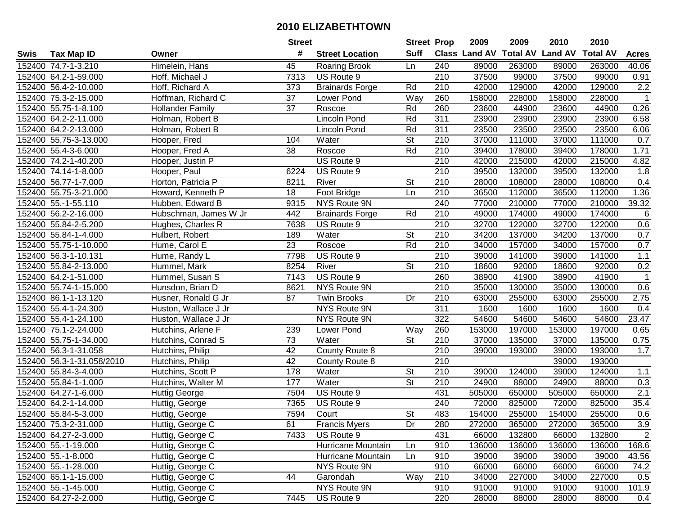|      |                           |                         | <b>Street</b>   |                        | <b>Street Prop</b>       |                  | 2009          | 2009   | 2010                    | 2010            |                  |
|------|---------------------------|-------------------------|-----------------|------------------------|--------------------------|------------------|---------------|--------|-------------------------|-----------------|------------------|
| Swis | <b>Tax Map ID</b>         | Owner                   | #               | <b>Street Location</b> | <b>Suff</b>              |                  | Class Land AV |        | <b>Total AV Land AV</b> | <b>Total AV</b> | <b>Acres</b>     |
|      | 152400 74.7-1-3.210       | Himelein, Hans          | 45              | <b>Roaring Brook</b>   | Ln                       | 240              | 89000         | 263000 | 89000                   | 263000          | 40.06            |
|      | 152400 64.2-1-59.000      | Hoff, Michael J         | 7313            | US Route 9             |                          | 210              | 37500         | 99000  | 37500                   | 99000           | 0.91             |
|      | 152400 56.4-2-10.000      | Hoff, Richard A         | 373             | <b>Brainards Forge</b> | Rd                       | 210              | 42000         | 129000 | 42000                   | 129000          | 2.2              |
|      | 152400 75.3-2-15.000      | Hoffman, Richard C      | 37              | Lower Pond             | Way                      | 260              | 158000        | 228000 | 158000                  | 228000          | $\mathbf{1}$     |
|      | 152400 55.75-1-8.100      | <b>Hollander Family</b> | 37              | Roscoe                 | Rd                       | 260              | 23600         | 44900  | 23600                   | 44900           | 0.26             |
|      | 152400 64.2-2-11.000      | Holman, Robert B        |                 | Lincoln Pond           | Rd                       | 311              | 23900         | 23900  | 23900                   | 23900           | 6.58             |
|      | 152400 64.2-2-13.000      | Holman, Robert B        |                 | Lincoln Pond           | Rd                       | 311              | 23500         | 23500  | 23500                   | 23500           | 6.06             |
|      | 152400 55.75-3-13.000     | Hooper, Fred            | 104             | Water                  | $\overline{\mathsf{St}}$ | $\overline{210}$ | 37000         | 111000 | 37000                   | 111000          | 0.7              |
|      | 152400 55.4-3-6.000       | Hooper, Fred A          | 38              | Roscoe                 | Rd                       | $\overline{210}$ | 39400         | 178000 | 39400                   | 178000          | 1.71             |
|      | 152400 74.2-1-40.200      | Hooper, Justin P        |                 | US Route 9             |                          | 210              | 42000         | 215000 | 42000                   | 215000          | 4.82             |
|      | 152400 74.14-1-8.000      | Hooper, Paul            | 6224            | US Route 9             |                          | 210              | 39500         | 132000 | 39500                   | 132000          | 1.8              |
|      | 152400 56.77-1-7.000      | Horton, Patricia P      | 8211            | River                  | <b>St</b>                | 210              | 28000         | 108000 | 28000                   | 108000          | 0.4              |
|      | 152400 55.75-3-21.000     | Howard, Kenneth P       | 18              | Foot Bridge            | Ln                       | 210              | 36500         | 112000 | 36500                   | 112000          | 1.36             |
|      | 152400 55.-1-55.110       | Hubben, Edward B        | 9315            | NYS Route 9N           |                          | 240              | 77000         | 210000 | 77000                   | 210000          | 39.32            |
|      | 152400 56.2-2-16.000      | Hubschman, James W Jr   | 442             | <b>Brainards Forge</b> | Rd                       | 210              | 49000         | 174000 | 49000                   | 174000          | 6                |
|      | 152400 55.84-2-5.200      | Hughes, Charles R       | 7638            | US Route 9             |                          | 210              | 32700         | 122000 | 32700                   | 122000          | 0.6              |
|      | 152400 55.84-1-4.000      | Hulbert, Robert         | 189             | Water                  | <b>St</b>                | 210              | 34200         | 137000 | 34200                   | 137000          | 0.7              |
|      | 152400 55.75-1-10.000     | Hume, Carol E           | 23              | Roscoe                 | Rd                       | 210              | 34000         | 157000 | 34000                   | 157000          | 0.7              |
|      | 152400 56.3-1-10.131      | Hume, Randy L           | 7798            | US Route 9             |                          | 210              | 39000         | 141000 | 39000                   | 141000          | 1.1              |
|      | 152400 55.84-2-13.000     | Hummel, Mark            | 8254            | River                  | <b>St</b>                | 210              | 18600         | 92000  | 18600                   | 92000           | 0.2              |
|      | 152400 64.2-1-51.000      | Hummel, Susan S         | 7143            | US Route 9             |                          | 260              | 38900         | 41900  | 38900                   | 41900           | $\mathbf{1}$     |
|      | 152400 55.74-1-15.000     | Hunsdon, Brian D        | 8621            | NYS Route 9N           |                          | 210              | 35000         | 130000 | 35000                   | 130000          | 0.6              |
|      | 152400 86.1-1-13.120      | Husner, Ronald G Jr     | 87              | <b>Twin Brooks</b>     | Dr                       | 210              | 63000         | 255000 | 63000                   | 255000          | 2.75             |
|      | 152400 55.4-1-24.300      | Huston, Wallace J Jr    |                 | NYS Route 9N           |                          | 311              | 1600          | 1600   | 1600                    | 1600            | 0.4              |
|      | 152400 55.4-1-24.100      | Huston, Wallace J Jr    |                 | NYS Route 9N           |                          | 322              | 54600         | 54600  | 54600                   | 54600           | 23.47            |
|      | 152400 75.1-2-24.000      | Hutchins, Arlene F      | 239             | Lower Pond             | Way                      | 260              | 153000        | 197000 | 153000                  | 197000          | 0.65             |
|      | 152400 55.75-1-34.000     | Hutchins, Conrad S      | 73              | Water                  | <b>St</b>                | 210              | 37000         | 135000 | 37000                   | 135000          | 0.75             |
|      | 152400 56.3-1-31.058      | Hutchins, Philip        | 42              | County Route 8         |                          | 210              | 39000         | 193000 | 39000                   | 193000          | 1.7              |
|      | 152400 56.3-1-31.058/2010 | Hutchins, Philip        | $\overline{42}$ | County Route 8         |                          | 210              |               |        | 39000                   | 193000          |                  |
|      | 152400 55.84-3-4.000      | Hutchins, Scott P       | 178             | Water                  | $\overline{\mathsf{St}}$ | 210              | 39000         | 124000 | 39000                   | 124000          | 1.1              |
|      | 152400 55.84-1-1.000      | Hutchins, Walter M      | 177             | Water                  | $\overline{\mathsf{St}}$ | 210              | 24900         | 88000  | 24900                   | 88000           | 0.3              |
|      | 152400 64.27-1-6.000      | <b>Huttig George</b>    | 7504            | US Route 9             |                          | 431              | 505000        | 650000 | 505000                  | 650000          | $\overline{2.1}$ |
|      | 152400 64.2-1-14.000      | Huttig, George          | 7365            | US Route 9             |                          | 240              | 72000         | 825000 | 72000                   | 825000          | 35.4             |
|      | 152400 55.84-5-3.000      | Huttig, George          | 7594            | Court                  | $\overline{\mathsf{St}}$ | 483              | 154000        | 255000 | 154000                  | 255000          | 0.6              |
|      | 152400 75.3-2-31.000      | Huttig, George C        | 61              | <b>Francis Myers</b>   | Dr                       | 280              | 272000        | 365000 | 272000                  | 365000          | 3.9              |
|      | 152400 64.27-2-3.000      | Huttig, George C        | 7433            | US Route 9             |                          | 431              | 66000         | 132800 | 66000                   | 132800          | 2                |
|      | 152400 55.-1-19.000       | Huttig, George C        |                 | Hurricane Mountain     | Ln                       | 910              | 136000        | 136000 | 136000                  | 136000          | 168.6            |
|      | 152400 55.-1-8.000        | Huttig, George C        |                 | Hurricane Mountain     | Ln                       | 910              | 39000         | 39000  | 39000                   | 39000           | 43.56            |
|      | 152400 55.-1-28.000       | Huttig, George C        |                 | NYS Route 9N           |                          | 910              | 66000         | 66000  | 66000                   | 66000           | 74.2             |
|      | 152400 65.1-1-15.000      | Huttig, George C        | 44              | Garondah               | Way                      | 210              | 34000         | 227000 | 34000                   | 227000          | 0.5              |
|      | 152400 55.-1-45.000       | Huttig, George C        |                 | NYS Route 9N           |                          | 910              | 91000         | 91000  | 91000                   | 91000           | 101.9            |
|      | 152400 64.27-2-2.000      | Huttig, George C        | 7445            | US Route 9             |                          | 220              | 28000         | 88000  | 28000                   | 88000           | 0.4              |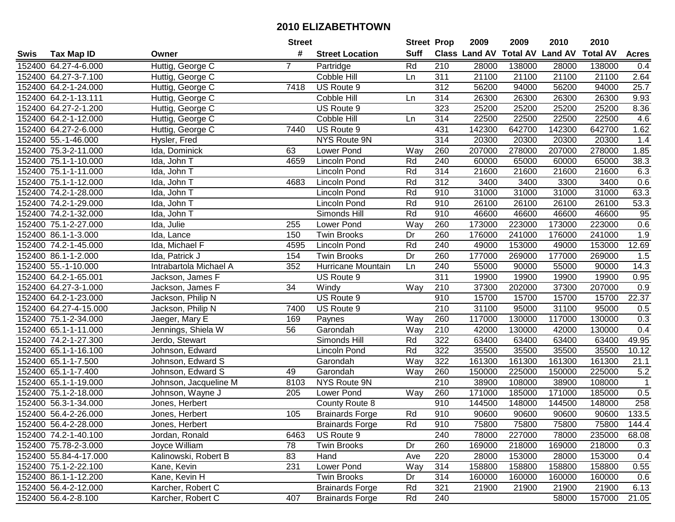|      |                       |                        | <b>Street</b> |                        | <b>Street Prop</b> |     | 2009                 | 2009   | 2010                    | 2010            |                |
|------|-----------------------|------------------------|---------------|------------------------|--------------------|-----|----------------------|--------|-------------------------|-----------------|----------------|
| Swis | <b>Tax Map ID</b>     | Owner                  | #             | <b>Street Location</b> | <b>Suff</b>        |     | <b>Class Land AV</b> |        | <b>Total AV Land AV</b> | <b>Total AV</b> | <b>Acres</b>   |
|      | 152400 64.27-4-6.000  | Huttig, George C       | 7             | Partridge              | Rd                 | 210 | 28000                | 138000 | 28000                   | 138000          | 0.4            |
|      | 152400 64.27-3-7.100  | Huttig, George C       |               | Cobble Hill            | Ln                 | 311 | 21100                | 21100  | 21100                   | 21100           | 2.64           |
|      | 152400 64.2-1-24.000  | Huttig, George C       | 7418          | US Route 9             |                    | 312 | 56200                | 94000  | 56200                   | 94000           | 25.7           |
|      | 152400 64.2-1-13.111  | Huttig, George C       |               | Cobble Hill            | Ln                 | 314 | 26300                | 26300  | 26300                   | 26300           | 9.93           |
|      | 152400 64.27-2-1.200  | Huttig, George C       |               | US Route 9             |                    | 323 | 25200                | 25200  | 25200                   | 25200           | 8.36           |
|      | 152400 64.2-1-12.000  | Huttig, George C       |               | Cobble Hill            | Ln                 | 314 | 22500                | 22500  | 22500                   | 22500           | 4.6            |
|      | 152400 64.27-2-6.000  | Huttig, George C       | 7440          | US Route 9             |                    | 431 | 142300               | 642700 | 142300                  | 642700          | 1.62           |
|      | 152400 55.-1-46.000   | Hysler, Fred           |               | <b>NYS Route 9N</b>    |                    | 314 | 20300                | 20300  | 20300                   | 20300           | 1.4            |
|      | 152400 75.3-2-11.000  | Ida, Dominick          | 63            | Lower Pond             | Way                | 260 | 207000               | 278000 | 207000                  | 278000          | 1.85           |
|      | 152400 75.1-1-10.000  | Ida, John T            | 4659          | Lincoln Pond           | Rd                 | 240 | 60000                | 65000  | 60000                   | 65000           | 38.3           |
|      | 152400 75.1-1-11.000  | Ida, John T            |               | Lincoln Pond           | Rd                 | 314 | 21600                | 21600  | 21600                   | 21600           | 6.3            |
|      | 152400 75.1-1-12.000  | Ida, John T            | 4683          | <b>Lincoln Pond</b>    | Rd                 | 312 | 3400                 | 3400   | 3300                    | 3400            | 0.6            |
|      | 152400 74.2-1-28.000  | Ida, John T            |               | Lincoln Pond           | Rd                 | 910 | 31000                | 31000  | 31000                   | 31000           | 63.3           |
|      | 152400 74.2-1-29.000  | Ida, John T            |               | Lincoln Pond           | Rd                 | 910 | 26100                | 26100  | 26100                   | 26100           | 53.3           |
|      | 152400 74.2-1-32.000  | Ida, John T            |               | Simonds Hill           | Rd                 | 910 | 46600                | 46600  | 46600                   | 46600           | 95             |
|      | 152400 75.1-2-27.000  | Ida, Julie             | 255           | Lower Pond             | Way                | 260 | 173000               | 223000 | 173000                  | 223000          | 0.6            |
|      | 152400 86.1-1-3.000   | Ida, Lance             | 150           | <b>Twin Brooks</b>     | Dr                 | 260 | 176000               | 241000 | 176000                  | 241000          | 1.9            |
|      | 152400 74.2-1-45.000  | Ida, Michael F         | 4595          | <b>Lincoln Pond</b>    | Rd                 | 240 | 49000                | 153000 | 49000                   | 153000          | 12.69          |
|      | 152400 86.1-1-2.000   | Ida, Patrick J         | 154           | <b>Twin Brooks</b>     | Dr                 | 260 | 177000               | 269000 | 177000                  | 269000          | 1.5            |
|      | 152400 55.-1-10.000   | Intrabartola Michael A | 352           | Hurricane Mountain     | Ln                 | 240 | 55000                | 90000  | 55000                   | 90000           | 14.3           |
|      | 152400 64.2-1-65.001  | Jackson, James F       |               | US Route 9             |                    | 311 | 19900                | 19900  | 19900                   | 19900           | 0.95           |
|      | 152400 64.27-3-1.000  | Jackson, James F       | 34            | Windy                  | Way                | 210 | 37300                | 202000 | 37300                   | 207000          | 0.9            |
|      | 152400 64.2-1-23.000  | Jackson, Philip N      |               | US Route 9             |                    | 910 | 15700                | 15700  | 15700                   | 15700           | 22.37          |
|      | 152400 64.27-4-15.000 | Jackson, Philip N      | 7400          | US Route 9             |                    | 210 | 31100                | 95000  | 31100                   | 95000           | 0.5            |
|      | 152400 75.1-2-34.000  | Jaeger, Mary E         | 169           | Paynes                 | Way                | 260 | 117000               | 130000 | 117000                  | 130000          | 0.3            |
|      | 152400 65.1-1-11.000  | Jennings, Shiela W     | 56            | Garondah               | Way                | 210 | 42000                | 130000 | 42000                   | 130000          | 0.4            |
|      | 152400 74.2-1-27.300  | Jerdo, Stewart         |               | Simonds Hill           | Rd                 | 322 | 63400                | 63400  | 63400                   | 63400           | 49.95          |
|      | 152400 65.1-1-16.100  | Johnson, Edward        |               | Lincoln Pond           | Rd                 | 322 | 35500                | 35500  | 35500                   | 35500           | 10.12          |
|      | 152400 65.1-1-7.500   | Johnson, Edward S      |               | Garondah               | Way                | 322 | 161300               | 161300 | 161300                  | 161300          | 21.1           |
|      | 152400 65.1-1-7.400   | Johnson, Edward S      | 49            | Garondah               | Way                | 260 | 150000               | 225000 | 150000                  | 225000          | 5.2            |
|      | 152400 65.1-1-19.000  | Johnson, Jacqueline M  | 8103          | NYS Route 9N           |                    | 210 | 38900                | 108000 | 38900                   | 108000          | $\overline{1}$ |
|      | 152400 75.1-2-18.000  | Johnson, Wayne J       | 205           | Lower Pond             | Way                | 260 | 171000               | 185000 | 171000                  | 185000          | 0.5            |
|      | 152400 56.3-1-34.000  | Jones, Herbert         |               | County Route 8         |                    | 910 | 144500               | 148000 | 144500                  | 148000          | 258            |
|      | 152400 56.4-2-26.000  | Jones, Herbert         | 105           | <b>Brainards Forge</b> | Rd                 | 910 | 90600                | 90600  | 90600                   | 90600           | 133.5          |
|      | 152400 56.4-2-28.000  | Jones, Herbert         |               | <b>Brainards Forge</b> | Rd                 | 910 | 75800                | 75800  | 75800                   | 75800           | 144.4          |
|      | 152400 74.2-1-40.100  | Jordan, Ronald         | 6463          | US Route 9             |                    | 240 | 78000                | 227000 | 78000                   | 235000          | 68.08          |
|      | 152400 75.78-2-3.000  | Joyce William          | 78            | <b>Twin Brooks</b>     | Dr                 | 260 | 169000               | 218000 | 169000                  | 218000          | 0.3            |
|      | 152400 55.84-4-17.000 | Kalinowski, Robert B   | 83            | Hand                   | Ave                | 220 | 28000                | 153000 | 28000                   | 153000          | 0.4            |
|      | 152400 75.1-2-22.100  | Kane, Kevin            | 231           | Lower Pond             | Way                | 314 | 158800               | 158800 | 158800                  | 158800          | 0.55           |
|      | 152400 86.1-1-12.200  | Kane, Kevin H          |               | <b>Twin Brooks</b>     | Dr                 | 314 | 160000               | 160000 | 160000                  | 160000          | 0.6            |
|      | 152400 56.4-2-12.000  | Karcher, Robert C      |               | <b>Brainards Forge</b> | Rd                 | 321 | 21900                | 21900  | 21900                   | 21900           | 6.13           |
|      | 152400 56.4-2-8.100   | Karcher, Robert C      | 407           | <b>Brainards Forge</b> | Rd                 | 240 |                      |        | 58000                   | 157000          | 21.05          |
|      |                       |                        |               |                        |                    |     |                      |        |                         |                 |                |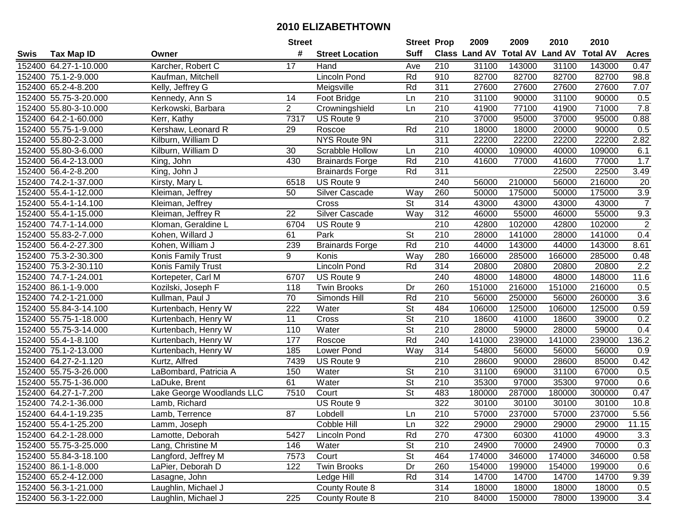|      |                       |                           | <b>Street</b>   |                        | <b>Street Prop</b>       |                  | 2009                 | 2009   | 2010                    | 2010            |                  |
|------|-----------------------|---------------------------|-----------------|------------------------|--------------------------|------------------|----------------------|--------|-------------------------|-----------------|------------------|
| Swis | <b>Tax Map ID</b>     | Owner                     | #               | <b>Street Location</b> | <b>Suff</b>              |                  | <b>Class Land AV</b> |        | <b>Total AV Land AV</b> | <b>Total AV</b> | <b>Acres</b>     |
|      | 152400 64.27-1-10.000 | Karcher, Robert C         | 17              | Hand                   | Ave                      | 210              | 31100                | 143000 | 31100                   | 143000          | 0.47             |
|      | 152400 75.1-2-9.000   | Kaufman, Mitchell         |                 | <b>Lincoln Pond</b>    | Rd                       | 910              | 82700                | 82700  | 82700                   | 82700           | 98.8             |
|      | 152400 65.2-4-8.200   | Kelly, Jeffrey G          |                 | Meigsville             | Rd                       | 311              | 27600                | 27600  | 27600                   | 27600           | 7.07             |
|      | 152400 55.75-3-20.000 | Kennedy, Ann S            | 14              | Foot Bridge            | Ln                       | 210              | 31100                | 90000  | 31100                   | 90000           | 0.5              |
|      | 152400 55.80-3-10.000 | Kerkowski, Barbara        | $\overline{2}$  | Crowningshield         | Ln                       | 210              | 41900                | 77100  | 41900                   | 71000           | 7.8              |
|      | 152400 64.2-1-60.000  | Kerr, Kathy               | 7317            | US Route 9             |                          | $\overline{210}$ | 37000                | 95000  | 37000                   | 95000           | 0.88             |
|      | 152400 55.75-1-9.000  | Kershaw, Leonard R        | 29              | Roscoe                 | Rd                       | 210              | 18000                | 18000  | 20000                   | 90000           | 0.5              |
|      | 152400 55.80-2-3.000  | Kilburn, William D        |                 | <b>NYS Route 9N</b>    |                          | 311              | 22200                | 22200  | 22200                   | 22200           | 2.82             |
|      | 152400 55.80-3-6.000  | Kilburn, William D        | 30              | Scrabble Hollow        | Ln                       | $\overline{210}$ | 40000                | 109000 | 40000                   | 109000          | 6.1              |
|      | 152400 56.4-2-13.000  | King, John                | 430             | <b>Brainards Forge</b> | Rd                       | 210              | 41600                | 77000  | 41600                   | 77000           | 1.7              |
|      | 152400 56.4-2-8.200   | King, John J              |                 | <b>Brainards Forge</b> | Rd                       | 311              |                      |        | 22500                   | 22500           | 3.49             |
|      | 152400 74.2-1-37.000  | Kirsty, Mary L            | 6518            | US Route 9             |                          | 240              | 56000                | 210000 | 56000                   | 216000          | 20               |
|      | 152400 55.4-1-12.000  | Kleiman, Jeffrey          | 50              | Silver Cascade         | Way                      | 260              | 50000                | 175000 | 50000                   | 175000          | $\overline{3.9}$ |
|      | 152400 55.4-1-14.100  | Kleiman, Jeffrey          |                 | Cross                  | <b>St</b>                | 314              | 43000                | 43000  | 43000                   | 43000           | $\overline{7}$   |
|      | 152400 55.4-1-15.000  | Kleiman, Jeffrey R        | 22              | <b>Silver Cascade</b>  | Way                      | 312              | 46000                | 55000  | 46000                   | 55000           | 9.3              |
|      | 152400 74.7-1-14.000  | Kloman, Geraldine L       | 6704            | US Route 9             |                          | 210              | 42800                | 102000 | 42800                   | 102000          | $\overline{c}$   |
|      | 152400 55.83-2-7.000  | Kohen, Willard J          | 61              | Park                   | <b>St</b>                | 210              | 28000                | 141000 | 28000                   | 141000          | 0.4              |
|      | 152400 56.4-2-27.300  | Kohen, William J          | 239             | <b>Brainards Forge</b> | Rd                       | 210              | 44000                | 143000 | 44000                   | 143000          | 8.61             |
|      | 152400 75.3-2-30.300  | Konis Family Trust        | 9               | Konis                  | Way                      | 280              | 166000               | 285000 | 166000                  | 285000          | 0.48             |
|      | 152400 75.3-2-30.110  | Konis Family Trust        |                 | <b>Lincoln Pond</b>    | Rd                       | 314              | 20800                | 20800  | 20800                   | 20800           | 2.2              |
|      | 152400 74.7-1-24.001  | Kortepeter, Carl M        | 6707            | US Route 9             |                          | 240              | 48000                | 148000 | 48000                   | 148000          | 11.6             |
|      | 152400 86.1-1-9.000   | Kozilski, Joseph F        | 118             | Twin Brooks            | Dr                       | 260              | 151000               | 216000 | 151000                  | 216000          | 0.5              |
|      | 152400 74.2-1-21.000  | Kullman, Paul J           | 70              | Simonds Hill           | Rd                       | 210              | 56000                | 250000 | 56000                   | 260000          | 3.6              |
|      | 152400 55.84-3-14.100 | Kurtenbach, Henry W       | 222             | Water                  | <b>St</b>                | 484              | 106000               | 125000 | 106000                  | 125000          | 0.59             |
|      | 152400 55.75-1-18.000 | Kurtenbach, Henry W       | $\overline{11}$ | Cross                  | $\overline{\mathsf{St}}$ | 210              | 18600                | 41000  | 18600                   | 39000           | 0.2              |
|      | 152400 55.75-3-14.000 | Kurtenbach, Henry W       | 110             | Water                  | $\overline{\mathsf{St}}$ | 210              | 28000                | 59000  | 28000                   | 59000           | 0.4              |
|      | 152400 55.4-1-8.100   | Kurtenbach, Henry W       | 177             | Roscoe                 | Rd                       | 240              | 141000               | 239000 | 141000                  | 239000          | 136.2            |
|      | 152400 75.1-2-13.000  | Kurtenbach, Henry W       | 185             | Lower Pond             | Way                      | 314              | 54800                | 56000  | 56000                   | 56000           | 0.9              |
|      | 152400 64.27-2-1.120  | Kurtz, Alfred             | 7439            | US Route 9             |                          | $\overline{210}$ | 28600                | 90000  | 28600                   | 85000           | 0.42             |
|      | 152400 55.75-3-26.000 | LaBombard, Patricia A     | 150             | Water                  | $\overline{\mathsf{St}}$ | 210              | 31100                | 69000  | 31100                   | 67000           | 0.5              |
|      | 152400 55.75-1-36.000 | LaDuke, Brent             | 61              | Water                  | $\overline{\mathsf{St}}$ | $\overline{210}$ | 35300                | 97000  | 35300                   | 97000           | 0.6              |
|      | 152400 64.27-1-7.200  | Lake George Woodlands LLC | 7510            | Court                  | $\overline{\mathsf{St}}$ | 483              | 180000               | 287000 | 180000                  | 300000          | 0.47             |
|      | 152400 74.2-1-36.000  | Lamb, Richard             |                 | US Route 9             |                          | 322              | 30100                | 30100  | 30100                   | 30100           | 10.8             |
|      | 152400 64.4-1-19.235  | Lamb, Terrence            | $\overline{87}$ | Lobdell                | Ln                       | 210              | 57000                | 237000 | 57000                   | 237000          | 5.56             |
|      | 152400 55.4-1-25.200  | Lamm, Joseph              |                 | Cobble Hill            | Ln                       | 322              | 29000                | 29000  | 29000                   | 29000           | 11.15            |
|      | 152400 64.2-1-28.000  | Lamotte, Deborah          | 5427            | Lincoln Pond           | Rd                       | 270              | 47300                | 60300  | 41000                   | 49000           | 3.3              |
|      | 152400 55.75-3-25.000 | Lang, Christine M         | 146             | Water                  | <b>St</b>                | 210              | 24900                | 70000  | 24900                   | 70000           | 0.3              |
|      | 152400 55.84-3-18.100 | Langford, Jeffrey M       | 7573            | Court                  | <b>St</b>                | 464              | 174000               | 346000 | 174000                  | 346000          | 0.58             |
|      | 152400 86.1-1-8.000   | LaPier, Deborah D         | 122             | <b>Twin Brooks</b>     | Dr                       | 260              | 154000               | 199000 | 154000                  | 199000          | 0.6              |
|      | 152400 65.2-4-12.000  | Lasagne, John             |                 | Ledge Hill             | Rd                       | 314              | 14700                | 14700  | 14700                   | 14700           | 9.39             |
|      | 152400 56.3-1-21.000  | Laughlin, Michael J       |                 | County Route 8         |                          | 314              | 18000                | 18000  | 18000                   | 18000           | 0.5              |
|      | 152400 56.3-1-22.000  | Laughlin, Michael J       | 225             | County Route 8         |                          | 210              | 84000                | 150000 | 78000                   | 139000          | 3.4              |
|      |                       |                           |                 |                        |                          |                  |                      |        |                         |                 |                  |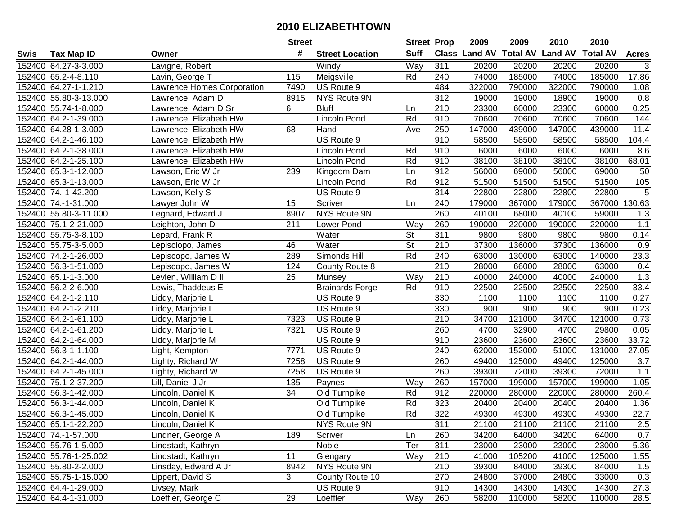|      |                       |                            | <b>Street</b> |                        | <b>Street Prop</b>       |     | 2009                 | 2009            | 2010           | 2010            |                |
|------|-----------------------|----------------------------|---------------|------------------------|--------------------------|-----|----------------------|-----------------|----------------|-----------------|----------------|
| Swis | <b>Tax Map ID</b>     | Owner                      | #             | <b>Street Location</b> | <b>Suff</b>              |     | <b>Class Land AV</b> | <b>Total AV</b> | <b>Land AV</b> | <b>Total AV</b> | <b>Acres</b>   |
|      | 152400 64.27-3-3.000  | Lavigne, Robert            |               | Windy                  | Way                      | 311 | 20200                | 20200           | 20200          | 20200           | 3              |
|      | 152400 65.2-4-8.110   | Lavin, George T            | 115           | Meigsville             | Rd                       | 240 | 74000                | 185000          | 74000          | 185000          | 17.86          |
|      | 152400 64.27-1-1.210  | Lawrence Homes Corporation | 7490          | US Route 9             |                          | 484 | 322000               | 790000          | 322000         | 790000          | 1.08           |
|      | 152400 55.80-3-13.000 | Lawrence, Adam D           | 8915          | NYS Route 9N           |                          | 312 | 19000                | 19000           | 18900          | 19000           | 0.8            |
|      | 152400 55.74-1-8.000  | Lawrence, Adam D Sr        | 6             | <b>Bluff</b>           | Ln                       | 210 | 23300                | 60000           | 23300          | 60000           | 0.25           |
|      | 152400 64.2-1-39.000  | Lawrence, Elizabeth HW     |               | <b>Lincoln Pond</b>    | Rd                       | 910 | 70600                | 70600           | 70600          | 70600           | 144            |
|      | 152400 64.28-1-3.000  | Lawrence, Elizabeth HW     | 68            | Hand                   | Ave                      | 250 | 147000               | 439000          | 147000         | 439000          | 11.4           |
|      | 152400 64.2-1-46.100  | Lawrence, Elizabeth HW     |               | US Route 9             |                          | 910 | 58500                | 58500           | 58500          | 58500           | 104.4          |
|      | 152400 64.2-1-38.000  | Lawrence, Elizabeth HW     |               | Lincoln Pond           | Rd                       | 910 | 6000                 | 6000            | 6000           | 6000            | 8.6            |
|      | 152400 64.2-1-25.100  | Lawrence, Elizabeth HW     |               | <b>Lincoln Pond</b>    | Rd                       | 910 | 38100                | 38100           | 38100          | 38100           | 68.01          |
|      | 152400 65.3-1-12.000  | Lawson, Eric W Jr          | 239           | Kingdom Dam            | Ln                       | 912 | 56000                | 69000           | 56000          | 69000           | 50             |
|      | 152400 65.3-1-13.000  | Lawson, Eric W Jr          |               | <b>Lincoln Pond</b>    | Rd                       | 912 | 51500                | 51500           | 51500          | 51500           | 105            |
|      | 152400 74.-1-42.200   | Lawson, Kelly S            |               | US Route 9             |                          | 314 | 22800                | 22800           | 22800          | 22800           | $\overline{5}$ |
|      | 152400 74.-1-31.000   | Lawyer John W              | 15            | Scriver                | Ln                       | 240 | 179000               | 367000          | 179000         | 367000          | 130.63         |
|      | 152400 55.80-3-11.000 | Legnard, Edward J          | 8907          | NYS Route 9N           |                          | 260 | 40100                | 68000           | 40100          | 59000           | 1.3            |
|      | 152400 75.1-2-21.000  | Leighton, John D           | 211           | Lower Pond             | Way                      | 260 | 190000               | 220000          | 190000         | 220000          | 1.1            |
|      | 152400 55.75-3-8.100  | Lepard, Frank R            |               | Water                  | <b>St</b>                | 311 | 9800                 | 9800            | 9800           | 9800            | 0.14           |
|      | 152400 55.75-3-5.000  | Lepisciopo, James          | 46            | Water                  | $\overline{\mathsf{St}}$ | 210 | 37300                | 136000          | 37300          | 136000          | 0.9            |
|      | 152400 74.2-1-26.000  | Lepiscopo, James W         | 289           | Simonds Hill           | Rd                       | 240 | 63000                | 130000          | 63000          | 140000          | 23.3           |
|      | 152400 56.3-1-51.000  | Lepiscopo, James W         | 124           | County Route 8         |                          | 210 | 28000                | 66000           | 28000          | 63000           | 0.4            |
|      | 152400 65.1-1-3.000   | Levien, William D II       | 25            | Munsey                 | Way                      | 210 | 40000                | 240000          | 40000          | 240000          | 1.3            |
|      | 152400 56.2-2-6.000   | Lewis, Thaddeus E          |               | <b>Brainards Forge</b> | Rd                       | 910 | 22500                | 22500           | 22500          | 22500           | 33.4           |
|      | 152400 64.2-1-2.110   | Liddy, Marjorie L          |               | US Route 9             |                          | 330 | 1100                 | 1100            | 1100           | 1100            | 0.27           |
|      | 152400 64.2-1-2.210   | Liddy, Marjorie L          |               | US Route 9             |                          | 330 | 900                  | 900             | 900            | 900             | 0.23           |
|      | 152400 64.2-1-61.100  | Liddy, Marjorie L          | 7323          | US Route 9             |                          | 210 | 34700                | 121000          | 34700          | 121000          | 0.73           |
|      | 152400 64.2-1-61.200  | Liddy, Marjorie L          | 7321          | US Route 9             |                          | 260 | 4700                 | 32900           | 4700           | 29800           | 0.05           |
|      | 152400 64.2-1-64.000  | Liddy, Marjorie M          |               | US Route 9             |                          | 910 | 23600                | 23600           | 23600          | 23600           | 33.72          |
|      | 152400 56.3-1-1.100   | Light, Kempton             | 7771          | US Route 9             |                          | 240 | 62000                | 152000          | 51000          | 131000          | 27.05          |
|      | 152400 64.2-1-44.000  | Lighty, Richard W          | 7258          | US Route 9             |                          | 260 | 49400                | 125000          | 49400          | 125000          | 3.7            |
|      | 152400 64.2-1-45.000  | Lighty, Richard W          | 7258          | US Route 9             |                          | 260 | 39300                | 72000           | 39300          | 72000           | 1.1            |
|      | 152400 75.1-2-37.200  | Lill, Daniel J Jr          | 135           | Paynes                 | Way                      | 260 | 157000               | 199000          | 157000         | 199000          | 1.05           |
|      | 152400 56.3-1-42.000  | Lincoln, Daniel K          | 34            | Old Turnpike           | Rd                       | 912 | 220000               | 280000          | 220000         | 280000          | 260.4          |
|      | 152400 56.3-1-44.000  | Lincoln, Daniel K          |               | Old Turnpike           | Rd                       | 323 | 20400                | 20400           | 20400          | 20400           | 1.36           |
|      | 152400 56.3-1-45.000  | Lincoln, Daniel K          |               | Old Turnpike           | Rd                       | 322 | 49300                | 49300           | 49300          | 49300           | 22.7           |
|      | 152400 65.1-1-22.200  | Lincoln, Daniel K          |               | NYS Route 9N           |                          | 311 | 21100                | 21100           | 21100          | 21100           | 2.5            |
|      | 152400 74.-1-57.000   | Lindner, George A          | 189           | Scriver                | Ln                       | 260 | 34200                | 64000           | 34200          | 64000           | 0.7            |
|      | 152400 55.76-1-5.000  | Lindstadt, Kathryn         |               | Noble                  | Ter                      | 311 | 23000                | 23000           | 23000          | 23000           | 5.36           |
|      | 152400 55.76-1-25.002 | Lindstadt, Kathryn         | 11            | Glengary               | Way                      | 210 | 41000                | 105200          | 41000          | 125000          | 1.55           |
|      | 152400 55.80-2-2.000  | Linsday, Edward A Jr       | 8942          | NYS Route 9N           |                          | 210 | 39300                | 84000           | 39300          | 84000           | 1.5            |
|      | 152400 55.75-1-15.000 | Lippert, David S           | 3             | County Route 10        |                          | 270 | 24800                | 37000           | 24800          | 33000           | 0.3            |
|      | 152400 64.4-1-29.000  | Livsey, Mark               |               | US Route 9             |                          | 910 | 14300                | 14300           | 14300          | 14300           | 27.3           |
|      | 152400 64.4-1-31.000  | Loeffler, George C         | 29            | Loeffler               | Way                      | 260 | 58200                | 110000          | 58200          | 110000          | 28.5           |
|      |                       |                            |               |                        |                          |     |                      |                 |                |                 |                |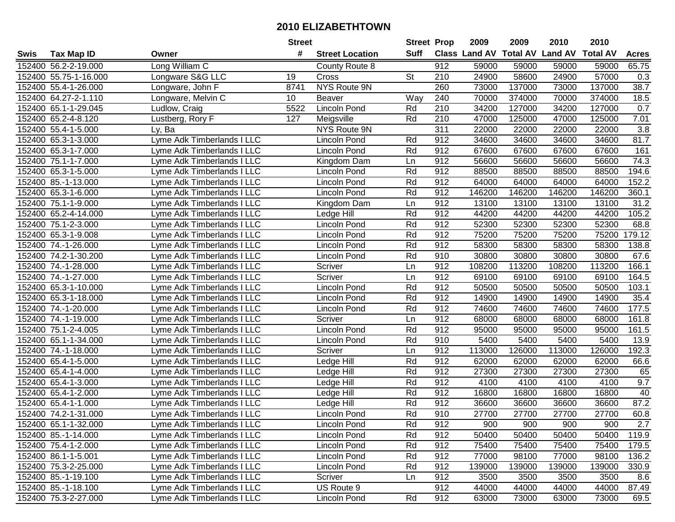|      |                       |                            | <b>Street</b>   |                        | <b>Street Prop</b> |     | 2009                 | 2009   | 2010                    | 2010            |              |
|------|-----------------------|----------------------------|-----------------|------------------------|--------------------|-----|----------------------|--------|-------------------------|-----------------|--------------|
| Swis | <b>Tax Map ID</b>     | Owner                      | #               | <b>Street Location</b> | <b>Suff</b>        |     | <b>Class Land AV</b> |        | <b>Total AV Land AV</b> | <b>Total AV</b> | <b>Acres</b> |
|      | 152400 56.2-2-19.000  | Long William C             |                 | County Route 8         |                    | 912 | 59000                | 59000  | 59000                   | 59000           | 65.75        |
|      | 152400 55.75-1-16.000 | Longware S&G LLC           | 19              | Cross                  | <b>St</b>          | 210 | 24900                | 58600  | 24900                   | 57000           | 0.3          |
|      | 152400 55.4-1-26.000  | Longware, John F           | 8741            | NYS Route 9N           |                    | 260 | 73000                | 137000 | 73000                   | 137000          | 38.7         |
|      | 152400 64.27-2-1.110  | Longware, Melvin C         | 10 <sup>1</sup> | <b>Beaver</b>          | Way                | 240 | 70000                | 374000 | 70000                   | 374000          | 18.5         |
|      | 152400 65.1-1-29.045  | Ludlow, Craig              | 5522            | <b>Lincoln Pond</b>    | Rd                 | 210 | 34200                | 127000 | 34200                   | 127000          | 0.7          |
|      | 152400 65.2-4-8.120   | Lustberg, Rory F           | 127             | Meigsville             | Rd                 | 210 | 47000                | 125000 | 47000                   | 125000          | 7.01         |
|      | 152400 55.4-1-5.000   | Ly, Ba                     |                 | NYS Route 9N           |                    | 311 | 22000                | 22000  | 22000                   | 22000           | 3.8          |
|      | 152400 65.3-1-3.000   | Lyme Adk Timberlands I LLC |                 | <b>Lincoln Pond</b>    | Rd                 | 912 | 34600                | 34600  | 34600                   | 34600           | 81.7         |
|      | 152400 65.3-1-7.000   | Lyme Adk Timberlands I LLC |                 | <b>Lincoln Pond</b>    | Rd                 | 912 | 67600                | 67600  | 67600                   | 67600           | 161          |
|      | 152400 75.1-1-7.000   | Lyme Adk Timberlands I LLC |                 | Kingdom Dam            | Ln                 | 912 | 56600                | 56600  | 56600                   | 56600           | 74.3         |
|      | 152400 65.3-1-5.000   | Lyme Adk Timberlands I LLC |                 | Lincoln Pond           | Rd                 | 912 | 88500                | 88500  | 88500                   | 88500           | 194.6        |
|      | 152400 85.-1-13.000   | Lyme Adk Timberlands I LLC |                 | Lincoln Pond           | Rd                 | 912 | 64000                | 64000  | 64000                   | 64000           | 152.2        |
|      | 152400 65.3-1-6.000   | Lyme Adk Timberlands I LLC |                 | Lincoln Pond           | Rd                 | 912 | 146200               | 146200 | 146200                  | 146200          | 360.1        |
|      | 152400 75.1-1-9.000   | Lyme Adk Timberlands I LLC |                 | Kingdom Dam            | Ln                 | 912 | 13100                | 13100  | 13100                   | 13100           | 31.2         |
|      | 152400 65.2-4-14.000  | Lyme Adk Timberlands I LLC |                 | Ledge Hill             | Rd                 | 912 | 44200                | 44200  | 44200                   | 44200           | 105.2        |
|      | 152400 75.1-2-3.000   | Lyme Adk Timberlands I LLC |                 | <b>Lincoln Pond</b>    | Rd                 | 912 | 52300                | 52300  | 52300                   | 52300           | 68.8         |
|      | 152400 65.3-1-9.008   | Lyme Adk Timberlands I LLC |                 | Lincoln Pond           | Rd                 | 912 | 75200                | 75200  | 75200                   | 75200           | 179.12       |
|      | 152400 74.-1-26.000   | Lyme Adk Timberlands I LLC |                 | Lincoln Pond           | Rd                 | 912 | 58300                | 58300  | 58300                   | 58300           | 138.8        |
|      | 152400 74.2-1-30.200  | Lyme Adk Timberlands I LLC |                 | Lincoln Pond           | Rd                 | 910 | 30800                | 30800  | 30800                   | 30800           | 67.6         |
|      | 152400 74.-1-28.000   | Lyme Adk Timberlands I LLC |                 | Scriver                | Ln                 | 912 | 108200               | 113200 | 108200                  | 113200          | 166.1        |
|      | 152400 74.-1-27.000   | Lyme Adk Timberlands I LLC |                 | Scriver                | Ln                 | 912 | 69100                | 69100  | 69100                   | 69100           | 164.5        |
|      | 152400 65.3-1-10.000  | Lyme Adk Timberlands I LLC |                 | Lincoln Pond           | Rd                 | 912 | 50500                | 50500  | 50500                   | 50500           | 103.1        |
|      | 152400 65.3-1-18.000  | Lyme Adk Timberlands I LLC |                 | <b>Lincoln Pond</b>    | Rd                 | 912 | 14900                | 14900  | 14900                   | 14900           | 35.4         |
|      | 152400 74.-1-20.000   | Lyme Adk Timberlands I LLC |                 | Lincoln Pond           | Rd                 | 912 | 74600                | 74600  | 74600                   | 74600           | 177.5        |
|      | 152400 74.-1-19.000   | Lyme Adk Timberlands I LLC |                 | Scriver                | Ln                 | 912 | 68000                | 68000  | 68000                   | 68000           | 161.8        |
|      | 152400 75.1-2-4.005   | Lyme Adk Timberlands I LLC |                 | Lincoln Pond           | Rd                 | 912 | 95000                | 95000  | 95000                   | 95000           | 161.5        |
|      | 152400 65.1-1-34.000  | Lyme Adk Timberlands I LLC |                 | Lincoln Pond           | Rd                 | 910 | 5400                 | 5400   | 5400                    | 5400            | 13.9         |
|      | 152400 74.-1-18.000   | Lyme Adk Timberlands I LLC |                 | Scriver                | Ln                 | 912 | 113000               | 126000 | 113000                  | 126000          | 192.3        |
|      | 152400 65.4-1-5.000   | Lyme Adk Timberlands I LLC |                 | Ledge Hill             | Rd                 | 912 | 62000                | 62000  | 62000                   | 62000           | 66.6         |
|      | 152400 65.4-1-4.000   | Lyme Adk Timberlands I LLC |                 | Ledge Hill             | Rd                 | 912 | 27300                | 27300  | 27300                   | 27300           | 65           |
|      | 152400 65.4-1-3.000   | Lyme Adk Timberlands I LLC |                 | Ledge Hill             | Rd                 | 912 | 4100                 | 4100   | 4100                    | 4100            | 9.7          |
|      | 152400 65.4-1-2.000   | Lyme Adk Timberlands I LLC |                 | Ledge Hill             | Rd                 | 912 | 16800                | 16800  | 16800                   | 16800           | 40           |
|      | 152400 65.4-1-1.000   | Lyme Adk Timberlands I LLC |                 | Ledge Hill             | Rd                 | 912 | 36600                | 36600  | 36600                   | 36600           | 87.2         |
|      | 152400 74.2-1-31.000  | Lyme Adk Timberlands I LLC |                 | <b>Lincoln Pond</b>    | Rd                 | 910 | 27700                | 27700  | 27700                   | 27700           | 60.8         |
|      | 152400 65.1-1-32.000  | Lyme Adk Timberlands I LLC |                 | Lincoln Pond           | Rd                 | 912 | 900                  | 900    | 900                     | 900             | 2.7          |
|      | 152400 85.-1-14.000   | Lyme Adk Timberlands I LLC |                 | Lincoln Pond           | Rd                 | 912 | 50400                | 50400  | 50400                   | 50400           | 119.9        |
|      | 152400 75.4-1-2.000   | Lyme Adk Timberlands I LLC |                 | <b>Lincoln Pond</b>    | Rd                 | 912 | 75400                | 75400  | 75400                   | 75400           | 179.5        |
|      | 152400 86.1-1-5.001   | Lyme Adk Timberlands I LLC |                 | Lincoln Pond           | Rd                 | 912 | 77000                | 98100  | 77000                   | 98100           | 136.2        |
|      | 152400 75.3-2-25.000  | Lyme Adk Timberlands I LLC |                 | Lincoln Pond           | Rd                 | 912 | 139000               | 139000 | 139000                  | 139000          | 330.9        |
|      | 152400 85.-1-19.100   | Lyme Adk Timberlands I LLC |                 | Scriver                | Ln                 | 912 | 3500                 | 3500   | 3500                    | 3500            | 8.6          |
|      | 152400 85.-1-18.100   | Lyme Adk Timberlands I LLC |                 | US Route 9             |                    | 912 | 44000                | 44000  | 44000                   | 44000           | 87.49        |
|      | 152400 75.3-2-27.000  | Lyme Adk Timberlands I LLC |                 | Lincoln Pond           | Rd                 | 912 | 63000                | 73000  | 63000                   | 73000           | 69.5         |
|      |                       |                            |                 |                        |                    |     |                      |        |                         |                 |              |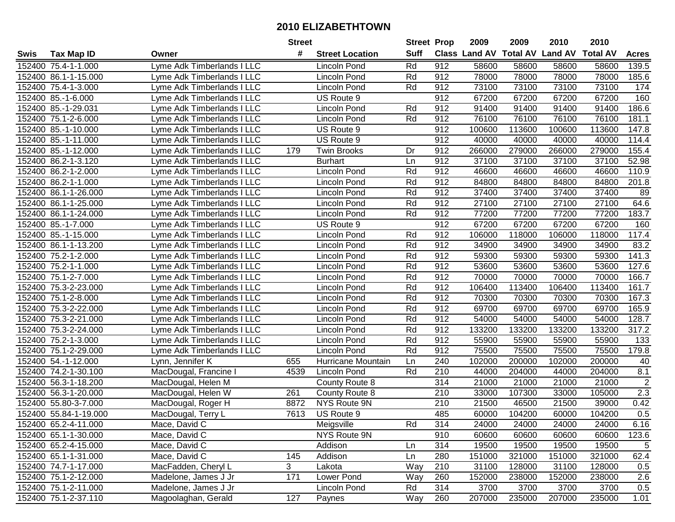|        |                       |                            | <b>Street</b> |                        | <b>Street Prop</b> |                  | 2009                 | 2009            | 2010           | 2010            |                |
|--------|-----------------------|----------------------------|---------------|------------------------|--------------------|------------------|----------------------|-----------------|----------------|-----------------|----------------|
| Swis   | Tax Map ID            | Owner                      | #             | <b>Street Location</b> | <b>Suff</b>        |                  | <b>Class Land AV</b> | <b>Total AV</b> | <b>Land AV</b> | <b>Total AV</b> | <b>Acres</b>   |
|        | 152400 75.4-1-1.000   | Lyme Adk Timberlands I LLC |               | <b>Lincoln Pond</b>    | Rd                 | 912              | 58600                | 58600           | 58600          | 58600           | 139.5          |
|        | 152400 86.1-1-15.000  | Lyme Adk Timberlands I LLC |               | Lincoln Pond           | Rd                 | 912              | 78000                | 78000           | 78000          | 78000           | 185.6          |
|        | 152400 75.4-1-3.000   | Lyme Adk Timberlands I LLC |               | Lincoln Pond           | Rd                 | 912              | 73100                | 73100           | 73100          | 73100           | 174            |
|        | 152400 85.-1-6.000    | Lyme Adk Timberlands I LLC |               | US Route 9             |                    | 912              | 67200                | 67200           | 67200          | 67200           | 160            |
|        | 152400 85.-1-29.031   | Lyme Adk Timberlands I LLC |               | <b>Lincoln Pond</b>    | Rd                 | 912              | 91400                | 91400           | 91400          | 91400           | 186.6          |
|        | 152400 75.1-2-6.000   | Lyme Adk Timberlands I LLC |               | Lincoln Pond           | Rd                 | 912              | 76100                | 76100           | 76100          | 76100           | 181.1          |
|        | 152400 85.-1-10.000   | Lyme Adk Timberlands I LLC |               | US Route 9             |                    | 912              | 100600               | 113600          | 100600         | 113600          | 147.8          |
|        | 152400 85.-1-11.000   | Lyme Adk Timberlands I LLC |               | US Route 9             |                    | 912              | 40000                | 40000           | 40000          | 40000           | 114.4          |
|        | 152400 85.-1-12.000   | Lyme Adk Timberlands I LLC | 179           | Twin Brooks            | Dr                 | 912              | 266000               | 279000          | 266000         | 279000          | 155.4          |
|        | 152400 86.2-1-3.120   | Lyme Adk Timberlands I LLC |               | <b>Burhart</b>         | Ln                 | 912              | 37100                | 37100           | 37100          | 37100           | 52.98          |
|        | 152400 86.2-1-2.000   | Lyme Adk Timberlands I LLC |               | Lincoln Pond           | Rd                 | 912              | 46600                | 46600           | 46600          | 46600           | 110.9          |
|        | 152400 86.2-1-1.000   | Lyme Adk Timberlands I LLC |               | Lincoln Pond           | Rd                 | 912              | 84800                | 84800           | 84800          | 84800           | 201.8          |
|        | 152400 86.1-1-26.000  | Lyme Adk Timberlands I LLC |               | Lincoln Pond           | Rd                 | 912              | 37400                | 37400           | 37400          | 37400           | 89             |
|        | 152400 86.1-1-25.000  | Lyme Adk Timberlands I LLC |               | Lincoln Pond           | Rd                 | 912              | 27100                | 27100           | 27100          | 27100           | 64.6           |
|        | 152400 86.1-1-24.000  | Lyme Adk Timberlands I LLC |               | Lincoln Pond           | Rd                 | 912              | 77200                | 77200           | 77200          | 77200           | 183.7          |
|        | 152400 85.-1-7.000    | Lyme Adk Timberlands I LLC |               | US Route 9             |                    | 912              | 67200                | 67200           | 67200          | 67200           | 160            |
|        | 152400 85.-1-15.000   | Lyme Adk Timberlands I LLC |               | <b>Lincoln Pond</b>    | Rd                 | 912              | 106000               | 118000          | 106000         | 118000          | 117.4          |
|        | 152400 86.1-1-13.200  | Lyme Adk Timberlands I LLC |               | Lincoln Pond           | Rd                 | 912              | 34900                | 34900           | 34900          | 34900           | 83.2           |
|        | 152400 75.2-1-2.000   | Lyme Adk Timberlands I LLC |               | Lincoln Pond           | Rd                 | 912              | 59300                | 59300           | 59300          | 59300           | 141.3          |
|        | 152400 75.2-1-1.000   | Lyme Adk Timberlands I LLC |               | Lincoln Pond           | Rd                 | 912              | 53600                | 53600           | 53600          | 53600           | 127.6          |
|        | 152400 75.1-2-7.000   | Lyme Adk Timberlands I LLC |               | Lincoln Pond           | Rd                 | $91\overline{2}$ | 70000                | 70000           | 70000          | 70000           | 166.7          |
|        | 152400 75.3-2-23.000  | Lyme Adk Timberlands I LLC |               | Lincoln Pond           | Rd                 | 912              | 106400               | 113400          | 106400         | 113400          | 161.7          |
|        | 152400 75.1-2-8.000   | Lyme Adk Timberlands I LLC |               | Lincoln Pond           | Rd                 | 912              | 70300                | 70300           | 70300          | 70300           | 167.3          |
|        | 152400 75.3-2-22.000  | Lyme Adk Timberlands I LLC |               | <b>Lincoln Pond</b>    | Rd                 | 912              | 69700                | 69700           | 69700          | 69700           | 165.9          |
| 152400 | 75.3-2-21.000         | Lyme Adk Timberlands I LLC |               | Lincoln Pond           | Rd                 | 912              | 54000                | 54000           | 54000          | 54000           | 128.7          |
|        | 152400 75.3-2-24.000  | Lyme Adk Timberlands I LLC |               | Lincoln Pond           | Rd                 | 912              | 133200               | 133200          | 133200         | 133200          | 317.2          |
|        | 152400 75.2-1-3.000   | Lyme Adk Timberlands I LLC |               | Lincoln Pond           | Rd                 | 912              | 55900                | 55900           | 55900          | 55900           | 133            |
|        | 152400 75.1-2-29.000  | Lyme Adk Timberlands I LLC |               | <b>Lincoln Pond</b>    | Rd                 | 912              | 75500                | 75500           | 75500          | 75500           | 179.8          |
|        | 152400 54.-1-12.000   | Lynn, Jennifer K           | 655           | Hurricane Mountain     | Ln                 | 240              | 102000               | 200000          | 102000         | 200000          | 40             |
|        | 152400 74.2-1-30.100  | MacDougal, Francine I      | 4539          | Lincoln Pond           | Rd                 | 210              | 44000                | 204000          | 44000          | 204000          | 8.1            |
|        | 152400 56.3-1-18.200  | MacDougal, Helen M         |               | County Route 8         |                    | 314              | 21000                | 21000           | 21000          | 21000           | $\overline{2}$ |
|        | 152400 56.3-1-20.000  | MacDougal, Helen W         | 261           | County Route 8         |                    | 210              | 33000                | 107300          | 33000          | 105000          | 2.3            |
|        | 152400 55.80-3-7.000  | MacDougal, Roger H         | 8872          | NYS Route 9N           |                    | 210              | 21500                | 46500           | 21500          | 39000           | 0.42           |
|        | 152400 55.84-1-19.000 | MacDougal, Terry L         | 7613          | US Route 9             |                    | 485              | 60000                | 104200          | 60000          | 104200          | 0.5            |
|        | 152400 65.2-4-11.000  | Mace, David C              |               | Meigsville             | Rd                 | 314              | 24000                | 24000           | 24000          | 24000           | 6.16           |
|        | 152400 65.1-1-30.000  | Mace, David C              |               | NYS Route 9N           |                    | 910              | 60600                | 60600           | 60600          | 60600           | 123.6          |
|        | 152400 65.2-4-15.000  | Mace, David C              |               | Addison                | Ln                 | 314              | 19500                | 19500           | 19500          | 19500           | 5              |
|        | 152400 65.1-1-31.000  | Mace, David C              | 145           | Addison                | Ln                 | 280              | 151000               | 321000          | 151000         | 321000          | 62.4           |
|        | 152400 74.7-1-17.000  | MacFadden, Cheryl L        | 3             | Lakota                 | Way                | 210              | 31100                | 128000          | 31100          | 128000          | 0.5            |
|        | 152400 75.1-2-12.000  | Madelone, James J Jr       | 171           | Lower Pond             | Way                | 260              | 152000               | 238000          | 152000         | 238000          | 2.6            |
|        | 152400 75.1-2-11.000  | Madelone, James J Jr       |               | Lincoln Pond           | Rd                 | 314              | 3700                 | 3700            | 3700           | 3700            | 0.5            |
|        | 152400 75.1-2-37.110  | Magoolaghan, Gerald        | 127           | Paynes                 | Way                | 260              | 207000               | 235000          | 207000         | 235000          | 1.01           |
|        |                       |                            |               |                        |                    |                  |                      |                 |                |                 |                |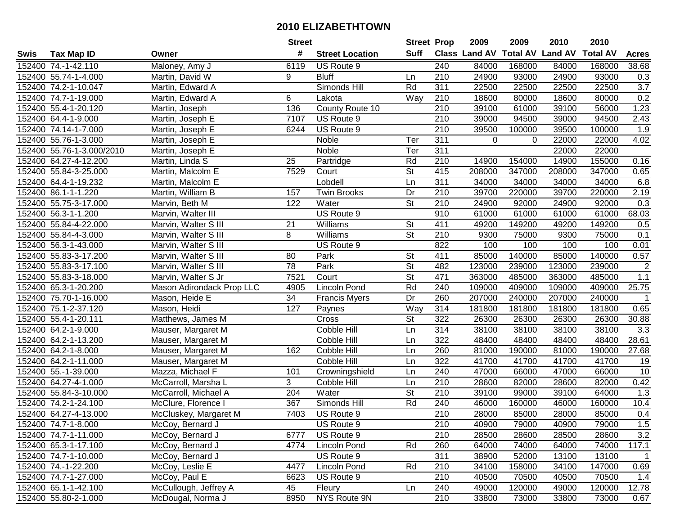|      |                           |                           | <b>Street</b> |                        | <b>Street Prop</b>       |                  | 2009                 | 2009     | 2010                    | 2010            |                |
|------|---------------------------|---------------------------|---------------|------------------------|--------------------------|------------------|----------------------|----------|-------------------------|-----------------|----------------|
| Swis | <b>Tax Map ID</b>         | Owner                     | #             | <b>Street Location</b> | <b>Suff</b>              |                  | <b>Class Land AV</b> |          | <b>Total AV Land AV</b> | <b>Total AV</b> | <b>Acres</b>   |
|      | 152400 74.-1-42.110       | Maloney, Amy J            | 6119          | US Route 9             |                          | 240              | 84000                | 168000   | 84000                   | 168000          | 38.68          |
|      | 152400 55.74-1-4.000      | Martin, David W           | 9             | <b>Bluff</b>           | Ln                       | 210              | 24900                | 93000    | 24900                   | 93000           | 0.3            |
|      | 152400 74.2-1-10.047      | Martin, Edward A          |               | Simonds Hill           | Rd                       | 311              | 22500                | 22500    | 22500                   | 22500           | 3.7            |
|      | 152400 74.7-1-19.000      | Martin, Edward A          | 6             | Lakota                 | Way                      | 210              | 18600                | 80000    | 18600                   | 80000           | 0.2            |
|      | 152400 55.4-1-20.120      | Martin, Joseph            | 136           | County Route 10        |                          | 210              | 39100                | 61000    | 39100                   | 56000           | 1.23           |
|      | 152400 64.4-1-9.000       | Martin, Joseph E          | 7107          | US Route 9             |                          | 210              | 39000                | 94500    | 39000                   | 94500           | 2.43           |
|      | 152400 74.14-1-7.000      | Martin, Joseph E          | 6244          | US Route 9             |                          | 210              | 39500                | 100000   | 39500                   | 100000          | 1.9            |
|      | 152400 55.76-1-3.000      | Martin, Joseph E          |               | <b>Noble</b>           | Ter                      | 311              | 0                    | $\Omega$ | 22000                   | 22000           | 4.02           |
|      | 152400 55.76-1-3.000/2010 | Martin, Joseph E          |               | Noble                  | Ter                      | $\overline{311}$ |                      |          | 22000                   | 22000           |                |
|      | 152400 64.27-4-12.200     | Martin, Linda S           | 25            | Partridge              | Rd                       | 210              | 14900                | 154000   | 14900                   | 155000          | 0.16           |
|      | 152400 55.84-3-25.000     | Martin, Malcolm E         | 7529          | Court                  | St                       | 415              | 208000               | 347000   | 208000                  | 347000          | 0.65           |
|      | 152400 64.4-1-19.232      | Martin, Malcolm E         |               | Lobdell                | Ln                       | 311              | 34000                | 34000    | 34000                   | 34000           | 6.8            |
|      | 152400 86.1-1-1.220       | Martin, William B         | 157           | <b>Twin Brooks</b>     | Dr                       | 210              | 39700                | 220000   | 39700                   | 220000          | 2.19           |
|      | 152400 55.75-3-17.000     | Marvin, Beth M            | 122           | Water                  | <b>St</b>                | 210              | 24900                | 92000    | 24900                   | 92000           | 0.3            |
|      | 152400 56.3-1-1.200       | Marvin, Walter III        |               | US Route 9             |                          | 910              | 61000                | 61000    | 61000                   | 61000           | 68.03          |
|      | 152400 55.84-4-22.000     | Marvin, Walter S III      | 21            | Williams               | <b>St</b>                | 411              | 49200                | 149200   | 49200                   | 149200          | 0.5            |
|      | 152400 55.84-4-3.000      | Marvin, Walter S III      | 8             | Williams               | $\overline{\mathsf{St}}$ | 210              | 9300                 | 75000    | 9300                    | 75000           | 0.1            |
|      | 152400 56.3-1-43.000      | Marvin, Walter S III      |               | US Route 9             |                          | 822              | 100                  | 100      | 100                     | 100             | 0.01           |
|      | 152400 55.83-3-17.200     | Marvin, Walter S III      | 80            | Park                   | <b>St</b>                | 411              | 85000                | 140000   | 85000                   | 140000          | 0.57           |
|      | 152400 55.83-3-17.100     | Marvin, Walter S III      | 78            | Park                   | <b>St</b>                | 482              | 123000               | 239000   | 123000                  | 239000          | $\overline{c}$ |
|      | 152400 55.83-3-18.000     | Marvin, Walter S Jr       | 7521          | Court                  | $\overline{\mathsf{St}}$ | 471              | 363000               | 485000   | 363000                  | 485000          | 1.1            |
|      | 152400 65.3-1-20.200      | Mason Adirondack Prop LLC | 4905          | Lincoln Pond           | Rd                       | 240              | 109000               | 409000   | 109000                  | 409000          | 25.75          |
|      | 152400 75.70-1-16.000     | Mason, Heide E            | 34            | <b>Francis Myers</b>   | Dr                       | 260              | 207000               | 240000   | 207000                  | 240000          | $\mathbf{1}$   |
|      | 152400 75.1-2-37.120      | Mason, Heidi              | 127           | Paynes                 | Way                      | 314              | 181800               | 181800   | 181800                  | 181800          | 0.65           |
|      | 152400 55.4-1-20.111      | Matthews, James M         |               | Cross                  | $\overline{\mathsf{St}}$ | 322              | 26300                | 26300    | 26300                   | 26300           | 30.88          |
|      | 152400 64.2-1-9.000       | Mauser, Margaret M        |               | Cobble Hill            | Ln                       | 314              | 38100                | 38100    | 38100                   | 38100           | 3.3            |
|      | 152400 64.2-1-13.200      | Mauser, Margaret M        |               | Cobble Hill            | Ln                       | 322              | 48400                | 48400    | 48400                   | 48400           | 28.61          |
|      | 152400 64.2-1-8.000       | Mauser, Margaret M        | 162           | Cobble Hill            | Ln                       | 260              | 81000                | 190000   | 81000                   | 190000          | 27.68          |
|      | 152400 64.2-1-11.000      | Mauser, Margaret M        |               | Cobble Hill            | Ln                       | 322              | 41700                | 41700    | 41700                   | 41700           | 19             |
|      | 152400 55.-1-39.000       | Mazza, Michael F          | 101           | Crowningshield         | Ln                       | 240              | 47000                | 66000    | 47000                   | 66000           | 10             |
|      | 152400 64.27-4-1.000      | McCarroll, Marsha L       | 3             | Cobble Hill            | Ln                       | $\overline{210}$ | 28600                | 82000    | 28600                   | 82000           | 0.42           |
|      | 152400 55.84-3-10.000     | McCarroll, Michael A      | 204           | Water                  | $\overline{\mathsf{St}}$ | 210              | 39100                | 99000    | 39100                   | 64000           | 1.3            |
|      | 152400 74.2-1-24.100      | McClure, Florence I       | 367           | Simonds Hill           | Rd                       | 240              | 46000                | 160000   | 46000                   | 160000          | 10.4           |
|      | 152400 64.27-4-13.000     | McCluskey, Margaret M     | 7403          | US Route 9             |                          | $\overline{210}$ | 28000                | 85000    | 28000                   | 85000           | 0.4            |
|      | 152400 74.7-1-8.000       | McCoy, Bernard J          |               | US Route 9             |                          | 210              | 40900                | 79000    | 40900                   | 79000           | $1.5$          |
|      | 152400 74.7-1-11.000      | McCoy, Bernard J          | 6777          | US Route 9             |                          | 210              | 28500                | 28600    | 28500                   | 28600           | 3.2            |
|      | 152400 65.3-1-17.100      | McCoy, Bernard J          | 4774          | <b>Lincoln Pond</b>    | Rd                       | 260              | 64000                | 74000    | 64000                   | 74000           | 117.1          |
|      | 152400 74.7-1-10.000      | McCoy, Bernard J          |               | US Route 9             |                          | 311              | 38900                | 52000    | 13100                   | 13100           | $\mathbf{1}$   |
|      | 152400 74.-1-22.200       | McCoy, Leslie E           | 4477          | Lincoln Pond           | Rd                       | 210              | 34100                | 158000   | 34100                   | 147000          | 0.69           |
|      | 152400 74.7-1-27.000      | McCoy, Paul E             | 6623          | US Route 9             |                          | 210              | 40500                | 70500    | 40500                   | 70500           | 1.4            |
|      | 152400 65.1-1-42.100      | McCullough, Jeffrey A     | 45            | Fleury                 | Ln                       | 240              | 49000                | 120000   | 49000                   | 120000          | 12.78          |
|      | 152400 55.80-2-1.000      | McDougal, Norma J         | 8950          | NYS Route 9N           |                          | 210              | 33800                | 73000    | 33800                   | 73000           | 0.67           |
|      |                           |                           |               |                        |                          |                  |                      |          |                         |                 |                |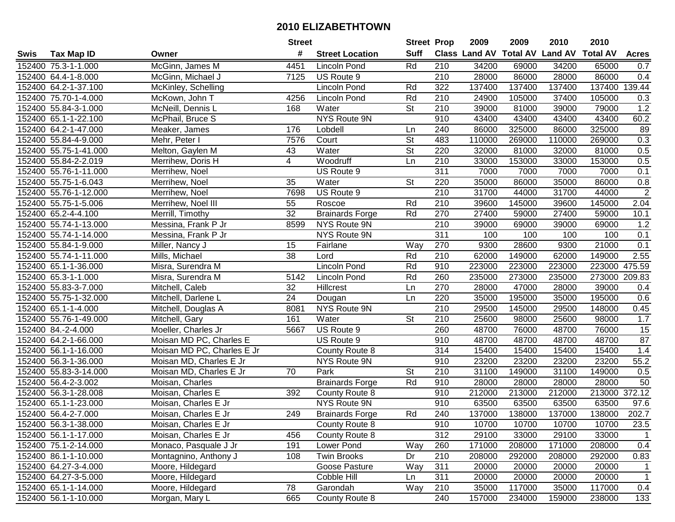| <b>Suff</b><br>Class Land AV Total AV Land AV<br>#<br><b>Tax Map ID</b><br><b>Street Location</b><br>Swis<br>Owner                |              |                 |                  |
|-----------------------------------------------------------------------------------------------------------------------------------|--------------|-----------------|------------------|
|                                                                                                                                   |              | <b>Total AV</b> | <b>Acres</b>     |
| McGinn, James M<br>152400 75.3-1-1.000<br>4451<br><b>Lincoln Pond</b><br>Rd<br>210<br>34200<br>69000                              | 34200        | 65000           | 0.7              |
| 152400 64.4-1-8.000<br>US Route 9<br>210<br>28000<br>86000<br>McGinn, Michael J<br>7125                                           | 28000        | 86000           | 0.4              |
| 152400 64.2-1-37.100<br><b>Lincoln Pond</b><br>322<br>137400<br>137400<br>McKinley, Schelling<br>Rd                               | 137400       | 137400 139.44   |                  |
| 4256<br>Rd<br>210<br>152400 75.70-1-4.000<br>McKown, John T<br>Lincoln Pond<br>24900<br>105000                                    | 37400        | 105000          | 0.3              |
| 152400 55.84-3-1.000<br><b>St</b><br>210<br>39000<br>81000<br>McNeill, Dennis L<br>168<br>Water                                   | 39000        | 79000           | 1.2              |
| <b>NYS Route 9N</b><br>910<br>152400 65.1-1-22.100<br>McPhail, Bruce S<br>43400<br>43400                                          | 43400        | 43400           | 60.2             |
| 325000<br>152400 64.2-1-47.000<br>176<br>Lobdell<br>240<br>86000<br>Meaker, James<br>Ln                                           | 86000        | 325000          | 89               |
| $\overline{\mathsf{St}}$<br>483<br>110000<br>152400 55.84-4-9.000<br>Mehr, Peter I<br>7576<br>Court<br>269000                     | 110000       | 269000          | $\overline{0.3}$ |
| $\overline{\mathsf{St}}$<br>220<br>32000<br>152400 55.75-1-41.000<br>Melton, Gaylen M<br>43<br>Water<br>81000                     | 32000        | 81000           | 0.5              |
| $\overline{4}$<br>153000<br>152400 55.84-2-2.019<br>Woodruff<br>210<br>33000<br>Merrihew, Doris H<br>Ln                           | 33000        | 153000          | 0.5              |
| 311<br>7000<br>152400 55.76-1-11.000<br>US Route 9<br>Merrihew, Noel                                                              | 7000<br>7000 | 7000            | 0.1              |
| 152400 55.75-1-6.043<br>35<br>St<br>220<br>35000<br>86000<br>Water<br>Merrihew, Noel                                              | 35000        | 86000           | 0.8              |
| 210<br>31700<br>152400 55.76-1-12.000<br>7698<br>US Route 9<br>44000<br>Merrihew, Noel                                            | 31700        | 44000           | $\overline{2}$   |
| Rd<br>152400 55.75-1-5.006<br>Roscoe<br>210<br>39600<br>145000<br>Merrihew, Noel III<br>55                                        | 39600        | 145000          | 2.04             |
| 32<br>27400<br>152400 65.2-4-4.100<br>Rd<br>270<br>Merrill, Timothy<br><b>Brainards Forge</b><br>59000                            | 27400        | 59000           | 10.1             |
| NYS Route 9N<br>210<br>39000<br>152400 55.74-1-13.000<br>Messina, Frank P Jr<br>8599<br>69000                                     | 39000        | 69000           | 1.2              |
| 311<br>152400 55.74-1-14.000<br>NYS Route 9N<br>100<br>Messina, Frank P Jr                                                        | 100<br>100   | 100             | 0.1              |
| 152400 55.84-1-9.000<br>270<br>9300<br>28600<br>Miller, Nancy J<br>15<br>Fairlane<br>Way                                          | 9300         | 21000           | 0.1              |
| 38<br>152400 55.74-1-11.000<br>Rd<br>210<br>62000<br>149000<br>Mills, Michael<br>Lord                                             | 62000        | 149000          | 2.55             |
| 152400 65.1-1-36.000<br><b>Lincoln Pond</b><br>Rd<br>910<br>223000<br>223000<br>Misra, Surendra M                                 | 223000       | 223000 475.59   |                  |
| 152400 65.3-1-1.000<br>Rd<br>260<br>235000<br>273000<br>5142<br>Lincoln Pond<br>Misra, Surendra M                                 | 235000       | 273000 209.83   |                  |
| 152400 55.83-3-7.000<br>32<br>Hillcrest<br>270<br>28000<br>47000<br>Mitchell, Caleb<br>Ln                                         | 28000        | 39000           | 0.4              |
| 220<br>152400 55.75-1-32.000<br>24<br>35000<br>195000<br>Mitchell, Darlene L<br>Ln<br>Dougan                                      | 35000        | 195000          | 0.6              |
| 210<br>152400 65.1-1-4.000<br>NYS Route 9N<br>29500<br>145000<br>8081<br>Mitchell, Douglas A                                      | 29500        | 148000          | 0.45             |
| $\overline{\mathsf{St}}$<br>161<br>210<br>25600<br>152400 55.76-1-49.000<br>Water<br>98000<br>Mitchell, Gary                      | 25600        | 98000           | 1.7              |
| 5667<br>260<br>48700<br>152400 84.-2-4.000<br>Moeller, Charles Jr<br>US Route 9<br>76000                                          | 48700        | 76000           | 15               |
| 910<br>48700<br>152400 64.2-1-66.000<br>Moisan MD PC, Charles E<br>US Route 9<br>48700                                            | 48700        | 48700           | $\overline{87}$  |
| 152400 56.1-1-16.000<br>Moisan MD PC, Charles E Jr<br>314<br>15400<br>15400<br>County Route 8                                     | 15400        | 15400           | 1.4              |
| 910<br>23200<br>152400 56.3-1-36.000<br>Moisan MD, Charles E Jr<br>NYS Route 9N<br>23200                                          | 23200        | 23200           | 55.2             |
| $\overline{\mathsf{St}}$<br>$\overline{210}$<br>152400 55.83-3-14.000<br>Moisan MD, Charles E Jr<br>70<br>Park<br>31100<br>149000 | 31100        | 149000          | 0.5              |
| Rd<br>28000<br>152400 56.4-2-3.002<br>Moisan, Charles<br><b>Brainards Forge</b><br>910<br>28000                                   | 28000        | 28000           | 50               |
| 152400 56.3-1-28.008<br>392<br>910<br>212000<br>213000<br>Moisan, Charles E<br>County Route 8                                     | 212000       | 213000 372.12   |                  |
| 152400 65.1-1-23.000<br>910<br>NYS Route 9N<br>63500<br>63500<br>Moisan, Charles E Jr                                             | 63500        | 63500           | 97.6             |
| 152400 56.4-2-7.000<br>249<br>Rd<br>240<br>137000<br>138000<br>Moisan, Charles E Jr<br><b>Brainards Forge</b>                     | 137000       | 138000          | 202.7            |
| 152400 56.3-1-38.000<br>Moisan, Charles E Jr<br>County Route 8<br>910<br>10700<br>10700                                           | 10700        | 10700           | 23.5             |
| 312<br>152400 56.1-1-17.000<br>Moisan, Charles E Jr<br>456<br>County Route 8<br>29100<br>33000                                    | 29100        | 33000           | $\mathbf 1$      |
| 171000<br>152400 75.1-2-14.000<br>Monaco, Pasquale J Jr<br>191<br>Lower Pond<br>Way<br>260<br>208000                              | 171000       | 208000          | 0.4              |
| 210<br>152400 86.1-1-10.000<br>Montagnino, Anthony J<br><b>Twin Brooks</b><br>Dr<br>208000<br>292000<br>108                       | 208000       | 292000          | 0.83             |
| 152400 64.27-3-4.000<br>Moore, Hildegard<br>Goose Pasture<br>311<br>Way<br>20000<br>20000                                         | 20000        | 20000           | $\mathbf 1$      |
| Moore, Hildegard<br>Cobble Hill<br>311<br>20000<br>152400 64.27-3-5.000<br>Ln<br>20000                                            | 20000        | 20000           | $\mathbf{1}$     |
| 78<br>35000<br>117000<br>152400 65.1-1-14.000<br>Moore, Hildegard<br>Garondah<br>Way<br>210                                       | 35000        | 117000          | 0.4              |
| 152400 56.1-1-10.000<br>240<br>Morgan, Mary L<br>665<br>157000<br>County Route 8<br>234000                                        | 159000       | 238000          | 133              |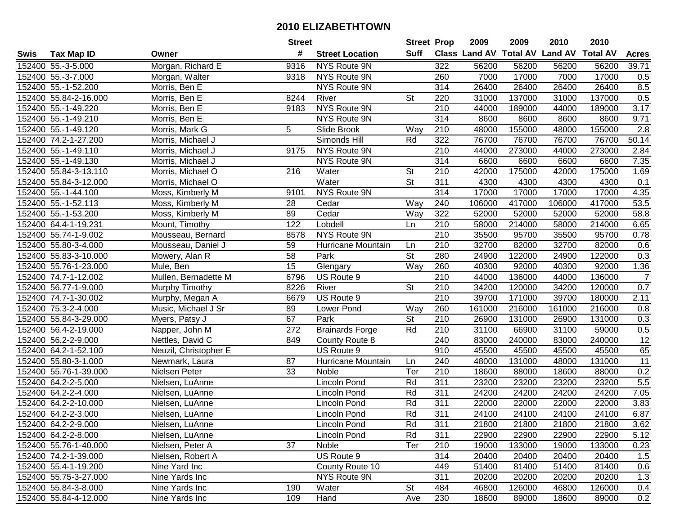|      |                       |                       | <b>Street</b>   |                        | <b>Street Prop</b> |                  | 2009   | 2009   | 2010                           | 2010            |                  |
|------|-----------------------|-----------------------|-----------------|------------------------|--------------------|------------------|--------|--------|--------------------------------|-----------------|------------------|
| Swis | <b>Tax Map ID</b>     | Owner                 | #               | <b>Street Location</b> | Suff               |                  |        |        | Class Land AV Total AV Land AV | <b>Total AV</b> | <b>Acres</b>     |
|      | 152400 55.-3-5.000    | Morgan, Richard E     | 9316            | NYS Route 9N           |                    | 322              | 56200  | 56200  | 56200                          | 56200           | 39.71            |
|      | 152400 55.-3-7.000    | Morgan, Walter        | 9318            | NYS Route 9N           |                    | 260              | 7000   | 17000  | 7000                           | 17000           | 0.5              |
|      | 152400 55.-1-52.200   | Morris, Ben E         |                 | <b>NYS Route 9N</b>    |                    | 314              | 26400  | 26400  | 26400                          | 26400           | 8.5              |
|      | 152400 55.84-2-16.000 | Morris, Ben E         | 8244            | River                  | St                 | 220              | 31000  | 137000 | 31000                          | 137000          | 0.5              |
|      | 152400 55.-1-49.220   | Morris, Ben E         | 9183            | NYS Route 9N           |                    | 210              | 44000  | 189000 | 44000                          | 189000          | 3.17             |
|      | 152400 55.-1-49.210   | Morris, Ben E         |                 | NYS Route 9N           |                    | 314              | 8600   | 8600   | 8600                           | 8600            | 9.71             |
|      | 152400 55.-1-49.120   | Morris, Mark G        | 5               | Slide Brook            | Way                | 210              | 48000  | 155000 | 48000                          | 155000          | $\overline{2.8}$ |
|      | 152400 74.2-1-27.200  | Morris, Michael J     |                 | Simonds Hill           | Rd                 | 322              | 76700  | 76700  | 76700                          | 76700           | 50.14            |
|      | 152400 55.-1-49.110   | Morris, Michael J     | 9175            | NYS Route 9N           |                    | $\overline{210}$ | 44000  | 273000 | 44000                          | 273000          | 2.84             |
|      | 152400 55.-1-49.130   | Morris, Michael J     |                 | NYS Route 9N           |                    | 314              | 6600   | 6600   | 6600                           | 6600            | 7.35             |
|      | 152400 55.84-3-13.110 | Morris, Michael O     | 216             | Water                  | <b>St</b>          | 210              | 42000  | 175000 | 42000                          | 175000          | 1.69             |
|      | 152400 55.84-3-12.000 | Morris, Michael O     |                 | Water                  | <b>St</b>          | 311              | 4300   | 4300   | 4300                           | 4300            | 0.1              |
|      | 152400 55.-1-44.100   | Moss, Kimberly M      | 9101            | NYS Route 9N           |                    | 314              | 17000  | 17000  | 17000                          | 17000           | 4.35             |
|      | 152400 55.-1-52.113   | Moss, Kimberly M      | 28              | Cedar                  | Way                | 240              | 106000 | 417000 | 106000                         | 417000          | 53.5             |
|      | 152400 55.-1-53.200   | Moss, Kimberly M      | 89              | Cedar                  | Way                | 322              | 52000  | 52000  | 52000                          | 52000           | 58.8             |
|      | 152400 64.4-1-19.231  | Mount, Timothy        | 122             | Lobdell                | Ln                 | 210              | 58000  | 214000 | 58000                          | 214000          | 6.65             |
|      | 152400 55.74-1-9.002  | Mousseau, Bernard     | 8578            | NYS Route 9N           |                    | 210              | 35500  | 95700  | 35500                          | 95700           | 0.78             |
|      | 152400 55.80-3-4.000  | Mousseau, Daniel J    | 59              | Hurricane Mountain     | Ln                 | 210              | 32700  | 82000  | 32700                          | 82000           | 0.6              |
|      | 152400 55.83-3-10.000 | Mowery, Alan R        | $\overline{58}$ | Park                   | $\overline{St}$    | 280              | 24900  | 122000 | 24900                          | 122000          | 0.3              |
|      | 152400 55.76-1-23.000 | Mule, Ben             | 15              | Glengary               | Way                | 260              | 40300  | 92000  | 40300                          | 92000           | 1.36             |
|      | 152400 74.7-1-12.002  | Mullen, Bernadette M  | 6796            | US Route 9             |                    | 210              | 44000  | 136000 | 44000                          | 136000          | $\overline{7}$   |
|      | 152400 56.77-1-9.000  | Murphy Timothy        | 8226            | River                  | St                 | 210              | 34200  | 120000 | 34200                          | 120000          | 0.7              |
|      | 152400 74.7-1-30.002  | Murphy, Megan A       | 6679            | US Route 9             |                    | 210              | 39700  | 171000 | 39700                          | 180000          | 2.11             |
|      | 152400 75.3-2-4.000   | Music, Michael J Sr   | 89              | Lower Pond             | Way                | 260              | 161000 | 216000 | 161000                         | 216000          | 0.8              |
|      | 152400 55.84-3-29.000 | Myers, Patsy J        | 67              | Park                   | St                 | 210              | 26900  | 131000 | 26900                          | 131000          | 0.3              |
|      | 152400 56.4-2-19.000  | Napper, John M        | 272             | <b>Brainards Forge</b> | Rd                 | 210              | 31100  | 66900  | 31100                          | 59000           | 0.5              |
|      | 152400 56.2-2-9.000   | Nettles, David C      | 849             | County Route 8         |                    | 240              | 83000  | 240000 | 83000                          | 240000          | $\overline{12}$  |
|      | 152400 64.2-1-52.100  | Neuzil, Christopher E |                 | US Route 9             |                    | 910              | 45500  | 45500  | 45500                          | 45500           | 65               |
|      | 152400 55.80-3-1.000  | Newmark, Laura        | 87              | Hurricane Mountain     | Ln                 | 240              | 48000  | 131000 | 48000                          | 131000          | 11               |
|      | 152400 55.76-1-39.000 | Nielsen Peter         | 33              | Noble                  | Ter                | 210              | 18600  | 88000  | 18600                          | 88000           | 0.2              |
|      | 152400 64.2-2-5.000   | Nielsen, LuAnne       |                 | Lincoln Pond           | Rd                 | $\overline{311}$ | 23200  | 23200  | 23200                          | 23200           | 5.5              |
|      | 152400 64.2-2-4.000   | Nielsen, LuAnne       |                 | Lincoln Pond           | Rd                 | 311              | 24200  | 24200  | 24200                          | 24200           | 7.05             |
|      | 152400 64.2-2-10.000  | Nielsen, LuAnne       |                 | Lincoln Pond           | Rd                 | 311              | 22000  | 22000  | 22000                          | 22000           | 3.83             |
|      | 152400 64.2-2-3.000   | Nielsen, LuAnne       |                 | Lincoln Pond           | Rd                 | 311              | 24100  | 24100  | 24100                          | 24100           | 6.87             |
|      | 152400 64.2-2-9.000   | Nielsen, LuAnne       |                 | Lincoln Pond           | Rd                 | 311              | 21800  | 21800  | 21800                          | 21800           | 3.62             |
|      | 152400 64.2-2-8.000   | Nielsen, LuAnne       |                 | Lincoln Pond           | Rd                 | 311              | 22900  | 22900  | 22900                          | 22900           | 5.12             |
|      | 152400 55.76-1-40.000 | Nielsen, Peter A      | 37              | Noble                  | Ter                | 210              | 19000  | 133000 | 19000                          | 133000          | 0.23             |
|      | 152400 74.2-1-39.000  | Nielsen, Robert A     |                 | US Route 9             |                    | 314              | 20400  | 20400  | 20400                          | 20400           | 1.5              |
|      | 152400 55.4-1-19.200  | Nine Yard Inc         |                 | County Route 10        |                    | 449              | 51400  | 81400  | 51400                          | 81400           | 0.6              |
|      | 152400 55.75-3-27.000 | Nine Yards Inc        |                 | NYS Route 9N           |                    | 311              | 20200  | 20200  | 20200                          | 20200           | 1.3              |
|      | 152400 55.84-3-8.000  | Nine Yards Inc        | 190             | Water                  | St                 | 484              | 46800  | 126000 | 46800                          | 126000          | 0.4              |
|      | 152400 55.84-4-12.000 | Nine Yards Inc        | 109             | Hand                   | Ave                | 230              | 18600  | 89000  | 18600                          | 89000           | 0.2              |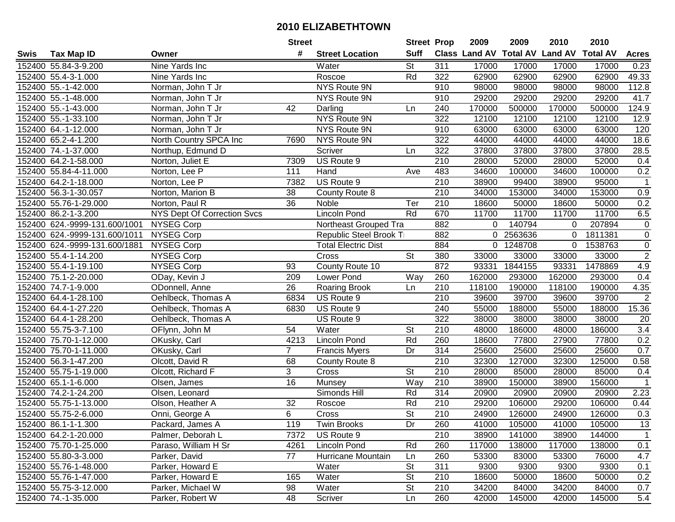|      |                               |                             | <b>Street</b>   |                            | <b>Street Prop</b>       |                  | 2009   | 2009    | 2010                           | 2010            |                |
|------|-------------------------------|-----------------------------|-----------------|----------------------------|--------------------------|------------------|--------|---------|--------------------------------|-----------------|----------------|
| Swis | <b>Tax Map ID</b>             | Owner                       | #               | <b>Street Location</b>     | <b>Suff</b>              |                  |        |         | Class Land AV Total AV Land AV | <b>Total AV</b> | <b>Acres</b>   |
|      | 152400 55.84-3-9.200          | Nine Yards Inc              |                 | Water                      | <b>St</b>                | 311              | 17000  | 17000   | 17000                          | 17000           | 0.23           |
|      | 152400 55.4-3-1.000           | Nine Yards Inc              |                 | Roscoe                     | Rd                       | 322              | 62900  | 62900   | 62900                          | 62900           | 49.33          |
|      | 152400 55.-1-42.000           | Norman, John T Jr           |                 | NYS Route 9N               |                          | 910              | 98000  | 98000   | 98000                          | 98000           | 112.8          |
|      | 152400 55.-1-48.000           | Norman, John T Jr           |                 | NYS Route 9N               |                          | 910              | 29200  | 29200   | 29200                          | 29200           | 41.7           |
|      | 152400 55.-1-43.000           | Norman, John T Jr           | 42              | Darling                    | Ln                       | 240              | 170000 | 500000  | 170000                         | 500000          | 124.9          |
|      | 152400 55.-1-33.100           | Norman, John T Jr           |                 | <b>NYS Route 9N</b>        |                          | 322              | 12100  | 12100   | 12100                          | 12100           | 12.9           |
|      | 152400 64.-1-12.000           | Norman, John T Jr           |                 | <b>NYS Route 9N</b>        |                          | 910              | 63000  | 63000   | 63000                          | 63000           | 120            |
|      | 152400 65.2-4-1.200           | North Country SPCA Inc      | 7690            | NYS Route 9N               |                          | 322              | 44000  | 44000   | 44000                          | 44000           | 18.6           |
|      | 152400 74.-1-37.000           | Northup, Edmund D           |                 | Scriver                    | Ln                       | $\overline{322}$ | 37800  | 37800   | 37800                          | 37800           | 28.5           |
|      | 152400 64.2-1-58.000          | Norton, Juliet E            | 7309            | US Route 9                 |                          | 210              | 28000  | 52000   | 28000                          | 52000           | 0.4            |
|      | 152400 55.84-4-11.000         | Norton, Lee P               | 111             | Hand                       | Ave                      | 483              | 34600  | 100000  | 34600                          | 100000          | 0.2            |
|      | 152400 64.2-1-18.000          | Norton, Lee P               | 7382            | US Route 9                 |                          | 210              | 38900  | 99400   | 38900                          | 95000           | $\mathbf 1$    |
|      | 152400 56.3-1-30.057          | Norton, Marion B            | 38              | County Route 8             |                          | 210              | 34000  | 153000  | 34000                          | 153000          | 0.9            |
|      | 152400 55.76-1-29.000         | Norton, Paul R              | 36              | Noble                      | Ter                      | 210              | 18600  | 50000   | 18600                          | 50000           | 0.2            |
|      | 152400 86.2-1-3.200           | NYS Dept Of Correction Svcs |                 | Lincoln Pond               | Rd                       | 670              | 11700  | 11700   | 11700                          | 11700           | 6.5            |
|      | 152400 624.-9999-131.600/1001 | <b>NYSEG Corp</b>           |                 | Northeast Grouped Tra      |                          | 882              | 0      | 140794  | $\Omega$                       | 207894          | $\mathbf 0$    |
|      | 152400 624.-9999-131.600/1011 | NYSEG Corp                  |                 | Republic Steel Brook Ti    |                          | 882              | 0      | 2563636 | $\mathbf 0$                    | 1811381         | $\mathbf 0$    |
|      | 152400 624.-9999-131.600/1881 | <b>NYSEG Corp</b>           |                 | <b>Total Electric Dist</b> |                          | 884              | 0      | 1248708 | 0                              | 1538763         | $\mathbf 0$    |
|      | 152400 55.4-1-14.200          | <b>NYSEG Corp</b>           |                 | Cross                      | <b>St</b>                | 380              | 33000  | 33000   | 33000                          | 33000           | $\overline{2}$ |
|      | 152400 55.4-1-19.100          | <b>NYSEG Corp</b>           | 93              | County Route 10            |                          | 872              | 93331  | 1844155 | 93331                          | 1478869         | 4.9            |
|      | 152400 75.1-2-20.000          | ODay, Kevin J               | 209             | Lower Pond                 | Way                      | 260              | 162000 | 293000  | 162000                         | 293000          | 0.4            |
|      | 152400 74.7-1-9.000           | ODonnell, Anne              | 26              | Roaring Brook              | Ln                       | 210              | 118100 | 190000  | 118100                         | 190000          | 4.35           |
|      | 152400 64.4-1-28.100          | Oehlbeck, Thomas A          | 6834            | US Route 9                 |                          | 210              | 39600  | 39700   | 39600                          | 39700           | $\overline{2}$ |
|      | 152400 64.4-1-27.220          | Oehlbeck, Thomas A          | 6830            | US Route 9                 |                          | 240              | 55000  | 188000  | 55000                          | 188000          | 15.36          |
|      | 152400 64.4-1-28.200          | Oehlbeck, Thomas A          |                 | US Route 9                 |                          | 322              | 38000  | 38000   | 38000                          | 38000           | 20             |
|      | 152400 55.75-3-7.100          | OFlynn, John M              | 54              | Water                      | $\overline{\mathsf{St}}$ | 210              | 48000  | 186000  | 48000                          | 186000          | 3.4            |
|      | 152400 75.70-1-12.000         | OKusky, Carl                | 4213            | Lincoln Pond               | Rd                       | 260              | 18600  | 77800   | 27900                          | 77800           | 0.2            |
|      | 152400 75.70-1-11.000         | OKusky, Carl                | $\overline{7}$  | <b>Francis Myers</b>       | Dr                       | 314              | 25600  | 25600   | 25600                          | 25600           | 0.7            |
|      | 152400 56.3-1-47.200          | Olcott, David R             | 68              | County Route 8             |                          | $\overline{210}$ | 32300  | 127000  | 32300                          | 125000          | 0.58           |
|      | 152400 55.75-1-19.000         | Olcott, Richard F           | 3               | Cross                      | $\overline{\mathsf{St}}$ | 210              | 28000  | 85000   | 28000                          | 85000           | 0.4            |
|      | 152400 65.1-1-6.000           | Olsen, James                | 16              | Munsey                     | $\overline{W}$ ay        | 210              | 38900  | 150000  | 38900                          | 156000          | $\overline{1}$ |
|      | 152400 74.2-1-24.200          | Olsen, Leonard              |                 | Simonds Hill               | Rd                       | 314              | 20900  | 20900   | 20900                          | 20900           | 2.23           |
|      | 152400 55.75-1-13.000         | Olson, Heather A            | $\overline{32}$ | Roscoe                     | Rd                       | $\overline{210}$ | 29200  | 106000  | 29200                          | 106000          | 0.44           |
|      | 152400 55.75-2-6.000          | Onni, George A              | 6               | Cross                      | $\overline{\mathsf{St}}$ | $\overline{210}$ | 24900  | 126000  | 24900                          | 126000          | 0.3            |
|      | 152400 86.1-1-1.300           | Packard, James A            | 119             | Twin Brooks                | Dr                       | 260              | 41000  | 105000  | 41000                          | 105000          | 13             |
|      | 152400 64.2-1-20.000          | Palmer, Deborah L           | 7372            | US Route 9                 |                          | 210              | 38900  | 141000  | 38900                          | 144000          | $\mathbf{1}$   |
|      | 152400 75.70-1-25.000         | Paraso, William H Sr        | 4261            | <b>Lincoln Pond</b>        | Rd                       | 260              | 117000 | 138000  | 117000                         | 138000          | 0.1            |
|      | 152400 55.80-3-3.000          | Parker, David               | 77              | Hurricane Mountain         | Ln                       | 260              | 53300  | 83000   | 53300                          | 76000           | 4.7            |
|      | 152400 55.76-1-48.000         | Parker, Howard E            |                 | Water                      | <b>St</b>                | 311              | 9300   | 9300    | 9300                           | 9300            | 0.1            |
|      | 152400 55.76-1-47.000         | Parker, Howard E            | 165             | Water                      | <b>St</b>                | 210              | 18600  | 50000   | 18600                          | 50000           | 0.2            |
|      | 152400 55.75-3-12.000         | Parker, Michael W           | 98              | Water                      | St                       | 210              | 34200  | 84000   | 34200                          | 84000           | 0.7            |
|      | 152400 74.-1-35.000           | Parker, Robert W            | 48              | Scriver                    | Ln                       | 260              | 42000  | 145000  | 42000                          | 145000          | 5.4            |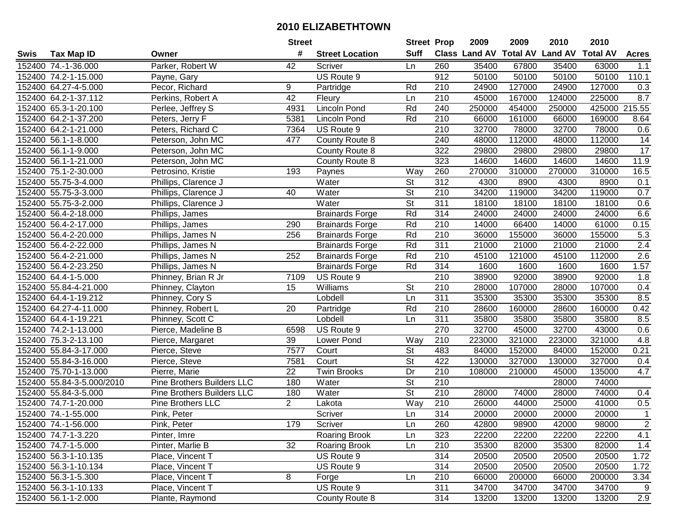|      |                           |                            | <b>Street</b>   |                        | <b>Street Prop</b>       |                  | 2009          | 2009   | 2010                    | 2010            |                 |
|------|---------------------------|----------------------------|-----------------|------------------------|--------------------------|------------------|---------------|--------|-------------------------|-----------------|-----------------|
| Swis | <b>Tax Map ID</b>         | Owner                      | #               | <b>Street Location</b> | <b>Suff</b>              |                  | Class Land AV |        | <b>Total AV Land AV</b> | <b>Total AV</b> | <b>Acres</b>    |
|      | 152400 74.-1-36.000       | Parker, Robert W           | 42              | Scriver                | Ln                       | 260              | 35400         | 67800  | 35400                   | 63000           | 1.1             |
|      | 152400 74.2-1-15.000      | Payne, Gary                |                 | US Route 9             |                          | 912              | 50100         | 50100  | 50100                   | 50100           | 110.1           |
|      | 152400 64.27-4-5.000      | Pecor, Richard             | 9               | Partridge              | Rd                       | 210              | 24900         | 127000 | 24900                   | 127000          | 0.3             |
|      | 152400 64.2-1-37.112      | Perkins, Robert A          | $\overline{42}$ | Fleury                 | Ln                       | 210              | 45000         | 167000 | 124000                  | 225000          | 8.7             |
|      | 152400 65.3-1-20.100      | Perlee, Jeffrey S          | 4931            | <b>Lincoln Pond</b>    | Rd                       | 240              | 250000        | 454000 | 250000                  | 425000          | 215.55          |
|      | 152400 64.2-1-37.200      | Peters, Jerry F            | 5381            | Lincoln Pond           | Rd                       | 210              | 66000         | 161000 | 66000                   | 169000          | 8.64            |
|      | 152400 64.2-1-21.000      | Peters, Richard C          | 7364            | US Route 9             |                          | 210              | 32700         | 78000  | 32700                   | 78000           | 0.6             |
|      | 152400 56.1-1-8.000       | Peterson, John MC          | 477             | County Route 8         |                          | 240              | 48000         | 112000 | 48000                   | 112000          | 14              |
|      | 152400 56.1-1-9.000       | Peterson, John MC          |                 | County Route 8         |                          | 322              | 29800         | 29800  | 29800                   | 29800           | $\overline{17}$ |
|      | 152400 56.1-1-21.000      | Peterson, John MC          |                 | County Route 8         |                          | 323              | 14600         | 14600  | 14600                   | 14600           | 11.9            |
|      | 152400 75.1-2-30.000      | Petrosino, Kristie         | 193             | Paynes                 | Way                      | 260              | 270000        | 310000 | 270000                  | 310000          | 16.5            |
|      | 152400 55.75-3-4.000      | Phillips, Clarence J       |                 | Water                  | St                       | 312              | 4300          | 8900   | 4300                    | 8900            | 0.1             |
|      | 152400 55.75-3-3.000      | Phillips, Clarence J       | 40              | Water                  | $\overline{\mathsf{St}}$ | 210              | 34200         | 119000 | 34200                   | 119000          | 0.7             |
|      | 152400 55.75-3-2.000      | Phillips, Clarence J       |                 | Water                  | <b>St</b>                | 311              | 18100         | 18100  | 18100                   | 18100           | 0.6             |
|      | 152400 56.4-2-18.000      | Phillips, James            |                 | <b>Brainards Forge</b> | Rd                       | 314              | 24000         | 24000  | 24000                   | 24000           | 6.6             |
|      | 152400 56.4-2-17.000      | Phillips, James            | 290             | <b>Brainards Forge</b> | Rd                       | 210              | 14000         | 66400  | 14000                   | 61000           | 0.15            |
|      | 152400 56.4-2-20.000      | Phillips, James N          | 256             | <b>Brainards Forge</b> | Rd                       | 210              | 36000         | 155000 | 36000                   | 155000          | 5.3             |
|      | 152400 56.4-2-22.000      | Phillips, James N          |                 | <b>Brainards Forge</b> | Rd                       | 311              | 21000         | 21000  | 21000                   | 21000           | 2.4             |
|      | 152400 56.4-2-21.000      | Phillips, James N          | 252             | <b>Brainards Forge</b> | Rd                       | 210              | 45100         | 121000 | 45100                   | 112000          | 2.6             |
|      | 152400 56.4-2-23.250      | Phillips, James N          |                 | <b>Brainards Forge</b> | Rd                       | 314              | 1600          | 1600   | 1600                    | 1600            | 1.57            |
|      | 152400 64.4-1-5.000       | Phinney, Brian R Jr        | 7109            | US Route 9             |                          | 210              | 38900         | 92000  | 38900                   | 92000           | 1.8             |
|      | 152400 55.84-4-21.000     | Phinney, Clayton           | 15              | Williams               | <b>St</b>                | 210              | 28000         | 107000 | 28000                   | 107000          | 0.4             |
|      | 152400 64.4-1-19.212      | Phinney, Cory S            |                 | Lobdell                | Ln                       | 311              | 35300         | 35300  | 35300                   | 35300           | 8.5             |
|      | 152400 64.27-4-11.000     | Phinney, Robert L          | 20              | Partridge              | Rd                       | 210              | 28600         | 160000 | 28600                   | 160000          | 0.42            |
|      | 152400 64.4-1-19.221      | Phinney, Scott C           |                 | Lobdell                | Ln                       | 311              | 35800         | 35800  | 35800                   | 35800           | 8.5             |
|      | 152400 74.2-1-13.000      | Pierce, Madeline B         | 6598            | US Route 9             |                          | 270              | 32700         | 45000  | 32700                   | 43000           | 0.6             |
|      | 152400 75.3-2-13.100      | Pierce, Margaret           | 39              | Lower Pond             | Way                      | 210              | 223000        | 321000 | 223000                  | 321000          | 4.8             |
|      | 152400 55.84-3-17.000     | Pierce, Steve              | 7577            | Court                  | St                       | 483              | 84000         | 152000 | 84000                   | 152000          | 0.21            |
|      | 152400 55.84-3-16.000     | Pierce, Steve              | 7581            | Court                  | $\overline{\mathsf{St}}$ | 422              | 130000        | 327000 | 130000                  | 327000          | 0.4             |
|      | 152400 75.70-1-13.000     | Pierre, Marie              | $\overline{22}$ | <b>Twin Brooks</b>     | Dr                       | $\overline{210}$ | 108000        | 210000 | 45000                   | 135000          | 4.7             |
|      | 152400 55.84-3-5.000/2010 | Pine Brothers Builders LLC | 180             | Water                  | $\overline{\mathsf{St}}$ | 210              |               |        | 28000                   | 74000           |                 |
|      | 152400 55.84-3-5.000      | Pine Brothers Builders LLC | 180             | Water                  | $\overline{\mathsf{St}}$ | 210              | 28000         | 74000  | 28000                   | 74000           | 0.4             |
|      | 152400 74.7-1-20.000      | Pine Brothers LLC          | $\overline{2}$  | Lakota                 | Way                      | $\overline{210}$ | 26000         | 44000  | 25000                   | 41000           | 0.5             |
|      | 152400 74.-1-55.000       | Pink, Peter                |                 | Scriver                | Ln                       | 314              | 20000         | 20000  | 20000                   | 20000           | $\overline{1}$  |
|      | 152400 74.-1-56.000       | Pink, Peter                | 179             | Scriver                | Ln                       | 260              | 42800         | 98900  | 42000                   | 98000           | $\mathbf{2}$    |
|      | 152400 74.7-1-3.220       | Pinter, Imre               |                 | <b>Roaring Brook</b>   | Ln                       | 323              | 22200         | 22200  | 22200                   | 22200           | 4.1             |
|      | 152400 74.7-1-5.000       | Pinter, Marlie B           | 32              | Roaring Brook          | Ln                       | 210              | 35300         | 82000  | 35300                   | 82000           | 1.4             |
|      | 152400 56.3-1-10.135      | Place, Vincent T           |                 | US Route 9             |                          | 314              | 20500         | 20500  | 20500                   | 20500           | 1.72            |
|      | 152400 56.3-1-10.134      | Place, Vincent T           |                 | US Route 9             |                          | 314              | 20500         | 20500  | 20500                   | 20500           | 1.72            |
|      | 152400 56.3-1-5.300       | Place, Vincent T           | 8               | Forge                  | Ln                       | 210              | 66000         | 200000 | 66000                   | 200000          | 3.34            |
|      | 152400 56.3-1-10.133      | Place, Vincent T           |                 | US Route 9             |                          | 311              | 34700         | 34700  | 34700                   | 34700           | 9               |
|      | 152400 56.1-1-2.000       | Plante, Raymond            |                 | County Route 8         |                          | 314              | 13200         | 13200  | 13200                   | 13200           | 2.9             |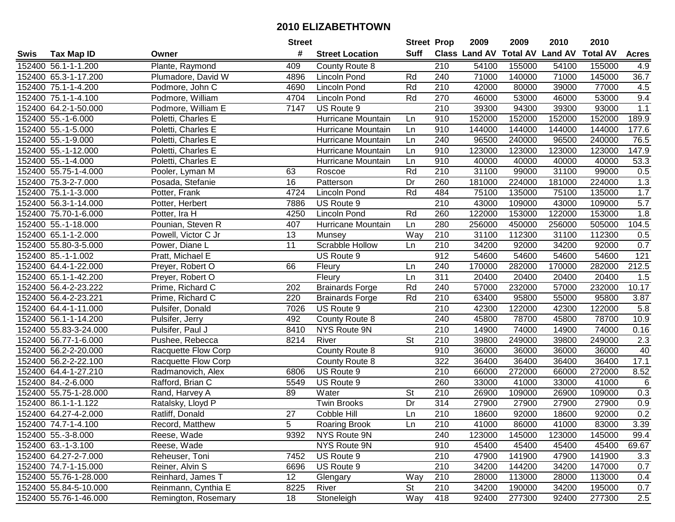|      |                       |                     | <b>Street</b>   |                        |                          | <b>Street Prop</b> | 2009                           | 2009   | 2010   | 2010            |              |
|------|-----------------------|---------------------|-----------------|------------------------|--------------------------|--------------------|--------------------------------|--------|--------|-----------------|--------------|
| Swis | Tax Map ID            | Owner               | #               | <b>Street Location</b> | <b>Suff</b>              |                    | Class Land AV Total AV Land AV |        |        | <b>Total AV</b> | <b>Acres</b> |
|      | 152400 56.1-1-1.200   | Plante, Raymond     | 409             | County Route 8         |                          | 210                | 54100                          | 155000 | 54100  | 155000          | 4.9          |
|      | 152400 65.3-1-17.200  | Plumadore, David W  | 4896            | Lincoln Pond           | Rd                       | 240                | 71000                          | 140000 | 71000  | 145000          | 36.7         |
|      | 152400 75.1-1-4.200   | Podmore, John C     | 4690            | <b>Lincoln Pond</b>    | Rd                       | 210                | 42000                          | 80000  | 39000  | 77000           | 4.5          |
|      | 152400 75.1-1-4.100   | Podmore, William    | 4704            | <b>Lincoln Pond</b>    | Rd                       | 270                | 46000                          | 53000  | 46000  | 53000           | 9.4          |
|      | 152400 64.2-1-50.000  | Podmore, William E  | 7147            | US Route 9             |                          | 210                | 39300                          | 94300  | 39300  | 93000           | 1.1          |
|      | 152400 55.-1-6.000    | Poletti, Charles E  |                 | Hurricane Mountain     | Ln                       | 910                | 152000                         | 152000 | 152000 | 152000          | 189.9        |
|      | 152400 55.-1-5.000    | Poletti, Charles E  |                 | Hurricane Mountain     | Ln                       | 910                | 144000                         | 144000 | 144000 | 144000          | 177.6        |
|      | 152400 55.-1-9.000    | Poletti, Charles E  |                 | Hurricane Mountain     | Ln                       | $\overline{240}$   | 96500                          | 240000 | 96500  | 240000          | 76.5         |
|      | 152400 55.-1-12.000   | Poletti, Charles E  |                 | Hurricane Mountain     | Ln                       | 910                | 123000                         | 123000 | 123000 | 123000          | 147.9        |
|      | 152400 55.-1-4.000    | Poletti, Charles E  |                 | Hurricane Mountain     | Ln                       | 910                | 40000                          | 40000  | 40000  | 40000           | 53.3         |
|      | 152400 55.75-1-4.000  | Pooler, Lyman M     | 63              | Roscoe                 | Rd                       | 210                | 31100                          | 99000  | 31100  | 99000           | 0.5          |
|      | 152400 75.3-2-7.000   | Posada, Stefanie    | 16              | Patterson              | Dr                       | 260                | 181000                         | 224000 | 181000 | 224000          | 1.3          |
|      | 152400 75.1-1-3.000   | Potter, Frank       | 4724            | <b>Lincoln Pond</b>    | Rd                       | 484                | 75100                          | 135000 | 75100  | 135000          | 1.7          |
|      | 152400 56.3-1-14.000  | Potter, Herbert     | 7886            | US Route 9             |                          | 210                | 43000                          | 109000 | 43000  | 109000          | 5.7          |
|      | 152400 75.70-1-6.000  | Potter, Ira H       | 4250            | <b>Lincoln Pond</b>    | Rd                       | 260                | 122000                         | 153000 | 122000 | 153000          | 1.8          |
|      | 152400 55.-1-18.000   | Pounian, Steven R   | 407             | Hurricane Mountain     | Ln                       | 280                | 256000                         | 450000 | 256000 | 505000          | 104.5        |
|      | 152400 65.1-1-2.000   | Powell, Victor C Jr | 13              | Munsey                 | Way                      | 210                | 31100                          | 112300 | 31100  | 112300          | 0.5          |
|      | 152400 55.80-3-5.000  | Power, Diane L      | 11              | Scrabble Hollow        | Ln                       | 210                | 34200                          | 92000  | 34200  | 92000           | 0.7          |
|      | 152400 85.-1-1.002    | Pratt, Michael E    |                 | US Route 9             |                          | 912                | 54600                          | 54600  | 54600  | 54600           | 121          |
|      | 152400 64.4-1-22.000  | Preyer, Robert O    | 66              | Fleury                 | Ln                       | 240                | 170000                         | 282000 | 170000 | 282000          | 212.5        |
|      | 152400 65.1-1-42.200  | Preyer, Robert O    |                 | Fleury                 | Ln                       | $\overline{311}$   | 20400                          | 20400  | 20400  | 20400           | 1.5          |
|      | 152400 56.4-2-23.222  | Prime, Richard C    | 202             | <b>Brainards Forge</b> | Rd                       | 240                | 57000                          | 232000 | 57000  | 232000          | 10.17        |
|      | 152400 56.4-2-23.221  | Prime, Richard C    | 220             | <b>Brainards Forge</b> | Rd                       | 210                | 63400                          | 95800  | 55000  | 95800           | 3.87         |
|      | 152400 64.4-1-11.000  | Pulsifer, Donald    | 7026            | US Route 9             |                          | 210                | 42300                          | 122000 | 42300  | 122000          | 5.8          |
|      | 152400 56.1-1-14.200  | Pulsifer, Jerry     | 492             | County Route 8         |                          | 240                | 45800                          | 78700  | 45800  | 78700           | 10.9         |
|      | 152400 55.83-3-24.000 | Pulsifer, Paul J    | 8410            | NYS Route 9N           |                          | 210                | 14900                          | 74000  | 14900  | 74000           | 0.16         |
|      | 152400 56.77-1-6.000  | Pushee, Rebecca     | 8214            | River                  | St                       | 210                | 39800                          | 249000 | 39800  | 249000          | 2.3          |
|      | 152400 56.2-2-20.000  | Racquette Flow Corp |                 | County Route 8         |                          | 910                | 36000                          | 36000  | 36000  | 36000           | 40           |
|      | 152400 56.2-2-22.100  | Racquette Flow Corp |                 | County Route 8         |                          | 322                | 36400                          | 36400  | 36400  | 36400           | 17.1         |
|      | 152400 64.4-1-27.210  | Radmanovich, Alex   | 6806            | US Route 9             |                          | $\overline{210}$   | 66000                          | 272000 | 66000  | 272000          | 8.52         |
|      | 152400 84.-2-6.000    | Rafford, Brian C    | 5549            | US Route 9             |                          | 260                | 33000                          | 41000  | 33000  | 41000           | 6            |
|      | 152400 55.75-1-28.000 | Rand, Harvey A      | 89              | Water                  | $\overline{\mathsf{St}}$ | 210                | 26900                          | 109000 | 26900  | 109000          | 0.3          |
|      | 152400 86.1-1-1.122   | Ratalsky, Lloyd P   |                 | <b>Twin Brooks</b>     | $\overline{Dr}$          | 314                | 27900                          | 27900  | 27900  | 27900           | 0.9          |
|      | 152400 64.27-4-2.000  | Ratliff, Donald     | $\overline{27}$ | Cobble Hill            | Ln                       | $\overline{210}$   | 18600                          | 92000  | 18600  | 92000           | 0.2          |
|      | 152400 74.7-1-4.100   | Record, Matthew     | 5               | <b>Roaring Brook</b>   | Ln                       | 210                | 41000                          | 86000  | 41000  | 83000           | 3.39         |
|      | 152400 55.-3-8.000    | Reese, Wade         | 9392            | NYS Route 9N           |                          | 240                | 123000                         | 145000 | 123000 | 145000          | 99.4         |
|      | 152400 63.-1-3.100    | Reese, Wade         |                 | NYS Route 9N           |                          | 910                | 45400                          | 45400  | 45400  | 45400           | 69.67        |
|      | 152400 64.27-2-7.000  | Reheuser, Toni      | 7452            | US Route 9             |                          | 210                | 47900                          | 141900 | 47900  | 141900          | 3.3          |
|      | 152400 74.7-1-15.000  | Reiner, Alvin S     | 6696            | US Route 9             |                          | 210                | 34200                          | 144200 | 34200  | 147000          | 0.7          |
|      | 152400 55.76-1-28.000 | Reinhard, James T   | 12 <sup>2</sup> | Glengary               | Way                      | 210                | 28000                          | 113000 | 28000  | 113000          | 0.4          |
|      | 152400 55.84-5-10.000 | Reinmann, Cynthia E | 8225            | River                  | St                       | 210                | 34200                          | 190000 | 34200  | 195000          | 0.7          |
|      | 152400 55.76-1-46.000 | Remington, Rosemary | 18              | Stoneleigh             | Way                      | 418                | 92400                          | 277300 | 92400  | 277300          | 2.5          |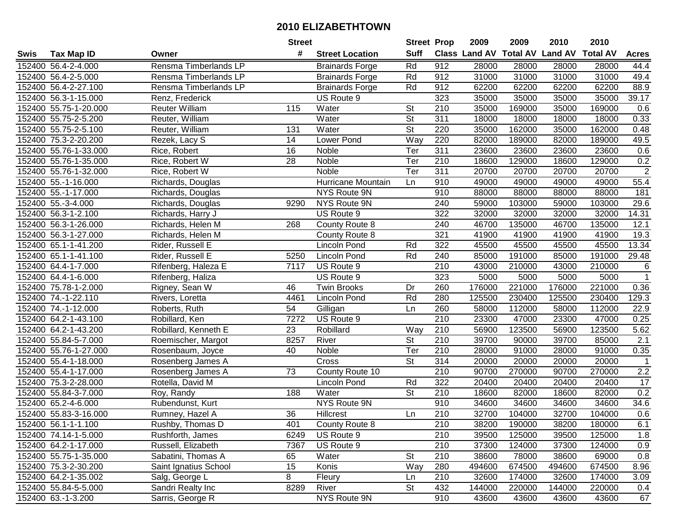| #<br><b>Suff</b><br><b>Class Land AV Total AV</b><br><b>Land AV</b><br><b>Total AV</b><br><b>Tax Map ID</b><br><b>Street Location</b><br><b>Acres</b><br>Swis<br>Owner<br>Rd<br>912<br>152400 56.4-2-4.000<br>Rensma Timberlands LP<br>28000<br>28000<br>28000<br>28000<br>44.4<br><b>Brainards Forge</b><br>49.4<br>Rensma Timberlands LP<br>Rd<br>912<br>31000<br>31000<br>31000<br>31000<br>152400 56.4-2-5.000<br><b>Brainards Forge</b><br>152400 56.4-2-27.100<br>Rensma Timberlands LP<br>Rd<br>912<br>62200<br>62200<br>62200<br>62200<br>88.9<br><b>Brainards Forge</b><br>323<br>35000<br>35000<br>35000<br>35000<br>39.17<br>152400 56.3-1-15.000<br>Renz, Frederick<br>US Route 9<br>152400 55.75-1-20.000<br>Reuter William<br>115<br>Water<br><b>St</b><br>210<br>35000<br>169000<br>35000<br>169000<br>0.6<br>Water<br>$\overline{\mathsf{St}}$<br>311<br>152400 55.75-2-5.200<br>Reuter, William<br>18000<br>18000<br>18000<br>18000<br>0.33<br>152400 55.75-2-5.100<br><b>St</b><br>220<br>35000<br>162000<br>35000<br>0.48<br>Reuter, William<br>131<br>Water<br>162000<br>Way<br>220<br>152400 75.3-2-20.200<br>$\overline{14}$<br><b>Lower Pond</b><br>82000<br>189000<br>82000<br>49.5<br>Rezek, Lacy S<br>189000<br>311<br>23600<br>152400 55.76-1-33.000<br>16<br>Ter<br>23600<br>23600<br>23600<br>0.6<br>Rice, Robert<br>Noble<br>28<br>0.2<br>152400 55.76-1-35.000<br>Rice, Robert W<br>Ter<br>210<br>18600<br>129000<br>18600<br>129000<br>Noble<br>$\overline{2}$<br>Ter<br>311<br>20700<br>152400 55.76-1-32.000<br>Rice, Robert W<br>Noble<br>20700<br>20700<br>20700<br>152400 55.-1-16.000<br>Hurricane Mountain<br>910<br>49000<br>49000<br>49000<br>49000<br>55.4<br>Richards, Douglas<br>Ln<br>152400 55.-1-17.000<br>NYS Route 9N<br>910<br>88000<br>88000<br>88000<br>181<br>88000<br>Richards, Douglas<br>152400 55.-3-4.000<br>NYS Route 9N<br>240<br>59000<br>103000<br>59000<br>103000<br>29.6<br>Richards, Douglas<br>9290<br>322<br>152400 56.3-1-2.100<br>US Route 9<br>32000<br>32000<br>32000<br>14.31<br>Richards, Harry J<br>32000<br>240<br>46700<br>135000<br>46700<br>12.1<br>152400 56.3-1-26.000<br>268<br>County Route 8<br>135000<br>Richards, Helen M<br>321<br>19.3<br>152400 56.3-1-27.000<br>41900<br>41900<br>41900<br>41900<br>Richards, Helen M<br>County Route 8<br>322<br>13.34<br>45500<br>45500<br>45500<br>45500<br>152400 65.1-1-41.200<br>Rider, Russell E<br>Lincoln Pond<br>Rd<br>152400 65.1-1-41.100<br>Rider, Russell E<br>Rd<br>240<br>85000<br>191000<br>85000<br>191000<br>29.48<br>5250<br>Lincoln Pond<br>US Route 9<br>210<br>43000<br>210000<br>43000<br>210000<br>6<br>152400 64.4-1-7.000<br>Rifenberg, Haleza E<br>7117<br>$\overline{1}$<br>323<br>5000<br>5000<br>152400 64.4-1-6.000<br>Rifenberg, Haliza<br>US Route 9<br>5000<br>5000<br>176000<br>152400 75.78-1-2.000<br>46<br><b>Twin Brooks</b><br>Dr<br>260<br>221000<br>176000<br>221000<br>0.36<br>Rigney, Sean W<br>Rd<br>152400 74.-1-22.110<br>4461<br>280<br>125500<br>230400<br>125500<br>230400<br>129.3<br>Lincoln Pond<br>Rivers, Loretta<br>54<br>260<br>58000<br>112000<br>58000<br>112000<br>22.9<br>152400 74.-1-12.000<br>Roberts, Ruth<br>Gilligan<br>Ln<br>$\overline{210}$<br>7272<br>23300<br>47000<br>23300<br>47000<br>0.25<br>152400 64.2-1-43.100<br>Robillard, Ken<br>US Route 9<br>23<br>210<br>56900<br>123500<br>123500<br>152400 64.2-1-43.200<br>Robillard, Kenneth E<br>Robillard<br>Way<br>56900<br>5.62<br>$\overline{\mathsf{St}}$<br>River<br>210<br>39700<br>39700<br>2.1<br>152400 55.84-5-7.000<br>8257<br>90000<br>85000<br>Roemischer, Margot<br>Ter<br>152400 55.76-1-27.000<br>40<br>Noble<br>210<br>28000<br>91000<br>28000<br>91000<br>0.35<br>Rosenbaum, Joyce<br>$\overline{\mathsf{St}}$<br>$\overline{314}$<br>152400 55.4-1-18.000<br>20000<br>20000<br>20000<br>Cross<br>20000<br>$\overline{1}$<br>Rosenberg James A<br>210<br>$\overline{73}$<br>2.2<br>152400 55.4-1-17.000<br>County Route 10<br>90700<br>270000<br>90700<br>270000<br>Rosenberg James A<br>17<br>Rd<br>322<br>20400<br>20400<br>152400 75.3-2-28.000<br>Rotella, David M<br>20400<br>20400<br>Lincoln Pond<br>$\overline{\mathsf{St}}$<br>0.2<br>152400 55.84-3-7.000<br>188<br>210<br>18600<br>82000<br>Roy, Randy<br>Water<br>82000<br>18600<br>34.6<br>NYS Route 9N<br>910<br>34600<br>152400 65.2-4-6.000<br>Rubendunst, Kurt<br>34600<br>34600<br>34600<br>$\overline{36}$<br>0.6<br>152400 55.83-3-16.000<br>210<br>32700<br>104000<br>32700<br>104000<br>Rumney, Hazel A<br>Hillcrest<br>Ln<br>152400 56.1-1-1.100<br>Rushby, Thomas D<br>401<br>County Route 8<br>210<br>38200<br>190000<br>38200<br>180000<br>6.1<br>152400 74.14-1-5.000<br>US Route 9<br>210<br>39500<br>125000<br>39500<br>125000<br>1.8<br>Rushforth, James<br>6249<br>US Route 9<br>152400 64.2-1-17.000<br>7367<br>210<br>37300<br>124000<br>37300<br>124000<br>0.9<br>Russell, Elizabeth<br><b>St</b><br>152400 55.75-1-35.000<br>210<br>38600<br>38600<br>69000<br>0.8<br>Sabatini, Thomas A<br>65<br>Water<br>78000<br>Way<br>8.96<br>152400 75.3-2-30.200<br>Saint Ignatius School<br>15<br>Konis<br>280<br>494600<br>674500<br>494600<br>674500<br>Salg, George L<br>8<br>152400 64.2-1-35.002<br>Fleury<br>210<br>32600<br>174000<br>32600<br>174000<br>3.09<br>Ln<br>152400 55.84-5-5.000<br>Sandri Realty Inc<br>8289<br>River<br><b>St</b><br>432<br>144000<br>220000<br>144000<br>220000<br>0.4<br>NYS Route 9N<br>152400 63.-1-3.200<br>910<br>Sarris, George R<br>43600<br>43600<br>43600<br>43600<br>67 |  | <b>Street</b> | <b>Street Prop</b> | 2009 | 2009 | 2010 | 2010 |  |
|--------------------------------------------------------------------------------------------------------------------------------------------------------------------------------------------------------------------------------------------------------------------------------------------------------------------------------------------------------------------------------------------------------------------------------------------------------------------------------------------------------------------------------------------------------------------------------------------------------------------------------------------------------------------------------------------------------------------------------------------------------------------------------------------------------------------------------------------------------------------------------------------------------------------------------------------------------------------------------------------------------------------------------------------------------------------------------------------------------------------------------------------------------------------------------------------------------------------------------------------------------------------------------------------------------------------------------------------------------------------------------------------------------------------------------------------------------------------------------------------------------------------------------------------------------------------------------------------------------------------------------------------------------------------------------------------------------------------------------------------------------------------------------------------------------------------------------------------------------------------------------------------------------------------------------------------------------------------------------------------------------------------------------------------------------------------------------------------------------------------------------------------------------------------------------------------------------------------------------------------------------------------------------------------------------------------------------------------------------------------------------------------------------------------------------------------------------------------------------------------------------------------------------------------------------------------------------------------------------------------------------------------------------------------------------------------------------------------------------------------------------------------------------------------------------------------------------------------------------------------------------------------------------------------------------------------------------------------------------------------------------------------------------------------------------------------------------------------------------------------------------------------------------------------------------------------------------------------------------------------------------------------------------------------------------------------------------------------------------------------------------------------------------------------------------------------------------------------------------------------------------------------------------------------------------------------------------------------------------------------------------------------------------------------------------------------------------------------------------------------------------------------------------------------------------------------------------------------------------------------------------------------------------------------------------------------------------------------------------------------------------------------------------------------------------------------------------------------------------------------------------------------------------------------------------------------------------------------------------------------------------------------------------------------------------------------------------------------------------------------------------------------------------------------------------------------------------------------------------------------------------------------------------------------------------------------------------------------------------------------------------------------------------------------------------------------------------------------------------------------------------------------------------------------------------------------------------------------------------------------------------------------------------------------------------------------------------------------------------------------------------------------------------------------------------------------------------------------------------------------------------------------------------------------------------------------------------------------------------------------------------------------------------------------------------------------------------------------------------------------------------------------------------------------------------------------------------------------------------------------------------------------------------------------------------------------------|--|---------------|--------------------|------|------|------|------|--|
|                                                                                                                                                                                                                                                                                                                                                                                                                                                                                                                                                                                                                                                                                                                                                                                                                                                                                                                                                                                                                                                                                                                                                                                                                                                                                                                                                                                                                                                                                                                                                                                                                                                                                                                                                                                                                                                                                                                                                                                                                                                                                                                                                                                                                                                                                                                                                                                                                                                                                                                                                                                                                                                                                                                                                                                                                                                                                                                                                                                                                                                                                                                                                                                                                                                                                                                                                                                                                                                                                                                                                                                                                                                                                                                                                                                                                                                                                                                                                                                                                                                                                                                                                                                                                                                                                                                                                                                                                                                                                                                                                                                                                                                                                                                                                                                                                                                                                                                                                                                                                                                                                                                                                                                                                                                                                                                                                                                                                                                                                                                                                                          |  |               |                    |      |      |      |      |  |
|                                                                                                                                                                                                                                                                                                                                                                                                                                                                                                                                                                                                                                                                                                                                                                                                                                                                                                                                                                                                                                                                                                                                                                                                                                                                                                                                                                                                                                                                                                                                                                                                                                                                                                                                                                                                                                                                                                                                                                                                                                                                                                                                                                                                                                                                                                                                                                                                                                                                                                                                                                                                                                                                                                                                                                                                                                                                                                                                                                                                                                                                                                                                                                                                                                                                                                                                                                                                                                                                                                                                                                                                                                                                                                                                                                                                                                                                                                                                                                                                                                                                                                                                                                                                                                                                                                                                                                                                                                                                                                                                                                                                                                                                                                                                                                                                                                                                                                                                                                                                                                                                                                                                                                                                                                                                                                                                                                                                                                                                                                                                                                          |  |               |                    |      |      |      |      |  |
|                                                                                                                                                                                                                                                                                                                                                                                                                                                                                                                                                                                                                                                                                                                                                                                                                                                                                                                                                                                                                                                                                                                                                                                                                                                                                                                                                                                                                                                                                                                                                                                                                                                                                                                                                                                                                                                                                                                                                                                                                                                                                                                                                                                                                                                                                                                                                                                                                                                                                                                                                                                                                                                                                                                                                                                                                                                                                                                                                                                                                                                                                                                                                                                                                                                                                                                                                                                                                                                                                                                                                                                                                                                                                                                                                                                                                                                                                                                                                                                                                                                                                                                                                                                                                                                                                                                                                                                                                                                                                                                                                                                                                                                                                                                                                                                                                                                                                                                                                                                                                                                                                                                                                                                                                                                                                                                                                                                                                                                                                                                                                                          |  |               |                    |      |      |      |      |  |
|                                                                                                                                                                                                                                                                                                                                                                                                                                                                                                                                                                                                                                                                                                                                                                                                                                                                                                                                                                                                                                                                                                                                                                                                                                                                                                                                                                                                                                                                                                                                                                                                                                                                                                                                                                                                                                                                                                                                                                                                                                                                                                                                                                                                                                                                                                                                                                                                                                                                                                                                                                                                                                                                                                                                                                                                                                                                                                                                                                                                                                                                                                                                                                                                                                                                                                                                                                                                                                                                                                                                                                                                                                                                                                                                                                                                                                                                                                                                                                                                                                                                                                                                                                                                                                                                                                                                                                                                                                                                                                                                                                                                                                                                                                                                                                                                                                                                                                                                                                                                                                                                                                                                                                                                                                                                                                                                                                                                                                                                                                                                                                          |  |               |                    |      |      |      |      |  |
|                                                                                                                                                                                                                                                                                                                                                                                                                                                                                                                                                                                                                                                                                                                                                                                                                                                                                                                                                                                                                                                                                                                                                                                                                                                                                                                                                                                                                                                                                                                                                                                                                                                                                                                                                                                                                                                                                                                                                                                                                                                                                                                                                                                                                                                                                                                                                                                                                                                                                                                                                                                                                                                                                                                                                                                                                                                                                                                                                                                                                                                                                                                                                                                                                                                                                                                                                                                                                                                                                                                                                                                                                                                                                                                                                                                                                                                                                                                                                                                                                                                                                                                                                                                                                                                                                                                                                                                                                                                                                                                                                                                                                                                                                                                                                                                                                                                                                                                                                                                                                                                                                                                                                                                                                                                                                                                                                                                                                                                                                                                                                                          |  |               |                    |      |      |      |      |  |
|                                                                                                                                                                                                                                                                                                                                                                                                                                                                                                                                                                                                                                                                                                                                                                                                                                                                                                                                                                                                                                                                                                                                                                                                                                                                                                                                                                                                                                                                                                                                                                                                                                                                                                                                                                                                                                                                                                                                                                                                                                                                                                                                                                                                                                                                                                                                                                                                                                                                                                                                                                                                                                                                                                                                                                                                                                                                                                                                                                                                                                                                                                                                                                                                                                                                                                                                                                                                                                                                                                                                                                                                                                                                                                                                                                                                                                                                                                                                                                                                                                                                                                                                                                                                                                                                                                                                                                                                                                                                                                                                                                                                                                                                                                                                                                                                                                                                                                                                                                                                                                                                                                                                                                                                                                                                                                                                                                                                                                                                                                                                                                          |  |               |                    |      |      |      |      |  |
|                                                                                                                                                                                                                                                                                                                                                                                                                                                                                                                                                                                                                                                                                                                                                                                                                                                                                                                                                                                                                                                                                                                                                                                                                                                                                                                                                                                                                                                                                                                                                                                                                                                                                                                                                                                                                                                                                                                                                                                                                                                                                                                                                                                                                                                                                                                                                                                                                                                                                                                                                                                                                                                                                                                                                                                                                                                                                                                                                                                                                                                                                                                                                                                                                                                                                                                                                                                                                                                                                                                                                                                                                                                                                                                                                                                                                                                                                                                                                                                                                                                                                                                                                                                                                                                                                                                                                                                                                                                                                                                                                                                                                                                                                                                                                                                                                                                                                                                                                                                                                                                                                                                                                                                                                                                                                                                                                                                                                                                                                                                                                                          |  |               |                    |      |      |      |      |  |
|                                                                                                                                                                                                                                                                                                                                                                                                                                                                                                                                                                                                                                                                                                                                                                                                                                                                                                                                                                                                                                                                                                                                                                                                                                                                                                                                                                                                                                                                                                                                                                                                                                                                                                                                                                                                                                                                                                                                                                                                                                                                                                                                                                                                                                                                                                                                                                                                                                                                                                                                                                                                                                                                                                                                                                                                                                                                                                                                                                                                                                                                                                                                                                                                                                                                                                                                                                                                                                                                                                                                                                                                                                                                                                                                                                                                                                                                                                                                                                                                                                                                                                                                                                                                                                                                                                                                                                                                                                                                                                                                                                                                                                                                                                                                                                                                                                                                                                                                                                                                                                                                                                                                                                                                                                                                                                                                                                                                                                                                                                                                                                          |  |               |                    |      |      |      |      |  |
|                                                                                                                                                                                                                                                                                                                                                                                                                                                                                                                                                                                                                                                                                                                                                                                                                                                                                                                                                                                                                                                                                                                                                                                                                                                                                                                                                                                                                                                                                                                                                                                                                                                                                                                                                                                                                                                                                                                                                                                                                                                                                                                                                                                                                                                                                                                                                                                                                                                                                                                                                                                                                                                                                                                                                                                                                                                                                                                                                                                                                                                                                                                                                                                                                                                                                                                                                                                                                                                                                                                                                                                                                                                                                                                                                                                                                                                                                                                                                                                                                                                                                                                                                                                                                                                                                                                                                                                                                                                                                                                                                                                                                                                                                                                                                                                                                                                                                                                                                                                                                                                                                                                                                                                                                                                                                                                                                                                                                                                                                                                                                                          |  |               |                    |      |      |      |      |  |
|                                                                                                                                                                                                                                                                                                                                                                                                                                                                                                                                                                                                                                                                                                                                                                                                                                                                                                                                                                                                                                                                                                                                                                                                                                                                                                                                                                                                                                                                                                                                                                                                                                                                                                                                                                                                                                                                                                                                                                                                                                                                                                                                                                                                                                                                                                                                                                                                                                                                                                                                                                                                                                                                                                                                                                                                                                                                                                                                                                                                                                                                                                                                                                                                                                                                                                                                                                                                                                                                                                                                                                                                                                                                                                                                                                                                                                                                                                                                                                                                                                                                                                                                                                                                                                                                                                                                                                                                                                                                                                                                                                                                                                                                                                                                                                                                                                                                                                                                                                                                                                                                                                                                                                                                                                                                                                                                                                                                                                                                                                                                                                          |  |               |                    |      |      |      |      |  |
|                                                                                                                                                                                                                                                                                                                                                                                                                                                                                                                                                                                                                                                                                                                                                                                                                                                                                                                                                                                                                                                                                                                                                                                                                                                                                                                                                                                                                                                                                                                                                                                                                                                                                                                                                                                                                                                                                                                                                                                                                                                                                                                                                                                                                                                                                                                                                                                                                                                                                                                                                                                                                                                                                                                                                                                                                                                                                                                                                                                                                                                                                                                                                                                                                                                                                                                                                                                                                                                                                                                                                                                                                                                                                                                                                                                                                                                                                                                                                                                                                                                                                                                                                                                                                                                                                                                                                                                                                                                                                                                                                                                                                                                                                                                                                                                                                                                                                                                                                                                                                                                                                                                                                                                                                                                                                                                                                                                                                                                                                                                                                                          |  |               |                    |      |      |      |      |  |
|                                                                                                                                                                                                                                                                                                                                                                                                                                                                                                                                                                                                                                                                                                                                                                                                                                                                                                                                                                                                                                                                                                                                                                                                                                                                                                                                                                                                                                                                                                                                                                                                                                                                                                                                                                                                                                                                                                                                                                                                                                                                                                                                                                                                                                                                                                                                                                                                                                                                                                                                                                                                                                                                                                                                                                                                                                                                                                                                                                                                                                                                                                                                                                                                                                                                                                                                                                                                                                                                                                                                                                                                                                                                                                                                                                                                                                                                                                                                                                                                                                                                                                                                                                                                                                                                                                                                                                                                                                                                                                                                                                                                                                                                                                                                                                                                                                                                                                                                                                                                                                                                                                                                                                                                                                                                                                                                                                                                                                                                                                                                                                          |  |               |                    |      |      |      |      |  |
|                                                                                                                                                                                                                                                                                                                                                                                                                                                                                                                                                                                                                                                                                                                                                                                                                                                                                                                                                                                                                                                                                                                                                                                                                                                                                                                                                                                                                                                                                                                                                                                                                                                                                                                                                                                                                                                                                                                                                                                                                                                                                                                                                                                                                                                                                                                                                                                                                                                                                                                                                                                                                                                                                                                                                                                                                                                                                                                                                                                                                                                                                                                                                                                                                                                                                                                                                                                                                                                                                                                                                                                                                                                                                                                                                                                                                                                                                                                                                                                                                                                                                                                                                                                                                                                                                                                                                                                                                                                                                                                                                                                                                                                                                                                                                                                                                                                                                                                                                                                                                                                                                                                                                                                                                                                                                                                                                                                                                                                                                                                                                                          |  |               |                    |      |      |      |      |  |
|                                                                                                                                                                                                                                                                                                                                                                                                                                                                                                                                                                                                                                                                                                                                                                                                                                                                                                                                                                                                                                                                                                                                                                                                                                                                                                                                                                                                                                                                                                                                                                                                                                                                                                                                                                                                                                                                                                                                                                                                                                                                                                                                                                                                                                                                                                                                                                                                                                                                                                                                                                                                                                                                                                                                                                                                                                                                                                                                                                                                                                                                                                                                                                                                                                                                                                                                                                                                                                                                                                                                                                                                                                                                                                                                                                                                                                                                                                                                                                                                                                                                                                                                                                                                                                                                                                                                                                                                                                                                                                                                                                                                                                                                                                                                                                                                                                                                                                                                                                                                                                                                                                                                                                                                                                                                                                                                                                                                                                                                                                                                                                          |  |               |                    |      |      |      |      |  |
|                                                                                                                                                                                                                                                                                                                                                                                                                                                                                                                                                                                                                                                                                                                                                                                                                                                                                                                                                                                                                                                                                                                                                                                                                                                                                                                                                                                                                                                                                                                                                                                                                                                                                                                                                                                                                                                                                                                                                                                                                                                                                                                                                                                                                                                                                                                                                                                                                                                                                                                                                                                                                                                                                                                                                                                                                                                                                                                                                                                                                                                                                                                                                                                                                                                                                                                                                                                                                                                                                                                                                                                                                                                                                                                                                                                                                                                                                                                                                                                                                                                                                                                                                                                                                                                                                                                                                                                                                                                                                                                                                                                                                                                                                                                                                                                                                                                                                                                                                                                                                                                                                                                                                                                                                                                                                                                                                                                                                                                                                                                                                                          |  |               |                    |      |      |      |      |  |
|                                                                                                                                                                                                                                                                                                                                                                                                                                                                                                                                                                                                                                                                                                                                                                                                                                                                                                                                                                                                                                                                                                                                                                                                                                                                                                                                                                                                                                                                                                                                                                                                                                                                                                                                                                                                                                                                                                                                                                                                                                                                                                                                                                                                                                                                                                                                                                                                                                                                                                                                                                                                                                                                                                                                                                                                                                                                                                                                                                                                                                                                                                                                                                                                                                                                                                                                                                                                                                                                                                                                                                                                                                                                                                                                                                                                                                                                                                                                                                                                                                                                                                                                                                                                                                                                                                                                                                                                                                                                                                                                                                                                                                                                                                                                                                                                                                                                                                                                                                                                                                                                                                                                                                                                                                                                                                                                                                                                                                                                                                                                                                          |  |               |                    |      |      |      |      |  |
|                                                                                                                                                                                                                                                                                                                                                                                                                                                                                                                                                                                                                                                                                                                                                                                                                                                                                                                                                                                                                                                                                                                                                                                                                                                                                                                                                                                                                                                                                                                                                                                                                                                                                                                                                                                                                                                                                                                                                                                                                                                                                                                                                                                                                                                                                                                                                                                                                                                                                                                                                                                                                                                                                                                                                                                                                                                                                                                                                                                                                                                                                                                                                                                                                                                                                                                                                                                                                                                                                                                                                                                                                                                                                                                                                                                                                                                                                                                                                                                                                                                                                                                                                                                                                                                                                                                                                                                                                                                                                                                                                                                                                                                                                                                                                                                                                                                                                                                                                                                                                                                                                                                                                                                                                                                                                                                                                                                                                                                                                                                                                                          |  |               |                    |      |      |      |      |  |
|                                                                                                                                                                                                                                                                                                                                                                                                                                                                                                                                                                                                                                                                                                                                                                                                                                                                                                                                                                                                                                                                                                                                                                                                                                                                                                                                                                                                                                                                                                                                                                                                                                                                                                                                                                                                                                                                                                                                                                                                                                                                                                                                                                                                                                                                                                                                                                                                                                                                                                                                                                                                                                                                                                                                                                                                                                                                                                                                                                                                                                                                                                                                                                                                                                                                                                                                                                                                                                                                                                                                                                                                                                                                                                                                                                                                                                                                                                                                                                                                                                                                                                                                                                                                                                                                                                                                                                                                                                                                                                                                                                                                                                                                                                                                                                                                                                                                                                                                                                                                                                                                                                                                                                                                                                                                                                                                                                                                                                                                                                                                                                          |  |               |                    |      |      |      |      |  |
|                                                                                                                                                                                                                                                                                                                                                                                                                                                                                                                                                                                                                                                                                                                                                                                                                                                                                                                                                                                                                                                                                                                                                                                                                                                                                                                                                                                                                                                                                                                                                                                                                                                                                                                                                                                                                                                                                                                                                                                                                                                                                                                                                                                                                                                                                                                                                                                                                                                                                                                                                                                                                                                                                                                                                                                                                                                                                                                                                                                                                                                                                                                                                                                                                                                                                                                                                                                                                                                                                                                                                                                                                                                                                                                                                                                                                                                                                                                                                                                                                                                                                                                                                                                                                                                                                                                                                                                                                                                                                                                                                                                                                                                                                                                                                                                                                                                                                                                                                                                                                                                                                                                                                                                                                                                                                                                                                                                                                                                                                                                                                                          |  |               |                    |      |      |      |      |  |
|                                                                                                                                                                                                                                                                                                                                                                                                                                                                                                                                                                                                                                                                                                                                                                                                                                                                                                                                                                                                                                                                                                                                                                                                                                                                                                                                                                                                                                                                                                                                                                                                                                                                                                                                                                                                                                                                                                                                                                                                                                                                                                                                                                                                                                                                                                                                                                                                                                                                                                                                                                                                                                                                                                                                                                                                                                                                                                                                                                                                                                                                                                                                                                                                                                                                                                                                                                                                                                                                                                                                                                                                                                                                                                                                                                                                                                                                                                                                                                                                                                                                                                                                                                                                                                                                                                                                                                                                                                                                                                                                                                                                                                                                                                                                                                                                                                                                                                                                                                                                                                                                                                                                                                                                                                                                                                                                                                                                                                                                                                                                                                          |  |               |                    |      |      |      |      |  |
|                                                                                                                                                                                                                                                                                                                                                                                                                                                                                                                                                                                                                                                                                                                                                                                                                                                                                                                                                                                                                                                                                                                                                                                                                                                                                                                                                                                                                                                                                                                                                                                                                                                                                                                                                                                                                                                                                                                                                                                                                                                                                                                                                                                                                                                                                                                                                                                                                                                                                                                                                                                                                                                                                                                                                                                                                                                                                                                                                                                                                                                                                                                                                                                                                                                                                                                                                                                                                                                                                                                                                                                                                                                                                                                                                                                                                                                                                                                                                                                                                                                                                                                                                                                                                                                                                                                                                                                                                                                                                                                                                                                                                                                                                                                                                                                                                                                                                                                                                                                                                                                                                                                                                                                                                                                                                                                                                                                                                                                                                                                                                                          |  |               |                    |      |      |      |      |  |
|                                                                                                                                                                                                                                                                                                                                                                                                                                                                                                                                                                                                                                                                                                                                                                                                                                                                                                                                                                                                                                                                                                                                                                                                                                                                                                                                                                                                                                                                                                                                                                                                                                                                                                                                                                                                                                                                                                                                                                                                                                                                                                                                                                                                                                                                                                                                                                                                                                                                                                                                                                                                                                                                                                                                                                                                                                                                                                                                                                                                                                                                                                                                                                                                                                                                                                                                                                                                                                                                                                                                                                                                                                                                                                                                                                                                                                                                                                                                                                                                                                                                                                                                                                                                                                                                                                                                                                                                                                                                                                                                                                                                                                                                                                                                                                                                                                                                                                                                                                                                                                                                                                                                                                                                                                                                                                                                                                                                                                                                                                                                                                          |  |               |                    |      |      |      |      |  |
|                                                                                                                                                                                                                                                                                                                                                                                                                                                                                                                                                                                                                                                                                                                                                                                                                                                                                                                                                                                                                                                                                                                                                                                                                                                                                                                                                                                                                                                                                                                                                                                                                                                                                                                                                                                                                                                                                                                                                                                                                                                                                                                                                                                                                                                                                                                                                                                                                                                                                                                                                                                                                                                                                                                                                                                                                                                                                                                                                                                                                                                                                                                                                                                                                                                                                                                                                                                                                                                                                                                                                                                                                                                                                                                                                                                                                                                                                                                                                                                                                                                                                                                                                                                                                                                                                                                                                                                                                                                                                                                                                                                                                                                                                                                                                                                                                                                                                                                                                                                                                                                                                                                                                                                                                                                                                                                                                                                                                                                                                                                                                                          |  |               |                    |      |      |      |      |  |
|                                                                                                                                                                                                                                                                                                                                                                                                                                                                                                                                                                                                                                                                                                                                                                                                                                                                                                                                                                                                                                                                                                                                                                                                                                                                                                                                                                                                                                                                                                                                                                                                                                                                                                                                                                                                                                                                                                                                                                                                                                                                                                                                                                                                                                                                                                                                                                                                                                                                                                                                                                                                                                                                                                                                                                                                                                                                                                                                                                                                                                                                                                                                                                                                                                                                                                                                                                                                                                                                                                                                                                                                                                                                                                                                                                                                                                                                                                                                                                                                                                                                                                                                                                                                                                                                                                                                                                                                                                                                                                                                                                                                                                                                                                                                                                                                                                                                                                                                                                                                                                                                                                                                                                                                                                                                                                                                                                                                                                                                                                                                                                          |  |               |                    |      |      |      |      |  |
|                                                                                                                                                                                                                                                                                                                                                                                                                                                                                                                                                                                                                                                                                                                                                                                                                                                                                                                                                                                                                                                                                                                                                                                                                                                                                                                                                                                                                                                                                                                                                                                                                                                                                                                                                                                                                                                                                                                                                                                                                                                                                                                                                                                                                                                                                                                                                                                                                                                                                                                                                                                                                                                                                                                                                                                                                                                                                                                                                                                                                                                                                                                                                                                                                                                                                                                                                                                                                                                                                                                                                                                                                                                                                                                                                                                                                                                                                                                                                                                                                                                                                                                                                                                                                                                                                                                                                                                                                                                                                                                                                                                                                                                                                                                                                                                                                                                                                                                                                                                                                                                                                                                                                                                                                                                                                                                                                                                                                                                                                                                                                                          |  |               |                    |      |      |      |      |  |
|                                                                                                                                                                                                                                                                                                                                                                                                                                                                                                                                                                                                                                                                                                                                                                                                                                                                                                                                                                                                                                                                                                                                                                                                                                                                                                                                                                                                                                                                                                                                                                                                                                                                                                                                                                                                                                                                                                                                                                                                                                                                                                                                                                                                                                                                                                                                                                                                                                                                                                                                                                                                                                                                                                                                                                                                                                                                                                                                                                                                                                                                                                                                                                                                                                                                                                                                                                                                                                                                                                                                                                                                                                                                                                                                                                                                                                                                                                                                                                                                                                                                                                                                                                                                                                                                                                                                                                                                                                                                                                                                                                                                                                                                                                                                                                                                                                                                                                                                                                                                                                                                                                                                                                                                                                                                                                                                                                                                                                                                                                                                                                          |  |               |                    |      |      |      |      |  |
|                                                                                                                                                                                                                                                                                                                                                                                                                                                                                                                                                                                                                                                                                                                                                                                                                                                                                                                                                                                                                                                                                                                                                                                                                                                                                                                                                                                                                                                                                                                                                                                                                                                                                                                                                                                                                                                                                                                                                                                                                                                                                                                                                                                                                                                                                                                                                                                                                                                                                                                                                                                                                                                                                                                                                                                                                                                                                                                                                                                                                                                                                                                                                                                                                                                                                                                                                                                                                                                                                                                                                                                                                                                                                                                                                                                                                                                                                                                                                                                                                                                                                                                                                                                                                                                                                                                                                                                                                                                                                                                                                                                                                                                                                                                                                                                                                                                                                                                                                                                                                                                                                                                                                                                                                                                                                                                                                                                                                                                                                                                                                                          |  |               |                    |      |      |      |      |  |
|                                                                                                                                                                                                                                                                                                                                                                                                                                                                                                                                                                                                                                                                                                                                                                                                                                                                                                                                                                                                                                                                                                                                                                                                                                                                                                                                                                                                                                                                                                                                                                                                                                                                                                                                                                                                                                                                                                                                                                                                                                                                                                                                                                                                                                                                                                                                                                                                                                                                                                                                                                                                                                                                                                                                                                                                                                                                                                                                                                                                                                                                                                                                                                                                                                                                                                                                                                                                                                                                                                                                                                                                                                                                                                                                                                                                                                                                                                                                                                                                                                                                                                                                                                                                                                                                                                                                                                                                                                                                                                                                                                                                                                                                                                                                                                                                                                                                                                                                                                                                                                                                                                                                                                                                                                                                                                                                                                                                                                                                                                                                                                          |  |               |                    |      |      |      |      |  |
|                                                                                                                                                                                                                                                                                                                                                                                                                                                                                                                                                                                                                                                                                                                                                                                                                                                                                                                                                                                                                                                                                                                                                                                                                                                                                                                                                                                                                                                                                                                                                                                                                                                                                                                                                                                                                                                                                                                                                                                                                                                                                                                                                                                                                                                                                                                                                                                                                                                                                                                                                                                                                                                                                                                                                                                                                                                                                                                                                                                                                                                                                                                                                                                                                                                                                                                                                                                                                                                                                                                                                                                                                                                                                                                                                                                                                                                                                                                                                                                                                                                                                                                                                                                                                                                                                                                                                                                                                                                                                                                                                                                                                                                                                                                                                                                                                                                                                                                                                                                                                                                                                                                                                                                                                                                                                                                                                                                                                                                                                                                                                                          |  |               |                    |      |      |      |      |  |
|                                                                                                                                                                                                                                                                                                                                                                                                                                                                                                                                                                                                                                                                                                                                                                                                                                                                                                                                                                                                                                                                                                                                                                                                                                                                                                                                                                                                                                                                                                                                                                                                                                                                                                                                                                                                                                                                                                                                                                                                                                                                                                                                                                                                                                                                                                                                                                                                                                                                                                                                                                                                                                                                                                                                                                                                                                                                                                                                                                                                                                                                                                                                                                                                                                                                                                                                                                                                                                                                                                                                                                                                                                                                                                                                                                                                                                                                                                                                                                                                                                                                                                                                                                                                                                                                                                                                                                                                                                                                                                                                                                                                                                                                                                                                                                                                                                                                                                                                                                                                                                                                                                                                                                                                                                                                                                                                                                                                                                                                                                                                                                          |  |               |                    |      |      |      |      |  |
|                                                                                                                                                                                                                                                                                                                                                                                                                                                                                                                                                                                                                                                                                                                                                                                                                                                                                                                                                                                                                                                                                                                                                                                                                                                                                                                                                                                                                                                                                                                                                                                                                                                                                                                                                                                                                                                                                                                                                                                                                                                                                                                                                                                                                                                                                                                                                                                                                                                                                                                                                                                                                                                                                                                                                                                                                                                                                                                                                                                                                                                                                                                                                                                                                                                                                                                                                                                                                                                                                                                                                                                                                                                                                                                                                                                                                                                                                                                                                                                                                                                                                                                                                                                                                                                                                                                                                                                                                                                                                                                                                                                                                                                                                                                                                                                                                                                                                                                                                                                                                                                                                                                                                                                                                                                                                                                                                                                                                                                                                                                                                                          |  |               |                    |      |      |      |      |  |
|                                                                                                                                                                                                                                                                                                                                                                                                                                                                                                                                                                                                                                                                                                                                                                                                                                                                                                                                                                                                                                                                                                                                                                                                                                                                                                                                                                                                                                                                                                                                                                                                                                                                                                                                                                                                                                                                                                                                                                                                                                                                                                                                                                                                                                                                                                                                                                                                                                                                                                                                                                                                                                                                                                                                                                                                                                                                                                                                                                                                                                                                                                                                                                                                                                                                                                                                                                                                                                                                                                                                                                                                                                                                                                                                                                                                                                                                                                                                                                                                                                                                                                                                                                                                                                                                                                                                                                                                                                                                                                                                                                                                                                                                                                                                                                                                                                                                                                                                                                                                                                                                                                                                                                                                                                                                                                                                                                                                                                                                                                                                                                          |  |               |                    |      |      |      |      |  |
|                                                                                                                                                                                                                                                                                                                                                                                                                                                                                                                                                                                                                                                                                                                                                                                                                                                                                                                                                                                                                                                                                                                                                                                                                                                                                                                                                                                                                                                                                                                                                                                                                                                                                                                                                                                                                                                                                                                                                                                                                                                                                                                                                                                                                                                                                                                                                                                                                                                                                                                                                                                                                                                                                                                                                                                                                                                                                                                                                                                                                                                                                                                                                                                                                                                                                                                                                                                                                                                                                                                                                                                                                                                                                                                                                                                                                                                                                                                                                                                                                                                                                                                                                                                                                                                                                                                                                                                                                                                                                                                                                                                                                                                                                                                                                                                                                                                                                                                                                                                                                                                                                                                                                                                                                                                                                                                                                                                                                                                                                                                                                                          |  |               |                    |      |      |      |      |  |
|                                                                                                                                                                                                                                                                                                                                                                                                                                                                                                                                                                                                                                                                                                                                                                                                                                                                                                                                                                                                                                                                                                                                                                                                                                                                                                                                                                                                                                                                                                                                                                                                                                                                                                                                                                                                                                                                                                                                                                                                                                                                                                                                                                                                                                                                                                                                                                                                                                                                                                                                                                                                                                                                                                                                                                                                                                                                                                                                                                                                                                                                                                                                                                                                                                                                                                                                                                                                                                                                                                                                                                                                                                                                                                                                                                                                                                                                                                                                                                                                                                                                                                                                                                                                                                                                                                                                                                                                                                                                                                                                                                                                                                                                                                                                                                                                                                                                                                                                                                                                                                                                                                                                                                                                                                                                                                                                                                                                                                                                                                                                                                          |  |               |                    |      |      |      |      |  |
|                                                                                                                                                                                                                                                                                                                                                                                                                                                                                                                                                                                                                                                                                                                                                                                                                                                                                                                                                                                                                                                                                                                                                                                                                                                                                                                                                                                                                                                                                                                                                                                                                                                                                                                                                                                                                                                                                                                                                                                                                                                                                                                                                                                                                                                                                                                                                                                                                                                                                                                                                                                                                                                                                                                                                                                                                                                                                                                                                                                                                                                                                                                                                                                                                                                                                                                                                                                                                                                                                                                                                                                                                                                                                                                                                                                                                                                                                                                                                                                                                                                                                                                                                                                                                                                                                                                                                                                                                                                                                                                                                                                                                                                                                                                                                                                                                                                                                                                                                                                                                                                                                                                                                                                                                                                                                                                                                                                                                                                                                                                                                                          |  |               |                    |      |      |      |      |  |
|                                                                                                                                                                                                                                                                                                                                                                                                                                                                                                                                                                                                                                                                                                                                                                                                                                                                                                                                                                                                                                                                                                                                                                                                                                                                                                                                                                                                                                                                                                                                                                                                                                                                                                                                                                                                                                                                                                                                                                                                                                                                                                                                                                                                                                                                                                                                                                                                                                                                                                                                                                                                                                                                                                                                                                                                                                                                                                                                                                                                                                                                                                                                                                                                                                                                                                                                                                                                                                                                                                                                                                                                                                                                                                                                                                                                                                                                                                                                                                                                                                                                                                                                                                                                                                                                                                                                                                                                                                                                                                                                                                                                                                                                                                                                                                                                                                                                                                                                                                                                                                                                                                                                                                                                                                                                                                                                                                                                                                                                                                                                                                          |  |               |                    |      |      |      |      |  |
|                                                                                                                                                                                                                                                                                                                                                                                                                                                                                                                                                                                                                                                                                                                                                                                                                                                                                                                                                                                                                                                                                                                                                                                                                                                                                                                                                                                                                                                                                                                                                                                                                                                                                                                                                                                                                                                                                                                                                                                                                                                                                                                                                                                                                                                                                                                                                                                                                                                                                                                                                                                                                                                                                                                                                                                                                                                                                                                                                                                                                                                                                                                                                                                                                                                                                                                                                                                                                                                                                                                                                                                                                                                                                                                                                                                                                                                                                                                                                                                                                                                                                                                                                                                                                                                                                                                                                                                                                                                                                                                                                                                                                                                                                                                                                                                                                                                                                                                                                                                                                                                                                                                                                                                                                                                                                                                                                                                                                                                                                                                                                                          |  |               |                    |      |      |      |      |  |
|                                                                                                                                                                                                                                                                                                                                                                                                                                                                                                                                                                                                                                                                                                                                                                                                                                                                                                                                                                                                                                                                                                                                                                                                                                                                                                                                                                                                                                                                                                                                                                                                                                                                                                                                                                                                                                                                                                                                                                                                                                                                                                                                                                                                                                                                                                                                                                                                                                                                                                                                                                                                                                                                                                                                                                                                                                                                                                                                                                                                                                                                                                                                                                                                                                                                                                                                                                                                                                                                                                                                                                                                                                                                                                                                                                                                                                                                                                                                                                                                                                                                                                                                                                                                                                                                                                                                                                                                                                                                                                                                                                                                                                                                                                                                                                                                                                                                                                                                                                                                                                                                                                                                                                                                                                                                                                                                                                                                                                                                                                                                                                          |  |               |                    |      |      |      |      |  |
|                                                                                                                                                                                                                                                                                                                                                                                                                                                                                                                                                                                                                                                                                                                                                                                                                                                                                                                                                                                                                                                                                                                                                                                                                                                                                                                                                                                                                                                                                                                                                                                                                                                                                                                                                                                                                                                                                                                                                                                                                                                                                                                                                                                                                                                                                                                                                                                                                                                                                                                                                                                                                                                                                                                                                                                                                                                                                                                                                                                                                                                                                                                                                                                                                                                                                                                                                                                                                                                                                                                                                                                                                                                                                                                                                                                                                                                                                                                                                                                                                                                                                                                                                                                                                                                                                                                                                                                                                                                                                                                                                                                                                                                                                                                                                                                                                                                                                                                                                                                                                                                                                                                                                                                                                                                                                                                                                                                                                                                                                                                                                                          |  |               |                    |      |      |      |      |  |
|                                                                                                                                                                                                                                                                                                                                                                                                                                                                                                                                                                                                                                                                                                                                                                                                                                                                                                                                                                                                                                                                                                                                                                                                                                                                                                                                                                                                                                                                                                                                                                                                                                                                                                                                                                                                                                                                                                                                                                                                                                                                                                                                                                                                                                                                                                                                                                                                                                                                                                                                                                                                                                                                                                                                                                                                                                                                                                                                                                                                                                                                                                                                                                                                                                                                                                                                                                                                                                                                                                                                                                                                                                                                                                                                                                                                                                                                                                                                                                                                                                                                                                                                                                                                                                                                                                                                                                                                                                                                                                                                                                                                                                                                                                                                                                                                                                                                                                                                                                                                                                                                                                                                                                                                                                                                                                                                                                                                                                                                                                                                                                          |  |               |                    |      |      |      |      |  |
|                                                                                                                                                                                                                                                                                                                                                                                                                                                                                                                                                                                                                                                                                                                                                                                                                                                                                                                                                                                                                                                                                                                                                                                                                                                                                                                                                                                                                                                                                                                                                                                                                                                                                                                                                                                                                                                                                                                                                                                                                                                                                                                                                                                                                                                                                                                                                                                                                                                                                                                                                                                                                                                                                                                                                                                                                                                                                                                                                                                                                                                                                                                                                                                                                                                                                                                                                                                                                                                                                                                                                                                                                                                                                                                                                                                                                                                                                                                                                                                                                                                                                                                                                                                                                                                                                                                                                                                                                                                                                                                                                                                                                                                                                                                                                                                                                                                                                                                                                                                                                                                                                                                                                                                                                                                                                                                                                                                                                                                                                                                                                                          |  |               |                    |      |      |      |      |  |
|                                                                                                                                                                                                                                                                                                                                                                                                                                                                                                                                                                                                                                                                                                                                                                                                                                                                                                                                                                                                                                                                                                                                                                                                                                                                                                                                                                                                                                                                                                                                                                                                                                                                                                                                                                                                                                                                                                                                                                                                                                                                                                                                                                                                                                                                                                                                                                                                                                                                                                                                                                                                                                                                                                                                                                                                                                                                                                                                                                                                                                                                                                                                                                                                                                                                                                                                                                                                                                                                                                                                                                                                                                                                                                                                                                                                                                                                                                                                                                                                                                                                                                                                                                                                                                                                                                                                                                                                                                                                                                                                                                                                                                                                                                                                                                                                                                                                                                                                                                                                                                                                                                                                                                                                                                                                                                                                                                                                                                                                                                                                                                          |  |               |                    |      |      |      |      |  |
|                                                                                                                                                                                                                                                                                                                                                                                                                                                                                                                                                                                                                                                                                                                                                                                                                                                                                                                                                                                                                                                                                                                                                                                                                                                                                                                                                                                                                                                                                                                                                                                                                                                                                                                                                                                                                                                                                                                                                                                                                                                                                                                                                                                                                                                                                                                                                                                                                                                                                                                                                                                                                                                                                                                                                                                                                                                                                                                                                                                                                                                                                                                                                                                                                                                                                                                                                                                                                                                                                                                                                                                                                                                                                                                                                                                                                                                                                                                                                                                                                                                                                                                                                                                                                                                                                                                                                                                                                                                                                                                                                                                                                                                                                                                                                                                                                                                                                                                                                                                                                                                                                                                                                                                                                                                                                                                                                                                                                                                                                                                                                                          |  |               |                    |      |      |      |      |  |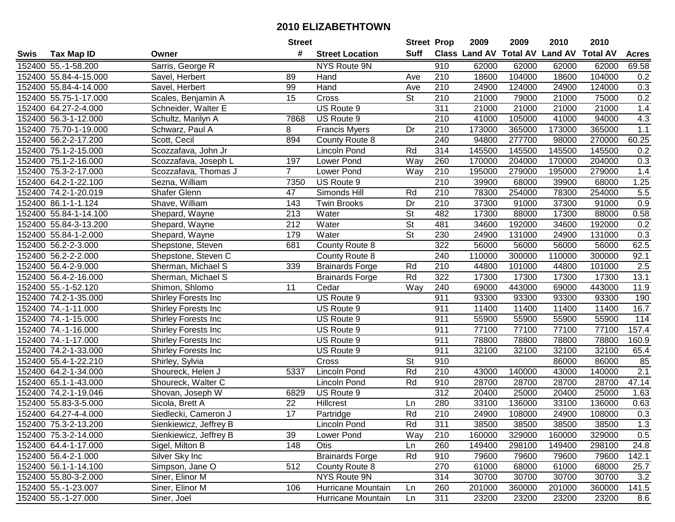| #<br><b>Suff</b><br><b>Class Land AV</b><br><b>Total AV Land AV</b><br><b>Total AV</b><br><b>Tax Map ID</b><br><b>Street Location</b><br><b>Acres</b><br>Swis<br>Owner<br>152400 55.-1-58.200<br>Sarris, George R<br>NYS Route 9N<br>910<br>62000<br>62000<br>62000<br>62000<br>69.58<br>18600<br>152400 55.84-4-15.000<br>210<br>104000<br>18600<br>104000<br>0.2<br>Savel, Herbert<br>89<br>Hand<br>Ave<br>152400 55.84-4-14.000<br>99<br>Hand<br>210<br>24900<br>124000<br>24900<br>124000<br>0.3<br>Savel, Herbert<br>Ave<br>0.2<br>15<br>St<br>210<br>21000<br>79000<br>152400 55.75-1-17.000<br>Scales, Benjamin A<br>Cross<br>21000<br>75000<br>311<br>152400 64.27-2-4.000<br>Schneider, Walter E<br>US Route 9<br>21000<br>21000<br>21000<br>21000<br>1.4<br>4.3<br>94000<br>152400 56.3-1-12.000<br>7868<br>US Route 9<br>210<br>41000<br>105000<br>41000<br>Schultz, Marilyn A<br>1.1<br><b>Francis Myers</b><br>Dr<br>210<br>173000<br>365000<br>152400 75.70-1-19.000<br>Schwarz, Paul A<br>8<br>173000<br>365000<br>240<br>60.25<br>894<br>94800<br>277700<br>98000<br>270000<br>152400 56.2-2-17.200<br>Scott, Cecil<br>County Route 8<br>Rd<br>314<br>145500<br>145500<br>0.2<br>152400 75.1-2-15.000<br>Scozzafava, John Jr<br>145500<br>145500<br>Lincoln Pond<br>197<br>170000<br>204000<br>170000<br>0.3<br>152400 75.1-2-16.000<br>Way<br>260<br>204000<br>Scozzafava, Joseph L<br>Lower Pond<br>$\overline{7}$<br>195000<br>1.4<br>152400 75.3-2-17.000<br>Scozzafava, Thomas J<br>Lower Pond<br>Way<br>210<br>195000<br>279000<br>279000<br>152400 64.2-1-22.100<br>US Route 9<br>210<br>39900<br>68000<br>39900<br>68000<br>1.25<br>Sezna, William<br>7350<br>152400 74.2-1-20.019<br>Shafer Glenn<br>Simonds Hill<br>Rd<br>210<br>78300<br>254000<br>78300<br>254000<br>5.5<br>47<br>152400 86.1-1-1.124<br>Shave, William<br>143<br>Twin Brooks<br>Dr<br>210<br>37300<br>91000<br>37300<br>91000<br>0.9<br>$\overline{\mathsf{St}}$<br>482<br>17300<br>0.58<br>152400 55.84-1-14.100<br>213<br>Water<br>88000<br>17300<br>88000<br>Shepard, Wayne<br>$\overline{\mathsf{St}}$<br>212<br>Water<br>481<br>34600<br>192000<br>34600<br>0.2<br>152400 55.84-3-13.200<br>Shepard, Wayne<br>192000<br>$\overline{\mathsf{St}}$<br>179<br>230<br>0.3<br>152400 55.84-1-2.000<br>Water<br>24900<br>131000<br>24900<br>Shepard, Wayne<br>131000<br>322<br>62.5<br>152400 56.2-2-3.000<br>Shepstone, Steven<br>681<br>56000<br>56000<br>56000<br>56000<br>County Route 8<br>92.1<br>152400 56.2-2-2.000<br>Shepstone, Steven C<br>240<br>110000<br>300000<br>110000<br>300000<br>County Route 8<br>152400 56.4-2-9.000<br>339<br>210<br>44800<br>101000<br>44800<br>101000<br>2.5<br>Sherman, Michael S<br><b>Brainards Forge</b><br>Rd<br>Rd<br>$\overline{322}$<br>152400 56.4-2-16.000<br>17300<br>17300<br>17300<br>17300<br>13.1<br>Sherman, Michael S<br><b>Brainards Forge</b><br>11<br>11.9<br>152400 55.-1-52.120<br>Cedar<br>Way<br>240<br>69000<br>443000<br>69000<br>443000<br>Shimon, Shlomo<br>911<br>152400 74.2-1-35.000<br>Shirley Forests Inc<br>US Route 9<br>93300<br>93300<br>93300<br>93300<br>190<br>16.7<br>152400 74.-1-11.000<br>US Route 9<br>911<br>11400<br>11400<br>11400<br>11400<br>Shirley Forests Inc<br>911<br>55900<br>55900<br>55900<br>114<br>152400 74.-1-15.000<br>US Route 9<br>55900<br>Shirley Forests Inc<br>911<br>77100<br>157.4<br>152400 74.-1-16.000<br>US Route 9<br>77100<br>77100<br>77100<br>Shirley Forests Inc<br>911<br>152400 74.-1-17.000<br>US Route 9<br>78800<br>78800<br>78800<br>78800<br>160.9<br>Shirley Forests Inc<br>911<br>32100<br>32100<br>152400 74.2-1-33.000<br>US Route 9<br>32100<br>32100<br>65.4<br>Shirley Forests Inc<br>$\overline{\mathsf{St}}$<br>152400 55.4-1-22.210<br>Shirley, Sylvia<br>910<br>86000<br>86000<br>85<br>Cross<br>Rd<br>$\overline{210}$<br>2.1<br>152400 64.2-1-34.000<br>Shoureck, Helen J<br>5337<br>Lincoln Pond<br>43000<br>140000<br>43000<br>140000<br>Rd<br>910<br>28700<br>28700<br>28700<br>47.14<br>152400 65.1-1-43.000<br>Shoureck, Walter C<br>Lincoln Pond<br>28700<br>152400 74.2-1-19.046<br>312<br>20400<br>25000<br>20400<br>25000<br>1.63<br>Shovan, Joseph W<br>6829<br>US Route 9<br>152400 55.83-3-5.000<br>280<br>33100<br>0.63<br>22<br>Hillcrest<br>33100<br>136000<br>136000<br>Sicola, Brett A<br>Ln<br>17<br>Rd<br>0.3<br>152400 64.27-4-4.000<br>Siedlecki, Cameron J<br>210<br>24900<br>24900<br>Partridge<br>108000<br>108000<br>152400 75.3-2-13.200<br>Sienkiewicz, Jeffrey B<br>Lincoln Pond<br>Rd<br>311<br>38500<br>38500<br>38500<br>38500<br>1.3<br>152400 75.3-2-14.000<br>Sienkiewicz, Jeffrey B<br>39<br>Lower Pond<br>Way<br>210<br>160000<br>329000<br>160000<br>329000<br>0.5<br>149400<br>152400 64.4-1-17.000<br>Sigel, Milton B<br>148<br><b>Otis</b><br>260<br>298100<br>149400<br>298100<br>24.8<br>Ln<br>152400 56.4-2-1.000<br><b>Brainards Forge</b><br>Rd<br>910<br>79600<br>142.1<br>Silver Sky Inc<br>79600<br>79600<br>79600<br>512<br>152400 56.1-1-14.100<br>Simpson, Jane O<br>County Route 8<br>270<br>61000<br>68000<br>61000<br>68000<br>25.7<br>NYS Route 9N<br>314<br>3.2<br>152400 55.80-3-2.000<br>Siner, Elinor M<br>30700<br>30700<br>30700<br>30700<br>152400 55.-1-23.007<br>Siner, Elinor M<br>106<br>Hurricane Mountain<br>260<br>201000<br>360000<br>201000<br>360000<br>141.5<br>Ln<br>152400 55.-1-27.000<br>311<br>Hurricane Mountain<br>23200<br>23200<br>23200<br>Siner, Joel<br>23200<br>8.6<br>Ln |  | <b>Street</b> | <b>Street Prop</b> | 2009 | 2009 | 2010 | 2010 |  |
|----------------------------------------------------------------------------------------------------------------------------------------------------------------------------------------------------------------------------------------------------------------------------------------------------------------------------------------------------------------------------------------------------------------------------------------------------------------------------------------------------------------------------------------------------------------------------------------------------------------------------------------------------------------------------------------------------------------------------------------------------------------------------------------------------------------------------------------------------------------------------------------------------------------------------------------------------------------------------------------------------------------------------------------------------------------------------------------------------------------------------------------------------------------------------------------------------------------------------------------------------------------------------------------------------------------------------------------------------------------------------------------------------------------------------------------------------------------------------------------------------------------------------------------------------------------------------------------------------------------------------------------------------------------------------------------------------------------------------------------------------------------------------------------------------------------------------------------------------------------------------------------------------------------------------------------------------------------------------------------------------------------------------------------------------------------------------------------------------------------------------------------------------------------------------------------------------------------------------------------------------------------------------------------------------------------------------------------------------------------------------------------------------------------------------------------------------------------------------------------------------------------------------------------------------------------------------------------------------------------------------------------------------------------------------------------------------------------------------------------------------------------------------------------------------------------------------------------------------------------------------------------------------------------------------------------------------------------------------------------------------------------------------------------------------------------------------------------------------------------------------------------------------------------------------------------------------------------------------------------------------------------------------------------------------------------------------------------------------------------------------------------------------------------------------------------------------------------------------------------------------------------------------------------------------------------------------------------------------------------------------------------------------------------------------------------------------------------------------------------------------------------------------------------------------------------------------------------------------------------------------------------------------------------------------------------------------------------------------------------------------------------------------------------------------------------------------------------------------------------------------------------------------------------------------------------------------------------------------------------------------------------------------------------------------------------------------------------------------------------------------------------------------------------------------------------------------------------------------------------------------------------------------------------------------------------------------------------------------------------------------------------------------------------------------------------------------------------------------------------------------------------------------------------------------------------------------------------------------------------------------------------------------------------------------------------------------------------------------------------------------------------------------------------------------------------------------------------------------------------------------------------------------------------------------------------------------------------------------------------------------------------------------------------------------------------------------------------------------------------------------------------------------------------------------------------------------------------------------------------------------------|--|---------------|--------------------|------|------|------|------|--|
|                                                                                                                                                                                                                                                                                                                                                                                                                                                                                                                                                                                                                                                                                                                                                                                                                                                                                                                                                                                                                                                                                                                                                                                                                                                                                                                                                                                                                                                                                                                                                                                                                                                                                                                                                                                                                                                                                                                                                                                                                                                                                                                                                                                                                                                                                                                                                                                                                                                                                                                                                                                                                                                                                                                                                                                                                                                                                                                                                                                                                                                                                                                                                                                                                                                                                                                                                                                                                                                                                                                                                                                                                                                                                                                                                                                                                                                                                                                                                                                                                                                                                                                                                                                                                                                                                                                                                                                                                                                                                                                                                                                                                                                                                                                                                                                                                                                                                                                                                                                                                                                                                                                                                                                                                                                                                                                                                                                                                                                                                                          |  |               |                    |      |      |      |      |  |
|                                                                                                                                                                                                                                                                                                                                                                                                                                                                                                                                                                                                                                                                                                                                                                                                                                                                                                                                                                                                                                                                                                                                                                                                                                                                                                                                                                                                                                                                                                                                                                                                                                                                                                                                                                                                                                                                                                                                                                                                                                                                                                                                                                                                                                                                                                                                                                                                                                                                                                                                                                                                                                                                                                                                                                                                                                                                                                                                                                                                                                                                                                                                                                                                                                                                                                                                                                                                                                                                                                                                                                                                                                                                                                                                                                                                                                                                                                                                                                                                                                                                                                                                                                                                                                                                                                                                                                                                                                                                                                                                                                                                                                                                                                                                                                                                                                                                                                                                                                                                                                                                                                                                                                                                                                                                                                                                                                                                                                                                                                          |  |               |                    |      |      |      |      |  |
|                                                                                                                                                                                                                                                                                                                                                                                                                                                                                                                                                                                                                                                                                                                                                                                                                                                                                                                                                                                                                                                                                                                                                                                                                                                                                                                                                                                                                                                                                                                                                                                                                                                                                                                                                                                                                                                                                                                                                                                                                                                                                                                                                                                                                                                                                                                                                                                                                                                                                                                                                                                                                                                                                                                                                                                                                                                                                                                                                                                                                                                                                                                                                                                                                                                                                                                                                                                                                                                                                                                                                                                                                                                                                                                                                                                                                                                                                                                                                                                                                                                                                                                                                                                                                                                                                                                                                                                                                                                                                                                                                                                                                                                                                                                                                                                                                                                                                                                                                                                                                                                                                                                                                                                                                                                                                                                                                                                                                                                                                                          |  |               |                    |      |      |      |      |  |
|                                                                                                                                                                                                                                                                                                                                                                                                                                                                                                                                                                                                                                                                                                                                                                                                                                                                                                                                                                                                                                                                                                                                                                                                                                                                                                                                                                                                                                                                                                                                                                                                                                                                                                                                                                                                                                                                                                                                                                                                                                                                                                                                                                                                                                                                                                                                                                                                                                                                                                                                                                                                                                                                                                                                                                                                                                                                                                                                                                                                                                                                                                                                                                                                                                                                                                                                                                                                                                                                                                                                                                                                                                                                                                                                                                                                                                                                                                                                                                                                                                                                                                                                                                                                                                                                                                                                                                                                                                                                                                                                                                                                                                                                                                                                                                                                                                                                                                                                                                                                                                                                                                                                                                                                                                                                                                                                                                                                                                                                                                          |  |               |                    |      |      |      |      |  |
|                                                                                                                                                                                                                                                                                                                                                                                                                                                                                                                                                                                                                                                                                                                                                                                                                                                                                                                                                                                                                                                                                                                                                                                                                                                                                                                                                                                                                                                                                                                                                                                                                                                                                                                                                                                                                                                                                                                                                                                                                                                                                                                                                                                                                                                                                                                                                                                                                                                                                                                                                                                                                                                                                                                                                                                                                                                                                                                                                                                                                                                                                                                                                                                                                                                                                                                                                                                                                                                                                                                                                                                                                                                                                                                                                                                                                                                                                                                                                                                                                                                                                                                                                                                                                                                                                                                                                                                                                                                                                                                                                                                                                                                                                                                                                                                                                                                                                                                                                                                                                                                                                                                                                                                                                                                                                                                                                                                                                                                                                                          |  |               |                    |      |      |      |      |  |
|                                                                                                                                                                                                                                                                                                                                                                                                                                                                                                                                                                                                                                                                                                                                                                                                                                                                                                                                                                                                                                                                                                                                                                                                                                                                                                                                                                                                                                                                                                                                                                                                                                                                                                                                                                                                                                                                                                                                                                                                                                                                                                                                                                                                                                                                                                                                                                                                                                                                                                                                                                                                                                                                                                                                                                                                                                                                                                                                                                                                                                                                                                                                                                                                                                                                                                                                                                                                                                                                                                                                                                                                                                                                                                                                                                                                                                                                                                                                                                                                                                                                                                                                                                                                                                                                                                                                                                                                                                                                                                                                                                                                                                                                                                                                                                                                                                                                                                                                                                                                                                                                                                                                                                                                                                                                                                                                                                                                                                                                                                          |  |               |                    |      |      |      |      |  |
|                                                                                                                                                                                                                                                                                                                                                                                                                                                                                                                                                                                                                                                                                                                                                                                                                                                                                                                                                                                                                                                                                                                                                                                                                                                                                                                                                                                                                                                                                                                                                                                                                                                                                                                                                                                                                                                                                                                                                                                                                                                                                                                                                                                                                                                                                                                                                                                                                                                                                                                                                                                                                                                                                                                                                                                                                                                                                                                                                                                                                                                                                                                                                                                                                                                                                                                                                                                                                                                                                                                                                                                                                                                                                                                                                                                                                                                                                                                                                                                                                                                                                                                                                                                                                                                                                                                                                                                                                                                                                                                                                                                                                                                                                                                                                                                                                                                                                                                                                                                                                                                                                                                                                                                                                                                                                                                                                                                                                                                                                                          |  |               |                    |      |      |      |      |  |
|                                                                                                                                                                                                                                                                                                                                                                                                                                                                                                                                                                                                                                                                                                                                                                                                                                                                                                                                                                                                                                                                                                                                                                                                                                                                                                                                                                                                                                                                                                                                                                                                                                                                                                                                                                                                                                                                                                                                                                                                                                                                                                                                                                                                                                                                                                                                                                                                                                                                                                                                                                                                                                                                                                                                                                                                                                                                                                                                                                                                                                                                                                                                                                                                                                                                                                                                                                                                                                                                                                                                                                                                                                                                                                                                                                                                                                                                                                                                                                                                                                                                                                                                                                                                                                                                                                                                                                                                                                                                                                                                                                                                                                                                                                                                                                                                                                                                                                                                                                                                                                                                                                                                                                                                                                                                                                                                                                                                                                                                                                          |  |               |                    |      |      |      |      |  |
|                                                                                                                                                                                                                                                                                                                                                                                                                                                                                                                                                                                                                                                                                                                                                                                                                                                                                                                                                                                                                                                                                                                                                                                                                                                                                                                                                                                                                                                                                                                                                                                                                                                                                                                                                                                                                                                                                                                                                                                                                                                                                                                                                                                                                                                                                                                                                                                                                                                                                                                                                                                                                                                                                                                                                                                                                                                                                                                                                                                                                                                                                                                                                                                                                                                                                                                                                                                                                                                                                                                                                                                                                                                                                                                                                                                                                                                                                                                                                                                                                                                                                                                                                                                                                                                                                                                                                                                                                                                                                                                                                                                                                                                                                                                                                                                                                                                                                                                                                                                                                                                                                                                                                                                                                                                                                                                                                                                                                                                                                                          |  |               |                    |      |      |      |      |  |
|                                                                                                                                                                                                                                                                                                                                                                                                                                                                                                                                                                                                                                                                                                                                                                                                                                                                                                                                                                                                                                                                                                                                                                                                                                                                                                                                                                                                                                                                                                                                                                                                                                                                                                                                                                                                                                                                                                                                                                                                                                                                                                                                                                                                                                                                                                                                                                                                                                                                                                                                                                                                                                                                                                                                                                                                                                                                                                                                                                                                                                                                                                                                                                                                                                                                                                                                                                                                                                                                                                                                                                                                                                                                                                                                                                                                                                                                                                                                                                                                                                                                                                                                                                                                                                                                                                                                                                                                                                                                                                                                                                                                                                                                                                                                                                                                                                                                                                                                                                                                                                                                                                                                                                                                                                                                                                                                                                                                                                                                                                          |  |               |                    |      |      |      |      |  |
|                                                                                                                                                                                                                                                                                                                                                                                                                                                                                                                                                                                                                                                                                                                                                                                                                                                                                                                                                                                                                                                                                                                                                                                                                                                                                                                                                                                                                                                                                                                                                                                                                                                                                                                                                                                                                                                                                                                                                                                                                                                                                                                                                                                                                                                                                                                                                                                                                                                                                                                                                                                                                                                                                                                                                                                                                                                                                                                                                                                                                                                                                                                                                                                                                                                                                                                                                                                                                                                                                                                                                                                                                                                                                                                                                                                                                                                                                                                                                                                                                                                                                                                                                                                                                                                                                                                                                                                                                                                                                                                                                                                                                                                                                                                                                                                                                                                                                                                                                                                                                                                                                                                                                                                                                                                                                                                                                                                                                                                                                                          |  |               |                    |      |      |      |      |  |
|                                                                                                                                                                                                                                                                                                                                                                                                                                                                                                                                                                                                                                                                                                                                                                                                                                                                                                                                                                                                                                                                                                                                                                                                                                                                                                                                                                                                                                                                                                                                                                                                                                                                                                                                                                                                                                                                                                                                                                                                                                                                                                                                                                                                                                                                                                                                                                                                                                                                                                                                                                                                                                                                                                                                                                                                                                                                                                                                                                                                                                                                                                                                                                                                                                                                                                                                                                                                                                                                                                                                                                                                                                                                                                                                                                                                                                                                                                                                                                                                                                                                                                                                                                                                                                                                                                                                                                                                                                                                                                                                                                                                                                                                                                                                                                                                                                                                                                                                                                                                                                                                                                                                                                                                                                                                                                                                                                                                                                                                                                          |  |               |                    |      |      |      |      |  |
|                                                                                                                                                                                                                                                                                                                                                                                                                                                                                                                                                                                                                                                                                                                                                                                                                                                                                                                                                                                                                                                                                                                                                                                                                                                                                                                                                                                                                                                                                                                                                                                                                                                                                                                                                                                                                                                                                                                                                                                                                                                                                                                                                                                                                                                                                                                                                                                                                                                                                                                                                                                                                                                                                                                                                                                                                                                                                                                                                                                                                                                                                                                                                                                                                                                                                                                                                                                                                                                                                                                                                                                                                                                                                                                                                                                                                                                                                                                                                                                                                                                                                                                                                                                                                                                                                                                                                                                                                                                                                                                                                                                                                                                                                                                                                                                                                                                                                                                                                                                                                                                                                                                                                                                                                                                                                                                                                                                                                                                                                                          |  |               |                    |      |      |      |      |  |
|                                                                                                                                                                                                                                                                                                                                                                                                                                                                                                                                                                                                                                                                                                                                                                                                                                                                                                                                                                                                                                                                                                                                                                                                                                                                                                                                                                                                                                                                                                                                                                                                                                                                                                                                                                                                                                                                                                                                                                                                                                                                                                                                                                                                                                                                                                                                                                                                                                                                                                                                                                                                                                                                                                                                                                                                                                                                                                                                                                                                                                                                                                                                                                                                                                                                                                                                                                                                                                                                                                                                                                                                                                                                                                                                                                                                                                                                                                                                                                                                                                                                                                                                                                                                                                                                                                                                                                                                                                                                                                                                                                                                                                                                                                                                                                                                                                                                                                                                                                                                                                                                                                                                                                                                                                                                                                                                                                                                                                                                                                          |  |               |                    |      |      |      |      |  |
|                                                                                                                                                                                                                                                                                                                                                                                                                                                                                                                                                                                                                                                                                                                                                                                                                                                                                                                                                                                                                                                                                                                                                                                                                                                                                                                                                                                                                                                                                                                                                                                                                                                                                                                                                                                                                                                                                                                                                                                                                                                                                                                                                                                                                                                                                                                                                                                                                                                                                                                                                                                                                                                                                                                                                                                                                                                                                                                                                                                                                                                                                                                                                                                                                                                                                                                                                                                                                                                                                                                                                                                                                                                                                                                                                                                                                                                                                                                                                                                                                                                                                                                                                                                                                                                                                                                                                                                                                                                                                                                                                                                                                                                                                                                                                                                                                                                                                                                                                                                                                                                                                                                                                                                                                                                                                                                                                                                                                                                                                                          |  |               |                    |      |      |      |      |  |
|                                                                                                                                                                                                                                                                                                                                                                                                                                                                                                                                                                                                                                                                                                                                                                                                                                                                                                                                                                                                                                                                                                                                                                                                                                                                                                                                                                                                                                                                                                                                                                                                                                                                                                                                                                                                                                                                                                                                                                                                                                                                                                                                                                                                                                                                                                                                                                                                                                                                                                                                                                                                                                                                                                                                                                                                                                                                                                                                                                                                                                                                                                                                                                                                                                                                                                                                                                                                                                                                                                                                                                                                                                                                                                                                                                                                                                                                                                                                                                                                                                                                                                                                                                                                                                                                                                                                                                                                                                                                                                                                                                                                                                                                                                                                                                                                                                                                                                                                                                                                                                                                                                                                                                                                                                                                                                                                                                                                                                                                                                          |  |               |                    |      |      |      |      |  |
|                                                                                                                                                                                                                                                                                                                                                                                                                                                                                                                                                                                                                                                                                                                                                                                                                                                                                                                                                                                                                                                                                                                                                                                                                                                                                                                                                                                                                                                                                                                                                                                                                                                                                                                                                                                                                                                                                                                                                                                                                                                                                                                                                                                                                                                                                                                                                                                                                                                                                                                                                                                                                                                                                                                                                                                                                                                                                                                                                                                                                                                                                                                                                                                                                                                                                                                                                                                                                                                                                                                                                                                                                                                                                                                                                                                                                                                                                                                                                                                                                                                                                                                                                                                                                                                                                                                                                                                                                                                                                                                                                                                                                                                                                                                                                                                                                                                                                                                                                                                                                                                                                                                                                                                                                                                                                                                                                                                                                                                                                                          |  |               |                    |      |      |      |      |  |
|                                                                                                                                                                                                                                                                                                                                                                                                                                                                                                                                                                                                                                                                                                                                                                                                                                                                                                                                                                                                                                                                                                                                                                                                                                                                                                                                                                                                                                                                                                                                                                                                                                                                                                                                                                                                                                                                                                                                                                                                                                                                                                                                                                                                                                                                                                                                                                                                                                                                                                                                                                                                                                                                                                                                                                                                                                                                                                                                                                                                                                                                                                                                                                                                                                                                                                                                                                                                                                                                                                                                                                                                                                                                                                                                                                                                                                                                                                                                                                                                                                                                                                                                                                                                                                                                                                                                                                                                                                                                                                                                                                                                                                                                                                                                                                                                                                                                                                                                                                                                                                                                                                                                                                                                                                                                                                                                                                                                                                                                                                          |  |               |                    |      |      |      |      |  |
|                                                                                                                                                                                                                                                                                                                                                                                                                                                                                                                                                                                                                                                                                                                                                                                                                                                                                                                                                                                                                                                                                                                                                                                                                                                                                                                                                                                                                                                                                                                                                                                                                                                                                                                                                                                                                                                                                                                                                                                                                                                                                                                                                                                                                                                                                                                                                                                                                                                                                                                                                                                                                                                                                                                                                                                                                                                                                                                                                                                                                                                                                                                                                                                                                                                                                                                                                                                                                                                                                                                                                                                                                                                                                                                                                                                                                                                                                                                                                                                                                                                                                                                                                                                                                                                                                                                                                                                                                                                                                                                                                                                                                                                                                                                                                                                                                                                                                                                                                                                                                                                                                                                                                                                                                                                                                                                                                                                                                                                                                                          |  |               |                    |      |      |      |      |  |
|                                                                                                                                                                                                                                                                                                                                                                                                                                                                                                                                                                                                                                                                                                                                                                                                                                                                                                                                                                                                                                                                                                                                                                                                                                                                                                                                                                                                                                                                                                                                                                                                                                                                                                                                                                                                                                                                                                                                                                                                                                                                                                                                                                                                                                                                                                                                                                                                                                                                                                                                                                                                                                                                                                                                                                                                                                                                                                                                                                                                                                                                                                                                                                                                                                                                                                                                                                                                                                                                                                                                                                                                                                                                                                                                                                                                                                                                                                                                                                                                                                                                                                                                                                                                                                                                                                                                                                                                                                                                                                                                                                                                                                                                                                                                                                                                                                                                                                                                                                                                                                                                                                                                                                                                                                                                                                                                                                                                                                                                                                          |  |               |                    |      |      |      |      |  |
|                                                                                                                                                                                                                                                                                                                                                                                                                                                                                                                                                                                                                                                                                                                                                                                                                                                                                                                                                                                                                                                                                                                                                                                                                                                                                                                                                                                                                                                                                                                                                                                                                                                                                                                                                                                                                                                                                                                                                                                                                                                                                                                                                                                                                                                                                                                                                                                                                                                                                                                                                                                                                                                                                                                                                                                                                                                                                                                                                                                                                                                                                                                                                                                                                                                                                                                                                                                                                                                                                                                                                                                                                                                                                                                                                                                                                                                                                                                                                                                                                                                                                                                                                                                                                                                                                                                                                                                                                                                                                                                                                                                                                                                                                                                                                                                                                                                                                                                                                                                                                                                                                                                                                                                                                                                                                                                                                                                                                                                                                                          |  |               |                    |      |      |      |      |  |
|                                                                                                                                                                                                                                                                                                                                                                                                                                                                                                                                                                                                                                                                                                                                                                                                                                                                                                                                                                                                                                                                                                                                                                                                                                                                                                                                                                                                                                                                                                                                                                                                                                                                                                                                                                                                                                                                                                                                                                                                                                                                                                                                                                                                                                                                                                                                                                                                                                                                                                                                                                                                                                                                                                                                                                                                                                                                                                                                                                                                                                                                                                                                                                                                                                                                                                                                                                                                                                                                                                                                                                                                                                                                                                                                                                                                                                                                                                                                                                                                                                                                                                                                                                                                                                                                                                                                                                                                                                                                                                                                                                                                                                                                                                                                                                                                                                                                                                                                                                                                                                                                                                                                                                                                                                                                                                                                                                                                                                                                                                          |  |               |                    |      |      |      |      |  |
|                                                                                                                                                                                                                                                                                                                                                                                                                                                                                                                                                                                                                                                                                                                                                                                                                                                                                                                                                                                                                                                                                                                                                                                                                                                                                                                                                                                                                                                                                                                                                                                                                                                                                                                                                                                                                                                                                                                                                                                                                                                                                                                                                                                                                                                                                                                                                                                                                                                                                                                                                                                                                                                                                                                                                                                                                                                                                                                                                                                                                                                                                                                                                                                                                                                                                                                                                                                                                                                                                                                                                                                                                                                                                                                                                                                                                                                                                                                                                                                                                                                                                                                                                                                                                                                                                                                                                                                                                                                                                                                                                                                                                                                                                                                                                                                                                                                                                                                                                                                                                                                                                                                                                                                                                                                                                                                                                                                                                                                                                                          |  |               |                    |      |      |      |      |  |
|                                                                                                                                                                                                                                                                                                                                                                                                                                                                                                                                                                                                                                                                                                                                                                                                                                                                                                                                                                                                                                                                                                                                                                                                                                                                                                                                                                                                                                                                                                                                                                                                                                                                                                                                                                                                                                                                                                                                                                                                                                                                                                                                                                                                                                                                                                                                                                                                                                                                                                                                                                                                                                                                                                                                                                                                                                                                                                                                                                                                                                                                                                                                                                                                                                                                                                                                                                                                                                                                                                                                                                                                                                                                                                                                                                                                                                                                                                                                                                                                                                                                                                                                                                                                                                                                                                                                                                                                                                                                                                                                                                                                                                                                                                                                                                                                                                                                                                                                                                                                                                                                                                                                                                                                                                                                                                                                                                                                                                                                                                          |  |               |                    |      |      |      |      |  |
|                                                                                                                                                                                                                                                                                                                                                                                                                                                                                                                                                                                                                                                                                                                                                                                                                                                                                                                                                                                                                                                                                                                                                                                                                                                                                                                                                                                                                                                                                                                                                                                                                                                                                                                                                                                                                                                                                                                                                                                                                                                                                                                                                                                                                                                                                                                                                                                                                                                                                                                                                                                                                                                                                                                                                                                                                                                                                                                                                                                                                                                                                                                                                                                                                                                                                                                                                                                                                                                                                                                                                                                                                                                                                                                                                                                                                                                                                                                                                                                                                                                                                                                                                                                                                                                                                                                                                                                                                                                                                                                                                                                                                                                                                                                                                                                                                                                                                                                                                                                                                                                                                                                                                                                                                                                                                                                                                                                                                                                                                                          |  |               |                    |      |      |      |      |  |
|                                                                                                                                                                                                                                                                                                                                                                                                                                                                                                                                                                                                                                                                                                                                                                                                                                                                                                                                                                                                                                                                                                                                                                                                                                                                                                                                                                                                                                                                                                                                                                                                                                                                                                                                                                                                                                                                                                                                                                                                                                                                                                                                                                                                                                                                                                                                                                                                                                                                                                                                                                                                                                                                                                                                                                                                                                                                                                                                                                                                                                                                                                                                                                                                                                                                                                                                                                                                                                                                                                                                                                                                                                                                                                                                                                                                                                                                                                                                                                                                                                                                                                                                                                                                                                                                                                                                                                                                                                                                                                                                                                                                                                                                                                                                                                                                                                                                                                                                                                                                                                                                                                                                                                                                                                                                                                                                                                                                                                                                                                          |  |               |                    |      |      |      |      |  |
|                                                                                                                                                                                                                                                                                                                                                                                                                                                                                                                                                                                                                                                                                                                                                                                                                                                                                                                                                                                                                                                                                                                                                                                                                                                                                                                                                                                                                                                                                                                                                                                                                                                                                                                                                                                                                                                                                                                                                                                                                                                                                                                                                                                                                                                                                                                                                                                                                                                                                                                                                                                                                                                                                                                                                                                                                                                                                                                                                                                                                                                                                                                                                                                                                                                                                                                                                                                                                                                                                                                                                                                                                                                                                                                                                                                                                                                                                                                                                                                                                                                                                                                                                                                                                                                                                                                                                                                                                                                                                                                                                                                                                                                                                                                                                                                                                                                                                                                                                                                                                                                                                                                                                                                                                                                                                                                                                                                                                                                                                                          |  |               |                    |      |      |      |      |  |
|                                                                                                                                                                                                                                                                                                                                                                                                                                                                                                                                                                                                                                                                                                                                                                                                                                                                                                                                                                                                                                                                                                                                                                                                                                                                                                                                                                                                                                                                                                                                                                                                                                                                                                                                                                                                                                                                                                                                                                                                                                                                                                                                                                                                                                                                                                                                                                                                                                                                                                                                                                                                                                                                                                                                                                                                                                                                                                                                                                                                                                                                                                                                                                                                                                                                                                                                                                                                                                                                                                                                                                                                                                                                                                                                                                                                                                                                                                                                                                                                                                                                                                                                                                                                                                                                                                                                                                                                                                                                                                                                                                                                                                                                                                                                                                                                                                                                                                                                                                                                                                                                                                                                                                                                                                                                                                                                                                                                                                                                                                          |  |               |                    |      |      |      |      |  |
|                                                                                                                                                                                                                                                                                                                                                                                                                                                                                                                                                                                                                                                                                                                                                                                                                                                                                                                                                                                                                                                                                                                                                                                                                                                                                                                                                                                                                                                                                                                                                                                                                                                                                                                                                                                                                                                                                                                                                                                                                                                                                                                                                                                                                                                                                                                                                                                                                                                                                                                                                                                                                                                                                                                                                                                                                                                                                                                                                                                                                                                                                                                                                                                                                                                                                                                                                                                                                                                                                                                                                                                                                                                                                                                                                                                                                                                                                                                                                                                                                                                                                                                                                                                                                                                                                                                                                                                                                                                                                                                                                                                                                                                                                                                                                                                                                                                                                                                                                                                                                                                                                                                                                                                                                                                                                                                                                                                                                                                                                                          |  |               |                    |      |      |      |      |  |
|                                                                                                                                                                                                                                                                                                                                                                                                                                                                                                                                                                                                                                                                                                                                                                                                                                                                                                                                                                                                                                                                                                                                                                                                                                                                                                                                                                                                                                                                                                                                                                                                                                                                                                                                                                                                                                                                                                                                                                                                                                                                                                                                                                                                                                                                                                                                                                                                                                                                                                                                                                                                                                                                                                                                                                                                                                                                                                                                                                                                                                                                                                                                                                                                                                                                                                                                                                                                                                                                                                                                                                                                                                                                                                                                                                                                                                                                                                                                                                                                                                                                                                                                                                                                                                                                                                                                                                                                                                                                                                                                                                                                                                                                                                                                                                                                                                                                                                                                                                                                                                                                                                                                                                                                                                                                                                                                                                                                                                                                                                          |  |               |                    |      |      |      |      |  |
|                                                                                                                                                                                                                                                                                                                                                                                                                                                                                                                                                                                                                                                                                                                                                                                                                                                                                                                                                                                                                                                                                                                                                                                                                                                                                                                                                                                                                                                                                                                                                                                                                                                                                                                                                                                                                                                                                                                                                                                                                                                                                                                                                                                                                                                                                                                                                                                                                                                                                                                                                                                                                                                                                                                                                                                                                                                                                                                                                                                                                                                                                                                                                                                                                                                                                                                                                                                                                                                                                                                                                                                                                                                                                                                                                                                                                                                                                                                                                                                                                                                                                                                                                                                                                                                                                                                                                                                                                                                                                                                                                                                                                                                                                                                                                                                                                                                                                                                                                                                                                                                                                                                                                                                                                                                                                                                                                                                                                                                                                                          |  |               |                    |      |      |      |      |  |
|                                                                                                                                                                                                                                                                                                                                                                                                                                                                                                                                                                                                                                                                                                                                                                                                                                                                                                                                                                                                                                                                                                                                                                                                                                                                                                                                                                                                                                                                                                                                                                                                                                                                                                                                                                                                                                                                                                                                                                                                                                                                                                                                                                                                                                                                                                                                                                                                                                                                                                                                                                                                                                                                                                                                                                                                                                                                                                                                                                                                                                                                                                                                                                                                                                                                                                                                                                                                                                                                                                                                                                                                                                                                                                                                                                                                                                                                                                                                                                                                                                                                                                                                                                                                                                                                                                                                                                                                                                                                                                                                                                                                                                                                                                                                                                                                                                                                                                                                                                                                                                                                                                                                                                                                                                                                                                                                                                                                                                                                                                          |  |               |                    |      |      |      |      |  |
|                                                                                                                                                                                                                                                                                                                                                                                                                                                                                                                                                                                                                                                                                                                                                                                                                                                                                                                                                                                                                                                                                                                                                                                                                                                                                                                                                                                                                                                                                                                                                                                                                                                                                                                                                                                                                                                                                                                                                                                                                                                                                                                                                                                                                                                                                                                                                                                                                                                                                                                                                                                                                                                                                                                                                                                                                                                                                                                                                                                                                                                                                                                                                                                                                                                                                                                                                                                                                                                                                                                                                                                                                                                                                                                                                                                                                                                                                                                                                                                                                                                                                                                                                                                                                                                                                                                                                                                                                                                                                                                                                                                                                                                                                                                                                                                                                                                                                                                                                                                                                                                                                                                                                                                                                                                                                                                                                                                                                                                                                                          |  |               |                    |      |      |      |      |  |
|                                                                                                                                                                                                                                                                                                                                                                                                                                                                                                                                                                                                                                                                                                                                                                                                                                                                                                                                                                                                                                                                                                                                                                                                                                                                                                                                                                                                                                                                                                                                                                                                                                                                                                                                                                                                                                                                                                                                                                                                                                                                                                                                                                                                                                                                                                                                                                                                                                                                                                                                                                                                                                                                                                                                                                                                                                                                                                                                                                                                                                                                                                                                                                                                                                                                                                                                                                                                                                                                                                                                                                                                                                                                                                                                                                                                                                                                                                                                                                                                                                                                                                                                                                                                                                                                                                                                                                                                                                                                                                                                                                                                                                                                                                                                                                                                                                                                                                                                                                                                                                                                                                                                                                                                                                                                                                                                                                                                                                                                                                          |  |               |                    |      |      |      |      |  |
|                                                                                                                                                                                                                                                                                                                                                                                                                                                                                                                                                                                                                                                                                                                                                                                                                                                                                                                                                                                                                                                                                                                                                                                                                                                                                                                                                                                                                                                                                                                                                                                                                                                                                                                                                                                                                                                                                                                                                                                                                                                                                                                                                                                                                                                                                                                                                                                                                                                                                                                                                                                                                                                                                                                                                                                                                                                                                                                                                                                                                                                                                                                                                                                                                                                                                                                                                                                                                                                                                                                                                                                                                                                                                                                                                                                                                                                                                                                                                                                                                                                                                                                                                                                                                                                                                                                                                                                                                                                                                                                                                                                                                                                                                                                                                                                                                                                                                                                                                                                                                                                                                                                                                                                                                                                                                                                                                                                                                                                                                                          |  |               |                    |      |      |      |      |  |
|                                                                                                                                                                                                                                                                                                                                                                                                                                                                                                                                                                                                                                                                                                                                                                                                                                                                                                                                                                                                                                                                                                                                                                                                                                                                                                                                                                                                                                                                                                                                                                                                                                                                                                                                                                                                                                                                                                                                                                                                                                                                                                                                                                                                                                                                                                                                                                                                                                                                                                                                                                                                                                                                                                                                                                                                                                                                                                                                                                                                                                                                                                                                                                                                                                                                                                                                                                                                                                                                                                                                                                                                                                                                                                                                                                                                                                                                                                                                                                                                                                                                                                                                                                                                                                                                                                                                                                                                                                                                                                                                                                                                                                                                                                                                                                                                                                                                                                                                                                                                                                                                                                                                                                                                                                                                                                                                                                                                                                                                                                          |  |               |                    |      |      |      |      |  |
|                                                                                                                                                                                                                                                                                                                                                                                                                                                                                                                                                                                                                                                                                                                                                                                                                                                                                                                                                                                                                                                                                                                                                                                                                                                                                                                                                                                                                                                                                                                                                                                                                                                                                                                                                                                                                                                                                                                                                                                                                                                                                                                                                                                                                                                                                                                                                                                                                                                                                                                                                                                                                                                                                                                                                                                                                                                                                                                                                                                                                                                                                                                                                                                                                                                                                                                                                                                                                                                                                                                                                                                                                                                                                                                                                                                                                                                                                                                                                                                                                                                                                                                                                                                                                                                                                                                                                                                                                                                                                                                                                                                                                                                                                                                                                                                                                                                                                                                                                                                                                                                                                                                                                                                                                                                                                                                                                                                                                                                                                                          |  |               |                    |      |      |      |      |  |
|                                                                                                                                                                                                                                                                                                                                                                                                                                                                                                                                                                                                                                                                                                                                                                                                                                                                                                                                                                                                                                                                                                                                                                                                                                                                                                                                                                                                                                                                                                                                                                                                                                                                                                                                                                                                                                                                                                                                                                                                                                                                                                                                                                                                                                                                                                                                                                                                                                                                                                                                                                                                                                                                                                                                                                                                                                                                                                                                                                                                                                                                                                                                                                                                                                                                                                                                                                                                                                                                                                                                                                                                                                                                                                                                                                                                                                                                                                                                                                                                                                                                                                                                                                                                                                                                                                                                                                                                                                                                                                                                                                                                                                                                                                                                                                                                                                                                                                                                                                                                                                                                                                                                                                                                                                                                                                                                                                                                                                                                                                          |  |               |                    |      |      |      |      |  |
|                                                                                                                                                                                                                                                                                                                                                                                                                                                                                                                                                                                                                                                                                                                                                                                                                                                                                                                                                                                                                                                                                                                                                                                                                                                                                                                                                                                                                                                                                                                                                                                                                                                                                                                                                                                                                                                                                                                                                                                                                                                                                                                                                                                                                                                                                                                                                                                                                                                                                                                                                                                                                                                                                                                                                                                                                                                                                                                                                                                                                                                                                                                                                                                                                                                                                                                                                                                                                                                                                                                                                                                                                                                                                                                                                                                                                                                                                                                                                                                                                                                                                                                                                                                                                                                                                                                                                                                                                                                                                                                                                                                                                                                                                                                                                                                                                                                                                                                                                                                                                                                                                                                                                                                                                                                                                                                                                                                                                                                                                                          |  |               |                    |      |      |      |      |  |
|                                                                                                                                                                                                                                                                                                                                                                                                                                                                                                                                                                                                                                                                                                                                                                                                                                                                                                                                                                                                                                                                                                                                                                                                                                                                                                                                                                                                                                                                                                                                                                                                                                                                                                                                                                                                                                                                                                                                                                                                                                                                                                                                                                                                                                                                                                                                                                                                                                                                                                                                                                                                                                                                                                                                                                                                                                                                                                                                                                                                                                                                                                                                                                                                                                                                                                                                                                                                                                                                                                                                                                                                                                                                                                                                                                                                                                                                                                                                                                                                                                                                                                                                                                                                                                                                                                                                                                                                                                                                                                                                                                                                                                                                                                                                                                                                                                                                                                                                                                                                                                                                                                                                                                                                                                                                                                                                                                                                                                                                                                          |  |               |                    |      |      |      |      |  |
|                                                                                                                                                                                                                                                                                                                                                                                                                                                                                                                                                                                                                                                                                                                                                                                                                                                                                                                                                                                                                                                                                                                                                                                                                                                                                                                                                                                                                                                                                                                                                                                                                                                                                                                                                                                                                                                                                                                                                                                                                                                                                                                                                                                                                                                                                                                                                                                                                                                                                                                                                                                                                                                                                                                                                                                                                                                                                                                                                                                                                                                                                                                                                                                                                                                                                                                                                                                                                                                                                                                                                                                                                                                                                                                                                                                                                                                                                                                                                                                                                                                                                                                                                                                                                                                                                                                                                                                                                                                                                                                                                                                                                                                                                                                                                                                                                                                                                                                                                                                                                                                                                                                                                                                                                                                                                                                                                                                                                                                                                                          |  |               |                    |      |      |      |      |  |
|                                                                                                                                                                                                                                                                                                                                                                                                                                                                                                                                                                                                                                                                                                                                                                                                                                                                                                                                                                                                                                                                                                                                                                                                                                                                                                                                                                                                                                                                                                                                                                                                                                                                                                                                                                                                                                                                                                                                                                                                                                                                                                                                                                                                                                                                                                                                                                                                                                                                                                                                                                                                                                                                                                                                                                                                                                                                                                                                                                                                                                                                                                                                                                                                                                                                                                                                                                                                                                                                                                                                                                                                                                                                                                                                                                                                                                                                                                                                                                                                                                                                                                                                                                                                                                                                                                                                                                                                                                                                                                                                                                                                                                                                                                                                                                                                                                                                                                                                                                                                                                                                                                                                                                                                                                                                                                                                                                                                                                                                                                          |  |               |                    |      |      |      |      |  |
|                                                                                                                                                                                                                                                                                                                                                                                                                                                                                                                                                                                                                                                                                                                                                                                                                                                                                                                                                                                                                                                                                                                                                                                                                                                                                                                                                                                                                                                                                                                                                                                                                                                                                                                                                                                                                                                                                                                                                                                                                                                                                                                                                                                                                                                                                                                                                                                                                                                                                                                                                                                                                                                                                                                                                                                                                                                                                                                                                                                                                                                                                                                                                                                                                                                                                                                                                                                                                                                                                                                                                                                                                                                                                                                                                                                                                                                                                                                                                                                                                                                                                                                                                                                                                                                                                                                                                                                                                                                                                                                                                                                                                                                                                                                                                                                                                                                                                                                                                                                                                                                                                                                                                                                                                                                                                                                                                                                                                                                                                                          |  |               |                    |      |      |      |      |  |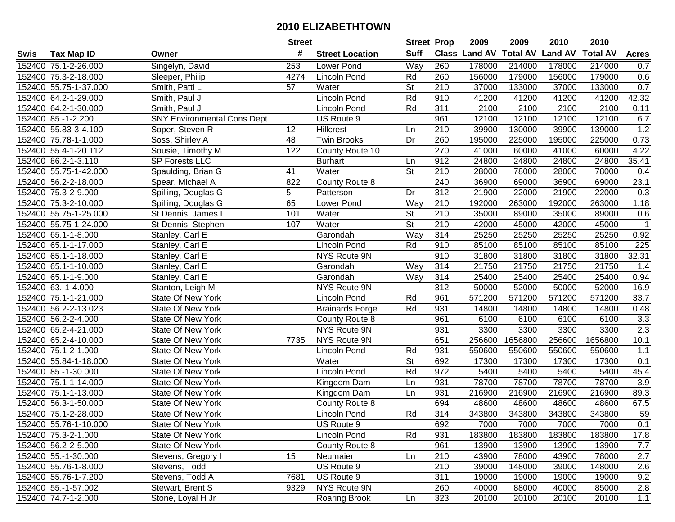|      |                       |                                    | <b>Street</b> |                        | <b>Street Prop</b>       |                  | 2009          | 2009            | 2010           | 2010            |                  |
|------|-----------------------|------------------------------------|---------------|------------------------|--------------------------|------------------|---------------|-----------------|----------------|-----------------|------------------|
| Swis | <b>Tax Map ID</b>     | Owner                              | #             | <b>Street Location</b> | <b>Suff</b>              |                  | Class Land AV | <b>Total AV</b> | <b>Land AV</b> | <b>Total AV</b> | <b>Acres</b>     |
|      | 152400 75.1-2-26.000  | Singelyn, David                    | 253           | Lower Pond             | Way                      | 260              | 178000        | 214000          | 178000         | 214000          | 0.7              |
|      | 152400 75.3-2-18.000  | Sleeper, Philip                    | 4274          | <b>Lincoln Pond</b>    | Rd                       | 260              | 156000        | 179000          | 156000         | 179000          | 0.6              |
|      | 152400 55.75-1-37.000 | Smith, Patti L                     | 57            | Water                  | <b>St</b>                | 210              | 37000         | 133000          | 37000          | 133000          | 0.7              |
|      | 152400 64.2-1-29.000  | Smith, Paul J                      |               | Lincoln Pond           | Rd                       | 910              | 41200         | 41200           | 41200          | 41200           | 42.32            |
|      | 152400 64.2-1-30.000  | Smith, Paul J                      |               | Lincoln Pond           | Rd                       | 311              | 2100          | 2100            | 2100           | 2100            | 0.11             |
|      | 152400 85.-1-2.200    | <b>SNY Environmental Cons Dept</b> |               | US Route 9             |                          | 961              | 12100         | 12100           | 12100          | 12100           | 6.7              |
|      | 152400 55.83-3-4.100  | Soper, Steven R                    | 12            | Hillcrest              | Ln                       | 210              | 39900         | 130000          | 39900          | 139000          | 1.2              |
|      | 152400 75.78-1-1.000  | Soss, Shirley A                    | 48            | <b>Twin Brooks</b>     | $\overline{Dr}$          | 260              | 195000        | 225000          | 195000         | 225000          | 0.73             |
|      | 152400 55.4-1-20.112  | Sousie, Timothy M                  | 122           | County Route 10        |                          | 270              | 41000         | 60000           | 41000          | 60000           | 4.22             |
|      | 152400 86.2-1-3.110   | <b>SP Forests LLC</b>              |               | <b>Burhart</b>         | Ln                       | 912              | 24800         | 24800           | 24800          | 24800           | 35.41            |
|      | 152400 55.75-1-42.000 | Spaulding, Brian G                 | 41            | Water                  | St                       | 210              | 28000         | 78000           | 28000          | 78000           | 0.4              |
|      | 152400 56.2-2-18.000  | Spear, Michael A                   | 822           | County Route 8         |                          | 240              | 36900         | 69000           | 36900          | 69000           | 23.1             |
|      | 152400 75.3-2-9.000   | Spilling, Douglas G                | 5             | Patterson              | Dr                       | 312              | 21900         | 22000           | 21900          | 22000           | 0.3              |
|      | 152400 75.3-2-10.000  | Spilling, Douglas G                | 65            | Lower Pond             | Way                      | 210              | 192000        | 263000          | 192000         | 263000          | 1.18             |
|      | 152400 55.75-1-25.000 | St Dennis, James L                 | 101           | Water                  | St                       | 210              | 35000         | 89000           | 35000          | 89000           | 0.6              |
|      | 152400 55.75-1-24.000 | St Dennis, Stephen                 | 107           | Water                  | St                       | 210              | 42000         | 45000           | 42000          | 45000           | -1               |
|      | 152400 65.1-1-8.000   | Stanley, Carl E                    |               | Garondah               | Way                      | 314              | 25250         | 25250           | 25250          | 25250           | 0.92             |
|      | 152400 65.1-1-17.000  | Stanley, Carl E                    |               | Lincoln Pond           | Rd                       | 910              | 85100         | 85100           | 85100          | 85100           | 225              |
|      | 152400 65.1-1-18.000  | Stanley, Carl E                    |               | NYS Route 9N           |                          | 910              | 31800         | 31800           | 31800          | 31800           | 32.31            |
|      | 152400 65.1-1-10.000  | Stanley, Carl E                    |               | Garondah               | Way                      | 314              | 21750         | 21750           | 21750          | 21750           | 1.4              |
|      | 152400 65.1-1-9.000   | Stanley, Carl E                    |               | Garondah               | Way                      | 314              | 25400         | 25400           | 25400          | 25400           | 0.94             |
|      | 152400 63.-1-4.000    | Stanton, Leigh M                   |               | NYS Route 9N           |                          | 312              | 50000         | 52000           | 50000          | 52000           | 16.9             |
|      | 152400 75.1-1-21.000  | State Of New York                  |               | Lincoln Pond           | Rd                       | 961              | 571200        | 571200          | 571200         | 571200          | 33.7             |
|      | 152400 56.2-2-13.023  | <b>State Of New York</b>           |               | <b>Brainards Forge</b> | Rd                       | 931              | 14800         | 14800           | 14800          | 14800           | 0.48             |
|      | 152400 56.2-2-4.000   | <b>State Of New York</b>           |               | County Route 8         |                          | 961              | 6100          | 6100            | 6100           | 6100            | 3.3              |
|      | 152400 65.2-4-21.000  | State Of New York                  |               | NYS Route 9N           |                          | 931              | 3300          | 3300            | 3300           | 3300            | 2.3              |
|      | 152400 65.2-4-10.000  | State Of New York                  | 7735          | NYS Route 9N           |                          | 651              | 256600        | 1656800         | 256600         | 1656800         | 10.1             |
|      | 152400 75.1-2-1.000   | State Of New York                  |               | Lincoln Pond           | Rd                       | 931              | 550600        | 550600          | 550600         | 550600          | 1.1              |
|      | 152400 55.84-1-18.000 | State Of New York                  |               | Water                  | $\overline{\mathsf{St}}$ | 692              | 17300         | 17300           | 17300          | 17300           | 0.1              |
|      | 152400 85.-1-30.000   | State Of New York                  |               | Lincoln Pond           | Rd                       | $\overline{972}$ | 5400          | 5400            | 5400           | 5400            | 45.4             |
|      | 152400 75.1-1-14.000  | State Of New York                  |               | Kingdom Dam            | Ln                       | 931              | 78700         | 78700           | 78700          | 78700           | $\overline{3.9}$ |
|      | 152400 75.1-1-13.000  | State Of New York                  |               | Kingdom Dam            | Ln                       | 931              | 216900        | 216900          | 216900         | 216900          | 89.3             |
|      | 152400 56.3-1-50.000  | <b>State Of New York</b>           |               | County Route 8         |                          | 694              | 48600         | 48600           | 48600          | 48600           | 67.5             |
|      | 152400 75.1-2-28.000  | <b>State Of New York</b>           |               | Lincoln Pond           | Rd                       | 314              | 343800        | 343800          | 343800         | 343800          | 59               |
|      | 152400 55.76-1-10.000 | State Of New York                  |               | US Route 9             |                          | 692              | 7000          | 7000            | 7000           | 7000            | 0.1              |
|      | 152400 75.3-2-1.000   | State Of New York                  |               | Lincoln Pond           | Rd                       | 931              | 183800        | 183800          | 183800         | 183800          | 17.8             |
|      | 152400 56.2-2-5.000   | <b>State Of New York</b>           |               | County Route 8         |                          | 961              | 13900         | 13900           | 13900          | 13900           | 7.7              |
|      | 152400 55.-1-30.000   | Stevens, Gregory I                 | 15            | Neumaier               | Ln                       | 210              | 43900         | 78000           | 43900          | 78000           | 2.7              |
|      | 152400 55.76-1-8.000  | Stevens, Todd                      |               | US Route 9             |                          | 210              | 39000         | 148000          | 39000          | 148000          | 2.6              |
|      | 152400 55.76-1-7.200  | Stevens, Todd A                    | 7681          | US Route 9             |                          | 311              | 19000         | 19000           | 19000          | 19000           | 9.2              |
|      | 152400 55.-1-57.002   | Stewart, Brent S                   | 9329          | NYS Route 9N           |                          | 260              | 40000         | 88000           | 40000          | 85000           | 2.8              |
|      | 152400 74.7-1-2.000   | Stone, Loyal H Jr                  |               | <b>Roaring Brook</b>   | Ln                       | 323              | 20100         | 20100           | 20100          | 20100           | 1.1              |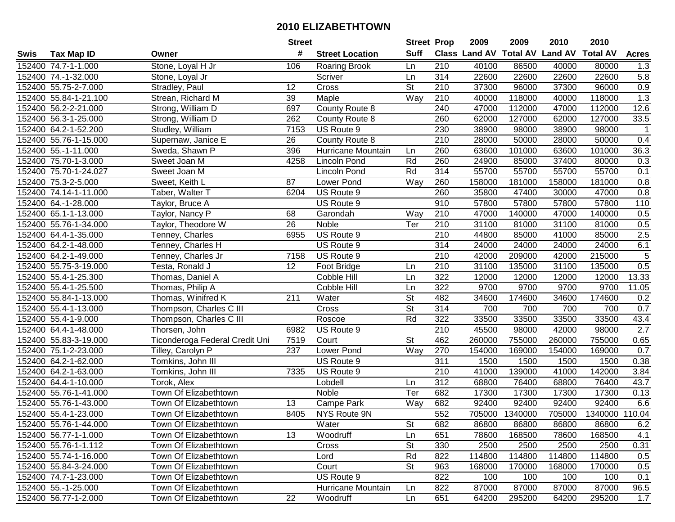| #<br><b>Suff</b><br><b>Class Land AV Total AV</b><br><b>Land AV</b><br><b>Total AV</b><br>Tax Map ID<br><b>Street Location</b><br><b>Acres</b><br>Owner<br>152400 74.7-1-1.000<br>Stone, Loyal H Jr<br>210<br>40100<br>86500<br>40000<br>80000<br>1.3<br>106<br><b>Roaring Brook</b><br>Ln<br>314<br>5.8<br>152400 74.-1-32.000<br>Scriver<br>22600<br>22600<br>22600<br>22600<br>Stone, Loyal Jr<br>Ln<br>St<br>0.9<br>152400 55.75-2-7.000<br><b>Cross</b><br>210<br>37300<br>96000<br>37300<br>96000<br>Stradley, Paul<br>12<br>1.3<br>Way<br>210<br>40000<br>118000<br>40000<br>118000<br>152400 55.84-1-21.100<br>Strean, Richard M<br>39<br>Maple<br>County Route 8<br>152400 56.2-2-21.000<br>Strong, William D<br>697<br>240<br>47000<br>112000<br>47000<br>112000<br>12.6<br>127000<br>33.5<br>152400 56.3-1-25.000<br>Strong, William D<br>262<br>260<br>62000<br>127000<br>62000<br>County Route 8<br>Studley, William<br>7153<br>230<br>38900<br>98000<br>152400 64.2-1-52.200<br>US Route 9<br>98000<br>38900<br>$\overline{1}$<br>210<br>$\overline{26}$<br>28000<br>50000<br>0.4<br>152400 55.76-1-15.000<br>Supernaw, Janice E<br>County Route 8<br>28000<br>50000<br>260<br>63600<br>36.3<br>152400 55.-1-11.000<br>Sweda, Shawn P<br>396<br>Hurricane Mountain<br>101000<br>63600<br>101000<br>Ln<br>Rd<br>260<br>24900<br>37400<br>152400 75.70-1-3.000<br>4258<br>85000<br>80000<br>0.3<br>Sweet Joan M<br><b>Lincoln Pond</b><br>314<br>55700<br>55700<br>55700<br>152400 75.70-1-24.027<br>Lincoln Pond<br>Rd<br>55700<br>0.1<br>Sweet Joan M<br>152400 75.3-2-5.000<br>Lower Pond<br>260<br>158000<br>181000<br>158000<br>181000<br>0.8<br>Sweet, Keith L<br>87<br>Way<br>0.8<br>US Route 9<br>260<br>35800<br>30000<br>47000<br>152400 74.14-1-11.000<br>Taber, Walter T<br>6204<br>47400<br>110<br>152400 64.-1-28.000<br>US Route 9<br>910<br>57800<br>57800<br>57800<br>57800<br>Taylor, Bruce A<br>152400 65.1-1-13.000<br>68<br>Garondah<br>Way<br>210<br>47000<br>140000<br>47000<br>140000<br>0.5<br>Taylor, Nancy P<br>0.5<br>26<br>210<br>31100<br>31100<br>81000<br>152400 55.76-1-34.000<br>Noble<br>Ter<br>81000<br>Taylor, Theodore W<br>2.5<br>210<br>152400 64.4-1-35.000<br>6955<br>US Route 9<br>44800<br>85000<br>41000<br>85000<br>Tenney, Charles<br>6.1<br>314<br>US Route 9<br>24000<br>24000<br>24000<br>24000<br>152400 64.2-1-48.000<br>Tenney, Charles H<br>5<br>210<br>152400 64.2-1-49.000<br>7158<br>US Route 9<br>42000<br>209000<br>42000<br>215000<br>Tenney, Charles Jr<br>0.5<br>152400 55.75-3-19.000<br>Testa, Ronald J<br>12<br>Foot Bridge<br>210<br>31100<br>135000<br>31100<br>135000<br>Ln<br>322<br>12000<br>12000<br>12000<br>13.33<br>152400 55.4-1-25.300<br>Thomas, Daniel A<br>Cobble Hill<br>Ln<br>12000<br>322<br>9700<br>9700<br>152400 55.4-1-25.500<br>Cobble Hill<br>9700<br>9700<br>11.05<br>Thomas, Philip A<br>Ln<br>211<br>Water<br>St<br>482<br>Thomas, Winifred K<br>34600<br>174600<br>34600<br>174600<br>0.2<br>152400 55.84-1-13.000<br>St<br>700<br>0.7<br>152400 55.4-1-13.000<br>Thompson, Charles C III<br>Cross<br>314<br>700<br>700<br>700<br>Rd<br>33500<br>33500<br>43.4<br>322<br>33500<br>33500<br>152400 55.4-1-9.000<br>Thompson, Charles C III<br>Roscoe<br>$\overline{210}$<br>US Route 9<br>45500<br>2.7<br>152400 64.4-1-48.000<br>Thorsen, John<br>6982<br>98000<br>42000<br>98000<br>$\overline{\mathsf{St}}$<br>462<br>260000<br>755000<br>260000<br>755000<br>152400 55.83-3-19.000<br>Ticonderoga Federal Credit Uni<br>7519<br>Court<br>0.65<br>152400 75.1-2-23.000<br>Tilley, Carolyn P<br>237<br>Lower Pond<br>Way<br>270<br>154000<br>169000<br>154000<br>169000<br>0.7<br>$\overline{311}$<br>152400 64.2-1-62.000<br>Tomkins, John III<br>1500<br>1500<br>1500<br>1500<br>0.38<br>US Route 9<br>$\overline{210}$<br>152400 64.2-1-63.000<br>7335<br>US Route 9<br>41000<br>139000<br>41000<br>142000<br>3.84<br>Tomkins, John III<br>$\overline{312}$<br>68800<br>68800<br>43.7<br>152400 64.4-1-10.000<br>Torok, Alex<br>Lobdell<br>76400<br>76400<br>Ln<br>Ter<br>152400 55.76-1-41.000<br>682<br>17300<br>17300<br>17300<br>17300<br>0.13<br>Town Of Elizabethtown<br>Noble<br>Campe Park<br>682<br>92400<br>6.6<br>152400 55.76-1-43.000<br>Town Of Elizabethtown<br>13<br>Way<br>92400<br>92400<br>92400<br>552<br>152400 55.4-1-23.000<br>8405<br><b>NYS Route 9N</b><br>705000<br>1340000<br>705000<br>1340000 110.04<br>Town Of Elizabethtown<br>152400 55.76-1-44.000<br>Town Of Elizabethtown<br>Water<br>St<br>682<br>86800<br>86800<br>86800<br>86800<br>6.2<br>152400 56.77-1-1.000<br>13<br>651<br>78600<br>168500<br>168500<br>4.1<br>Town Of Elizabethtown<br>Woodruff<br>Ln<br>78600<br><b>St</b><br>152400 55.76-1-1.112<br>330<br>2500<br>2500<br>2500<br>2500<br>0.31<br>Town Of Elizabethtown<br>Cross<br>Rd<br>822<br>114800<br>0.5<br>152400 55.74-1-16.000<br>Town Of Elizabethtown<br>114800<br>114800<br>114800<br>Lord<br>152400 55.84-3-24.000<br>Town Of Elizabethtown<br>Court<br><b>St</b><br>963<br>168000<br>170000<br>168000<br>0.5<br>170000<br>822<br>152400 74.7-1-23.000<br>Town Of Elizabethtown<br>US Route 9<br>100<br>100<br>100<br>100<br>0.1<br>Town Of Elizabethtown<br>Hurricane Mountain<br>822<br>87000<br>87000<br>87000<br>87000<br>96.5<br>152400 55.-1-25.000<br>Ln |      |                       | <b>Street</b> |          | <b>Street Prop</b> |     | 2009  | 2009   | 2010  | 2010   |     |
|-------------------------------------------------------------------------------------------------------------------------------------------------------------------------------------------------------------------------------------------------------------------------------------------------------------------------------------------------------------------------------------------------------------------------------------------------------------------------------------------------------------------------------------------------------------------------------------------------------------------------------------------------------------------------------------------------------------------------------------------------------------------------------------------------------------------------------------------------------------------------------------------------------------------------------------------------------------------------------------------------------------------------------------------------------------------------------------------------------------------------------------------------------------------------------------------------------------------------------------------------------------------------------------------------------------------------------------------------------------------------------------------------------------------------------------------------------------------------------------------------------------------------------------------------------------------------------------------------------------------------------------------------------------------------------------------------------------------------------------------------------------------------------------------------------------------------------------------------------------------------------------------------------------------------------------------------------------------------------------------------------------------------------------------------------------------------------------------------------------------------------------------------------------------------------------------------------------------------------------------------------------------------------------------------------------------------------------------------------------------------------------------------------------------------------------------------------------------------------------------------------------------------------------------------------------------------------------------------------------------------------------------------------------------------------------------------------------------------------------------------------------------------------------------------------------------------------------------------------------------------------------------------------------------------------------------------------------------------------------------------------------------------------------------------------------------------------------------------------------------------------------------------------------------------------------------------------------------------------------------------------------------------------------------------------------------------------------------------------------------------------------------------------------------------------------------------------------------------------------------------------------------------------------------------------------------------------------------------------------------------------------------------------------------------------------------------------------------------------------------------------------------------------------------------------------------------------------------------------------------------------------------------------------------------------------------------------------------------------------------------------------------------------------------------------------------------------------------------------------------------------------------------------------------------------------------------------------------------------------------------------------------------------------------------------------------------------------------------------------------------------------------------------------------------------------------------------------------------------------------------------------------------------------------------------------------------------------------------------------------------------------------------------------------------------------------------------------------------------------------------------------------------------------------------------------------------------------------------------------------------------------------------------------------------------------------------------------------------------------------------------------------------------------------------------------------------------------------------------------------------------------------------------------------------------------------------------------------------------------------------------------------------------------------------------------------------------------------|------|-----------------------|---------------|----------|--------------------|-----|-------|--------|-------|--------|-----|
|                                                                                                                                                                                                                                                                                                                                                                                                                                                                                                                                                                                                                                                                                                                                                                                                                                                                                                                                                                                                                                                                                                                                                                                                                                                                                                                                                                                                                                                                                                                                                                                                                                                                                                                                                                                                                                                                                                                                                                                                                                                                                                                                                                                                                                                                                                                                                                                                                                                                                                                                                                                                                                                                                                                                                                                                                                                                                                                                                                                                                                                                                                                                                                                                                                                                                                                                                                                                                                                                                                                                                                                                                                                                                                                                                                                                                                                                                                                                                                                                                                                                                                                                                                                                                                                                                                                                                                                                                                                                                                                                                                                                                                                                                                                                                                                                                                                                                                                                                                                                                                                                                                                                                                                                                                                                                                                                           | Swis |                       |               |          |                    |     |       |        |       |        |     |
|                                                                                                                                                                                                                                                                                                                                                                                                                                                                                                                                                                                                                                                                                                                                                                                                                                                                                                                                                                                                                                                                                                                                                                                                                                                                                                                                                                                                                                                                                                                                                                                                                                                                                                                                                                                                                                                                                                                                                                                                                                                                                                                                                                                                                                                                                                                                                                                                                                                                                                                                                                                                                                                                                                                                                                                                                                                                                                                                                                                                                                                                                                                                                                                                                                                                                                                                                                                                                                                                                                                                                                                                                                                                                                                                                                                                                                                                                                                                                                                                                                                                                                                                                                                                                                                                                                                                                                                                                                                                                                                                                                                                                                                                                                                                                                                                                                                                                                                                                                                                                                                                                                                                                                                                                                                                                                                                           |      |                       |               |          |                    |     |       |        |       |        |     |
|                                                                                                                                                                                                                                                                                                                                                                                                                                                                                                                                                                                                                                                                                                                                                                                                                                                                                                                                                                                                                                                                                                                                                                                                                                                                                                                                                                                                                                                                                                                                                                                                                                                                                                                                                                                                                                                                                                                                                                                                                                                                                                                                                                                                                                                                                                                                                                                                                                                                                                                                                                                                                                                                                                                                                                                                                                                                                                                                                                                                                                                                                                                                                                                                                                                                                                                                                                                                                                                                                                                                                                                                                                                                                                                                                                                                                                                                                                                                                                                                                                                                                                                                                                                                                                                                                                                                                                                                                                                                                                                                                                                                                                                                                                                                                                                                                                                                                                                                                                                                                                                                                                                                                                                                                                                                                                                                           |      |                       |               |          |                    |     |       |        |       |        |     |
|                                                                                                                                                                                                                                                                                                                                                                                                                                                                                                                                                                                                                                                                                                                                                                                                                                                                                                                                                                                                                                                                                                                                                                                                                                                                                                                                                                                                                                                                                                                                                                                                                                                                                                                                                                                                                                                                                                                                                                                                                                                                                                                                                                                                                                                                                                                                                                                                                                                                                                                                                                                                                                                                                                                                                                                                                                                                                                                                                                                                                                                                                                                                                                                                                                                                                                                                                                                                                                                                                                                                                                                                                                                                                                                                                                                                                                                                                                                                                                                                                                                                                                                                                                                                                                                                                                                                                                                                                                                                                                                                                                                                                                                                                                                                                                                                                                                                                                                                                                                                                                                                                                                                                                                                                                                                                                                                           |      |                       |               |          |                    |     |       |        |       |        |     |
|                                                                                                                                                                                                                                                                                                                                                                                                                                                                                                                                                                                                                                                                                                                                                                                                                                                                                                                                                                                                                                                                                                                                                                                                                                                                                                                                                                                                                                                                                                                                                                                                                                                                                                                                                                                                                                                                                                                                                                                                                                                                                                                                                                                                                                                                                                                                                                                                                                                                                                                                                                                                                                                                                                                                                                                                                                                                                                                                                                                                                                                                                                                                                                                                                                                                                                                                                                                                                                                                                                                                                                                                                                                                                                                                                                                                                                                                                                                                                                                                                                                                                                                                                                                                                                                                                                                                                                                                                                                                                                                                                                                                                                                                                                                                                                                                                                                                                                                                                                                                                                                                                                                                                                                                                                                                                                                                           |      |                       |               |          |                    |     |       |        |       |        |     |
|                                                                                                                                                                                                                                                                                                                                                                                                                                                                                                                                                                                                                                                                                                                                                                                                                                                                                                                                                                                                                                                                                                                                                                                                                                                                                                                                                                                                                                                                                                                                                                                                                                                                                                                                                                                                                                                                                                                                                                                                                                                                                                                                                                                                                                                                                                                                                                                                                                                                                                                                                                                                                                                                                                                                                                                                                                                                                                                                                                                                                                                                                                                                                                                                                                                                                                                                                                                                                                                                                                                                                                                                                                                                                                                                                                                                                                                                                                                                                                                                                                                                                                                                                                                                                                                                                                                                                                                                                                                                                                                                                                                                                                                                                                                                                                                                                                                                                                                                                                                                                                                                                                                                                                                                                                                                                                                                           |      |                       |               |          |                    |     |       |        |       |        |     |
|                                                                                                                                                                                                                                                                                                                                                                                                                                                                                                                                                                                                                                                                                                                                                                                                                                                                                                                                                                                                                                                                                                                                                                                                                                                                                                                                                                                                                                                                                                                                                                                                                                                                                                                                                                                                                                                                                                                                                                                                                                                                                                                                                                                                                                                                                                                                                                                                                                                                                                                                                                                                                                                                                                                                                                                                                                                                                                                                                                                                                                                                                                                                                                                                                                                                                                                                                                                                                                                                                                                                                                                                                                                                                                                                                                                                                                                                                                                                                                                                                                                                                                                                                                                                                                                                                                                                                                                                                                                                                                                                                                                                                                                                                                                                                                                                                                                                                                                                                                                                                                                                                                                                                                                                                                                                                                                                           |      |                       |               |          |                    |     |       |        |       |        |     |
|                                                                                                                                                                                                                                                                                                                                                                                                                                                                                                                                                                                                                                                                                                                                                                                                                                                                                                                                                                                                                                                                                                                                                                                                                                                                                                                                                                                                                                                                                                                                                                                                                                                                                                                                                                                                                                                                                                                                                                                                                                                                                                                                                                                                                                                                                                                                                                                                                                                                                                                                                                                                                                                                                                                                                                                                                                                                                                                                                                                                                                                                                                                                                                                                                                                                                                                                                                                                                                                                                                                                                                                                                                                                                                                                                                                                                                                                                                                                                                                                                                                                                                                                                                                                                                                                                                                                                                                                                                                                                                                                                                                                                                                                                                                                                                                                                                                                                                                                                                                                                                                                                                                                                                                                                                                                                                                                           |      |                       |               |          |                    |     |       |        |       |        |     |
|                                                                                                                                                                                                                                                                                                                                                                                                                                                                                                                                                                                                                                                                                                                                                                                                                                                                                                                                                                                                                                                                                                                                                                                                                                                                                                                                                                                                                                                                                                                                                                                                                                                                                                                                                                                                                                                                                                                                                                                                                                                                                                                                                                                                                                                                                                                                                                                                                                                                                                                                                                                                                                                                                                                                                                                                                                                                                                                                                                                                                                                                                                                                                                                                                                                                                                                                                                                                                                                                                                                                                                                                                                                                                                                                                                                                                                                                                                                                                                                                                                                                                                                                                                                                                                                                                                                                                                                                                                                                                                                                                                                                                                                                                                                                                                                                                                                                                                                                                                                                                                                                                                                                                                                                                                                                                                                                           |      |                       |               |          |                    |     |       |        |       |        |     |
|                                                                                                                                                                                                                                                                                                                                                                                                                                                                                                                                                                                                                                                                                                                                                                                                                                                                                                                                                                                                                                                                                                                                                                                                                                                                                                                                                                                                                                                                                                                                                                                                                                                                                                                                                                                                                                                                                                                                                                                                                                                                                                                                                                                                                                                                                                                                                                                                                                                                                                                                                                                                                                                                                                                                                                                                                                                                                                                                                                                                                                                                                                                                                                                                                                                                                                                                                                                                                                                                                                                                                                                                                                                                                                                                                                                                                                                                                                                                                                                                                                                                                                                                                                                                                                                                                                                                                                                                                                                                                                                                                                                                                                                                                                                                                                                                                                                                                                                                                                                                                                                                                                                                                                                                                                                                                                                                           |      |                       |               |          |                    |     |       |        |       |        |     |
|                                                                                                                                                                                                                                                                                                                                                                                                                                                                                                                                                                                                                                                                                                                                                                                                                                                                                                                                                                                                                                                                                                                                                                                                                                                                                                                                                                                                                                                                                                                                                                                                                                                                                                                                                                                                                                                                                                                                                                                                                                                                                                                                                                                                                                                                                                                                                                                                                                                                                                                                                                                                                                                                                                                                                                                                                                                                                                                                                                                                                                                                                                                                                                                                                                                                                                                                                                                                                                                                                                                                                                                                                                                                                                                                                                                                                                                                                                                                                                                                                                                                                                                                                                                                                                                                                                                                                                                                                                                                                                                                                                                                                                                                                                                                                                                                                                                                                                                                                                                                                                                                                                                                                                                                                                                                                                                                           |      |                       |               |          |                    |     |       |        |       |        |     |
|                                                                                                                                                                                                                                                                                                                                                                                                                                                                                                                                                                                                                                                                                                                                                                                                                                                                                                                                                                                                                                                                                                                                                                                                                                                                                                                                                                                                                                                                                                                                                                                                                                                                                                                                                                                                                                                                                                                                                                                                                                                                                                                                                                                                                                                                                                                                                                                                                                                                                                                                                                                                                                                                                                                                                                                                                                                                                                                                                                                                                                                                                                                                                                                                                                                                                                                                                                                                                                                                                                                                                                                                                                                                                                                                                                                                                                                                                                                                                                                                                                                                                                                                                                                                                                                                                                                                                                                                                                                                                                                                                                                                                                                                                                                                                                                                                                                                                                                                                                                                                                                                                                                                                                                                                                                                                                                                           |      |                       |               |          |                    |     |       |        |       |        |     |
|                                                                                                                                                                                                                                                                                                                                                                                                                                                                                                                                                                                                                                                                                                                                                                                                                                                                                                                                                                                                                                                                                                                                                                                                                                                                                                                                                                                                                                                                                                                                                                                                                                                                                                                                                                                                                                                                                                                                                                                                                                                                                                                                                                                                                                                                                                                                                                                                                                                                                                                                                                                                                                                                                                                                                                                                                                                                                                                                                                                                                                                                                                                                                                                                                                                                                                                                                                                                                                                                                                                                                                                                                                                                                                                                                                                                                                                                                                                                                                                                                                                                                                                                                                                                                                                                                                                                                                                                                                                                                                                                                                                                                                                                                                                                                                                                                                                                                                                                                                                                                                                                                                                                                                                                                                                                                                                                           |      |                       |               |          |                    |     |       |        |       |        |     |
|                                                                                                                                                                                                                                                                                                                                                                                                                                                                                                                                                                                                                                                                                                                                                                                                                                                                                                                                                                                                                                                                                                                                                                                                                                                                                                                                                                                                                                                                                                                                                                                                                                                                                                                                                                                                                                                                                                                                                                                                                                                                                                                                                                                                                                                                                                                                                                                                                                                                                                                                                                                                                                                                                                                                                                                                                                                                                                                                                                                                                                                                                                                                                                                                                                                                                                                                                                                                                                                                                                                                                                                                                                                                                                                                                                                                                                                                                                                                                                                                                                                                                                                                                                                                                                                                                                                                                                                                                                                                                                                                                                                                                                                                                                                                                                                                                                                                                                                                                                                                                                                                                                                                                                                                                                                                                                                                           |      |                       |               |          |                    |     |       |        |       |        |     |
|                                                                                                                                                                                                                                                                                                                                                                                                                                                                                                                                                                                                                                                                                                                                                                                                                                                                                                                                                                                                                                                                                                                                                                                                                                                                                                                                                                                                                                                                                                                                                                                                                                                                                                                                                                                                                                                                                                                                                                                                                                                                                                                                                                                                                                                                                                                                                                                                                                                                                                                                                                                                                                                                                                                                                                                                                                                                                                                                                                                                                                                                                                                                                                                                                                                                                                                                                                                                                                                                                                                                                                                                                                                                                                                                                                                                                                                                                                                                                                                                                                                                                                                                                                                                                                                                                                                                                                                                                                                                                                                                                                                                                                                                                                                                                                                                                                                                                                                                                                                                                                                                                                                                                                                                                                                                                                                                           |      |                       |               |          |                    |     |       |        |       |        |     |
|                                                                                                                                                                                                                                                                                                                                                                                                                                                                                                                                                                                                                                                                                                                                                                                                                                                                                                                                                                                                                                                                                                                                                                                                                                                                                                                                                                                                                                                                                                                                                                                                                                                                                                                                                                                                                                                                                                                                                                                                                                                                                                                                                                                                                                                                                                                                                                                                                                                                                                                                                                                                                                                                                                                                                                                                                                                                                                                                                                                                                                                                                                                                                                                                                                                                                                                                                                                                                                                                                                                                                                                                                                                                                                                                                                                                                                                                                                                                                                                                                                                                                                                                                                                                                                                                                                                                                                                                                                                                                                                                                                                                                                                                                                                                                                                                                                                                                                                                                                                                                                                                                                                                                                                                                                                                                                                                           |      |                       |               |          |                    |     |       |        |       |        |     |
|                                                                                                                                                                                                                                                                                                                                                                                                                                                                                                                                                                                                                                                                                                                                                                                                                                                                                                                                                                                                                                                                                                                                                                                                                                                                                                                                                                                                                                                                                                                                                                                                                                                                                                                                                                                                                                                                                                                                                                                                                                                                                                                                                                                                                                                                                                                                                                                                                                                                                                                                                                                                                                                                                                                                                                                                                                                                                                                                                                                                                                                                                                                                                                                                                                                                                                                                                                                                                                                                                                                                                                                                                                                                                                                                                                                                                                                                                                                                                                                                                                                                                                                                                                                                                                                                                                                                                                                                                                                                                                                                                                                                                                                                                                                                                                                                                                                                                                                                                                                                                                                                                                                                                                                                                                                                                                                                           |      |                       |               |          |                    |     |       |        |       |        |     |
|                                                                                                                                                                                                                                                                                                                                                                                                                                                                                                                                                                                                                                                                                                                                                                                                                                                                                                                                                                                                                                                                                                                                                                                                                                                                                                                                                                                                                                                                                                                                                                                                                                                                                                                                                                                                                                                                                                                                                                                                                                                                                                                                                                                                                                                                                                                                                                                                                                                                                                                                                                                                                                                                                                                                                                                                                                                                                                                                                                                                                                                                                                                                                                                                                                                                                                                                                                                                                                                                                                                                                                                                                                                                                                                                                                                                                                                                                                                                                                                                                                                                                                                                                                                                                                                                                                                                                                                                                                                                                                                                                                                                                                                                                                                                                                                                                                                                                                                                                                                                                                                                                                                                                                                                                                                                                                                                           |      |                       |               |          |                    |     |       |        |       |        |     |
|                                                                                                                                                                                                                                                                                                                                                                                                                                                                                                                                                                                                                                                                                                                                                                                                                                                                                                                                                                                                                                                                                                                                                                                                                                                                                                                                                                                                                                                                                                                                                                                                                                                                                                                                                                                                                                                                                                                                                                                                                                                                                                                                                                                                                                                                                                                                                                                                                                                                                                                                                                                                                                                                                                                                                                                                                                                                                                                                                                                                                                                                                                                                                                                                                                                                                                                                                                                                                                                                                                                                                                                                                                                                                                                                                                                                                                                                                                                                                                                                                                                                                                                                                                                                                                                                                                                                                                                                                                                                                                                                                                                                                                                                                                                                                                                                                                                                                                                                                                                                                                                                                                                                                                                                                                                                                                                                           |      |                       |               |          |                    |     |       |        |       |        |     |
|                                                                                                                                                                                                                                                                                                                                                                                                                                                                                                                                                                                                                                                                                                                                                                                                                                                                                                                                                                                                                                                                                                                                                                                                                                                                                                                                                                                                                                                                                                                                                                                                                                                                                                                                                                                                                                                                                                                                                                                                                                                                                                                                                                                                                                                                                                                                                                                                                                                                                                                                                                                                                                                                                                                                                                                                                                                                                                                                                                                                                                                                                                                                                                                                                                                                                                                                                                                                                                                                                                                                                                                                                                                                                                                                                                                                                                                                                                                                                                                                                                                                                                                                                                                                                                                                                                                                                                                                                                                                                                                                                                                                                                                                                                                                                                                                                                                                                                                                                                                                                                                                                                                                                                                                                                                                                                                                           |      |                       |               |          |                    |     |       |        |       |        |     |
|                                                                                                                                                                                                                                                                                                                                                                                                                                                                                                                                                                                                                                                                                                                                                                                                                                                                                                                                                                                                                                                                                                                                                                                                                                                                                                                                                                                                                                                                                                                                                                                                                                                                                                                                                                                                                                                                                                                                                                                                                                                                                                                                                                                                                                                                                                                                                                                                                                                                                                                                                                                                                                                                                                                                                                                                                                                                                                                                                                                                                                                                                                                                                                                                                                                                                                                                                                                                                                                                                                                                                                                                                                                                                                                                                                                                                                                                                                                                                                                                                                                                                                                                                                                                                                                                                                                                                                                                                                                                                                                                                                                                                                                                                                                                                                                                                                                                                                                                                                                                                                                                                                                                                                                                                                                                                                                                           |      |                       |               |          |                    |     |       |        |       |        |     |
|                                                                                                                                                                                                                                                                                                                                                                                                                                                                                                                                                                                                                                                                                                                                                                                                                                                                                                                                                                                                                                                                                                                                                                                                                                                                                                                                                                                                                                                                                                                                                                                                                                                                                                                                                                                                                                                                                                                                                                                                                                                                                                                                                                                                                                                                                                                                                                                                                                                                                                                                                                                                                                                                                                                                                                                                                                                                                                                                                                                                                                                                                                                                                                                                                                                                                                                                                                                                                                                                                                                                                                                                                                                                                                                                                                                                                                                                                                                                                                                                                                                                                                                                                                                                                                                                                                                                                                                                                                                                                                                                                                                                                                                                                                                                                                                                                                                                                                                                                                                                                                                                                                                                                                                                                                                                                                                                           |      |                       |               |          |                    |     |       |        |       |        |     |
|                                                                                                                                                                                                                                                                                                                                                                                                                                                                                                                                                                                                                                                                                                                                                                                                                                                                                                                                                                                                                                                                                                                                                                                                                                                                                                                                                                                                                                                                                                                                                                                                                                                                                                                                                                                                                                                                                                                                                                                                                                                                                                                                                                                                                                                                                                                                                                                                                                                                                                                                                                                                                                                                                                                                                                                                                                                                                                                                                                                                                                                                                                                                                                                                                                                                                                                                                                                                                                                                                                                                                                                                                                                                                                                                                                                                                                                                                                                                                                                                                                                                                                                                                                                                                                                                                                                                                                                                                                                                                                                                                                                                                                                                                                                                                                                                                                                                                                                                                                                                                                                                                                                                                                                                                                                                                                                                           |      |                       |               |          |                    |     |       |        |       |        |     |
|                                                                                                                                                                                                                                                                                                                                                                                                                                                                                                                                                                                                                                                                                                                                                                                                                                                                                                                                                                                                                                                                                                                                                                                                                                                                                                                                                                                                                                                                                                                                                                                                                                                                                                                                                                                                                                                                                                                                                                                                                                                                                                                                                                                                                                                                                                                                                                                                                                                                                                                                                                                                                                                                                                                                                                                                                                                                                                                                                                                                                                                                                                                                                                                                                                                                                                                                                                                                                                                                                                                                                                                                                                                                                                                                                                                                                                                                                                                                                                                                                                                                                                                                                                                                                                                                                                                                                                                                                                                                                                                                                                                                                                                                                                                                                                                                                                                                                                                                                                                                                                                                                                                                                                                                                                                                                                                                           |      |                       |               |          |                    |     |       |        |       |        |     |
|                                                                                                                                                                                                                                                                                                                                                                                                                                                                                                                                                                                                                                                                                                                                                                                                                                                                                                                                                                                                                                                                                                                                                                                                                                                                                                                                                                                                                                                                                                                                                                                                                                                                                                                                                                                                                                                                                                                                                                                                                                                                                                                                                                                                                                                                                                                                                                                                                                                                                                                                                                                                                                                                                                                                                                                                                                                                                                                                                                                                                                                                                                                                                                                                                                                                                                                                                                                                                                                                                                                                                                                                                                                                                                                                                                                                                                                                                                                                                                                                                                                                                                                                                                                                                                                                                                                                                                                                                                                                                                                                                                                                                                                                                                                                                                                                                                                                                                                                                                                                                                                                                                                                                                                                                                                                                                                                           |      |                       |               |          |                    |     |       |        |       |        |     |
|                                                                                                                                                                                                                                                                                                                                                                                                                                                                                                                                                                                                                                                                                                                                                                                                                                                                                                                                                                                                                                                                                                                                                                                                                                                                                                                                                                                                                                                                                                                                                                                                                                                                                                                                                                                                                                                                                                                                                                                                                                                                                                                                                                                                                                                                                                                                                                                                                                                                                                                                                                                                                                                                                                                                                                                                                                                                                                                                                                                                                                                                                                                                                                                                                                                                                                                                                                                                                                                                                                                                                                                                                                                                                                                                                                                                                                                                                                                                                                                                                                                                                                                                                                                                                                                                                                                                                                                                                                                                                                                                                                                                                                                                                                                                                                                                                                                                                                                                                                                                                                                                                                                                                                                                                                                                                                                                           |      |                       |               |          |                    |     |       |        |       |        |     |
|                                                                                                                                                                                                                                                                                                                                                                                                                                                                                                                                                                                                                                                                                                                                                                                                                                                                                                                                                                                                                                                                                                                                                                                                                                                                                                                                                                                                                                                                                                                                                                                                                                                                                                                                                                                                                                                                                                                                                                                                                                                                                                                                                                                                                                                                                                                                                                                                                                                                                                                                                                                                                                                                                                                                                                                                                                                                                                                                                                                                                                                                                                                                                                                                                                                                                                                                                                                                                                                                                                                                                                                                                                                                                                                                                                                                                                                                                                                                                                                                                                                                                                                                                                                                                                                                                                                                                                                                                                                                                                                                                                                                                                                                                                                                                                                                                                                                                                                                                                                                                                                                                                                                                                                                                                                                                                                                           |      |                       |               |          |                    |     |       |        |       |        |     |
|                                                                                                                                                                                                                                                                                                                                                                                                                                                                                                                                                                                                                                                                                                                                                                                                                                                                                                                                                                                                                                                                                                                                                                                                                                                                                                                                                                                                                                                                                                                                                                                                                                                                                                                                                                                                                                                                                                                                                                                                                                                                                                                                                                                                                                                                                                                                                                                                                                                                                                                                                                                                                                                                                                                                                                                                                                                                                                                                                                                                                                                                                                                                                                                                                                                                                                                                                                                                                                                                                                                                                                                                                                                                                                                                                                                                                                                                                                                                                                                                                                                                                                                                                                                                                                                                                                                                                                                                                                                                                                                                                                                                                                                                                                                                                                                                                                                                                                                                                                                                                                                                                                                                                                                                                                                                                                                                           |      |                       |               |          |                    |     |       |        |       |        |     |
|                                                                                                                                                                                                                                                                                                                                                                                                                                                                                                                                                                                                                                                                                                                                                                                                                                                                                                                                                                                                                                                                                                                                                                                                                                                                                                                                                                                                                                                                                                                                                                                                                                                                                                                                                                                                                                                                                                                                                                                                                                                                                                                                                                                                                                                                                                                                                                                                                                                                                                                                                                                                                                                                                                                                                                                                                                                                                                                                                                                                                                                                                                                                                                                                                                                                                                                                                                                                                                                                                                                                                                                                                                                                                                                                                                                                                                                                                                                                                                                                                                                                                                                                                                                                                                                                                                                                                                                                                                                                                                                                                                                                                                                                                                                                                                                                                                                                                                                                                                                                                                                                                                                                                                                                                                                                                                                                           |      |                       |               |          |                    |     |       |        |       |        |     |
|                                                                                                                                                                                                                                                                                                                                                                                                                                                                                                                                                                                                                                                                                                                                                                                                                                                                                                                                                                                                                                                                                                                                                                                                                                                                                                                                                                                                                                                                                                                                                                                                                                                                                                                                                                                                                                                                                                                                                                                                                                                                                                                                                                                                                                                                                                                                                                                                                                                                                                                                                                                                                                                                                                                                                                                                                                                                                                                                                                                                                                                                                                                                                                                                                                                                                                                                                                                                                                                                                                                                                                                                                                                                                                                                                                                                                                                                                                                                                                                                                                                                                                                                                                                                                                                                                                                                                                                                                                                                                                                                                                                                                                                                                                                                                                                                                                                                                                                                                                                                                                                                                                                                                                                                                                                                                                                                           |      |                       |               |          |                    |     |       |        |       |        |     |
|                                                                                                                                                                                                                                                                                                                                                                                                                                                                                                                                                                                                                                                                                                                                                                                                                                                                                                                                                                                                                                                                                                                                                                                                                                                                                                                                                                                                                                                                                                                                                                                                                                                                                                                                                                                                                                                                                                                                                                                                                                                                                                                                                                                                                                                                                                                                                                                                                                                                                                                                                                                                                                                                                                                                                                                                                                                                                                                                                                                                                                                                                                                                                                                                                                                                                                                                                                                                                                                                                                                                                                                                                                                                                                                                                                                                                                                                                                                                                                                                                                                                                                                                                                                                                                                                                                                                                                                                                                                                                                                                                                                                                                                                                                                                                                                                                                                                                                                                                                                                                                                                                                                                                                                                                                                                                                                                           |      |                       |               |          |                    |     |       |        |       |        |     |
|                                                                                                                                                                                                                                                                                                                                                                                                                                                                                                                                                                                                                                                                                                                                                                                                                                                                                                                                                                                                                                                                                                                                                                                                                                                                                                                                                                                                                                                                                                                                                                                                                                                                                                                                                                                                                                                                                                                                                                                                                                                                                                                                                                                                                                                                                                                                                                                                                                                                                                                                                                                                                                                                                                                                                                                                                                                                                                                                                                                                                                                                                                                                                                                                                                                                                                                                                                                                                                                                                                                                                                                                                                                                                                                                                                                                                                                                                                                                                                                                                                                                                                                                                                                                                                                                                                                                                                                                                                                                                                                                                                                                                                                                                                                                                                                                                                                                                                                                                                                                                                                                                                                                                                                                                                                                                                                                           |      |                       |               |          |                    |     |       |        |       |        |     |
|                                                                                                                                                                                                                                                                                                                                                                                                                                                                                                                                                                                                                                                                                                                                                                                                                                                                                                                                                                                                                                                                                                                                                                                                                                                                                                                                                                                                                                                                                                                                                                                                                                                                                                                                                                                                                                                                                                                                                                                                                                                                                                                                                                                                                                                                                                                                                                                                                                                                                                                                                                                                                                                                                                                                                                                                                                                                                                                                                                                                                                                                                                                                                                                                                                                                                                                                                                                                                                                                                                                                                                                                                                                                                                                                                                                                                                                                                                                                                                                                                                                                                                                                                                                                                                                                                                                                                                                                                                                                                                                                                                                                                                                                                                                                                                                                                                                                                                                                                                                                                                                                                                                                                                                                                                                                                                                                           |      |                       |               |          |                    |     |       |        |       |        |     |
|                                                                                                                                                                                                                                                                                                                                                                                                                                                                                                                                                                                                                                                                                                                                                                                                                                                                                                                                                                                                                                                                                                                                                                                                                                                                                                                                                                                                                                                                                                                                                                                                                                                                                                                                                                                                                                                                                                                                                                                                                                                                                                                                                                                                                                                                                                                                                                                                                                                                                                                                                                                                                                                                                                                                                                                                                                                                                                                                                                                                                                                                                                                                                                                                                                                                                                                                                                                                                                                                                                                                                                                                                                                                                                                                                                                                                                                                                                                                                                                                                                                                                                                                                                                                                                                                                                                                                                                                                                                                                                                                                                                                                                                                                                                                                                                                                                                                                                                                                                                                                                                                                                                                                                                                                                                                                                                                           |      |                       |               |          |                    |     |       |        |       |        |     |
|                                                                                                                                                                                                                                                                                                                                                                                                                                                                                                                                                                                                                                                                                                                                                                                                                                                                                                                                                                                                                                                                                                                                                                                                                                                                                                                                                                                                                                                                                                                                                                                                                                                                                                                                                                                                                                                                                                                                                                                                                                                                                                                                                                                                                                                                                                                                                                                                                                                                                                                                                                                                                                                                                                                                                                                                                                                                                                                                                                                                                                                                                                                                                                                                                                                                                                                                                                                                                                                                                                                                                                                                                                                                                                                                                                                                                                                                                                                                                                                                                                                                                                                                                                                                                                                                                                                                                                                                                                                                                                                                                                                                                                                                                                                                                                                                                                                                                                                                                                                                                                                                                                                                                                                                                                                                                                                                           |      |                       |               |          |                    |     |       |        |       |        |     |
|                                                                                                                                                                                                                                                                                                                                                                                                                                                                                                                                                                                                                                                                                                                                                                                                                                                                                                                                                                                                                                                                                                                                                                                                                                                                                                                                                                                                                                                                                                                                                                                                                                                                                                                                                                                                                                                                                                                                                                                                                                                                                                                                                                                                                                                                                                                                                                                                                                                                                                                                                                                                                                                                                                                                                                                                                                                                                                                                                                                                                                                                                                                                                                                                                                                                                                                                                                                                                                                                                                                                                                                                                                                                                                                                                                                                                                                                                                                                                                                                                                                                                                                                                                                                                                                                                                                                                                                                                                                                                                                                                                                                                                                                                                                                                                                                                                                                                                                                                                                                                                                                                                                                                                                                                                                                                                                                           |      |                       |               |          |                    |     |       |        |       |        |     |
|                                                                                                                                                                                                                                                                                                                                                                                                                                                                                                                                                                                                                                                                                                                                                                                                                                                                                                                                                                                                                                                                                                                                                                                                                                                                                                                                                                                                                                                                                                                                                                                                                                                                                                                                                                                                                                                                                                                                                                                                                                                                                                                                                                                                                                                                                                                                                                                                                                                                                                                                                                                                                                                                                                                                                                                                                                                                                                                                                                                                                                                                                                                                                                                                                                                                                                                                                                                                                                                                                                                                                                                                                                                                                                                                                                                                                                                                                                                                                                                                                                                                                                                                                                                                                                                                                                                                                                                                                                                                                                                                                                                                                                                                                                                                                                                                                                                                                                                                                                                                                                                                                                                                                                                                                                                                                                                                           |      |                       |               |          |                    |     |       |        |       |        |     |
|                                                                                                                                                                                                                                                                                                                                                                                                                                                                                                                                                                                                                                                                                                                                                                                                                                                                                                                                                                                                                                                                                                                                                                                                                                                                                                                                                                                                                                                                                                                                                                                                                                                                                                                                                                                                                                                                                                                                                                                                                                                                                                                                                                                                                                                                                                                                                                                                                                                                                                                                                                                                                                                                                                                                                                                                                                                                                                                                                                                                                                                                                                                                                                                                                                                                                                                                                                                                                                                                                                                                                                                                                                                                                                                                                                                                                                                                                                                                                                                                                                                                                                                                                                                                                                                                                                                                                                                                                                                                                                                                                                                                                                                                                                                                                                                                                                                                                                                                                                                                                                                                                                                                                                                                                                                                                                                                           |      |                       |               |          |                    |     |       |        |       |        |     |
|                                                                                                                                                                                                                                                                                                                                                                                                                                                                                                                                                                                                                                                                                                                                                                                                                                                                                                                                                                                                                                                                                                                                                                                                                                                                                                                                                                                                                                                                                                                                                                                                                                                                                                                                                                                                                                                                                                                                                                                                                                                                                                                                                                                                                                                                                                                                                                                                                                                                                                                                                                                                                                                                                                                                                                                                                                                                                                                                                                                                                                                                                                                                                                                                                                                                                                                                                                                                                                                                                                                                                                                                                                                                                                                                                                                                                                                                                                                                                                                                                                                                                                                                                                                                                                                                                                                                                                                                                                                                                                                                                                                                                                                                                                                                                                                                                                                                                                                                                                                                                                                                                                                                                                                                                                                                                                                                           |      |                       |               |          |                    |     |       |        |       |        |     |
|                                                                                                                                                                                                                                                                                                                                                                                                                                                                                                                                                                                                                                                                                                                                                                                                                                                                                                                                                                                                                                                                                                                                                                                                                                                                                                                                                                                                                                                                                                                                                                                                                                                                                                                                                                                                                                                                                                                                                                                                                                                                                                                                                                                                                                                                                                                                                                                                                                                                                                                                                                                                                                                                                                                                                                                                                                                                                                                                                                                                                                                                                                                                                                                                                                                                                                                                                                                                                                                                                                                                                                                                                                                                                                                                                                                                                                                                                                                                                                                                                                                                                                                                                                                                                                                                                                                                                                                                                                                                                                                                                                                                                                                                                                                                                                                                                                                                                                                                                                                                                                                                                                                                                                                                                                                                                                                                           |      |                       |               |          |                    |     |       |        |       |        |     |
|                                                                                                                                                                                                                                                                                                                                                                                                                                                                                                                                                                                                                                                                                                                                                                                                                                                                                                                                                                                                                                                                                                                                                                                                                                                                                                                                                                                                                                                                                                                                                                                                                                                                                                                                                                                                                                                                                                                                                                                                                                                                                                                                                                                                                                                                                                                                                                                                                                                                                                                                                                                                                                                                                                                                                                                                                                                                                                                                                                                                                                                                                                                                                                                                                                                                                                                                                                                                                                                                                                                                                                                                                                                                                                                                                                                                                                                                                                                                                                                                                                                                                                                                                                                                                                                                                                                                                                                                                                                                                                                                                                                                                                                                                                                                                                                                                                                                                                                                                                                                                                                                                                                                                                                                                                                                                                                                           |      |                       |               |          |                    |     |       |        |       |        |     |
|                                                                                                                                                                                                                                                                                                                                                                                                                                                                                                                                                                                                                                                                                                                                                                                                                                                                                                                                                                                                                                                                                                                                                                                                                                                                                                                                                                                                                                                                                                                                                                                                                                                                                                                                                                                                                                                                                                                                                                                                                                                                                                                                                                                                                                                                                                                                                                                                                                                                                                                                                                                                                                                                                                                                                                                                                                                                                                                                                                                                                                                                                                                                                                                                                                                                                                                                                                                                                                                                                                                                                                                                                                                                                                                                                                                                                                                                                                                                                                                                                                                                                                                                                                                                                                                                                                                                                                                                                                                                                                                                                                                                                                                                                                                                                                                                                                                                                                                                                                                                                                                                                                                                                                                                                                                                                                                                           |      |                       |               |          |                    |     |       |        |       |        |     |
| 152400 56.77-1-2.000                                                                                                                                                                                                                                                                                                                                                                                                                                                                                                                                                                                                                                                                                                                                                                                                                                                                                                                                                                                                                                                                                                                                                                                                                                                                                                                                                                                                                                                                                                                                                                                                                                                                                                                                                                                                                                                                                                                                                                                                                                                                                                                                                                                                                                                                                                                                                                                                                                                                                                                                                                                                                                                                                                                                                                                                                                                                                                                                                                                                                                                                                                                                                                                                                                                                                                                                                                                                                                                                                                                                                                                                                                                                                                                                                                                                                                                                                                                                                                                                                                                                                                                                                                                                                                                                                                                                                                                                                                                                                                                                                                                                                                                                                                                                                                                                                                                                                                                                                                                                                                                                                                                                                                                                                                                                                                                      |      | Town Of Elizabethtown | 22            | Woodruff | Ln                 | 651 | 64200 | 295200 | 64200 | 295200 | 1.7 |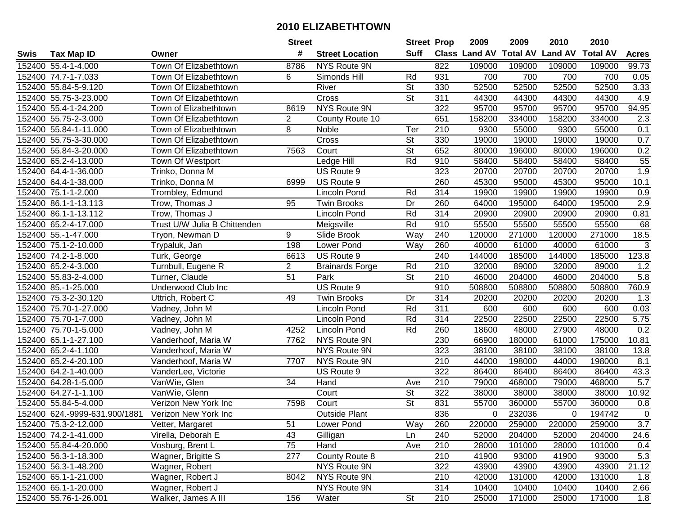|      |                               | <b>Street</b>                |                 | <b>Street Prop</b>     |                          | 2009             | 2009                 | 2010            | 2010           |                 |              |
|------|-------------------------------|------------------------------|-----------------|------------------------|--------------------------|------------------|----------------------|-----------------|----------------|-----------------|--------------|
| Swis | <b>Tax Map ID</b>             | Owner                        | #               | <b>Street Location</b> | <b>Suff</b>              |                  | <b>Class Land AV</b> | <b>Total AV</b> | <b>Land AV</b> | <b>Total AV</b> | <b>Acres</b> |
|      | 152400 55.4-1-4.000           | Town Of Elizabethtown        | 8786            | NYS Route 9N           |                          | 822              | 109000               | 109000          | 109000         | 109000          | 99.73        |
|      | 152400 74.7-1-7.033           | Town Of Elizabethtown        | 6               | Simonds Hill           | Rd                       | 931              | 700                  | 700             | 700            | 700             | 0.05         |
|      | 152400 55.84-5-9.120          | Town Of Elizabethtown        |                 | River                  | <b>St</b>                | 330              | 52500                | 52500           | 52500          | 52500           | 3.33         |
|      | 152400 55.75-3-23.000         | Town Of Elizabethtown        |                 | Cross                  | $\overline{\mathsf{St}}$ | 311              | 44300                | 44300           | 44300          | 44300           | 4.9          |
|      | 152400 55.4-1-24.200          | Town of Elizabethtown        | 8619            | NYS Route 9N           |                          | 322              | 95700                | 95700           | 95700          | 95700           | 94.95        |
|      | 152400 55.75-2-3.000          | Town Of Elizabethtown        | $\overline{2}$  | County Route 10        |                          | 651              | 158200               | 334000          | 158200         | 334000          | 2.3          |
|      | 152400 55.84-1-11.000         | Town of Elizabethtown        | 8               | Noble                  | Ter                      | 210              | 9300                 | 55000           | 9300           | 55000           | 0.1          |
|      | 152400 55.75-3-30.000         | Town Of Elizabethtown        |                 | Cross                  | $\overline{\mathsf{St}}$ | 330              | 19000                | 19000           | 19000          | 19000           | 0.7          |
|      | 152400 55.84-3-20.000         | Town Of Elizabethtown        | 7563            | Court                  | $\overline{\mathsf{St}}$ | 652              | 80000                | 196000          | 80000          | 196000          | 0.2          |
|      | 152400 65.2-4-13.000          | Town Of Westport             |                 | Ledge Hill             | Rd                       | 910              | 58400                | 58400           | 58400          | 58400           | 55           |
|      | 152400 64.4-1-36.000          | Trinko, Donna M              |                 | US Route 9             |                          | 323              | 20700                | 20700           | 20700          | 20700           | 1.9          |
|      | 152400 64.4-1-38.000          | Trinko, Donna M              | 6999            | US Route 9             |                          | 260              | 45300                | 95000           | 45300          | 95000           | 10.1         |
|      | 152400 75.1-1-2.000           | Trombley, Edmund             |                 | Lincoln Pond           | Rd                       | 314              | 19900                | 19900           | 19900          | 19900           | 0.9          |
|      | 152400 86.1-1-13.113          | Trow, Thomas J               | 95              | <b>Twin Brooks</b>     | Dr                       | 260              | 64000                | 195000          | 64000          | 195000          | 2.9          |
|      | 152400 86.1-1-13.112          | Trow, Thomas J               |                 | <b>Lincoln Pond</b>    | Rd                       | 314              | 20900                | 20900           | 20900          | 20900           | 0.81         |
|      | 152400 65.2-4-17.000          | Trust U/W Julia B Chittenden |                 | Meigsville             | Rd                       | 910              | 55500                | 55500           | 55500          | 55500           | 68           |
|      | 152400 55.-1-47.000           | Tryon, Newman D              | 9               | Slide Brook            | Way                      | 240              | 120000               | 271000          | 120000         | 271000          | 18.5         |
|      | 152400 75.1-2-10.000          | Trypaluk, Jan                | 198             | Lower Pond             | Way                      | 260              | 40000                | 61000           | 40000          | 61000           | 3            |
|      | 152400 74.2-1-8.000           | Turk, George                 | 6613            | US Route 9             |                          | 240              | 144000               | 185000          | 144000         | 185000          | 123.8        |
|      | 152400 65.2-4-3.000           | Turnbull, Eugene R           | $\overline{2}$  | <b>Brainards Forge</b> | Rd                       | 210              | 32000                | 89000           | 32000          | 89000           | 1.2          |
|      | 152400 55.83-2-4.000          | Turner, Claude               | $\overline{51}$ | Park                   | $\overline{\mathsf{St}}$ | 210              | 46000                | 204000          | 46000          | 204000          | 5.8          |
|      | 152400 85.-1-25.000           | Underwood Club Inc           |                 | US Route 9             |                          | 910              | 508800               | 508800          | 508800         | 508800          | 760.9        |
|      | 152400 75.3-2-30.120          | Uttrich, Robert C            | 49              | <b>Twin Brooks</b>     | Dr                       | 314              | 20200                | 20200           | 20200          | 20200           | 1.3          |
|      | 152400 75.70-1-27.000         | Vadney, John M               |                 | <b>Lincoln Pond</b>    | Rd                       | 311              | 600                  | 600             | 600            | 600             | 0.03         |
|      | 152400 75.70-1-7.000          | Vadney, John M               |                 | <b>Lincoln Pond</b>    | Rd                       | 314              | 22500                | 22500           | 22500          | 22500           | 5.75         |
|      | 152400 75.70-1-5.000          | Vadney, John M               | 4252            | <b>Lincoln Pond</b>    | Rd                       | 260              | 18600                | 48000           | 27900          | 48000           | 0.2          |
|      | 152400 65.1-1-27.100          | Vanderhoof, Maria W          | 7762            | NYS Route 9N           |                          | 230              | 66900                | 180000          | 61000          | 175000          | 10.81        |
|      | 152400 65.2-4-1.100           | Vanderhoof, Maria W          |                 | <b>NYS Route 9N</b>    |                          | 323              | 38100                | 38100           | 38100          | 38100           | 13.8         |
|      | 152400 65.2-4-20.100          | Vanderhoof, Maria W          | 7707            | NYS Route 9N           |                          | $\overline{210}$ | 44000                | 198000          | 44000          | 198000          | 8.1          |
|      | 152400 64.2-1-40.000          | VanderLee, Victorie          |                 | US Route 9             |                          | 322              | 86400                | 86400           | 86400          | 86400           | 43.3         |
|      | 152400 64.28-1-5.000          | VanWie, Glen                 | $\overline{34}$ | Hand                   | Ave                      | $\overline{210}$ | 79000                | 468000          | 79000          | 468000          | 5.7          |
|      | 152400 64.27-1-1.100          | VanWie, Glenn                |                 | Court                  | $\overline{\mathsf{St}}$ | 322              | 38000                | 38000           | 38000          | 38000           | 10.92        |
|      | 152400 55.84-5-4.000          | Verizon New York Inc         | 7598            | Court                  | $\overline{\mathsf{St}}$ | 831              | 55700                | 360000          | 55700          | 360000          | 0.8          |
|      | 152400 624.-9999-631.900/1881 | Verizon New York Inc         |                 | <b>Outside Plant</b>   |                          | 836              | $\mathbf 0$          | 232036          | $\Omega$       | 194742          | $\pmb{0}$    |
|      | 152400 75.3-2-12.000          | Vetter, Margaret             | 51              | Lower Pond             | Way                      | 260              | 220000               | 259000          | 220000         | 259000          | 3.7          |
|      | 152400 74.2-1-41.000          | Virella, Deborah E           | 43              | Gilligan               | Ln                       | 240              | 52000                | 204000          | 52000          | 204000          | 24.6         |
|      | 152400 55.84-4-20.000         | Vosburg, Brent L             | 75              | Hand                   | Ave                      | 210              | 28000                | 101000          | 28000          | 101000          | 0.4          |
|      | 152400 56.3-1-18.300          | Wagner, Brigitte S           | 277             | County Route 8         |                          | 210              | 41900                | 93000           | 41900          | 93000           | 5.3          |
|      | 152400 56.3-1-48.200          | Wagner, Robert               |                 | NYS Route 9N           |                          | 322              | 43900                | 43900           | 43900          | 43900           | 21.12        |
|      | 152400 65.1-1-21.000          | Wagner, Robert J             | 8042            | NYS Route 9N           |                          | 210              | 42000                | 131000          | 42000          | 131000          | 1.8          |
|      | 152400 65.1-1-20.000          | Wagner, Robert J             |                 | NYS Route 9N           |                          | 314              | 10400                | 10400           | 10400          | 10400           | 2.66         |
|      | 152400 55.76-1-26.001         | Walker, James A III          | 156             | Water                  | St                       | 210              | 25000                | 171000          | 25000          | 171000          | 1.8          |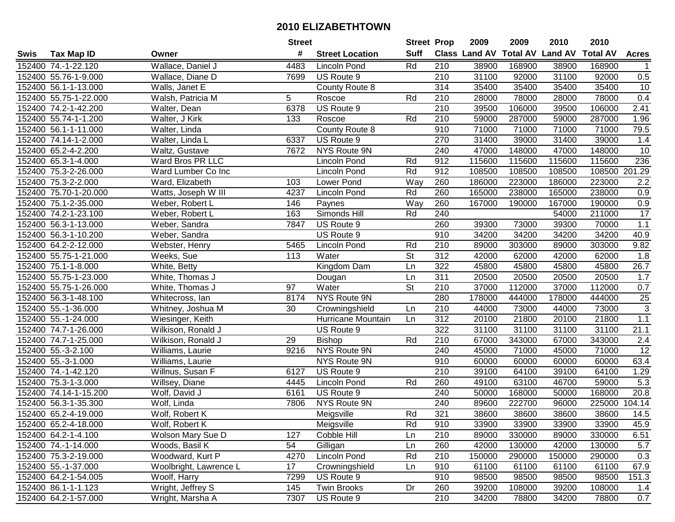|      |                       |                        | <b>Street</b> |                        | <b>Street Prop</b>       |                  | 2009                 | 2009            | 2010           | 2010            |                 |
|------|-----------------------|------------------------|---------------|------------------------|--------------------------|------------------|----------------------|-----------------|----------------|-----------------|-----------------|
| Swis | <b>Tax Map ID</b>     | Owner                  | #             | <b>Street Location</b> | <b>Suff</b>              |                  | <b>Class Land AV</b> | <b>Total AV</b> | <b>Land AV</b> | <b>Total AV</b> | <b>Acres</b>    |
|      | 152400 74.-1-22.120   | Wallace, Daniel J      | 4483          | <b>Lincoln Pond</b>    | Rd                       | 210              | 38900                | 168900          | 38900          | 168900          |                 |
|      | 152400 55.76-1-9.000  | Wallace, Diane D       | 7699          | US Route 9             |                          | 210              | 31100                | 92000           | 31100          | 92000           | 0.5             |
|      | 152400 56.1-1-13.000  | Walls, Janet E         |               | County Route 8         |                          | 314              | 35400                | 35400           | 35400          | 35400           | 10              |
|      | 152400 55.75-1-22.000 | Walsh, Patricia M      | 5             | Roscoe                 | Rd                       | 210              | 28000                | 78000           | 28000          | 78000           | 0.4             |
|      | 152400 74.2-1-42.200  | Walter, Dean           | 6378          | US Route 9             |                          | 210              | 39500                | 106000          | 39500          | 106000          | 2.41            |
|      | 152400 55.74-1-1.200  | Walter, J Kirk         | 133           | Roscoe                 | Rd                       | 210              | 59000                | 287000          | 59000          | 287000          | 1.96            |
|      | 152400 56.1-1-11.000  | Walter, Linda          |               | <b>County Route 8</b>  |                          | 910              | 71000                | 71000           | 71000          | 71000           | 79.5            |
|      | 152400 74.14-1-2.000  | Walter, Linda L        | 6337          | US Route 9             |                          | 270              | 31400                | 39000           | 31400          | 39000           | 1.4             |
|      | 152400 65.2-4-2.200   | Waltz, Gustave         | 7672          | NYS Route 9N           |                          | 240              | 47000                | 148000          | 47000          | 148000          | 10              |
|      | 152400 65.3-1-4.000   | Ward Bros PR LLC       |               | Lincoln Pond           | Rd                       | 912              | 115600               | 115600          | 115600         | 115600          | 236             |
|      | 152400 75.3-2-26.000  | Ward Lumber Co Inc     |               | <b>Lincoln Pond</b>    | Rd                       | 912              | 108500               | 108500          | 108500         | 108500 201.29   |                 |
|      | 152400 75.3-2-2.000   | Ward, Elizabeth        | 103           | Lower Pond             | Way                      | 260              | 186000               | 223000          | 186000         | 223000          | 2.2             |
|      | 152400 75.70-1-20.000 | Watts, Joseph W III    | 4237          | <b>Lincoln Pond</b>    | Rd                       | 260              | 165000               | 238000          | 165000         | 238000          | 0.9             |
|      | 152400 75.1-2-35.000  | Weber, Robert L        | 146           | Paynes                 | Way                      | 260              | 167000               | 190000          | 167000         | 190000          | 0.9             |
|      | 152400 74.2-1-23.100  | Weber, Robert L        | 163           | Simonds Hill           | Rd                       | 240              |                      |                 | 54000          | 211000          | $\overline{17}$ |
|      | 152400 56.3-1-13.000  | Weber, Sandra          | 7847          | US Route 9             |                          | 260              | 39300                | 73000           | 39300          | 70000           | $1.1$           |
|      | 152400 56.3-1-10.200  | Weber, Sandra          |               | US Route 9             |                          | 910              | 34200                | 34200           | 34200          | 34200           | 40.9            |
|      | 152400 64.2-2-12.000  | Webster, Henry         | 5465          | <b>Lincoln Pond</b>    | Rd                       | 210              | 89000                | 303000          | 89000          | 303000          | 9.82            |
|      | 152400 55.75-1-21.000 | Weeks, Sue             | 113           | Water                  | $\overline{\mathsf{St}}$ | 312              | 42000                | 62000           | 42000          | 62000           | 1.8             |
|      | 152400 75.1-1-8.000   | White, Betty           |               | Kingdom Dam            | Ln                       | 322              | 45800                | 45800           | 45800          | 45800           | 26.7            |
|      | 152400 55.75-1-23.000 | White, Thomas J        |               | Dougan                 | Ln                       | $\overline{311}$ | 20500                | 20500           | 20500          | 20500           | 1.7             |
|      | 152400 55.75-1-26.000 | White, Thomas J        | 97            | Water                  | St                       | 210              | 37000                | 112000          | 37000          | 112000          | 0.7             |
|      | 152400 56.3-1-48.100  | Whitecross, lan        | 8174          | NYS Route 9N           |                          | 280              | 178000               | 444000          | 178000         | 444000          | <b>25</b>       |
|      | 152400 55.-1-36.000   | Whitney, Joshua M      | 30            | Crowningshield         | Ln                       | 210              | 44000                | 73000           | 44000          | 73000           | $\overline{3}$  |
|      | 152400 55.-1-24.000   | Wiesinger, Keith       |               | Hurricane Mountain     | Ln                       | 312              | 20100                | 21800           | 20100          | 21800           | 1.1             |
|      | 152400 74.7-1-26.000  | Wilkison, Ronald J     |               | US Route 9             |                          | 322              | 31100                | 31100           | 31100          | 31100           | 21.1            |
|      | 152400 74.7-1-25.000  | Wilkison, Ronald J     | 29            | Bishop                 | Rd                       | 210              | 67000                | 343000          | 67000          | 343000          | 2.4             |
|      | 152400 55.-3-2.100    | Williams, Laurie       | 9216          | NYS Route 9N           |                          | 240              | 45000                | 71000           | 45000          | 71000           | $\overline{12}$ |
|      | 152400 55.-3-1.000    | Williams, Laurie       |               | NYS Route 9N           |                          | 910              | 60000                | 60000           | 60000          | 60000           | 63.4            |
|      | 152400 74.-1-42.120   | Willnus, Susan F       | 6127          | US Route 9             |                          | $\overline{210}$ | 39100                | 64100           | 39100          | 64100           | 1.29            |
|      | 152400 75.3-1-3.000   | Willsey, Diane         | 4445          | Lincoln Pond           | Rd                       | 260              | 49100                | 63100           | 46700          | 59000           | 5.3             |
|      | 152400 74.14-1-15.200 | Wolf, David J          | 6161          | US Route 9             |                          | 240              | 50000                | 168000          | 50000          | 168000          | 20.8            |
|      | 152400 56.3-1-35.300  | Wolf, Linda            | 7806          | NYS Route 9N           |                          | $\overline{240}$ | 89600                | 222700          | 96000          | 225000          | 104.14          |
|      | 152400 65.2-4-19.000  | Wolf, Robert K         |               | Meigsville             | Rd                       | 321              | 38600                | 38600           | 38600          | 38600           | 14.5            |
|      | 152400 65.2-4-18.000  | Wolf, Robert K         |               | Meigsville             | Rd                       | 910              | 33900                | 33900           | 33900          | 33900           | 45.9            |
|      | 152400 64.2-1-4.100   | Wolson Mary Sue D      | 127           | Cobble Hill            | Ln                       | 210              | 89000                | 330000          | 89000          | 330000          | 6.51            |
|      | 152400 74.-1-14.000   | Woods, Basil K         | 54            | Gilligan               | Ln                       | 260              | 42000                | 130000          | 42000          | 130000          | 5.7             |
|      | 152400 75.3-2-19.000  | Woodward, Kurt P       | 4270          | Lincoln Pond           | Rd                       | 210              | 150000               | 290000          | 150000         | 290000          | 0.3             |
|      | 152400 55.-1-37.000   | Woolbright, Lawrence L | 17            | Crowningshield         | Ln                       | 910              | 61100                | 61100           | 61100          | 61100           | 67.9            |
|      | 152400 64.2-1-54.005  | Woolf, Harry           | 7299          | US Route 9             |                          | 910              | 98500                | 98500           | 98500          | 98500           | 151.3           |
|      | 152400 86.1-1-1.123   | Wright, Jeffrey S      | 145           | <b>Twin Brooks</b>     | Dr                       | 260              | 39200                | 108000          | 39200          | 108000          | 1.4             |
|      | 152400 64.2-1-57.000  | Wright, Marsha A       | 7307          | US Route 9             |                          | 210              | 34200                | 78800           | 34200          | 78800           | 0.7             |